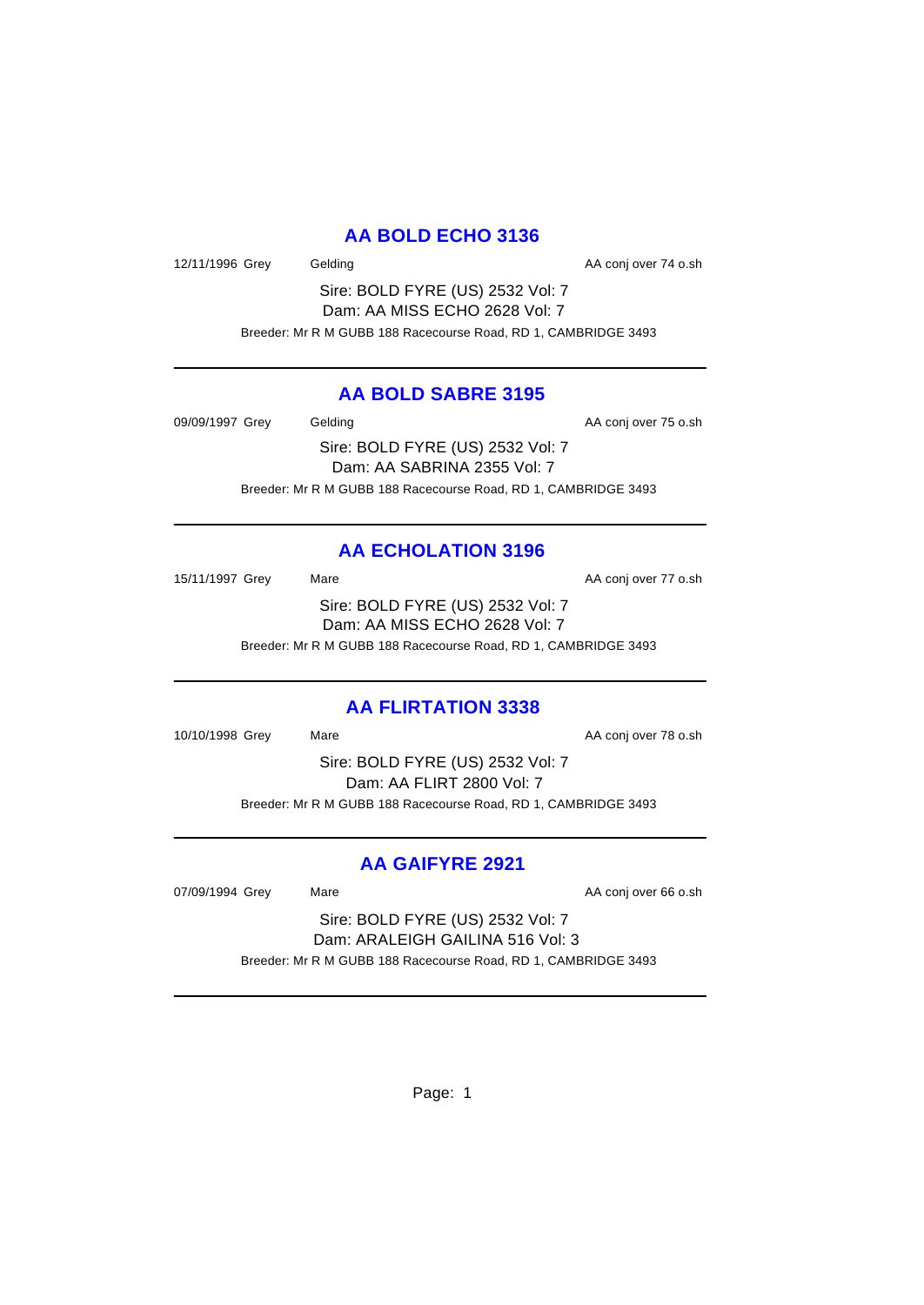## **AA BOLD ECHO 3136**

12/11/1996 Grey Gelding Cash Conjover 74 o.sh

Sire: BOLD FYRE (US) 2532 Vol: 7 Dam: AA MISS ECHO 2628 Vol: 7 Breeder: Mr R M GUBB 188 Racecourse Road, RD 1, CAMBRIDGE 3493

### **AA BOLD SABRE 3195**

09/09/1997 Grey Gelding Construction Construction AA conj over 75 o.sh Sire: BOLD FYRE (US) 2532 Vol: 7 Dam: AA SABRINA 2355 Vol: 7 Breeder: Mr R M GUBB 188 Racecourse Road, RD 1, CAMBRIDGE 3493

# **AA ECHOLATION 3196**

15/11/1997 Grey Mare Mare AA conj over 77 o.sh Sire: BOLD FYRE (US) 2532 Vol: 7 Dam: AA MISS ECHO 2628 Vol: 7 Breeder: Mr R M GUBB 188 Racecourse Road, RD 1, CAMBRIDGE 3493

### **AA FLIRTATION 3338**

10/10/1998 Grey Mare Mare AA conj over 78 o.sh Sire: BOLD FYRE (US) 2532 Vol: 7 Dam: AA FLIRT 2800 Vol: 7 Breeder: Mr R M GUBB 188 Racecourse Road, RD 1, CAMBRIDGE 3493

### **AA GAIFYRE 2921**

07/09/1994 Grey Mare Mare AA conj over 66 o.sh

Sire: BOLD FYRE (US) 2532 Vol: 7 Dam: ARALEIGH GAILINA 516 Vol: 3 Breeder: Mr R M GUBB 188 Racecourse Road, RD 1, CAMBRIDGE 3493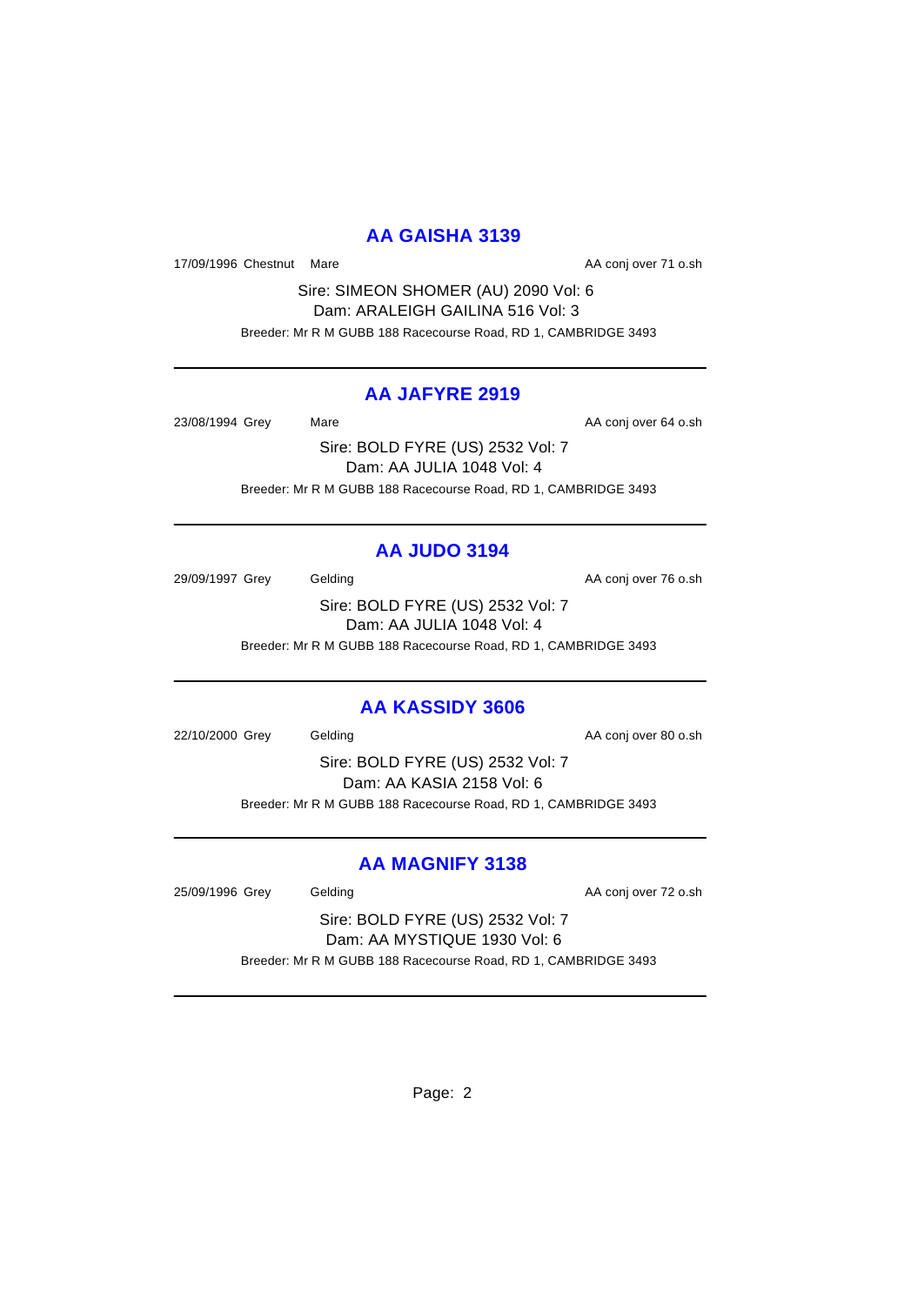### **AA GAISHA 3139**

17/09/1996 Chestnut Mare **AA conj over 71 o.sh** 

Sire: SIMEON SHOMER (AU) 2090 Vol: 6 Dam: ARALEIGH GAILINA 516 Vol: 3 Breeder: Mr R M GUBB 188 Racecourse Road, RD 1, CAMBRIDGE 3493

#### **AA JAFYRE 2919**

23/08/1994 Grey Mare Mare AA conj over 64 o.sh

Sire: BOLD FYRE (US) 2532 Vol: 7 Dam: AA JULIA 1048 Vol: 4 Breeder: Mr R M GUBB 188 Racecourse Road, RD 1, CAMBRIDGE 3493

# **AA JUDO 3194**

29/09/1997 Grey Gelding Cash Conj over 76 o.sh Sire: BOLD FYRE (US) 2532 Vol: 7 Dam: AA JULIA 1048 Vol: 4

Breeder: Mr R M GUBB 188 Racecourse Road, RD 1, CAMBRIDGE 3493

#### **AA KASSIDY 3606**

22/10/2000 Grey Gelding Cash Conjover 80 o.sh

Sire: BOLD FYRE (US) 2532 Vol: 7 Dam: AA KASIA 2158 Vol: 6 Breeder: Mr R M GUBB 188 Racecourse Road, RD 1, CAMBRIDGE 3493

### **AA MAGNIFY 3138**

25/09/1996 Grey Gelding Cash Conjover 72 o.sh

Sire: BOLD FYRE (US) 2532 Vol: 7 Dam: AA MYSTIQUE 1930 Vol: 6 Breeder: Mr R M GUBB 188 Racecourse Road, RD 1, CAMBRIDGE 3493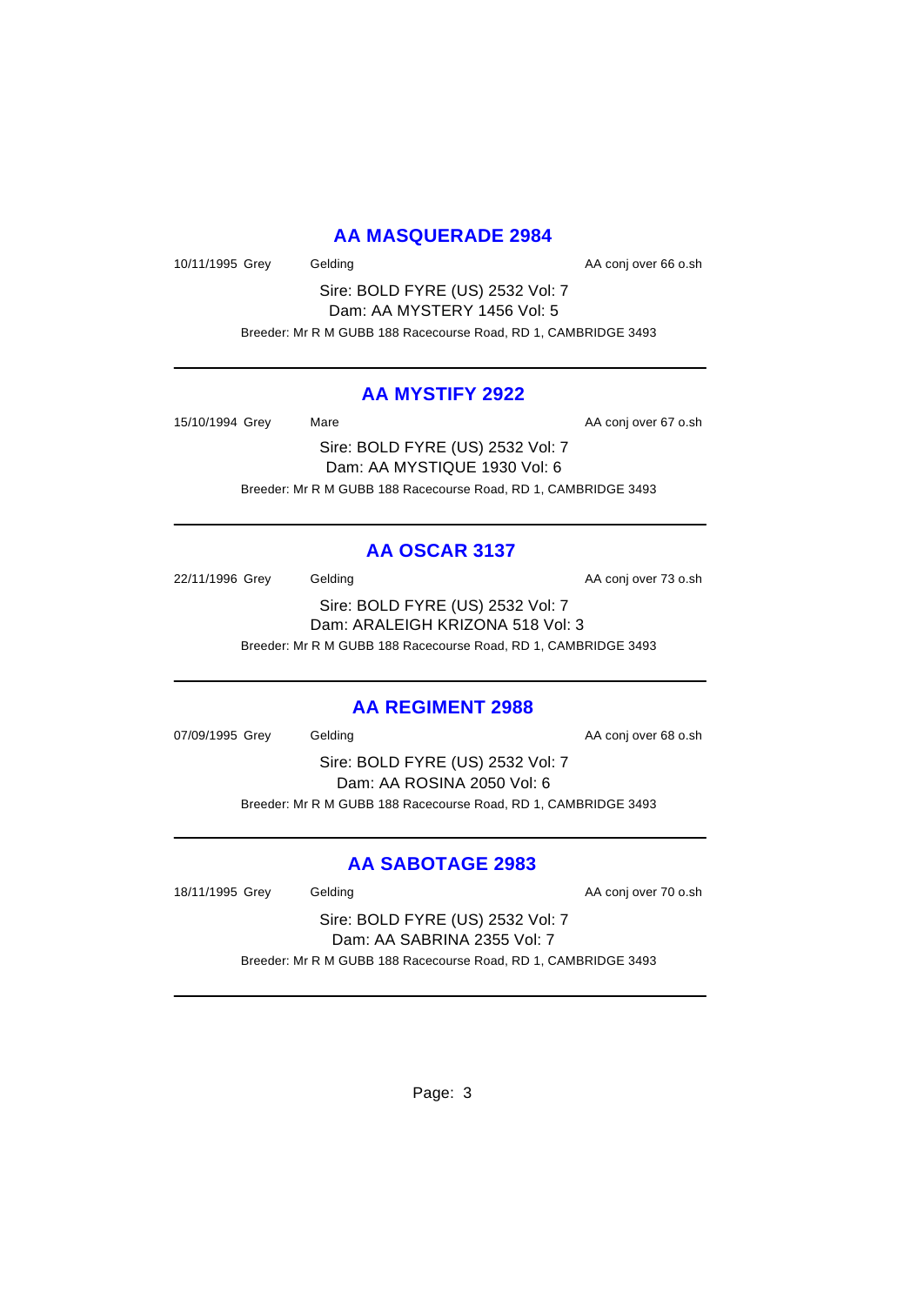### **AA MASQUERADE 2984**

10/11/1995 Grey Gelding Cash Conjover 66 o.sh

Sire: BOLD FYRE (US) 2532 Vol: 7 Dam: AA MYSTERY 1456 Vol: 5 Breeder: Mr R M GUBB 188 Racecourse Road, RD 1, CAMBRIDGE 3493

#### **AA MYSTIFY 2922**

15/10/1994 Grey Mare Mare AA conj over 67 o.sh Sire: BOLD FYRE (US) 2532 Vol: 7 Dam: AA MYSTIQUE 1930 Vol: 6

Breeder: Mr R M GUBB 188 Racecourse Road, RD 1, CAMBRIDGE 3493

### **AA OSCAR 3137**

22/11/1996 Grey Gelding Cash Conj over 73 o.sh Sire: BOLD FYRE (US) 2532 Vol: 7 Dam: ARALEIGH KRIZONA 518 Vol: 3 Breeder: Mr R M GUBB 188 Racecourse Road, RD 1, CAMBRIDGE 3493

#### **AA REGIMENT 2988**

07/09/1995 Grey Gelding Construction Construction AA conj over 68 o.sh Sire: BOLD FYRE (US) 2532 Vol: 7 Dam: AA ROSINA 2050 Vol: 6 Breeder: Mr R M GUBB 188 Racecourse Road, RD 1, CAMBRIDGE 3493

# **AA SABOTAGE 2983**

18/11/1995 Grey Gelding Cash Conjover 70 o.sh

Sire: BOLD FYRE (US) 2532 Vol: 7 Dam: AA SABRINA 2355 Vol: 7 Breeder: Mr R M GUBB 188 Racecourse Road, RD 1, CAMBRIDGE 3493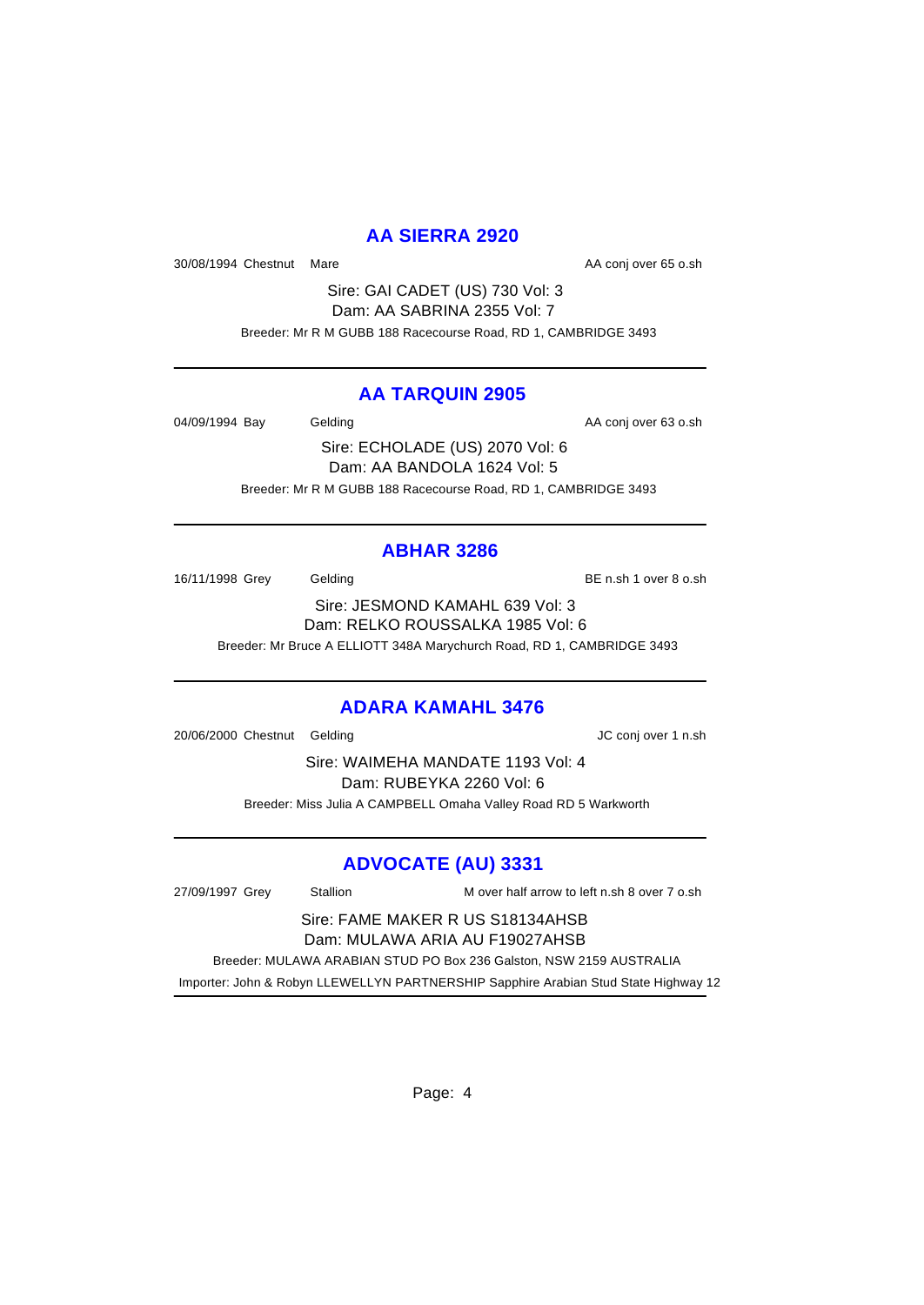### **AA SIERRA 2920**

30/08/1994 Chestnut Mare **AA conj over 65 o.sh** AA conj over 65 o.sh

Sire: GAI CADET (US) 730 Vol: 3 Dam: AA SABRINA 2355 Vol: 7 Breeder: Mr R M GUBB 188 Racecourse Road, RD 1, CAMBRIDGE 3493

#### **AA TARQUIN 2905**

04/09/1994 Bay Gelding Cash Conjover 63 o.sh

Sire: ECHOLADE (US) 2070 Vol: 6 Dam: AA BANDOLA 1624 Vol: 5 Breeder: Mr R M GUBB 188 Racecourse Road, RD 1, CAMBRIDGE 3493

### **ABHAR 3286**

16/11/1998 Grey Gelding Gelding BE n.sh 1 over 8 o.sh

Sire: JESMOND KAMAHL 639 Vol: 3 Dam: RELKO ROUSSALKA 1985 Vol: 6 Breeder: Mr Bruce A ELLIOTT 348A Marychurch Road, RD 1, CAMBRIDGE 3493

### **ADARA KAMAHL 3476**

20/06/2000 Chestnut Gelding JC conj over 1 n.sh

Sire: WAIMEHA MANDATE 1193 Vol: 4 Dam: RUBEYKA 2260 Vol: 6 Breeder: Miss Julia A CAMPBELL Omaha Valley Road RD 5 Warkworth

# **ADVOCATE (AU) 3331**

27/09/1997 Grey Stallion M over half arrow to left n.sh 8 over 7 o.sh Sire: FAME MAKER R US S18134AHSB Dam: MULAWA ARIA AU F19027AHSB Breeder: MULAWA ARABIAN STUD PO Box 236 Galston, NSW 2159 AUSTRALIA Importer: John & Robyn LLEWELLYN PARTNERSHIP Sapphire Arabian Stud State Highway 12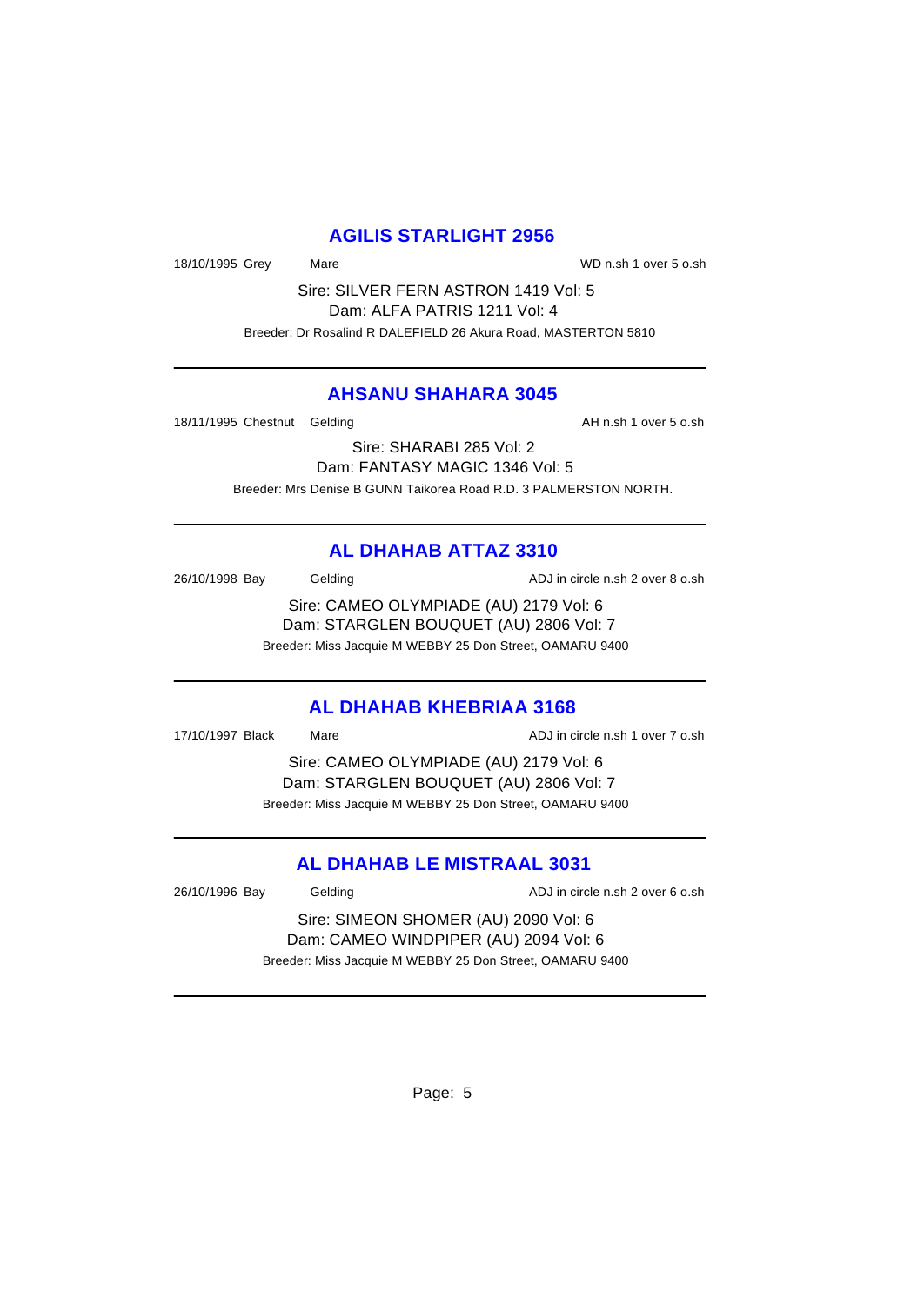#### **AGILIS STARLIGHT 2956**

18/10/1995 Grey Mare WD n.sh 1 over 5 o.sh

Sire: SILVER FERN ASTRON 1419 Vol: 5 Dam: ALFA PATRIS 1211 Vol: 4 Breeder: Dr Rosalind R DALEFIELD 26 Akura Road, MASTERTON 5810

#### **AHSANU SHAHARA 3045**

18/11/1995 Chestnut Gelding and the state of the AH n.sh 1 over 5 o.sh

Sire: SHARABI 285 Vol: 2 Dam: FANTASY MAGIC 1346 Vol: 5 Breeder: Mrs Denise B GUNN Taikorea Road R.D. 3 PALMERSTON NORTH.

# **AL DHAHAB ATTAZ 3310**

26/10/1998 Bay Gelding Casset Contract ADJ in circle n.sh 2 over 8 o.sh

Sire: CAMEO OLYMPIADE (AU) 2179 Vol: 6 Dam: STARGLEN BOUQUET (AU) 2806 Vol: 7 Breeder: Miss Jacquie M WEBBY 25 Don Street, OAMARU 9400

#### **AL DHAHAB KHEBRIAA 3168**

17/10/1997 Black Mare ADJ in circle n.sh 1 over 7 o.sh

Sire: CAMEO OLYMPIADE (AU) 2179 Vol: 6 Dam: STARGLEN BOUQUET (AU) 2806 Vol: 7 Breeder: Miss Jacquie M WEBBY 25 Don Street, OAMARU 9400

### **AL DHAHAB LE MISTRAAL 3031**

26/10/1996 Bay Gelding ADJ in circle n.sh 2 over 6 o.sh

Sire: SIMEON SHOMER (AU) 2090 Vol: 6 Dam: CAMEO WINDPIPER (AU) 2094 Vol: 6 Breeder: Miss Jacquie M WEBBY 25 Don Street, OAMARU 9400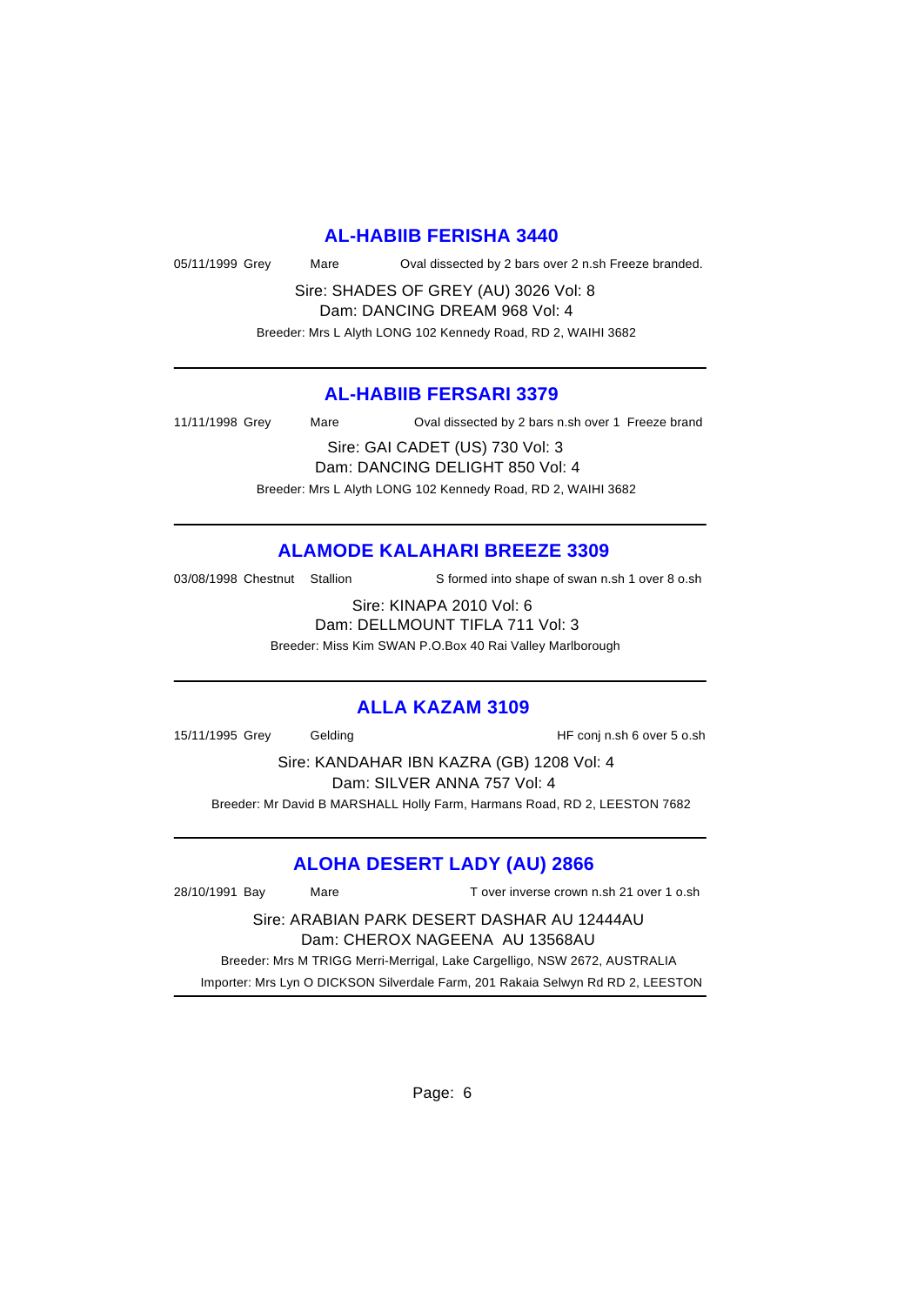#### **AL-HABIIB FERISHA 3440**

05/11/1999 Grey Mare Oval dissected by 2 bars over 2 n.sh Freeze branded.

Sire: SHADES OF GREY (AU) 3026 Vol: 8 Dam: DANCING DREAM 968 Vol: 4

Breeder: Mrs L Alyth LONG 102 Kennedy Road, RD 2, WAIHI 3682

#### **AL-HABIIB FERSARI 3379**

11/11/1998 Grey Mare Oval dissected by 2 bars n.sh over 1 Freeze brand

Sire: GAI CADET (US) 730 Vol: 3 Dam: DANCING DELIGHT 850 Vol: 4 Breeder: Mrs L Alyth LONG 102 Kennedy Road, RD 2, WAIHI 3682

#### **ALAMODE KALAHARI BREEZE 3309**

03/08/1998 Chestnut Stallion S formed into shape of swan n.sh 1 over 8 o.sh

Sire: KINAPA 2010 Vol: 6 Dam: DELLMOUNT TIFLA 711 Vol: 3 Breeder: Miss Kim SWAN P.O.Box 40 Rai Valley Marlborough

#### **ALLA KAZAM 3109**

15/11/1995 Grey Gelding HF conj n.sh 6 over 5 o.sh

Sire: KANDAHAR IBN KAZRA (GB) 1208 Vol: 4 Dam: SILVER ANNA 757 Vol: 4

Breeder: Mr David B MARSHALL Holly Farm, Harmans Road, RD 2, LEESTON 7682

### **ALOHA DESERT LADY (AU) 2866**

28/10/1991 Bay Mare T over inverse crown n.sh 21 over 1 o.sh Sire: ARABIAN PARK DESERT DASHAR AU 12444AU Dam: CHEROX NAGEENA AU 13568AU Breeder: Mrs M TRIGG Merri-Merrigal, Lake Cargelligo, NSW 2672, AUSTRALIA Importer: Mrs Lyn O DICKSON Silverdale Farm, 201 Rakaia Selwyn Rd RD 2, LEESTON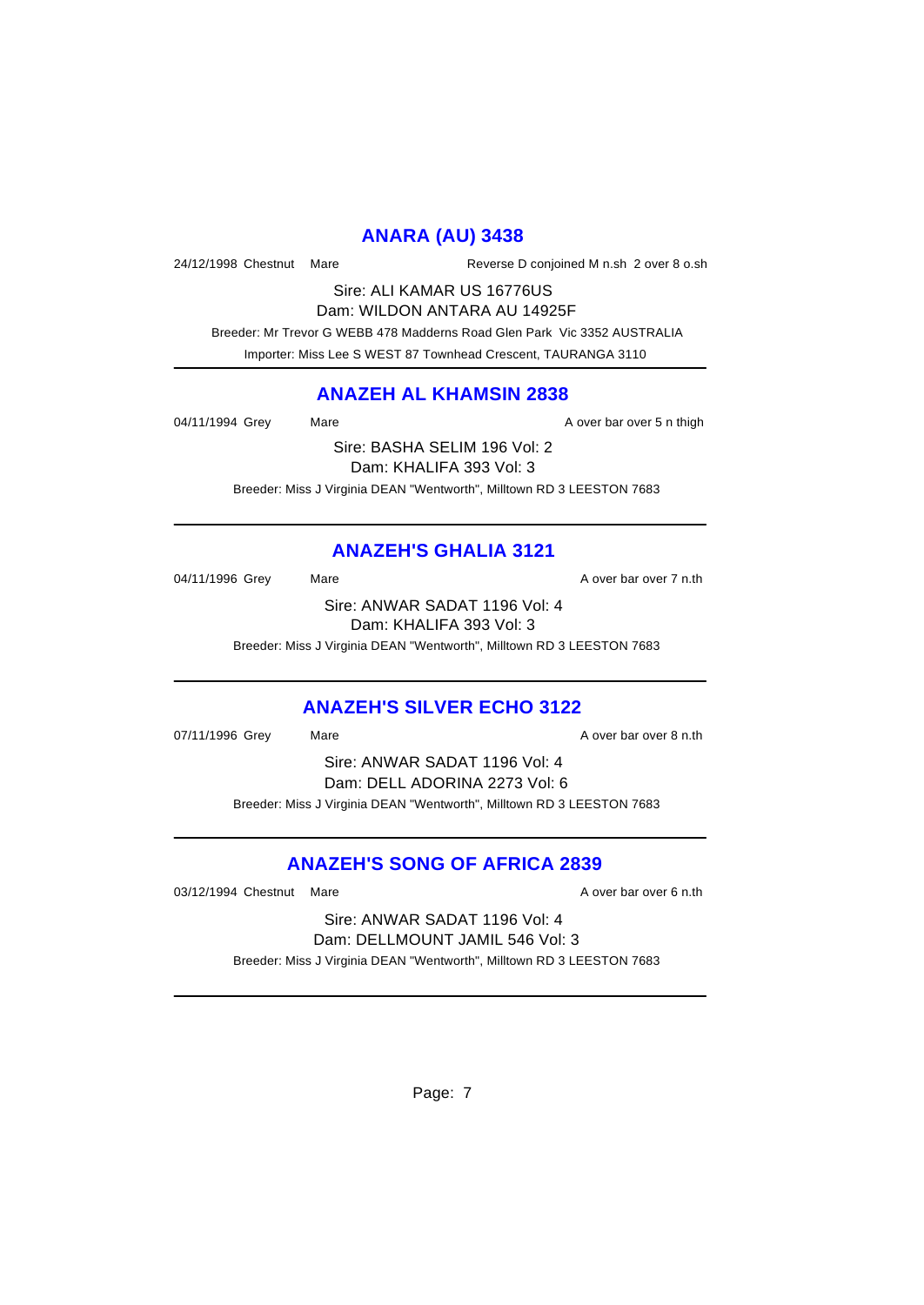# **ANARA (AU) 3438**

24/12/1998 Chestnut Mare Reverse D conjoined M n.sh 2 over 8 o.sh

Sire: ALI KAMAR US 16776US Dam: WILDON ANTARA AU 14925F

 Breeder: Mr Trevor G WEBB 478 Madderns Road Glen Park Vic 3352 AUSTRALIA Importer: Miss Lee S WEST 87 Townhead Crescent, TAURANGA 3110

#### **ANAZEH AL KHAMSIN 2838**

04/11/1994 Grey Mare Mare A over bar over 5 n thigh

Sire: BASHA SELIM 196 Vol: 2 Dam: KHALIFA 393 Vol: 3 Breeder: Miss J Virginia DEAN "Wentworth", Milltown RD 3 LEESTON 7683

# **ANAZEH'S GHALIA 3121**

04/11/1996 Grey Mare Mare A over bar over 7 n.th

Sire: ANWAR SADAT 1196 Vol: 4 Dam: KHALIFA 393 Vol: 3

Breeder: Miss J Virginia DEAN "Wentworth", Milltown RD 3 LEESTON 7683

### **ANAZEH'S SILVER ECHO 3122**

07/11/1996 Grey Mare Mare A over bar over 8 n.th Sire: ANWAR SADAT 1196 Vol: 4 Dam: DELL ADORINA 2273 Vol: 6 Breeder: Miss J Virginia DEAN "Wentworth", Milltown RD 3 LEESTON 7683

### **ANAZEH'S SONG OF AFRICA 2839**

03/12/1994 Chestnut Mare **A over bar over 6 n.th** 03/12/1994 Chestnut Mare

Sire: ANWAR SADAT 1196 Vol: 4 Dam: DELLMOUNT JAMIL 546 Vol: 3 Breeder: Miss J Virginia DEAN "Wentworth", Milltown RD 3 LEESTON 7683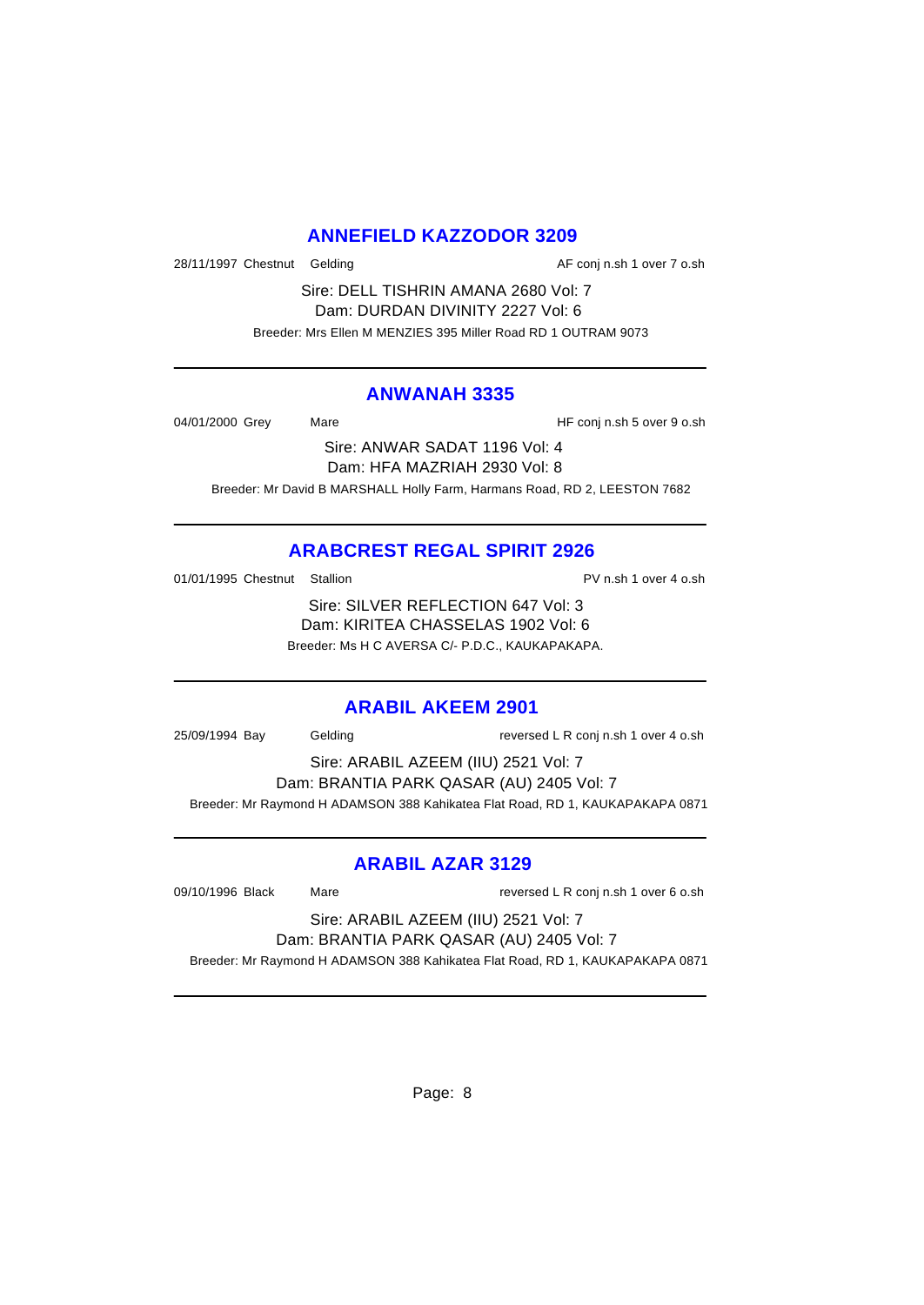## **ANNEFIELD KAZZODOR 3209**

28/11/1997 Chestnut Gelding and the state of the AF conj n.sh 1 over 7 o.sh

Sire: DELL TISHRIN AMANA 2680 Vol: 7 Dam: DURDAN DIVINITY 2227 Vol: 6 Breeder: Mrs Ellen M MENZIES 395 Miller Road RD 1 OUTRAM 9073

#### **ANWANAH 3335**

04/01/2000 Grey Mare HF conj n.sh 5 over 9 o.sh

Sire: ANWAR SADAT 1196 Vol: 4 Dam: HFA MAZRIAH 2930 Vol: 8 Breeder: Mr David B MARSHALL Holly Farm, Harmans Road, RD 2, LEESTON 7682

# **ARABCREST REGAL SPIRIT 2926**

01/01/1995 Chestnut Stallion **PV n.sh 1 over 4 o.sh** 

Sire: SILVER REFLECTION 647 Vol: 3 Dam: KIRITEA CHASSELAS 1902 Vol: 6 Breeder: Ms H C AVERSA C/- P.D.C., KAUKAPAKAPA.

# **ARABIL AKEEM 2901**

25/09/1994 Bay Gelding reversed L R conj n.sh 1 over 4 o.sh

Sire: ARABIL AZEEM (IIU) 2521 Vol: 7 Dam: BRANTIA PARK QASAR (AU) 2405 Vol: 7 Breeder: Mr Raymond H ADAMSON 388 Kahikatea Flat Road, RD 1, KAUKAPAKAPA 0871

### **ARABIL AZAR 3129**

09/10/1996 Black Mare Mare reversed L R conj n.sh 1 over 6 o.sh

Sire: ARABIL AZEEM (IIU) 2521 Vol: 7 Dam: BRANTIA PARK QASAR (AU) 2405 Vol: 7

Breeder: Mr Raymond H ADAMSON 388 Kahikatea Flat Road, RD 1, KAUKAPAKAPA 0871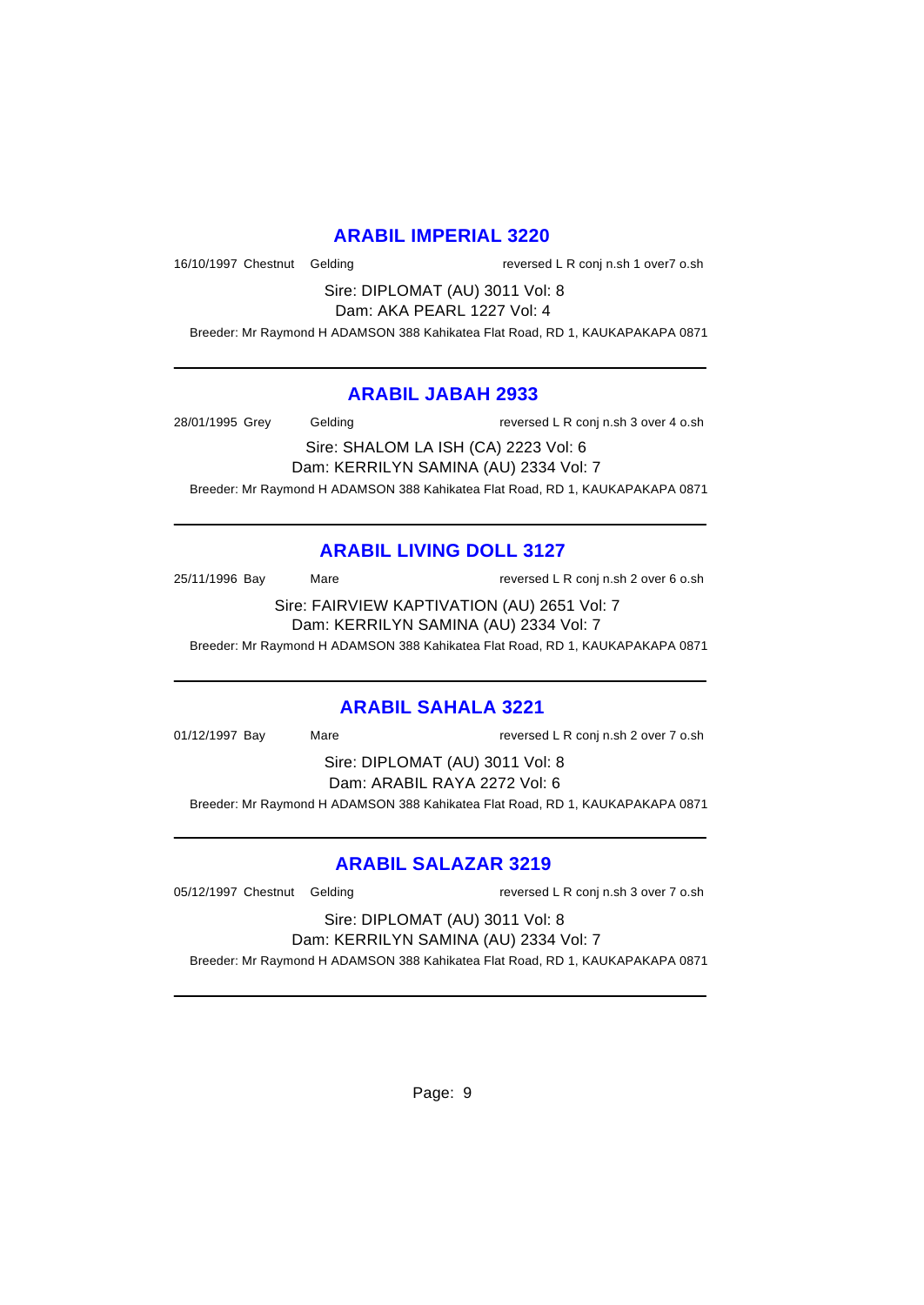#### **ARABIL IMPERIAL 3220**

16/10/1997 Chestnut Gelding reversed L R conj n.sh 1 over7 o.sh

Sire: DIPLOMAT (AU) 3011 Vol: 8 Dam: AKA PEARL 1227 Vol: 4

Breeder: Mr Raymond H ADAMSON 388 Kahikatea Flat Road, RD 1, KAUKAPAKAPA 0871

#### **ARABIL JABAH 2933**

28/01/1995 Grey Gelding reversed L R conj n.sh 3 over 4 o.sh

Sire: SHALOM LA ISH (CA) 2223 Vol: 6 Dam: KERRILYN SAMINA (AU) 2334 Vol: 7 Breeder: Mr Raymond H ADAMSON 388 Kahikatea Flat Road, RD 1, KAUKAPAKAPA 0871

# **ARABIL LIVING DOLL 3127**

25/11/1996 Bay Mare reversed L R conj n.sh 2 over 6 o.sh

Sire: FAIRVIEW KAPTIVATION (AU) 2651 Vol: 7 Dam: KERRILYN SAMINA (AU) 2334 Vol: 7

Breeder: Mr Raymond H ADAMSON 388 Kahikatea Flat Road, RD 1, KAUKAPAKAPA 0871

### **ARABIL SAHALA 3221**

01/12/1997 Bay Mare reversed L R conj n.sh 2 over 7 o.sh

Sire: DIPLOMAT (AU) 3011 Vol: 8 Dam: ARABIL RAYA 2272 Vol: 6

Breeder: Mr Raymond H ADAMSON 388 Kahikatea Flat Road, RD 1, KAUKAPAKAPA 0871

### **ARABIL SALAZAR 3219**

05/12/1997 Chestnut Gelding reversed L R conj n.sh 3 over 7 o.sh

Sire: DIPLOMAT (AU) 3011 Vol: 8 Dam: KERRILYN SAMINA (AU) 2334 Vol: 7

Breeder: Mr Raymond H ADAMSON 388 Kahikatea Flat Road, RD 1, KAUKAPAKAPA 0871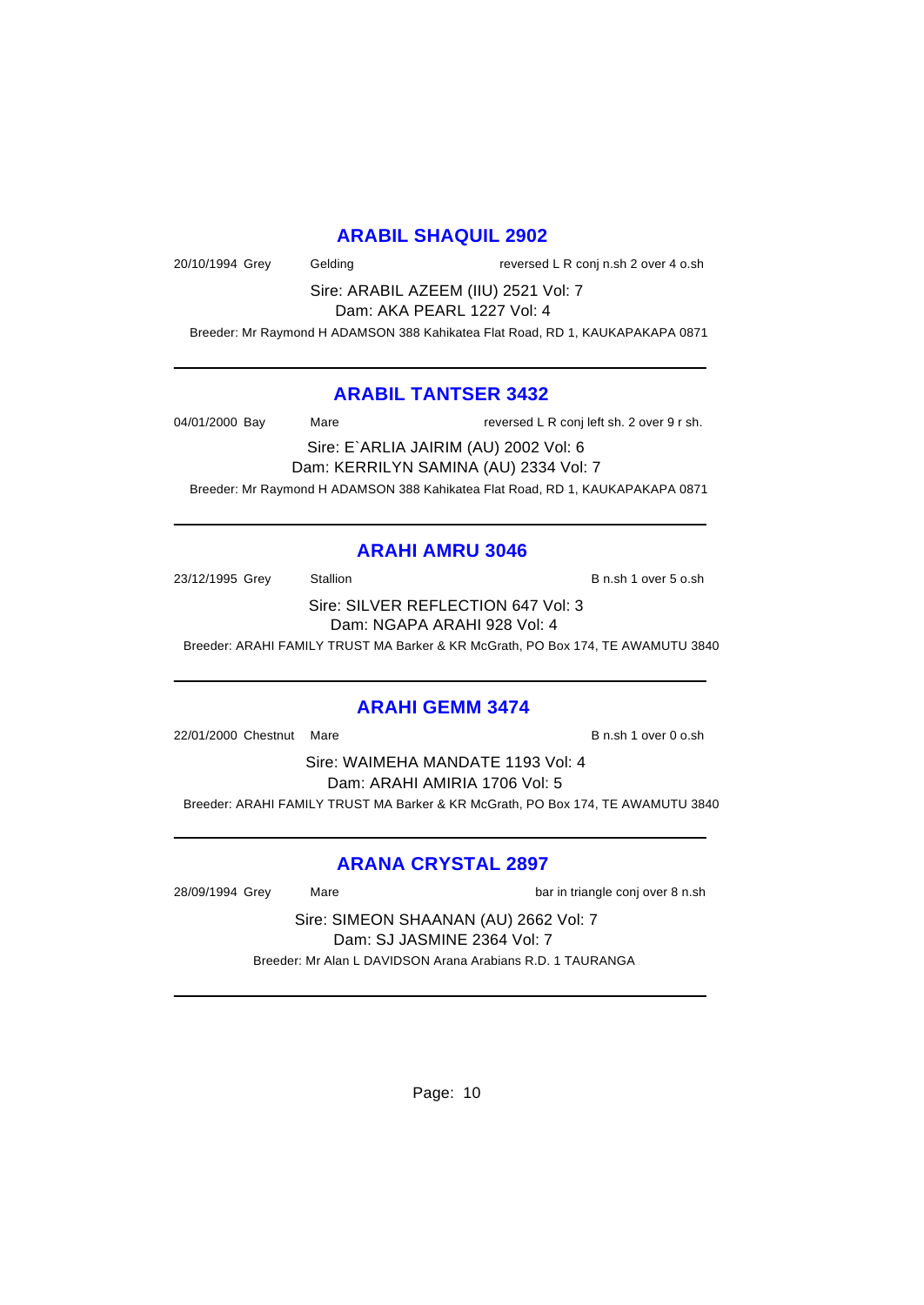#### **ARABIL SHAQUIL 2902**

20/10/1994 Grey Gelding Casset Conj n.sh 2 over 4 o.sh

Sire: ARABIL AZEEM (IIU) 2521 Vol: 7 Dam: AKA PEARL 1227 Vol: 4

Breeder: Mr Raymond H ADAMSON 388 Kahikatea Flat Road, RD 1, KAUKAPAKAPA 0871

#### **ARABIL TANTSER 3432**

04/01/2000 Bay Mare Mare reversed L R conj left sh. 2 over 9 r sh. Sire: E`ARLIA JAIRIM (AU) 2002 Vol: 6 Dam: KERRILYN SAMINA (AU) 2334 Vol: 7 Breeder: Mr Raymond H ADAMSON 388 Kahikatea Flat Road, RD 1, KAUKAPAKAPA 0871

#### **ARAHI AMRU 3046**

23/12/1995 Grey Stallion Stallion B n.sh 1 over 5 o.sh Sire: SILVER REFLECTION 647 Vol: 3

Dam: NGAPA ARAHI 928 Vol: 4

Breeder: ARAHI FAMILY TRUST MA Barker & KR McGrath, PO Box 174, TE AWAMUTU 3840

#### **ARAHI GEMM 3474**

22/01/2000 Chestnut Mare B n.sh 1 over 0 o.sh

Sire: WAIMEHA MANDATE 1193 Vol: 4 Dam: ARAHI AMIRIA 1706 Vol: 5 Breeder: ARAHI FAMILY TRUST MA Barker & KR McGrath, PO Box 174, TE AWAMUTU 3840

#### **ARANA CRYSTAL 2897**

28/09/1994 Grey Mare Mare bar in triangle conj over 8 n.sh

Sire: SIMEON SHAANAN (AU) 2662 Vol: 7 Dam: SJ JASMINE 2364 Vol: 7 Breeder: Mr Alan L DAVIDSON Arana Arabians R.D. 1 TAURANGA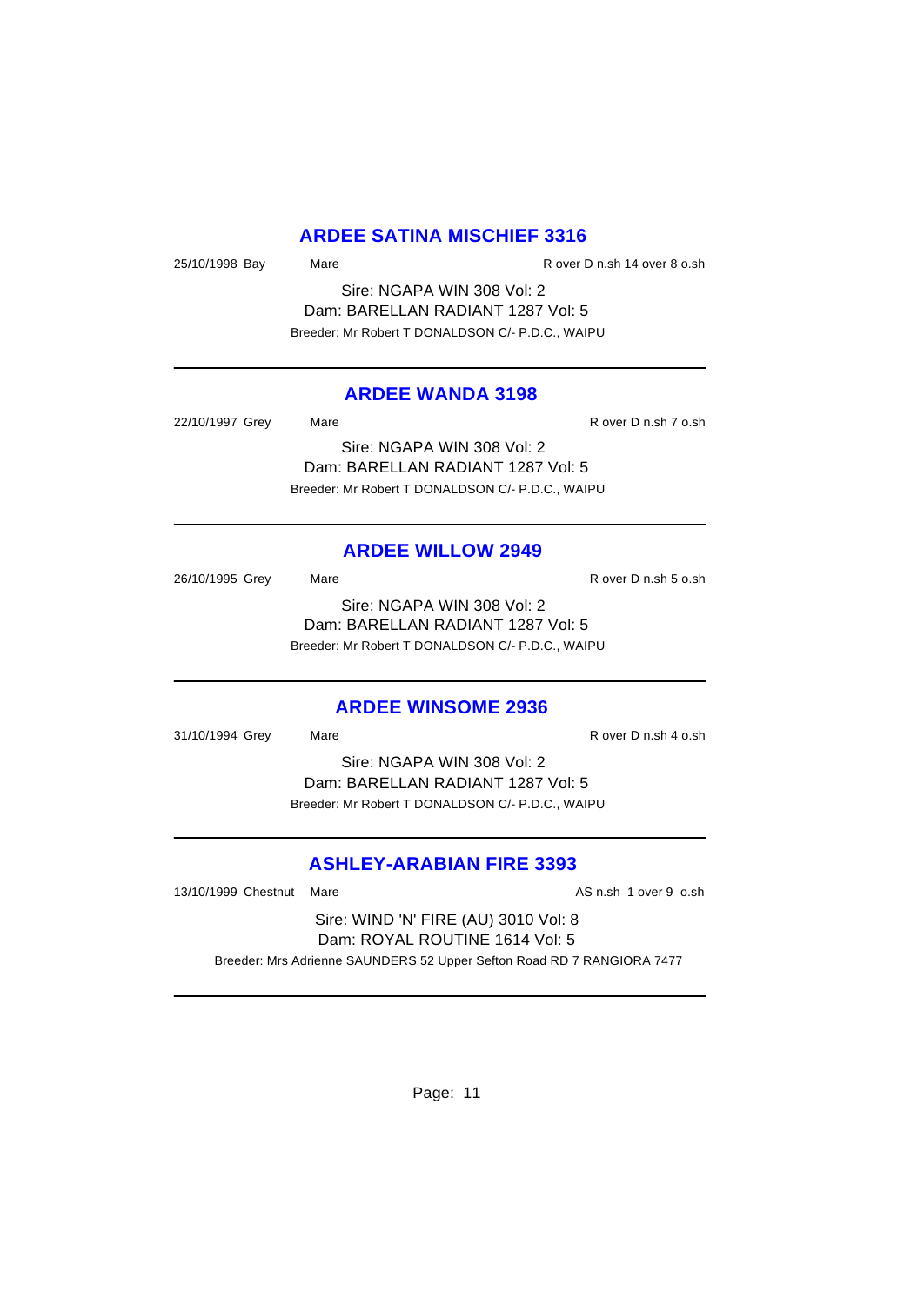#### **ARDEE SATINA MISCHIEF 3316**

25/10/1998 Bay Mare Mare R over D n.sh 14 over 8 o.sh

Sire: NGAPA WIN 308 Vol: 2 Dam: BARELLAN RADIANT 1287 Vol: 5 Breeder: Mr Robert T DONALDSON C/- P.D.C., WAIPU

#### **ARDEE WANDA 3198**

| 22/10/1997 Grey | Mare                                             | R over D n.sh 7 o.sh |
|-----------------|--------------------------------------------------|----------------------|
|                 | Sire: NGAPA WIN 308 Vol: 2                       |                      |
|                 | Dam: BARELLAN RADIANT 1287 Vol: 5                |                      |
|                 | Breeder: Mr Robert T DONALDSON C/- P.D.C., WAIPU |                      |

#### **ARDEE WILLOW 2949**

26/10/1995 Grey Mare Mare R over D n.sh 5 o.sh Sire: NGAPA WIN 308 Vol: 2 Dam: BARELLAN RADIANT 1287 Vol: 5 Breeder: Mr Robert T DONALDSON C/- P.D.C., WAIPU

#### **ARDEE WINSOME 2936**

31/10/1994 Grey Mare Mare R over D n.sh 4 o.sh Sire: NGAPA WIN 308 Vol: 2 Dam: BARELLAN RADIANT 1287 Vol: 5 Breeder: Mr Robert T DONALDSON C/- P.D.C., WAIPU

# **ASHLEY-ARABIAN FIRE 3393**

13/10/1999 Chestnut Mare **AS n.sh 1 over 9 o.sh** 1 over 9 o.sh

Sire: WIND 'N' FIRE (AU) 3010 Vol: 8 Dam: ROYAL ROUTINE 1614 Vol: 5 Breeder: Mrs Adrienne SAUNDERS 52 Upper Sefton Road RD 7 RANGIORA 7477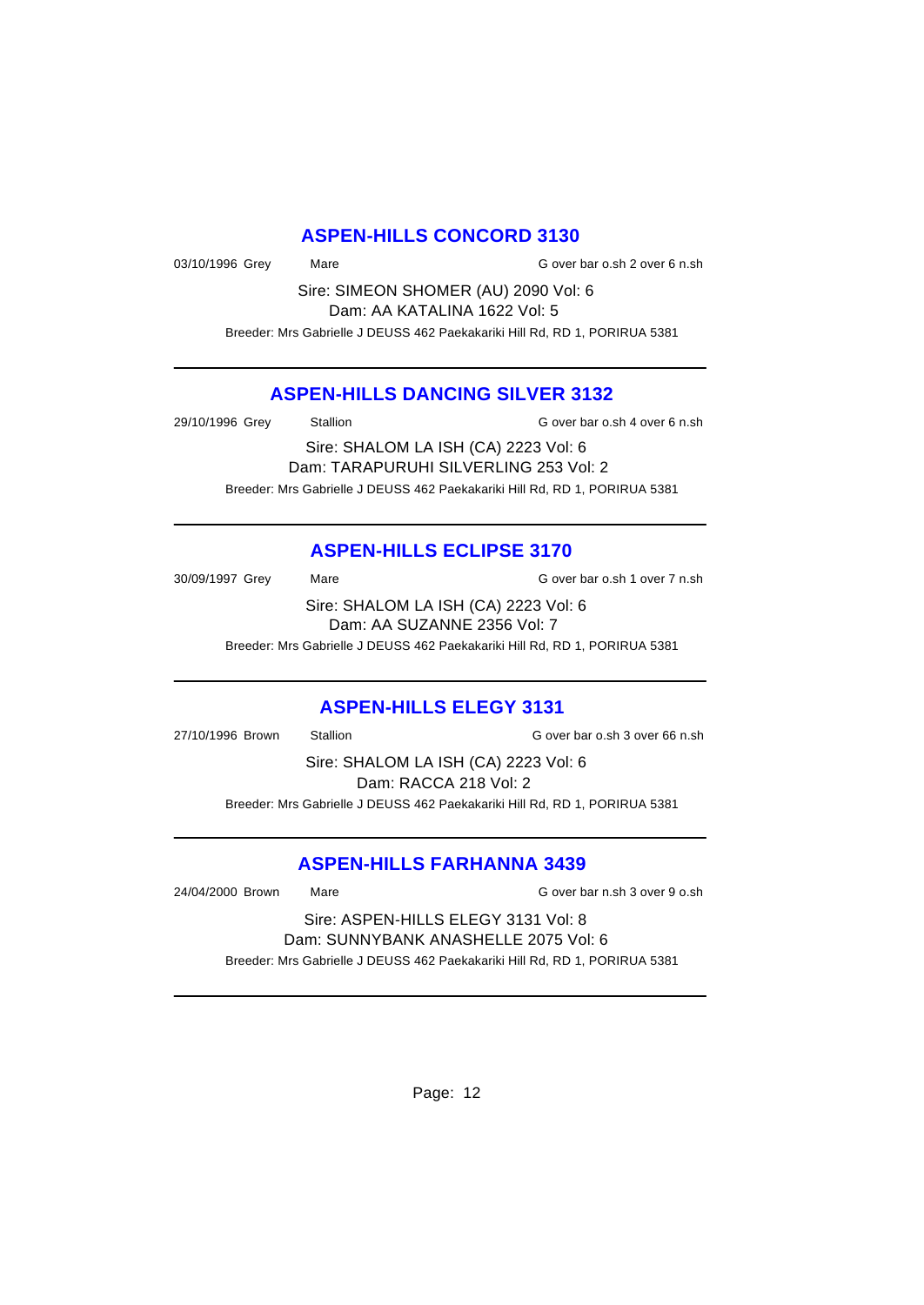### **ASPEN-HILLS CONCORD 3130**

03/10/1996 Grey Mare Mare G over bar o.sh 2 over 6 n.sh

Sire: SIMEON SHOMER (AU) 2090 Vol: 6 Dam: AA KATALINA 1622 Vol: 5

Breeder: Mrs Gabrielle J DEUSS 462 Paekakariki Hill Rd, RD 1, PORIRUA 5381

#### **ASPEN-HILLS DANCING SILVER 3132**

29/10/1996 Grey Stallion G over bar o.sh 4 over 6 n.sh

Sire: SHALOM LA ISH (CA) 2223 Vol: 6 Dam: TARAPURUHI SILVERLING 253 Vol: 2 Breeder: Mrs Gabrielle J DEUSS 462 Paekakariki Hill Rd, RD 1, PORIRUA 5381

# **ASPEN-HILLS ECLIPSE 3170**

30/09/1997 Grey Mare Mare G over bar o.sh 1 over 7 n.sh Sire: SHALOM LA ISH (CA) 2223 Vol: 6 Dam: AA SUZANNE 2356 Vol: 7 Breeder: Mrs Gabrielle J DEUSS 462 Paekakariki Hill Rd, RD 1, PORIRUA 5381

### **ASPEN-HILLS ELEGY 3131**

27/10/1996 Brown Stallion General G over bar o.sh 3 over 66 n.sh Sire: SHALOM LA ISH (CA) 2223 Vol: 6 Dam: RACCA 218 Vol: 2 Breeder: Mrs Gabrielle J DEUSS 462 Paekakariki Hill Rd, RD 1, PORIRUA 5381

### **ASPEN-HILLS FARHANNA 3439**

24/04/2000 Brown Mare G over bar n.sh 3 over 9 o.sh

Sire: ASPEN-HILLS ELEGY 3131 Vol: 8 Dam: SUNNYBANK ANASHELLE 2075 Vol: 6 Breeder: Mrs Gabrielle J DEUSS 462 Paekakariki Hill Rd, RD 1, PORIRUA 5381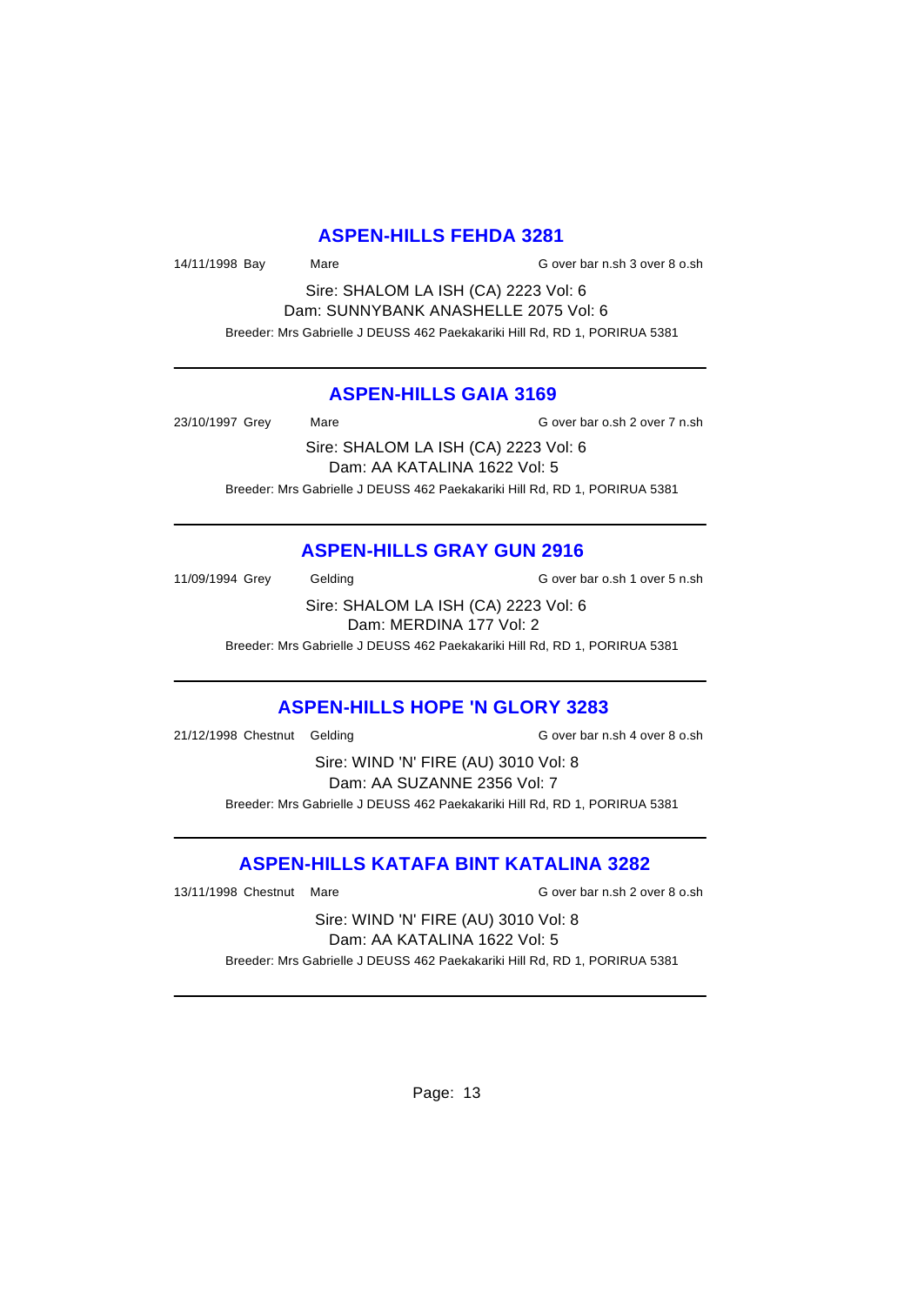#### **ASPEN-HILLS FEHDA 3281**

14/11/1998 Bay Mare Mare G over bar n.sh 3 over 8 o.sh

Sire: SHALOM LA ISH (CA) 2223 Vol: 6 Dam: SUNNYBANK ANASHELLE 2075 Vol: 6 Breeder: Mrs Gabrielle J DEUSS 462 Paekakariki Hill Rd, RD 1, PORIRUA 5381

#### **ASPEN-HILLS GAIA 3169**

23/10/1997 Grey Mare G over bar o.sh 2 over 7 n.sh Sire: SHALOM LA ISH (CA) 2223 Vol: 6

Dam: AA KATALINA 1622 Vol: 5 Breeder: Mrs Gabrielle J DEUSS 462 Paekakariki Hill Rd, RD 1, PORIRUA 5381

### **ASPEN-HILLS GRAY GUN 2916**

11/09/1994 Grey Gelding G over bar o.sh 1 over 5 n.sh

Sire: SHALOM LA ISH (CA) 2223 Vol: 6 Dam: MERDINA 177 Vol: 2

Breeder: Mrs Gabrielle J DEUSS 462 Paekakariki Hill Rd, RD 1, PORIRUA 5381

### **ASPEN-HILLS HOPE 'N GLORY 3283**

21/12/1998 Chestnut Gelding G over bar n.sh 4 over 8 o.sh

Sire: WIND 'N' FIRE (AU) 3010 Vol: 8 Dam: AA SUZANNE 2356 Vol: 7 Breeder: Mrs Gabrielle J DEUSS 462 Paekakariki Hill Rd, RD 1, PORIRUA 5381

### **ASPEN-HILLS KATAFA BINT KATALINA 3282**

13/11/1998 Chestnut Mare G over bar n.sh 2 over 8 o.sh

Sire: WIND 'N' FIRE (AU) 3010 Vol: 8 Dam: AA KATALINA 1622 Vol: 5 Breeder: Mrs Gabrielle J DEUSS 462 Paekakariki Hill Rd, RD 1, PORIRUA 5381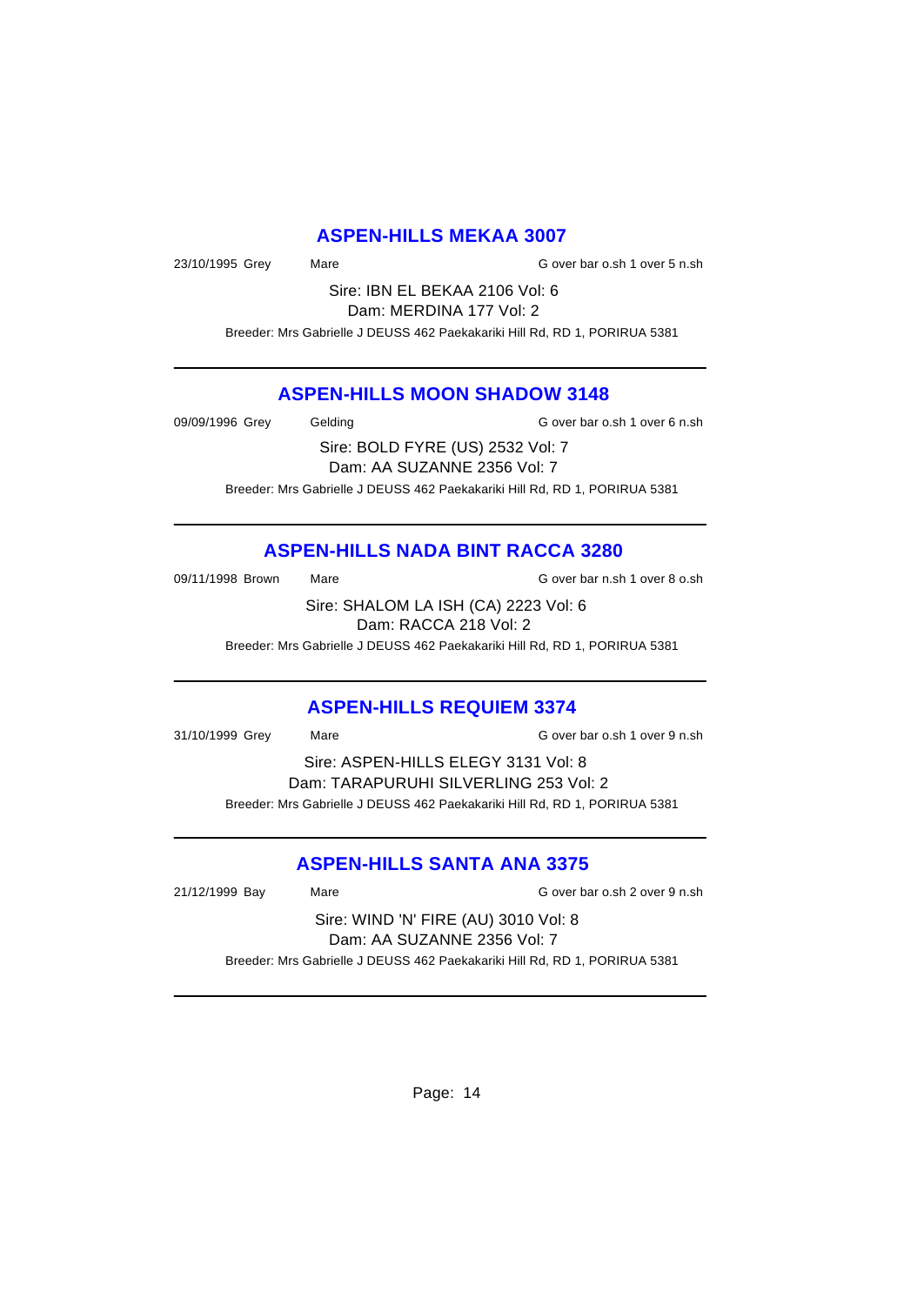#### **ASPEN-HILLS MEKAA 3007**

23/10/1995 Grey Mare Mare G over bar o.sh 1 over 5 n.sh

Sire: IBN EL BEKAA 2106 Vol: 6 Dam: MERDINA 177 Vol: 2

Breeder: Mrs Gabrielle J DEUSS 462 Paekakariki Hill Rd, RD 1, PORIRUA 5381

#### **ASPEN-HILLS MOON SHADOW 3148**

09/09/1996 Grey Gelding G over bar o.sh 1 over 6 n.sh

Sire: BOLD FYRE (US) 2532 Vol: 7 Dam: AA SUZANNE 2356 Vol: 7 Breeder: Mrs Gabrielle J DEUSS 462 Paekakariki Hill Rd, RD 1, PORIRUA 5381

# **ASPEN-HILLS NADA BINT RACCA 3280**

09/11/1998 Brown Mare Mare G over bar n.sh 1 over 8 o.sh

Sire: SHALOM LA ISH (CA) 2223 Vol: 6 Dam: RACCA 218 Vol: 2

Breeder: Mrs Gabrielle J DEUSS 462 Paekakariki Hill Rd, RD 1, PORIRUA 5381

### **ASPEN-HILLS REQUIEM 3374**

31/10/1999 Grey Mare G over bar o.sh 1 over 9 n.sh

Sire: ASPEN-HILLS ELEGY 3131 Vol: 8 Dam: TARAPURUHI SILVERLING 253 Vol: 2 Breeder: Mrs Gabrielle J DEUSS 462 Paekakariki Hill Rd, RD 1, PORIRUA 5381

# **ASPEN-HILLS SANTA ANA 3375**

21/12/1999 Bay Mare G over bar o.sh 2 over 9 n.sh

Sire: WIND 'N' FIRE (AU) 3010 Vol: 8 Dam: AA SUZANNE 2356 Vol: 7 Breeder: Mrs Gabrielle J DEUSS 462 Paekakariki Hill Rd, RD 1, PORIRUA 5381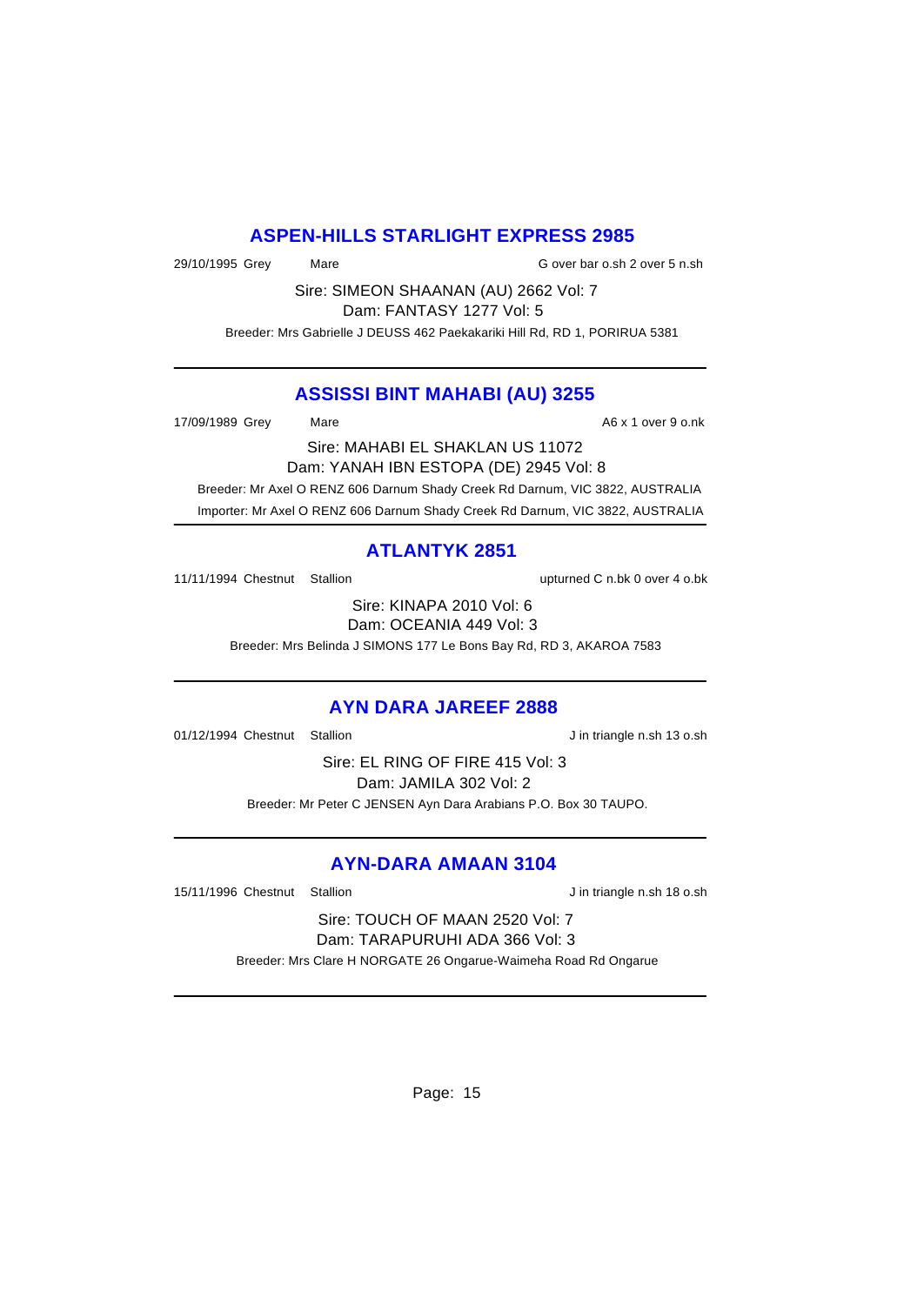### **ASPEN-HILLS STARLIGHT EXPRESS 2985**

29/10/1995 Grey Mare G over bar o.sh 2 over 5 n.sh

Sire: SIMEON SHAANAN (AU) 2662 Vol: 7

Dam: FANTASY 1277 Vol: 5

Breeder: Mrs Gabrielle J DEUSS 462 Paekakariki Hill Rd, RD 1, PORIRUA 5381

#### **ASSISSI BINT MAHABI (AU) 3255**

17/09/1989 Grey Mare Mare A6 x 1 over 9 o.nk

Sire: MAHABI EL SHAKLAN US 11072

Dam: YANAH IBN ESTOPA (DE) 2945 Vol: 8

Breeder: Mr Axel O RENZ 606 Darnum Shady Creek Rd Darnum, VIC 3822, AUSTRALIA

Importer: Mr Axel O RENZ 606 Darnum Shady Creek Rd Darnum, VIC 3822, AUSTRALIA

### **ATLANTYK 2851**

11/11/1994 Chestnut Stallion upturned C n.bk 0 over 4 o.bk

Sire: KINAPA 2010 Vol: 6 Dam: OCEANIA 449 Vol: 3

Breeder: Mrs Belinda J SIMONS 177 Le Bons Bay Rd, RD 3, AKAROA 7583

### **AYN DARA JAREEF 2888**

01/12/1994 Chestnut Stallion **J** in triangle n.sh 13 o.sh

Sire: EL RING OF FIRE 415 Vol: 3 Dam: JAMILA 302 Vol: 2 Breeder: Mr Peter C JENSEN Ayn Dara Arabians P.O. Box 30 TAUPO.

### **AYN-DARA AMAAN 3104**

15/11/1996 Chestnut Stallion Jin triangle n.sh 18 o.sh

Sire: TOUCH OF MAAN 2520 Vol: 7 Dam: TARAPURUHI ADA 366 Vol: 3

Breeder: Mrs Clare H NORGATE 26 Ongarue-Waimeha Road Rd Ongarue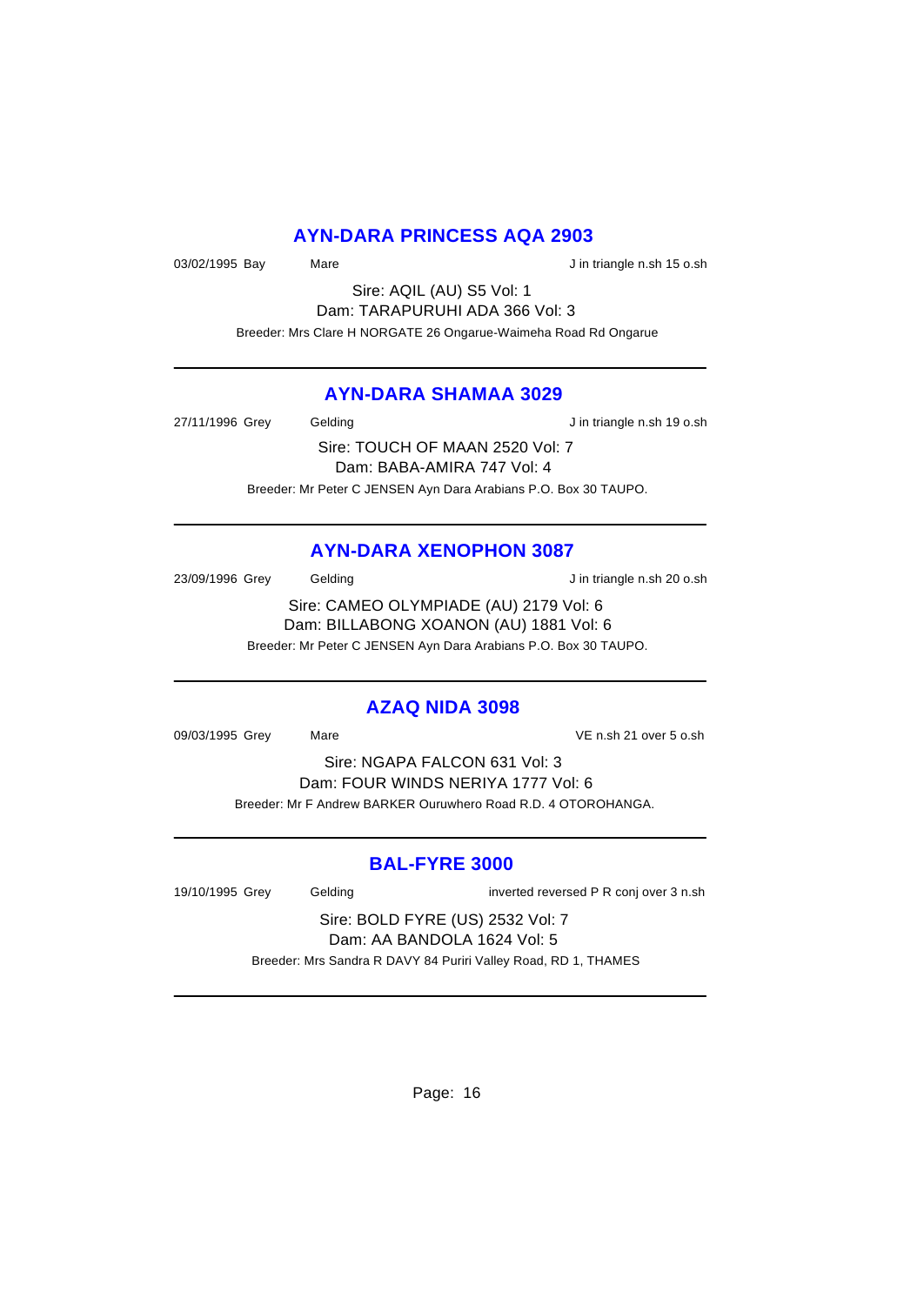### **AYN-DARA PRINCESS AQA 2903**

03/02/1995 Bay Mare Mare J in triangle n.sh 15 o.sh

Sire: AQIL (AU) S5 Vol: 1 Dam: TARAPURUHI ADA 366 Vol: 3 Breeder: Mrs Clare H NORGATE 26 Ongarue-Waimeha Road Rd Ongarue

# **AYN-DARA SHAMAA 3029**

27/11/1996 Grey Gelding Gelding J in triangle n.sh 19 o.sh

Sire: TOUCH OF MAAN 2520 Vol: 7 Dam: BABA-AMIRA 747 Vol: 4 Breeder: Mr Peter C JENSEN Ayn Dara Arabians P.O. Box 30 TAUPO.

# **AYN-DARA XENOPHON 3087**

23/09/1996 Grey Gelding Gelding J in triangle n.sh 20 o.sh

Sire: CAMEO OLYMPIADE (AU) 2179 Vol: 6 Dam: BILLABONG XOANON (AU) 1881 Vol: 6 Breeder: Mr Peter C JENSEN Ayn Dara Arabians P.O. Box 30 TAUPO.

#### **AZAQ NIDA 3098**

09/03/1995 Grey Mare Mare VE n.sh 21 over 5 o.sh

Sire: NGAPA FALCON 631 Vol: 3 Dam: FOUR WINDS NERIYA 1777 Vol: 6 Breeder: Mr F Andrew BARKER Ouruwhero Road R.D. 4 OTOROHANGA.

### **BAL-FYRE 3000**

| 19/10/1995 Grey                  | Gelding | inverted reversed P R conj over 3 n.sh                         |  |
|----------------------------------|---------|----------------------------------------------------------------|--|
| Sire: BOLD FYRE (US) 2532 Vol: 7 |         |                                                                |  |
| Dam: AA BANDOLA 1624 Vol: 5      |         |                                                                |  |
|                                  |         | Breeder: Mrs Sandra R DAVY 84 Puriri Valley Road, RD 1, THAMES |  |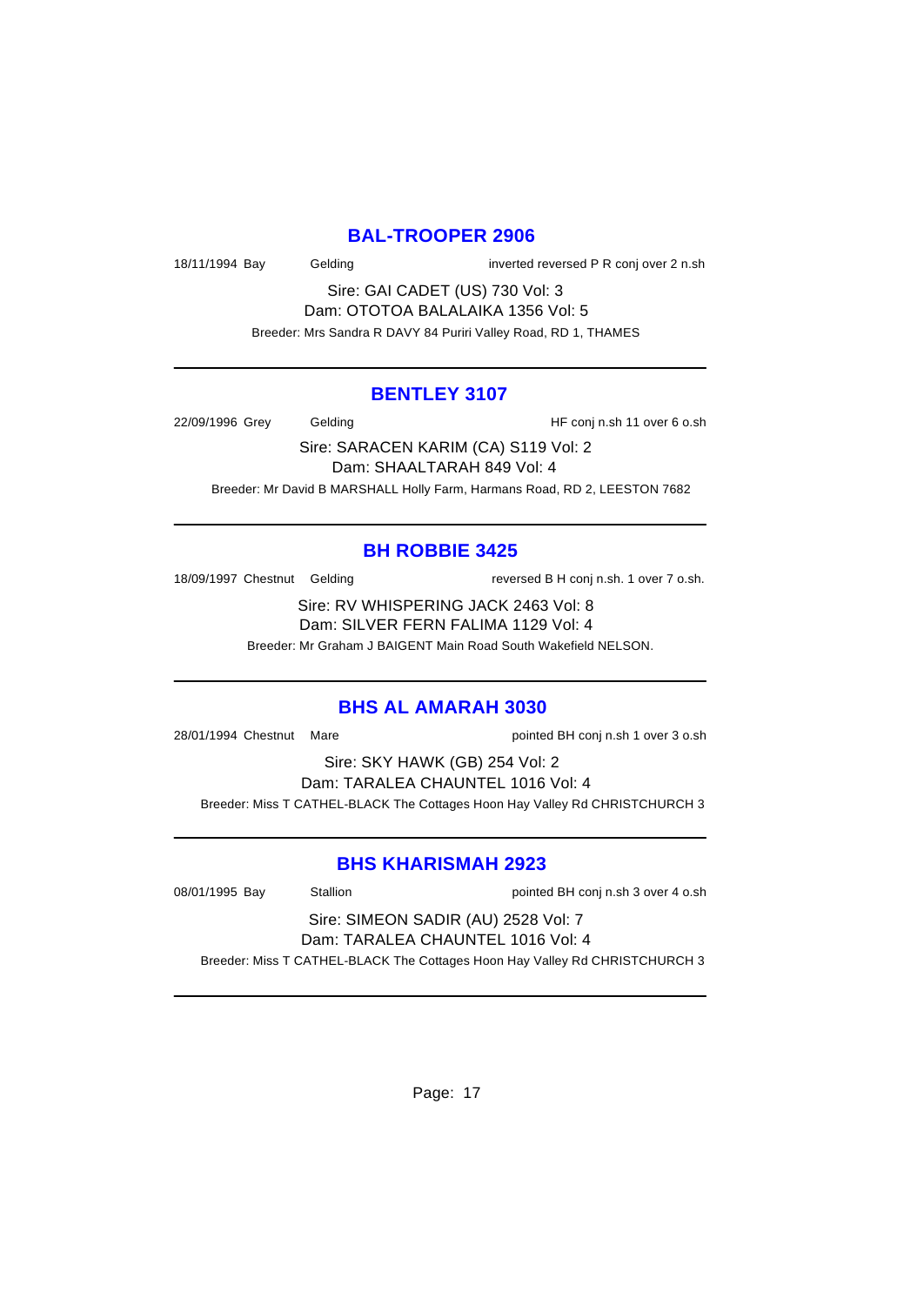#### **BAL-TROOPER 2906**

18/11/1994 Bay Gelding inverted reversed P R conj over 2 n.sh

Sire: GAI CADET (US) 730 Vol: 3 Dam: OTOTOA BALALAIKA 1356 Vol: 5 Breeder: Mrs Sandra R DAVY 84 Puriri Valley Road, RD 1, THAMES

#### **BENTLEY 3107**

22/09/1996 Grey Gelding HF conj n.sh 11 over 6 o.sh

Sire: SARACEN KARIM (CA) S119 Vol: 2 Dam: SHAALTARAH 849 Vol: 4 Breeder: Mr David B MARSHALL Holly Farm, Harmans Road, RD 2, LEESTON 7682

# **BH ROBBIE 3425**

18/09/1997 Chestnut Gelding reversed B H conj n.sh. 1 over 7 o.sh.

Sire: RV WHISPERING JACK 2463 Vol: 8 Dam: SILVER FERN FALIMA 1129 Vol: 4 Breeder: Mr Graham J BAIGENT Main Road South Wakefield NELSON.

#### **BHS AL AMARAH 3030**

28/01/1994 Chestnut Mare pointed BH conj n.sh 1 over 3 o.sh

Sire: SKY HAWK (GB) 254 Vol: 2 Dam: TARALEA CHAUNTEL 1016 Vol: 4 Breeder: Miss T CATHEL-BLACK The Cottages Hoon Hay Valley Rd CHRISTCHURCH 3

### **BHS KHARISMAH 2923**

08/01/1995 Bay Stallion Stallion blue pointed BH conj n.sh 3 over 4 o.sh

Sire: SIMEON SADIR (AU) 2528 Vol: 7 Dam: TARALEA CHAUNTEL 1016 Vol: 4

Breeder: Miss T CATHEL-BLACK The Cottages Hoon Hay Valley Rd CHRISTCHURCH 3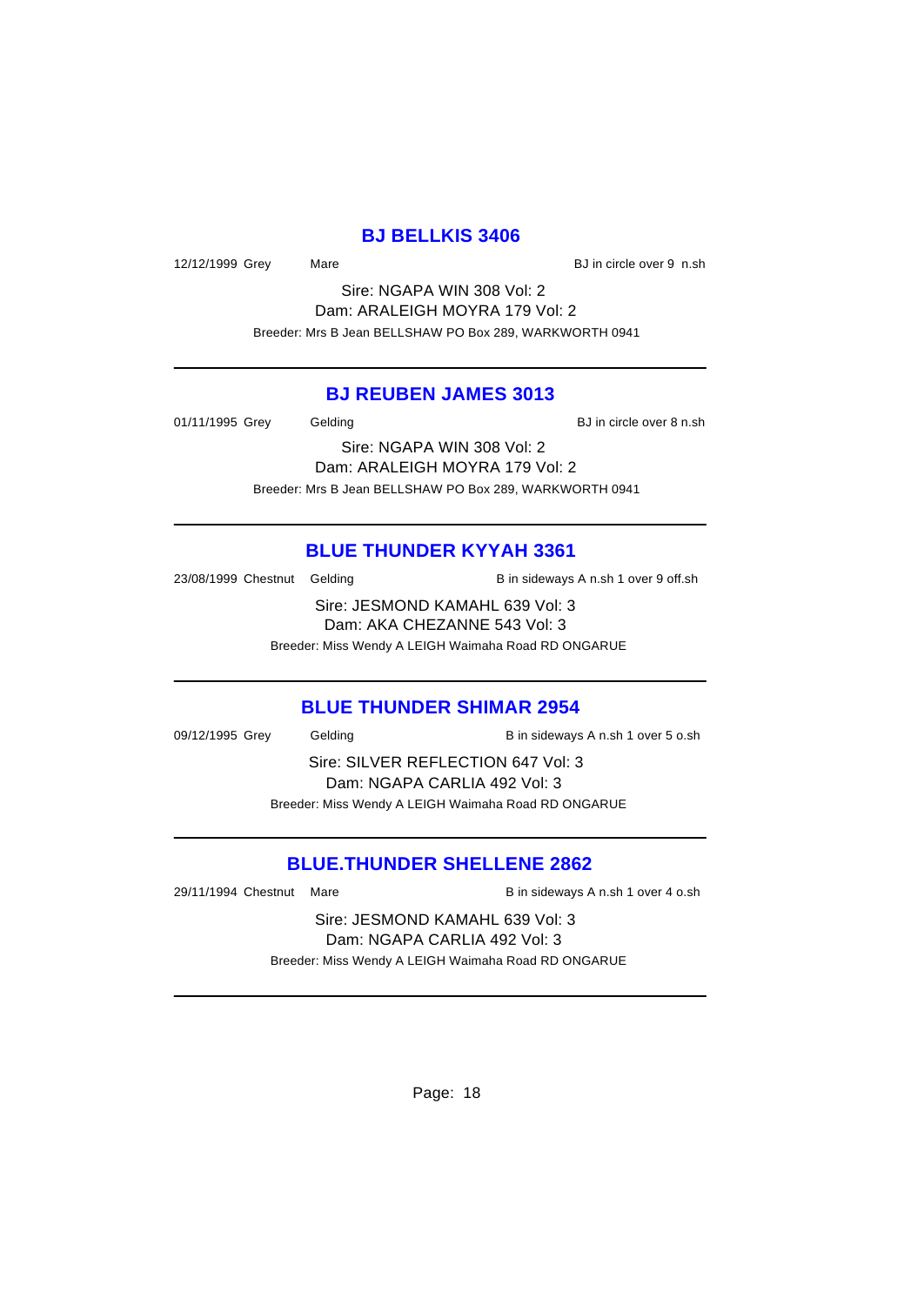#### **BJ BELLKIS 3406**

12/12/1999 Grey Mare BJ in circle over 9 n.sh

Sire: NGAPA WIN 308 Vol: 2 Dam: ARALEIGH MOYRA 179 Vol: 2 Breeder: Mrs B Jean BELLSHAW PO Box 289, WARKWORTH 0941

### **BJ REUBEN JAMES 3013**

01/11/1995 Grey Gelding BJ in circle over 8 n.sh

Sire: NGAPA WIN 308 Vol: 2 Dam: ARALEIGH MOYRA 179 Vol: 2 Breeder: Mrs B Jean BELLSHAW PO Box 289, WARKWORTH 0941

### **BLUE THUNDER KYYAH 3361**

23/08/1999 Chestnut Gelding B in sideways A n.sh 1 over 9 off.sh

Sire: JESMOND KAMAHL 639 Vol: 3 Dam: AKA CHEZANNE 543 Vol: 3 Breeder: Miss Wendy A LEIGH Waimaha Road RD ONGARUE

#### **BLUE THUNDER SHIMAR 2954**

09/12/1995 Grey Gelding B in sideways A n.sh 1 over 5 o.sh Sire: SILVER REFLECTION 647 Vol: 3 Dam: NGAPA CARLIA 492 Vol: 3 Breeder: Miss Wendy A LEIGH Waimaha Road RD ONGARUE

### **BLUE.THUNDER SHELLENE 2862**

29/11/1994 Chestnut Mare **B** in sideways A n.sh 1 over 4 o.sh

Sire: JESMOND KAMAHL 639 Vol: 3 Dam: NGAPA CARLIA 492 Vol: 3 Breeder: Miss Wendy A LEIGH Waimaha Road RD ONGARUE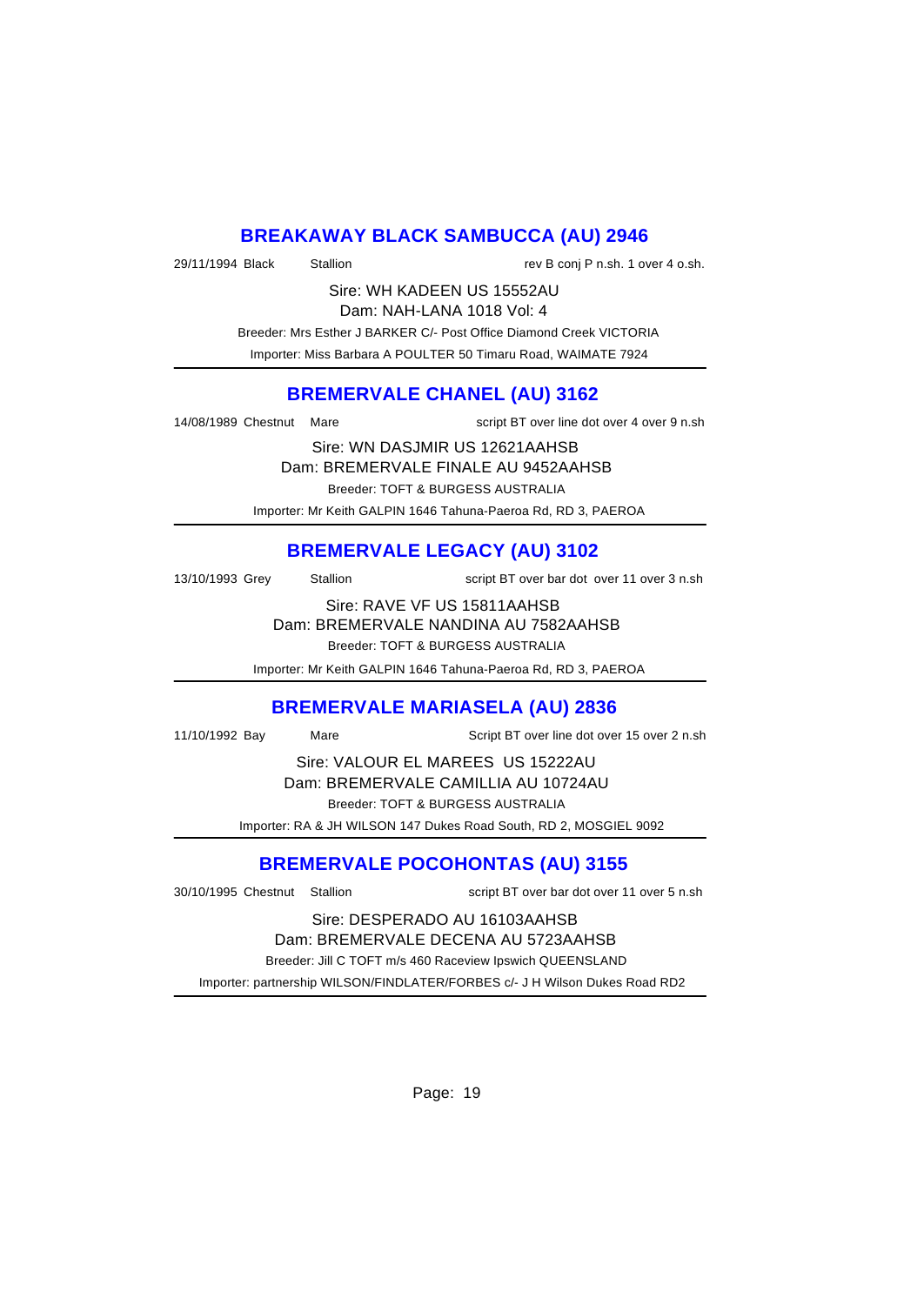# **BREAKAWAY BLACK SAMBUCCA (AU) 2946**

29/11/1994 Black Stallion Stallion rev B conj P n.sh. 1 over 4 o.sh.

Sire: WH KADEEN US 15552AU Dam: NAH-LANA 1018 Vol: 4

 Breeder: Mrs Esther J BARKER C/- Post Office Diamond Creek VICTORIA Importer: Miss Barbara A POULTER 50 Timaru Road, WAIMATE 7924

# **BREMERVALE CHANEL (AU) 3162**

14/08/1989 Chestnut Mare script BT over line dot over 4 over 9 n.sh

Sire: WN DASJMIR US 12621AAHSB

Dam: BREMERVALE FINALE AU 9452AAHSB

Breeder: TOFT & BURGESS AUSTRALIA

Importer: Mr Keith GALPIN 1646 Tahuna-Paeroa Rd, RD 3, PAEROA

# **BREMERVALE LEGACY (AU) 3102**

13/10/1993 Grey Stallion script BT over bar dot over 11 over 3 n.sh

Sire: RAVE VF US 15811AAHSB Dam: BREMERVALE NANDINA AU 7582AAHSB Breeder: TOFT & BURGESS AUSTRALIA

Importer: Mr Keith GALPIN 1646 Tahuna-Paeroa Rd, RD 3, PAEROA

#### **BREMERVALE MARIASELA (AU) 2836**

11/10/1992 Bay Mare Script BT over line dot over 15 over 2 n.sh

Sire: VALOUR EL MAREES US 15222AU Dam: BREMERVALE CAMILLIA AU 10724AU Breeder: TOFT & BURGESS AUSTRALIA

Importer: RA & JH WILSON 147 Dukes Road South, RD 2, MOSGIEL 9092

# **BREMERVALE POCOHONTAS (AU) 3155**

30/10/1995 Chestnut Stallion script BT over bar dot over 11 over 5 n.sh

#### Sire: DESPERADO AU 16103AAHSB Dam: BREMERVALE DECENA AU 5723AAHSB

Breeder: Jill C TOFT m/s 460 Raceview Ipswich QUEENSLAND

Importer: partnership WILSON/FINDLATER/FORBES c/- J H Wilson Dukes Road RD2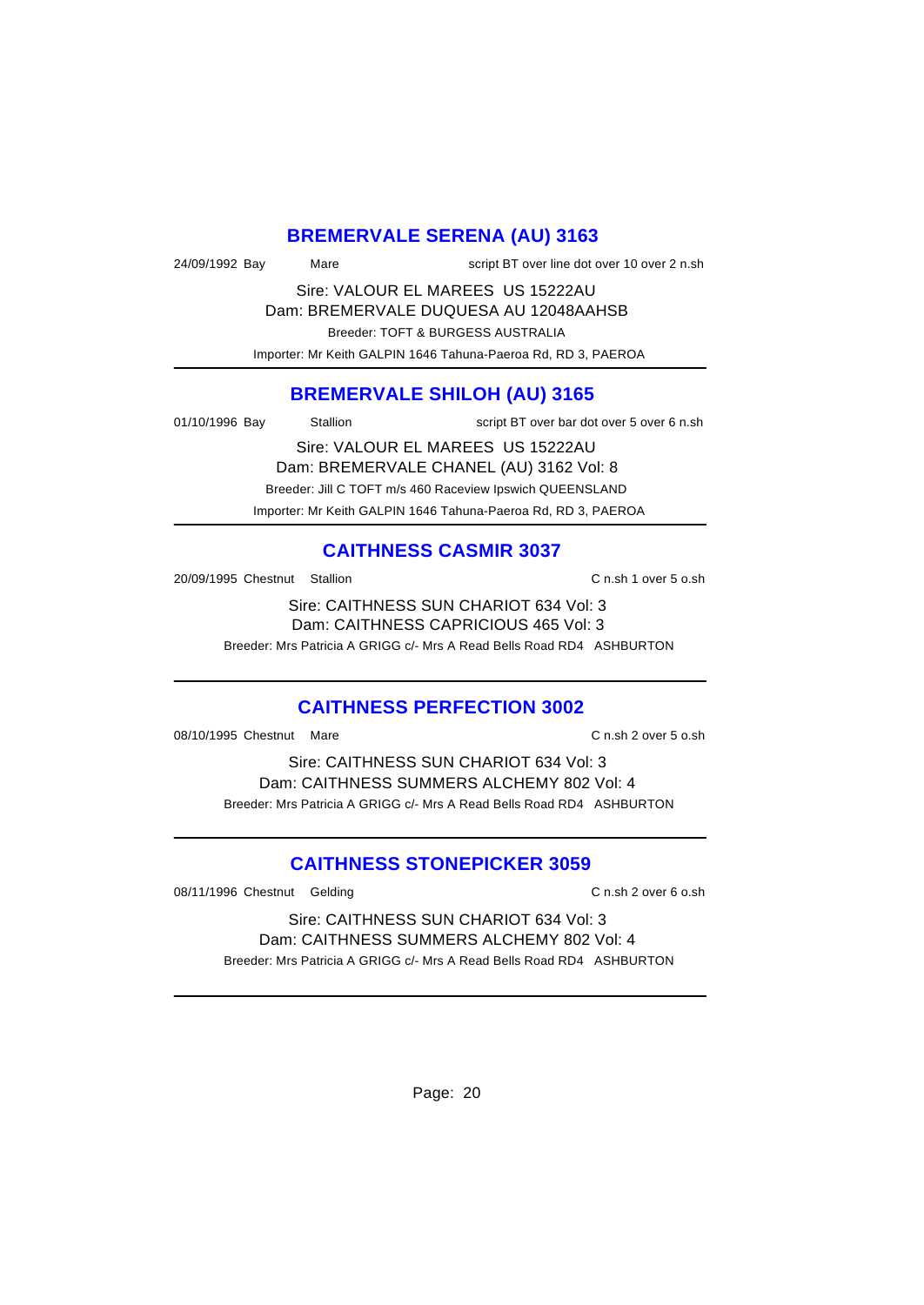# **BREMERVALE SERENA (AU) 3163**

| 24/09/1992 Bay | Mare | script BT over line dot over 10 over 2 n.sh                                                                                                                              |
|----------------|------|--------------------------------------------------------------------------------------------------------------------------------------------------------------------------|
|                |      | $\overline{1111}$ $\overline{11}$ $\overline{11}$ $\overline{111}$ $\overline{111}$ $\overline{111}$ $\overline{111}$ $\overline{111}$ $\overline{111}$ $\overline{111}$ |

Sire: VALOUR EL MAREES US 15222AU Dam: BREMERVALE DUQUESA AU 12048AAHSB Breeder: TOFT & BURGESS AUSTRALIA Importer: Mr Keith GALPIN 1646 Tahuna-Paeroa Rd, RD 3, PAEROA

# **BREMERVALE SHILOH (AU) 3165**

01/10/1996 Bay Stallion script BT over bar dot over 5 over 6 n.sh

Sire: VALOUR EL MAREES US 15222AU Dam: BREMERVALE CHANEL (AU) 3162 Vol: 8 Breeder: Jill C TOFT m/s 460 Raceview Ipswich QUEENSLAND Importer: Mr Keith GALPIN 1646 Tahuna-Paeroa Rd, RD 3, PAEROA

# **CAITHNESS CASMIR 3037**

20/09/1995 Chestnut Stallion C n.sh 1 over 5 o.sh

Sire: CAITHNESS SUN CHARIOT 634 Vol: 3 Dam: CAITHNESS CAPRICIOUS 465 Vol: 3 Breeder: Mrs Patricia A GRIGG c/- Mrs A Read Bells Road RD4 ASHBURTON

### **CAITHNESS PERFECTION 3002**

08/10/1995 Chestnut Mare C n.sh 2 over 5 o.sh

Sire: CAITHNESS SUN CHARIOT 634 Vol: 3 Dam: CAITHNESS SUMMERS ALCHEMY 802 Vol: 4 Breeder: Mrs Patricia A GRIGG c/- Mrs A Read Bells Road RD4 ASHBURTON

# **CAITHNESS STONEPICKER 3059**

08/11/1996 Chestnut Gelding C n.sh 2 over 6 o.sh

Sire: CAITHNESS SUN CHARIOT 634 Vol: 3 Dam: CAITHNESS SUMMERS ALCHEMY 802 Vol: 4 Breeder: Mrs Patricia A GRIGG c/- Mrs A Read Bells Road RD4 ASHBURTON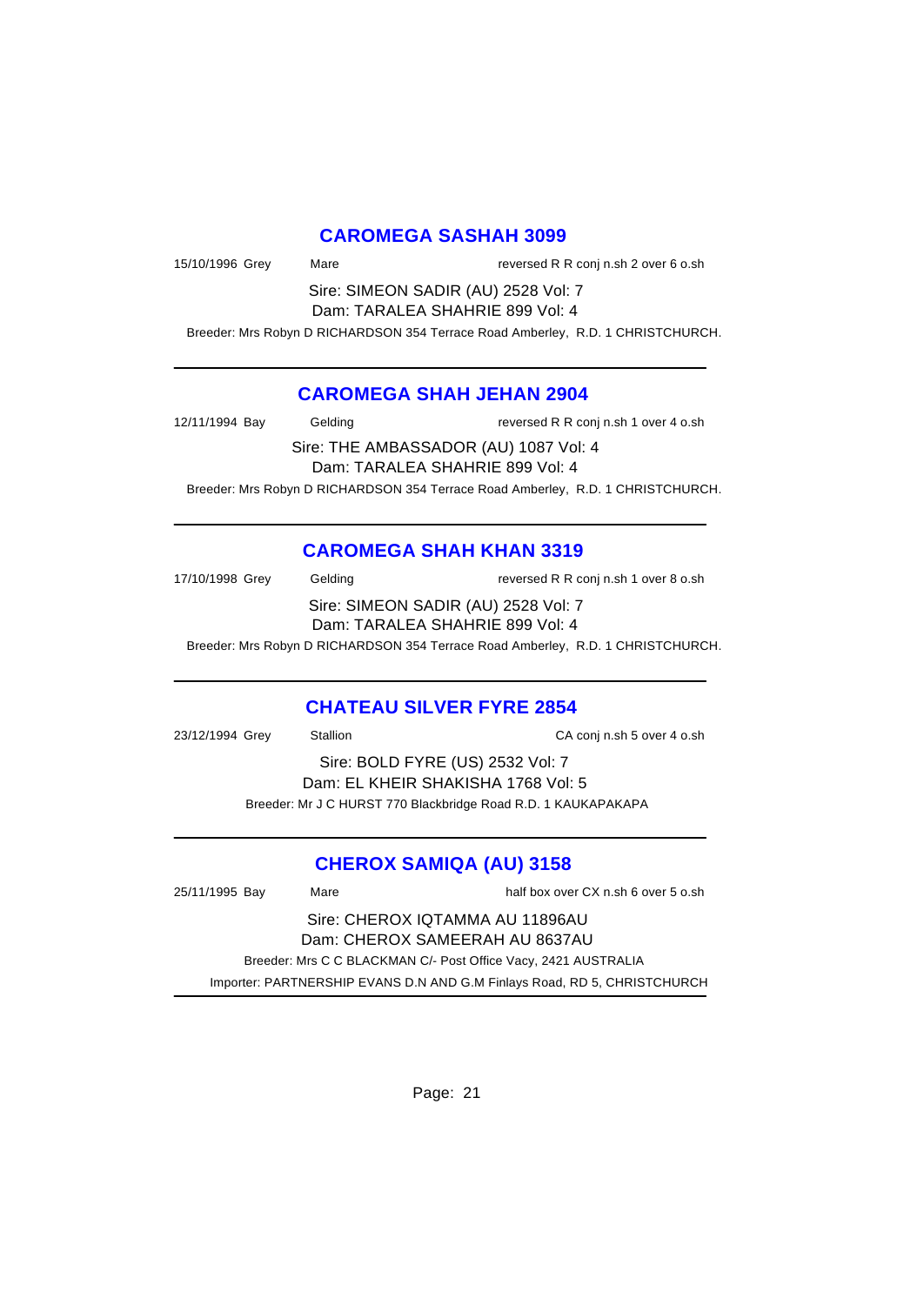# **CAROMEGA SASHAH 3099**

| 15/10/1996 Grey                 | Mare                                | reversed R R conj n.sh 2 over 6 o.sh                                            |
|---------------------------------|-------------------------------------|---------------------------------------------------------------------------------|
|                                 | Sire: SIMEON SADIR (AU) 2528 Vol: 7 |                                                                                 |
| Dam: TARALEA SHAHRIE 899 Vol: 4 |                                     |                                                                                 |
|                                 |                                     | Breeder: Mrs Robyn D RICHARDSON 354 Terrace Road Amberley, R.D. 1 CHRISTCHURCH. |

#### **CAROMEGA SHAH JEHAN 2904**

| 12/11/1994 Bay                        | Gelding | reversed R R conj n.sh 1 over 4 o.sh                                            |  |
|---------------------------------------|---------|---------------------------------------------------------------------------------|--|
| Sire: THE AMBASSADOR (AU) 1087 Vol: 4 |         |                                                                                 |  |
| Dam: TARALEA SHAHRIE 899 Vol: 4       |         |                                                                                 |  |
|                                       |         | Breeder: Mrs Robyn D RICHARDSON 354 Terrace Road Amberley, R.D. 1 CHRISTCHURCH. |  |

# **CAROMEGA SHAH KHAN 3319**

| 17/10/1998 Grey                     | Gelding | reversed R R conj n.sh 1 over 8 o.sh                                            |
|-------------------------------------|---------|---------------------------------------------------------------------------------|
| Sire: SIMEON SADIR (AU) 2528 Vol: 7 |         |                                                                                 |
| Dam: TARALEA SHAHRIE 899 Vol: 4     |         |                                                                                 |
|                                     |         | Breeder: Mrs Robyn D RICHARDSON 354 Terrace Road Amberley, R.D. 1 CHRISTCHURCH. |

### **CHATEAU SILVER FYRE 2854**

| 23/12/1994 Grey | <b>Stallion</b>                                               | CA conj n.sh 5 over 4 o.sh |
|-----------------|---------------------------------------------------------------|----------------------------|
|                 | Sire: BOLD FYRE (US) 2532 Vol: 7                              |                            |
|                 | Dam: EL KHEIR SHAKISHA 1768 Vol: 5                            |                            |
|                 | Breeder: Mr J C HURST 770 Blackbridge Road R.D. 1 KAUKAPAKAPA |                            |
|                 |                                                               |                            |

# **CHEROX SAMIQA (AU) 3158**

| 25/11/1995 Bay | Mare |                                                                | half box over CX n.sh 6 over 5 o.sh                                      |
|----------------|------|----------------------------------------------------------------|--------------------------------------------------------------------------|
|                |      | Sire: CHEROX IQTAMMA AU 11896AU                                |                                                                          |
|                |      | Dam: CHEROX SAMEERAH AU 8637AU                                 |                                                                          |
|                |      | Breeder: Mrs C C BLACKMAN C/- Post Office Vacy, 2421 AUSTRALIA |                                                                          |
|                |      |                                                                | Importer: PARTNERSHIP EVANS D.N AND G.M Finlays Road, RD 5, CHRISTCHURCH |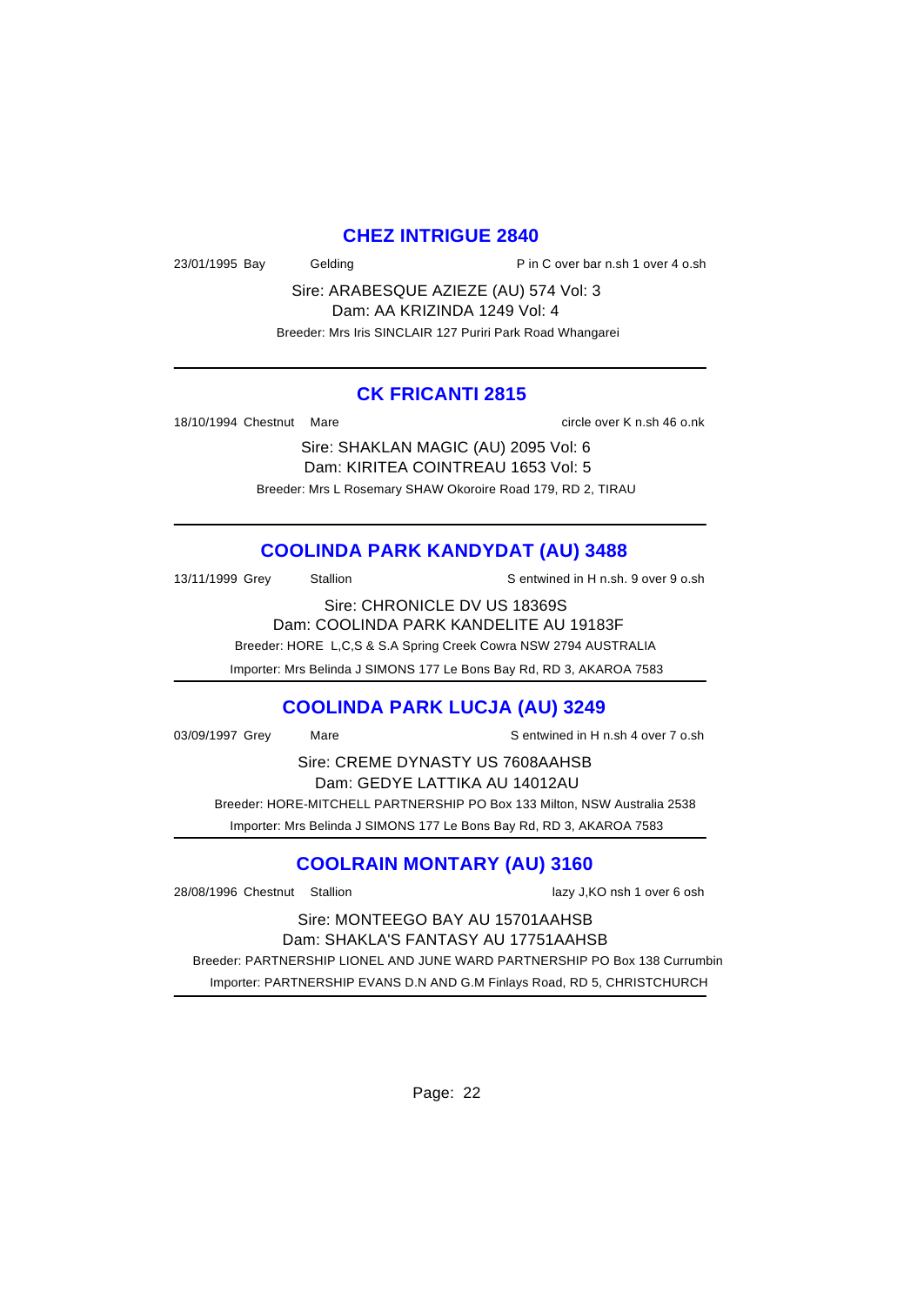#### **CHEZ INTRIGUE 2840**

23/01/1995 Bay Gelding Casset Bay Gelding P in C over bar n.sh 1 over 4 o.sh

Sire: ARABESQUE AZIEZE (AU) 574 Vol: 3 Dam: AA KRIZINDA 1249 Vol: 4

Breeder: Mrs Iris SINCLAIR 127 Puriri Park Road Whangarei

#### **CK FRICANTI 2815**

18/10/1994 Chestnut Mare circle over K n.sh 46 o.nk

Sire: SHAKLAN MAGIC (AU) 2095 Vol: 6 Dam: KIRITEA COINTREAU 1653 Vol: 5 Breeder: Mrs L Rosemary SHAW Okoroire Road 179, RD 2, TIRAU

# **COOLINDA PARK KANDYDAT (AU) 3488**

13/11/1999 Grey Stallion States Sentwined in H n.sh. 9 over 9 o.sh

Sire: CHRONICLE DV US 18369S

Dam: COOLINDA PARK KANDELITE AU 19183F

Breeder: HORE L,C,S & S.A Spring Creek Cowra NSW 2794 AUSTRALIA

Importer: Mrs Belinda J SIMONS 177 Le Bons Bay Rd, RD 3, AKAROA 7583

### **COOLINDA PARK LUCJA (AU) 3249**

03/09/1997 Grey Mare Mare Sentwined in H n.sh 4 over 7 o.sh

Sire: CREME DYNASTY US 7608AAHSB Dam: GEDYE LATTIKA AU 14012AU Breeder: HORE-MITCHELL PARTNERSHIP PO Box 133 Milton, NSW Australia 2538

Importer: Mrs Belinda J SIMONS 177 Le Bons Bay Rd, RD 3, AKAROA 7583

# **COOLRAIN MONTARY (AU) 3160**

28/08/1996 Chestnut Stallion lazy J,KO nsh 1 over 6 osh

#### Sire: MONTEEGO BAY AU 15701AAHSB Dam: SHAKLA'S FANTASY AU 17751AAHSB

 Breeder: PARTNERSHIP LIONEL AND JUNE WARD PARTNERSHIP PO Box 138 Currumbin Importer: PARTNERSHIP EVANS D.N AND G.M Finlays Road, RD 5, CHRISTCHURCH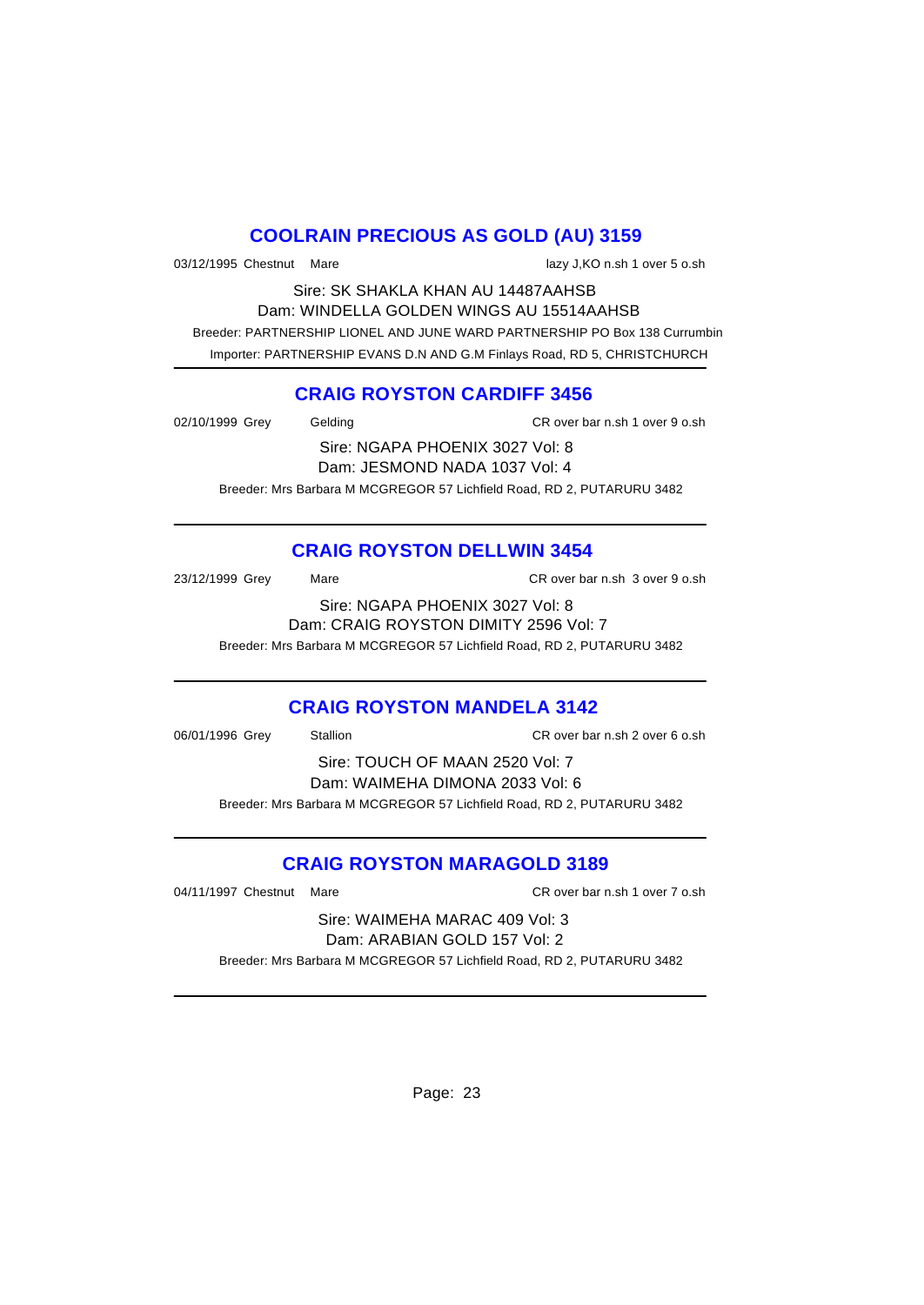# **COOLRAIN PRECIOUS AS GOLD (AU) 3159**

03/12/1995 Chestnut Mare lazy J,KO n.sh 1 over 5 o.sh

Sire: SK SHAKLA KHAN AU 14487AAHSB Dam: WINDELLA GOLDEN WINGS AU 15514AAHSB Breeder: PARTNERSHIP LIONEL AND JUNE WARD PARTNERSHIP PO Box 138 Currumbin Importer: PARTNERSHIP EVANS D.N AND G.M Finlays Road, RD 5, CHRISTCHURCH

### **CRAIG ROYSTON CARDIFF 3456**

| 02/10/1999 Grey | Gelding                                                                | CR over bar n.sh 1 over 9 o.sh |
|-----------------|------------------------------------------------------------------------|--------------------------------|
|                 | Sire: NGAPA PHOENIX 3027 Vol: 8                                        |                                |
|                 | Dam: JESMOND NADA 1037 Vol: 4                                          |                                |
|                 | Breeder: Mrs Barbara M MCGREGOR 57 Lichfield Road, RD 2, PUTARURU 3482 |                                |

# **CRAIG ROYSTON DELLWIN 3454**

| 23/12/1999 Grey<br>Mare         | CR over bar n.sh 3 over 9 o.sh        |  |  |
|---------------------------------|---------------------------------------|--|--|
| Sire: NGAPA PHOENIX 3027 Vol: 8 |                                       |  |  |
|                                 | Dam: CRAIG ROYSTON DIMITY 2596 Vol: 7 |  |  |

Breeder: Mrs Barbara M MCGREGOR 57 Lichfield Road, RD 2, PUTARURU 3482

### **CRAIG ROYSTON MANDELA 3142**

| 06/01/1996 Grey                 | Stallion                                                               | CR over bar n.sh 2 over 6 o.sh |  |
|---------------------------------|------------------------------------------------------------------------|--------------------------------|--|
| Sire: TOUCH OF MAAN 2520 Vol: 7 |                                                                        |                                |  |
|                                 | Dam: WAIMEHA DIMONA 2033 Vol: 6                                        |                                |  |
|                                 | Breeder: Mrs Barbara M MCGREGOR 57 Lichfield Road, RD 2, PUTARURU 3482 |                                |  |
|                                 |                                                                        |                                |  |

### **CRAIG ROYSTON MARAGOLD 3189**

04/11/1997 Chestnut Mare CR over bar n.sh 1 over 7 o.sh

Sire: WAIMEHA MARAC 409 Vol: 3 Dam: ARABIAN GOLD 157 Vol: 2 Breeder: Mrs Barbara M MCGREGOR 57 Lichfield Road, RD 2, PUTARURU 3482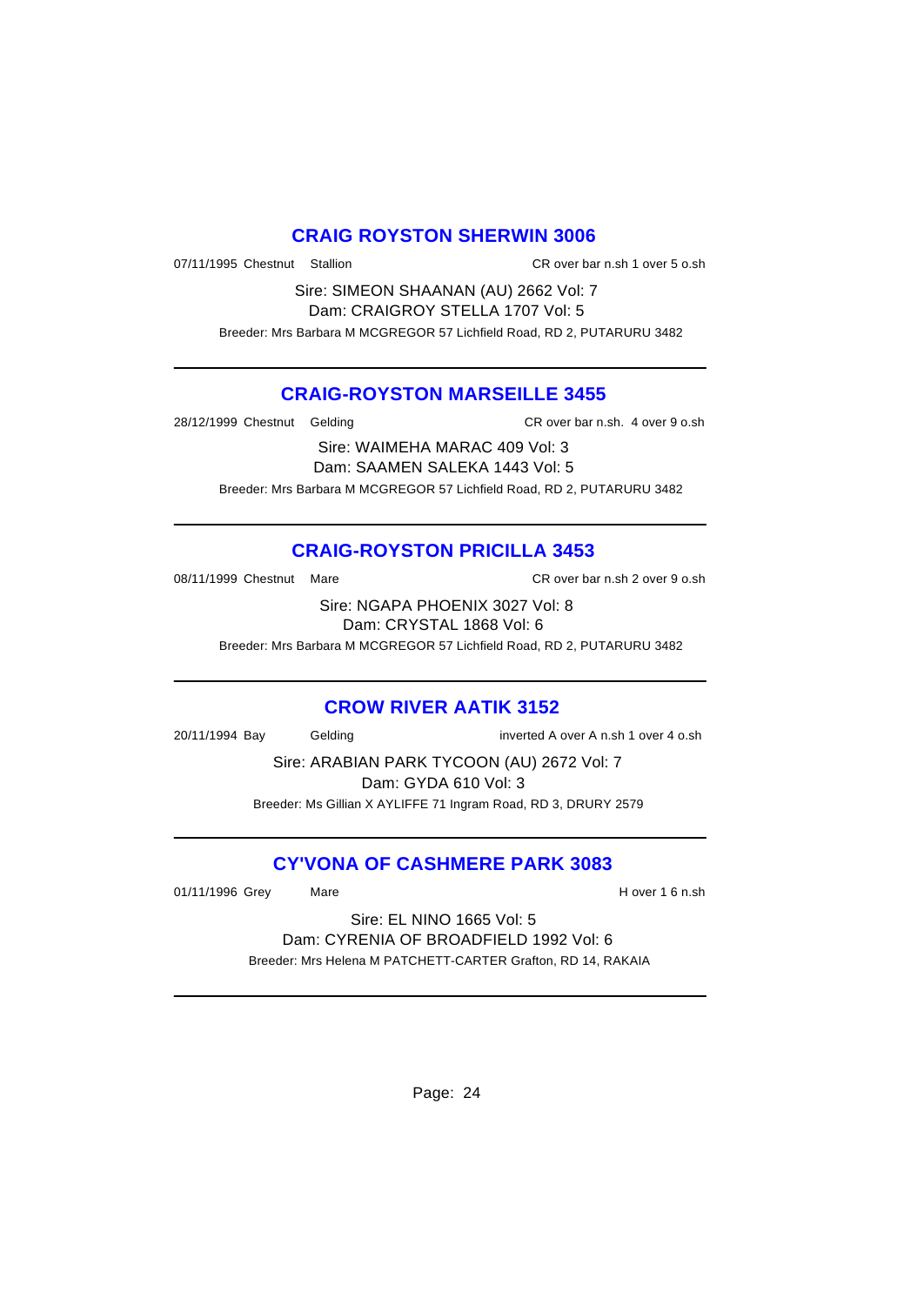#### **CRAIG ROYSTON SHERWIN 3006**

07/11/1995 Chestnut Stallion CR over bar n.sh 1 over 5 o.sh

Sire: SIMEON SHAANAN (AU) 2662 Vol: 7 Dam: CRAIGROY STELLA 1707 Vol: 5 Breeder: Mrs Barbara M MCGREGOR 57 Lichfield Road, RD 2, PUTARURU 3482

#### **CRAIG-ROYSTON MARSEILLE 3455**

28/12/1999 Chestnut Gelding CR over bar n.sh. 4 over 9 o.sh

Sire: WAIMEHA MARAC 409 Vol: 3 Dam: SAAMEN SALEKA 1443 Vol: 5 Breeder: Mrs Barbara M MCGREGOR 57 Lichfield Road, RD 2, PUTARURU 3482

# **CRAIG-ROYSTON PRICILLA 3453**

08/11/1999 Chestnut Mare CR over bar n.sh 2 over 9 o.sh

Sire: NGAPA PHOENIX 3027 Vol: 8 Dam: CRYSTAL 1868 Vol: 6

Breeder: Mrs Barbara M MCGREGOR 57 Lichfield Road, RD 2, PUTARURU 3482

#### **CROW RIVER AATIK 3152**

20/11/1994 Bay Gelding inverted A over A n.sh 1 over 4 o.sh

Sire: ARABIAN PARK TYCOON (AU) 2672 Vol: 7

Dam: GYDA 610 Vol: 3 Breeder: Ms Gillian X AYLIFFE 71 Ingram Road, RD 3, DRURY 2579

# **CY'VONA OF CASHMERE PARK 3083**

01/11/1996 Grey Mare Mare H over 1 6 n.sh

Sire: EL NINO 1665 Vol: 5 Dam: CYRENIA OF BROADFIELD 1992 Vol: 6 Breeder: Mrs Helena M PATCHETT-CARTER Grafton, RD 14, RAKAIA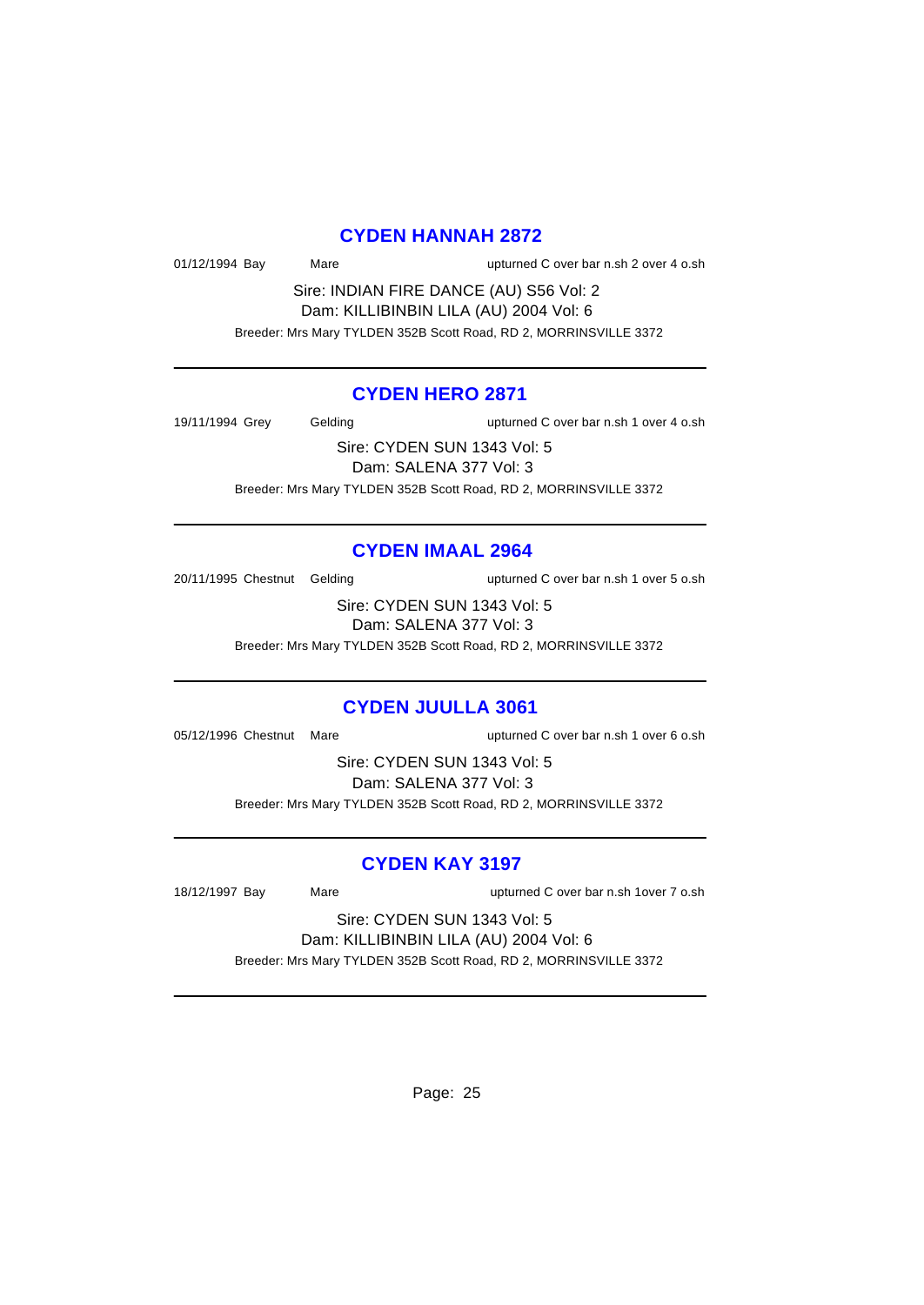#### **CYDEN HANNAH 2872**

01/12/1994 Bay Mare upturned C over bar n.sh 2 over 4 o.sh

Sire: INDIAN FIRE DANCE (AU) S56 Vol: 2 Dam: KILLIBINBIN LILA (AU) 2004 Vol: 6 Breeder: Mrs Mary TYLDEN 352B Scott Road, RD 2, MORRINSVILLE 3372

#### **CYDEN HERO 2871**

19/11/1994 Grey Gelding upturned C over bar n.sh 1 over 4 o.sh

Sire: CYDEN SUN 1343 Vol: 5 Dam: SALENA 377 Vol: 3 Breeder: Mrs Mary TYLDEN 352B Scott Road, RD 2, MORRINSVILLE 3372

#### **CYDEN IMAAL 2964**

20/11/1995 Chestnut Gelding upturned C over bar n.sh 1 over 5 o.sh

Sire: CYDEN SUN 1343 Vol: 5 Dam: SALENA 377 Vol: 3

Breeder: Mrs Mary TYLDEN 352B Scott Road, RD 2, MORRINSVILLE 3372

#### **CYDEN JUULLA 3061**

05/12/1996 Chestnut Mare upturned C over bar n.sh 1 over 6 o.sh

Sire: CYDEN SUN 1343 Vol: 5 Dam: SALENA 377 Vol: 3 Breeder: Mrs Mary TYLDEN 352B Scott Road, RD 2, MORRINSVILLE 3372

#### **CYDEN KAY 3197**

18/12/1997 Bay Mare upturned C over bar n.sh 1over 7 o.sh

Sire: CYDEN SUN 1343 Vol: 5 Dam: KILLIBINBIN LILA (AU) 2004 Vol: 6

Breeder: Mrs Mary TYLDEN 352B Scott Road, RD 2, MORRINSVILLE 3372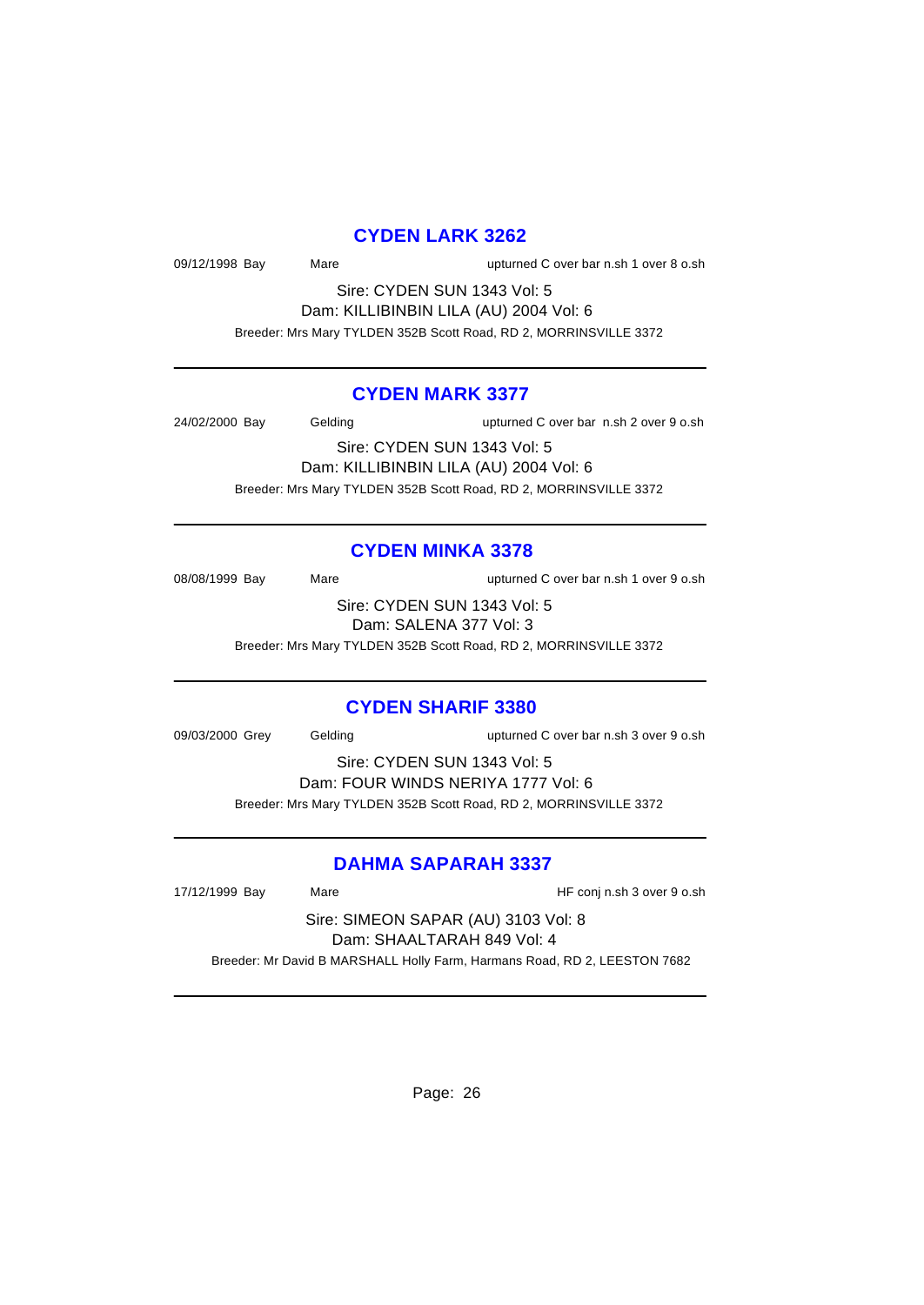### **CYDEN LARK 3262**

09/12/1998 Bay Mare upturned C over bar n.sh 1 over 8 o.sh

Sire: CYDEN SUN 1343 Vol: 5 Dam: KILLIBINBIN LILA (AU) 2004 Vol: 6 Breeder: Mrs Mary TYLDEN 352B Scott Road, RD 2, MORRINSVILLE 3372

#### **CYDEN MARK 3377**

24/02/2000 Bay Gelding upturned C over bar n.sh 2 over 9 o.sh

Sire: CYDEN SUN 1343 Vol: 5 Dam: KILLIBINBIN LILA (AU) 2004 Vol: 6 Breeder: Mrs Mary TYLDEN 352B Scott Road, RD 2, MORRINSVILLE 3372

#### **CYDEN MINKA 3378**

08/08/1999 Bay Mare upturned C over bar n.sh 1 over 9 o.sh

Sire: CYDEN SUN 1343 Vol: 5 Dam: SALENA 377 Vol: 3

Breeder: Mrs Mary TYLDEN 352B Scott Road, RD 2, MORRINSVILLE 3372

#### **CYDEN SHARIF 3380**

09/03/2000 Grey Gelding upturned C over bar n.sh 3 over 9 o.sh

Sire: CYDEN SUN 1343 Vol: 5 Dam: FOUR WINDS NERIYA 1777 Vol: 6

Breeder: Mrs Mary TYLDEN 352B Scott Road, RD 2, MORRINSVILLE 3372

### **DAHMA SAPARAH 3337**

17/12/1999 Bay Mare HF conj n.sh 3 over 9 o.sh

Sire: SIMEON SAPAR (AU) 3103 Vol: 8 Dam: SHAALTARAH 849 Vol: 4 Breeder: Mr David B MARSHALL Holly Farm, Harmans Road, RD 2, LEESTON 7682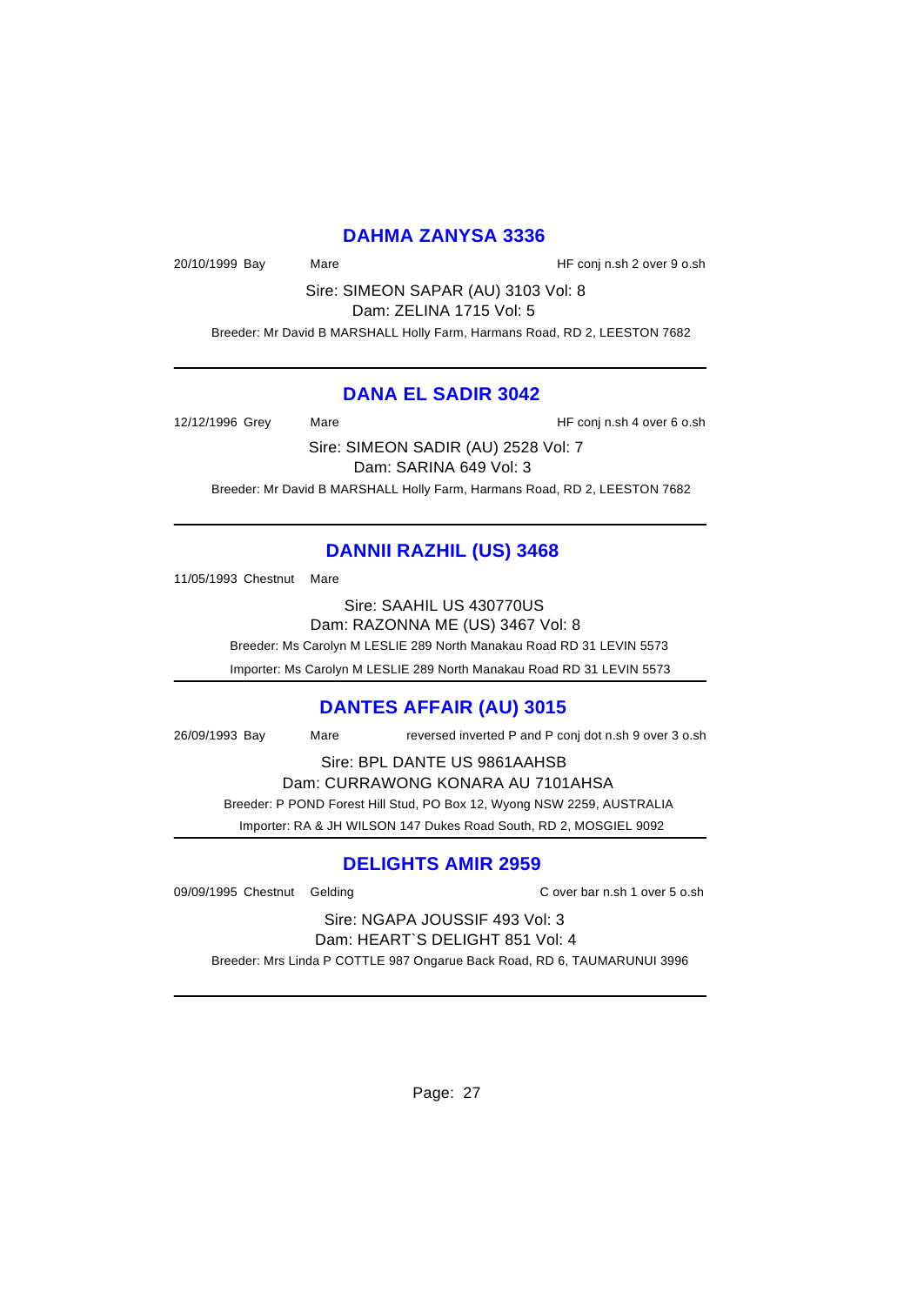#### **DAHMA ZANYSA 3336**

20/10/1999 Bay Mare HF conj n.sh 2 over 9 o.sh

Sire: SIMEON SAPAR (AU) 3103 Vol: 8 Dam: ZELINA 1715 Vol: 5

Breeder: Mr David B MARSHALL Holly Farm, Harmans Road, RD 2, LEESTON 7682

#### **DANA EL SADIR 3042**

12/12/1996 Grey Mare Mare HF conj n.sh 4 over 6 o.sh

Sire: SIMEON SADIR (AU) 2528 Vol: 7 Dam: SARINA 649 Vol: 3 Breeder: Mr David B MARSHALL Holly Farm, Harmans Road, RD 2, LEESTON 7682

# **DANNII RAZHIL (US) 3468**

11/05/1993 Chestnut Mare

Sire: SAAHIL US 430770US Dam: RAZONNA ME (US) 3467 Vol: 8

Breeder: Ms Carolyn M LESLIE 289 North Manakau Road RD 31 LEVIN 5573

Importer: Ms Carolyn M LESLIE 289 North Manakau Road RD 31 LEVIN 5573

#### **DANTES AFFAIR (AU) 3015**

26/09/1993 Bay Mare reversed inverted P and P conj dot n.sh 9 over 3 o.sh

Sire: BPL DANTE US 9861AAHSB

Dam: CURRAWONG KONARA AU 7101AHSA Breeder: P POND Forest Hill Stud, PO Box 12, Wyong NSW 2259, AUSTRALIA

Importer: RA & JH WILSON 147 Dukes Road South, RD 2, MOSGIEL 9092

### **DELIGHTS AMIR 2959**

09/09/1995 Chestnut Gelding C over bar n.sh 1 over 5 o.sh

Sire: NGAPA JOUSSIF 493 Vol: 3 Dam: HEART`S DELIGHT 851 Vol: 4

Breeder: Mrs Linda P COTTLE 987 Ongarue Back Road, RD 6, TAUMARUNUI 3996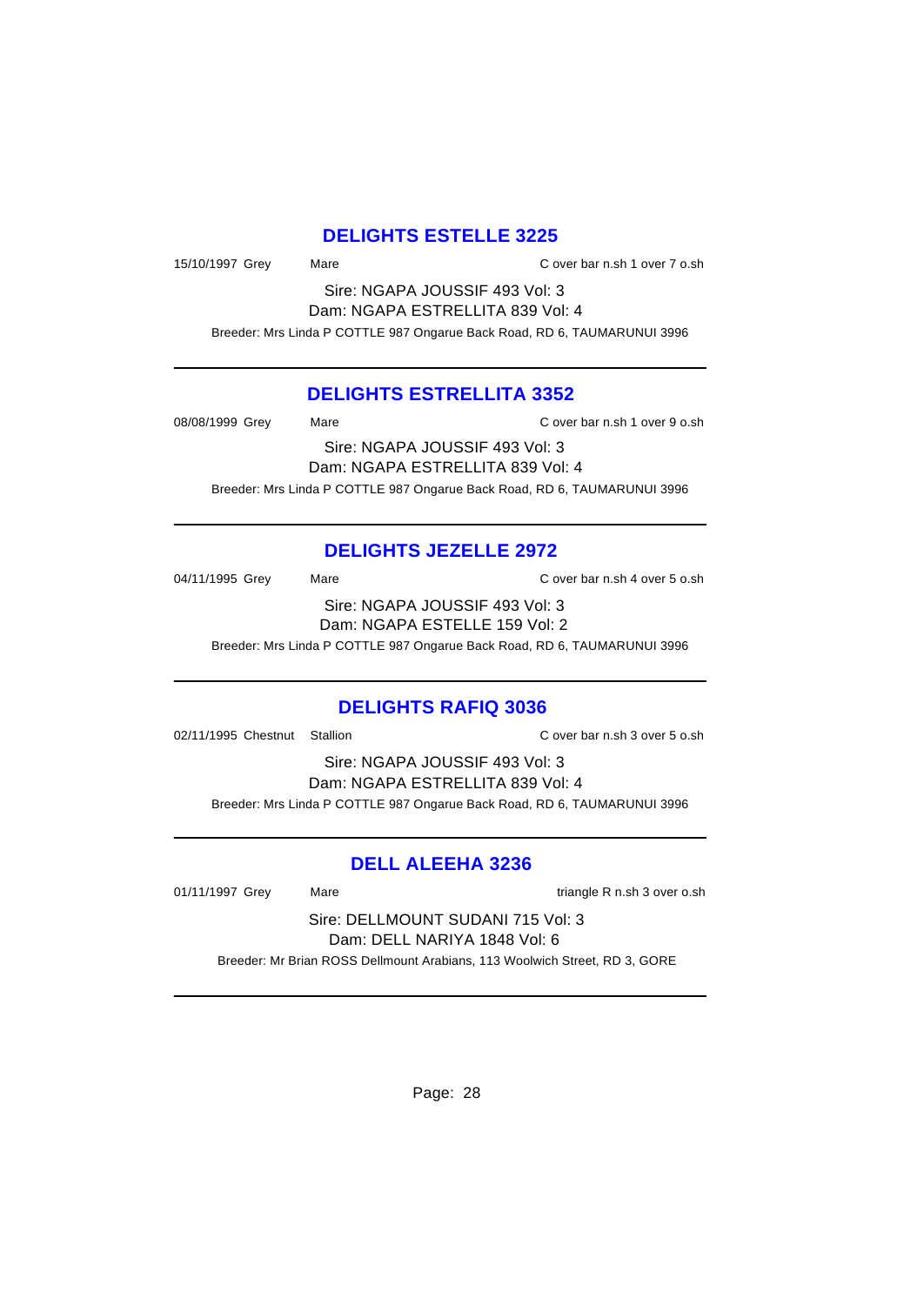### **DELIGHTS ESTELLE 3225**

15/10/1997 Grey Mare Mare C over bar n.sh 1 over 7 o.sh

Sire: NGAPA JOUSSIF 493 Vol: 3 Dam: NGAPA ESTRELLITA 839 Vol: 4

Breeder: Mrs Linda P COTTLE 987 Ongarue Back Road, RD 6, TAUMARUNUI 3996

#### **DELIGHTS ESTRELLITA 3352**

08/08/1999 Grey Mare C over bar n.sh 1 over 9 o.sh Sire: NGAPA JOUSSIF 493 Vol: 3 Dam: NGAPA ESTRELLITA 839 Vol: 4 Breeder: Mrs Linda P COTTLE 987 Ongarue Back Road, RD 6, TAUMARUNUI 3996

# **DELIGHTS JEZELLE 2972**

04/11/1995 Grey Mare Mare C over bar n.sh 4 over 5 o.sh Sire: NGAPA JOUSSIF 493 Vol: 3 Dam: NGAPA ESTELLE 159 Vol: 2 Breeder: Mrs Linda P COTTLE 987 Ongarue Back Road, RD 6, TAUMARUNUI 3996

### **DELIGHTS RAFIQ 3036**

02/11/1995 Chestnut Stallion C over bar n.sh 3 over 5 o.sh

Sire: NGAPA JOUSSIF 493 Vol: 3 Dam: NGAPA ESTRELLITA 839 Vol: 4 Breeder: Mrs Linda P COTTLE 987 Ongarue Back Road, RD 6, TAUMARUNUI 3996

### **DELL ALEEHA 3236**

01/11/1997 Grey Mare Mare triangle R n.sh 3 over o.sh

Sire: DELLMOUNT SUDANI 715 Vol: 3 Dam: DELL NARIYA 1848 Vol: 6

Breeder: Mr Brian ROSS Dellmount Arabians, 113 Woolwich Street, RD 3, GORE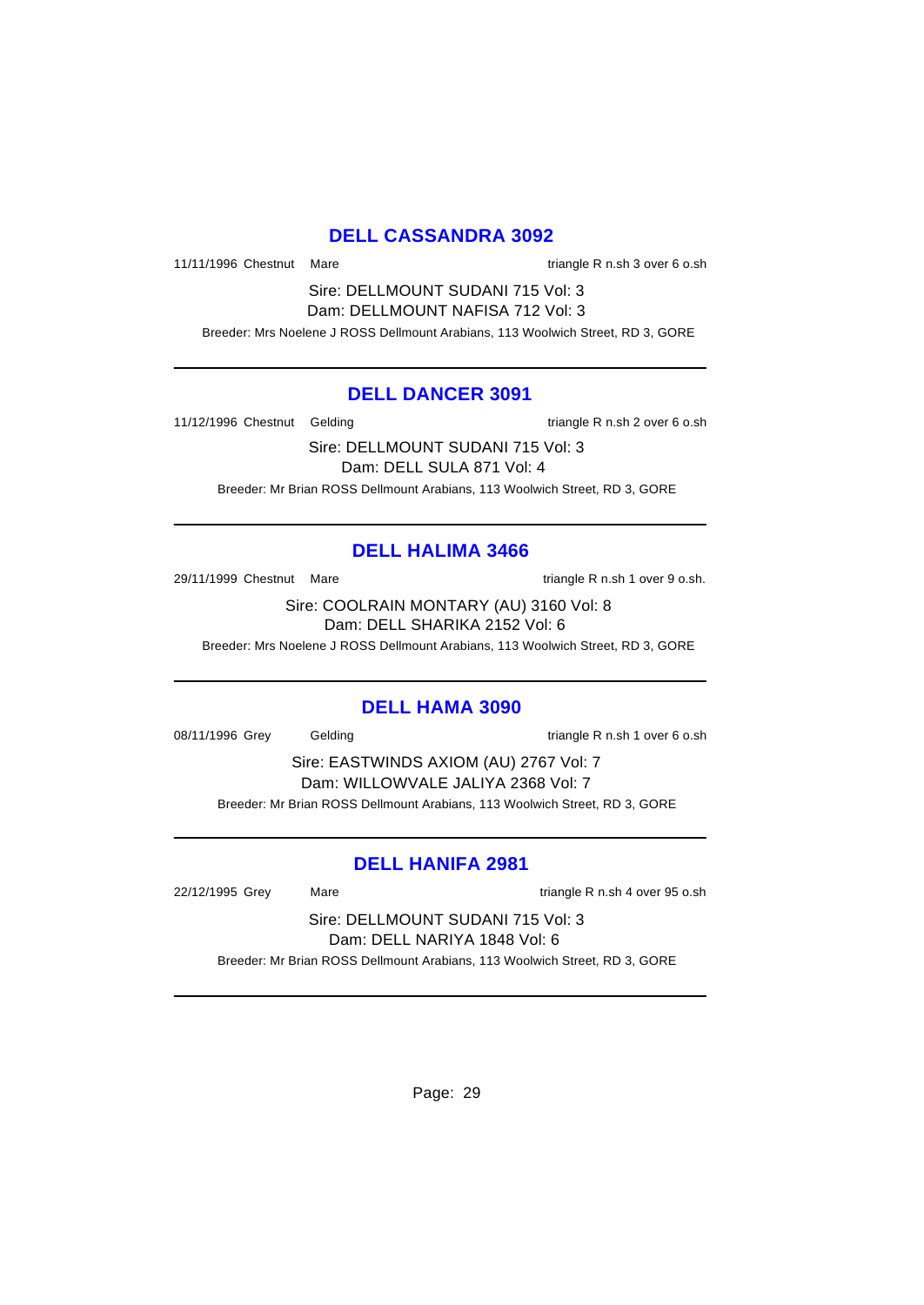### **DELL CASSANDRA 3092**

11/11/1996 Chestnut Mare triangle R n.sh 3 over 6 o.sh

Sire: DELLMOUNT SUDANI 715 Vol: 3 Dam: DELLMOUNT NAFISA 712 Vol: 3

Breeder: Mrs Noelene J ROSS Dellmount Arabians, 113 Woolwich Street, RD 3, GORE

#### **DELL DANCER 3091**

11/12/1996 Chestnut Gelding triangle R n.sh 2 over 6 o.sh

Sire: DELLMOUNT SUDANI 715 Vol: 3 Dam: DELL SULA 871 Vol: 4 Breeder: Mr Brian ROSS Dellmount Arabians, 113 Woolwich Street, RD 3, GORE

#### **DELL HALIMA 3466**

29/11/1999 Chestnut Mare triangle R n.sh 1 over 9 o.sh.

Sire: COOLRAIN MONTARY (AU) 3160 Vol: 8 Dam: DELL SHARIKA 2152 Vol: 6

Breeder: Mrs Noelene J ROSS Dellmount Arabians, 113 Woolwich Street, RD 3, GORE

#### **DELL HAMA 3090**

08/11/1996 Grey Gelding triangle R n.sh 1 over 6 o.sh

Sire: EASTWINDS AXIOM (AU) 2767 Vol: 7 Dam: WILLOWVALE JALIYA 2368 Vol: 7 Breeder: Mr Brian ROSS Dellmount Arabians, 113 Woolwich Street, RD 3, GORE

#### **DELL HANIFA 2981**

22/12/1995 Grey Mare triangle R n.sh 4 over 95 o.sh

Sire: DELLMOUNT SUDANI 715 Vol: 3 Dam: DELL NARIYA 1848 Vol: 6

Breeder: Mr Brian ROSS Dellmount Arabians, 113 Woolwich Street, RD 3, GORE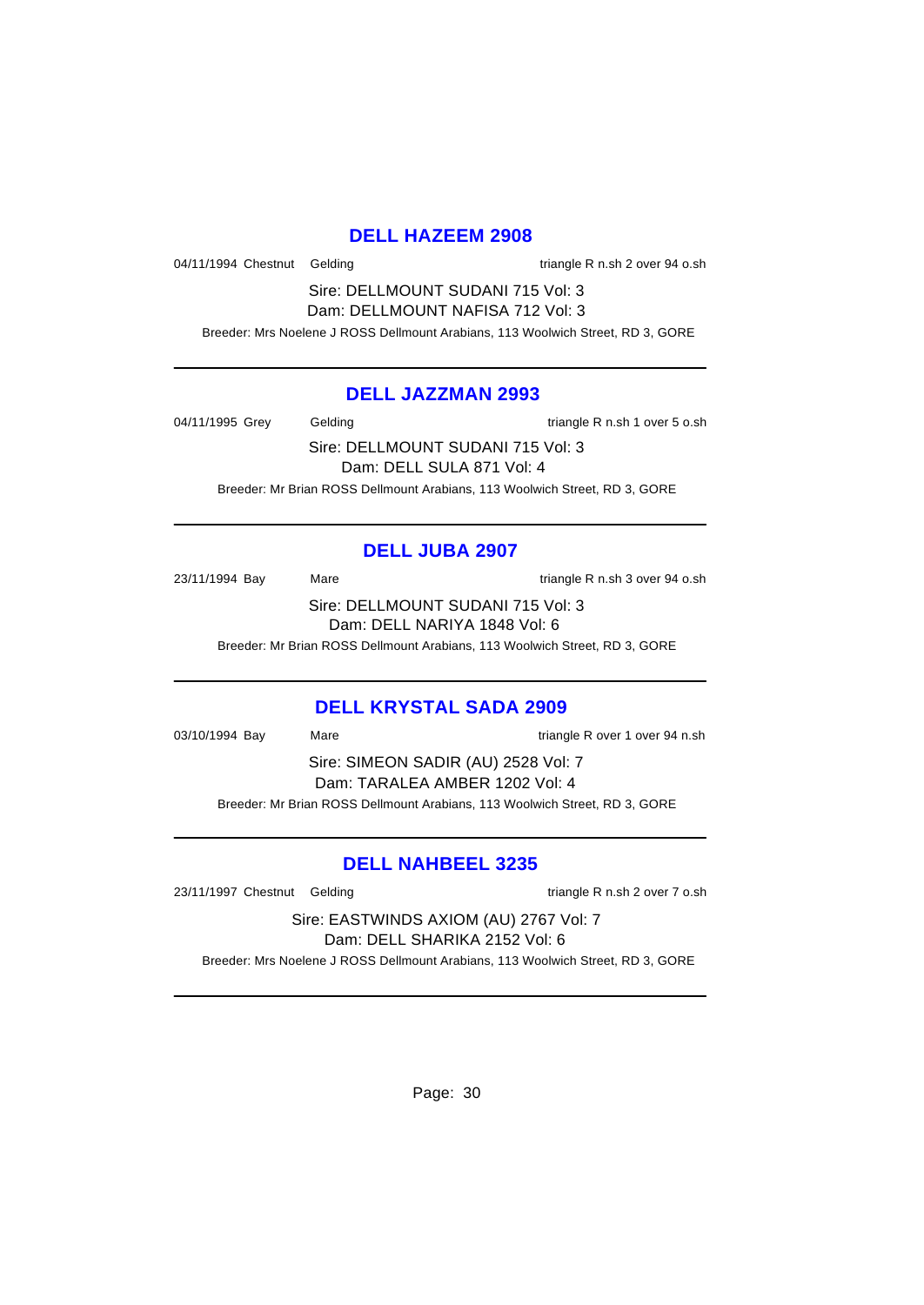#### **DELL HAZEEM 2908**

04/11/1994 Chestnut Gelding triangle R n.sh 2 over 94 o.sh

Sire: DELLMOUNT SUDANI 715 Vol: 3 Dam: DELLMOUNT NAFISA 712 Vol: 3

Breeder: Mrs Noelene J ROSS Dellmount Arabians, 113 Woolwich Street, RD 3, GORE

#### **DELL JAZZMAN 2993**

04/11/1995 Grey Gelding Casset Contract Contract Contract Contract Contract Contract Contract Contract Contract Contract Contract Contract Contract Contract Contract Contract Contract Contract Contract Contract Contract Co

Sire: DELLMOUNT SUDANI 715 Vol: 3 Dam: DELL SULA 871 Vol: 4

Breeder: Mr Brian ROSS Dellmount Arabians, 113 Woolwich Street, RD 3, GORE

# **DELL JUBA 2907**

23/11/1994 Bay Mare Mare triangle R n.sh 3 over 94 o.sh Sire: DELLMOUNT SUDANI 715 Vol: 3 Dam: DELL NARIYA 1848 Vol: 6

Breeder: Mr Brian ROSS Dellmount Arabians, 113 Woolwich Street, RD 3, GORE

### **DELL KRYSTAL SADA 2909**

03/10/1994 Bay Mare triangle R over 1 over 94 n.sh Sire: SIMEON SADIR (AU) 2528 Vol: 7 Dam: TARALEA AMBER 1202 Vol: 4 Breeder: Mr Brian ROSS Dellmount Arabians, 113 Woolwich Street, RD 3, GORE

### **DELL NAHBEEL 3235**

23/11/1997 Chestnut Gelding triangle R n.sh 2 over 7 o.sh

Sire: EASTWINDS AXIOM (AU) 2767 Vol: 7 Dam: DELL SHARIKA 2152 Vol: 6

Breeder: Mrs Noelene J ROSS Dellmount Arabians, 113 Woolwich Street, RD 3, GORE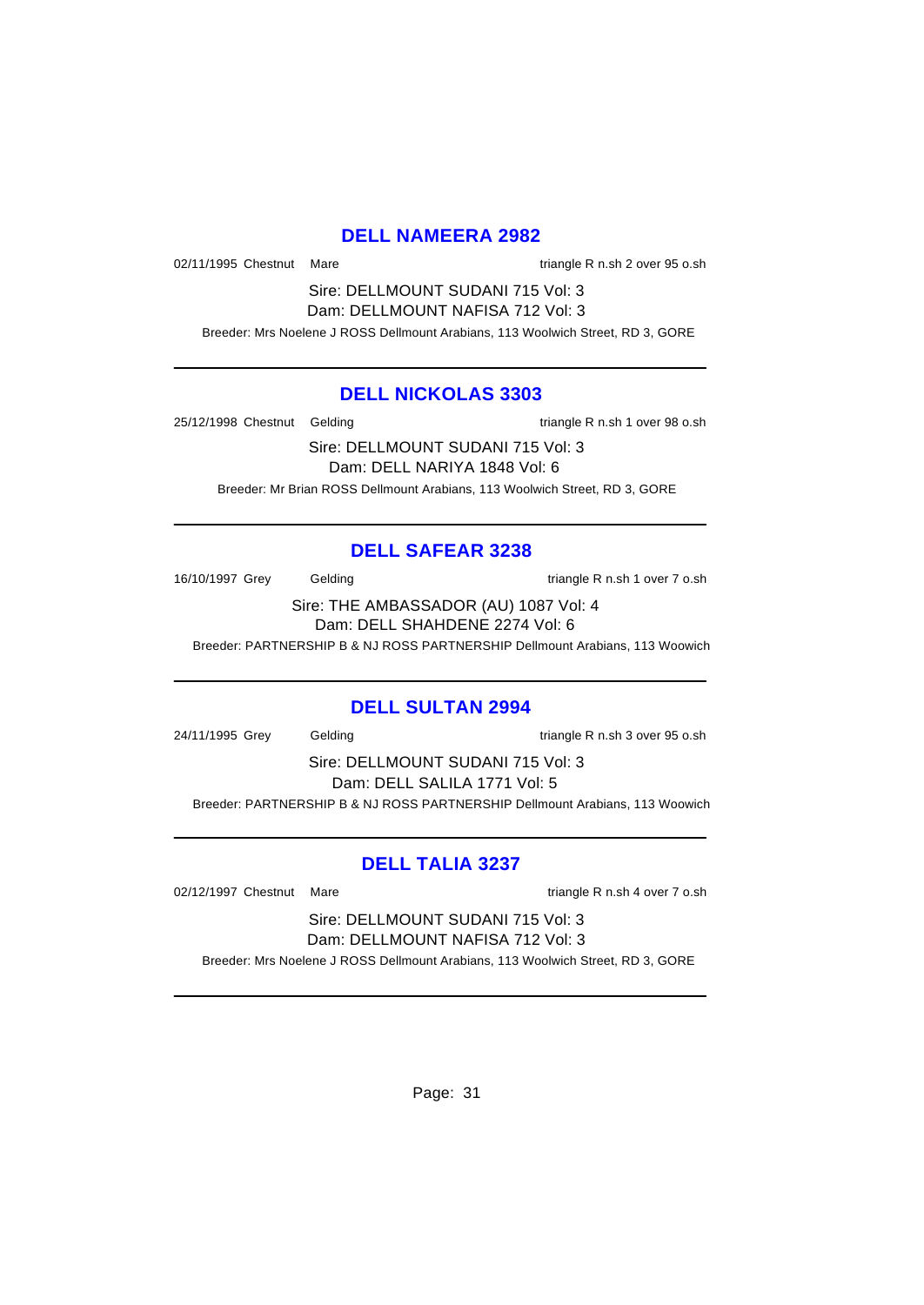#### **DELL NAMEERA 2982**

02/11/1995 Chestnut Mare triangle R n.sh 2 over 95 o.sh

Sire: DELLMOUNT SUDANI 715 Vol: 3 Dam: DELLMOUNT NAFISA 712 Vol: 3

Breeder: Mrs Noelene J ROSS Dellmount Arabians, 113 Woolwich Street, RD 3, GORE

#### **DELL NICKOLAS 3303**

25/12/1998 Chestnut Gelding triangle R n.sh 1 over 98 o.sh

Sire: DELLMOUNT SUDANI 715 Vol: 3 Dam: DELL NARIYA 1848 Vol: 6 Breeder: Mr Brian ROSS Dellmount Arabians, 113 Woolwich Street, RD 3, GORE

# **DELL SAFEAR 3238**

16/10/1997 Grey Gelding Cash 1 over 7 o.sh

Sire: THE AMBASSADOR (AU) 1087 Vol: 4 Dam: DELL SHAHDENE 2274 Vol: 6

Breeder: PARTNERSHIP B & NJ ROSS PARTNERSHIP Dellmount Arabians, 113 Woowich

### **DELL SULTAN 2994**

24/11/1995 Grey Gelding triangle R n.sh 3 over 95 o.sh

Sire: DELLMOUNT SUDANI 715 Vol: 3 Dam: DELL SALILA 1771 Vol: 5 Breeder: PARTNERSHIP B & NJ ROSS PARTNERSHIP Dellmount Arabians, 113 Woowich

# **DELL TALIA 3237**

02/12/1997 Chestnut Mare triangle R n.sh 4 over 7 o.sh

Sire: DELLMOUNT SUDANI 715 Vol: 3 Dam: DELLMOUNT NAFISA 712 Vol: 3

Breeder: Mrs Noelene J ROSS Dellmount Arabians, 113 Woolwich Street, RD 3, GORE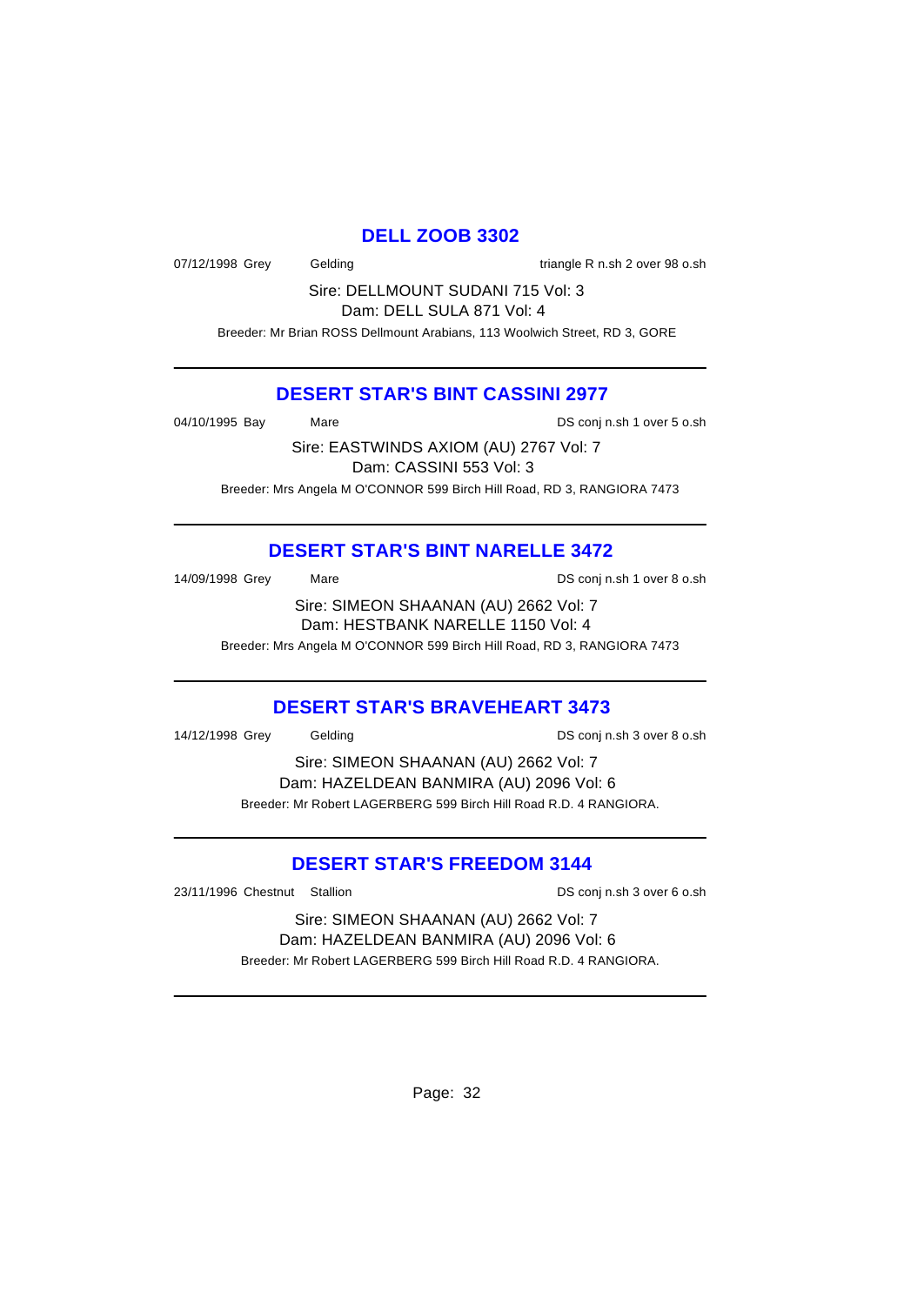#### **DELL ZOOB 3302**

07/12/1998 Grey Gelding triangle R n.sh 2 over 98 o.sh

Sire: DELLMOUNT SUDANI 715 Vol: 3 Dam: DELL SULA 871 Vol: 4

Breeder: Mr Brian ROSS Dellmount Arabians, 113 Woolwich Street, RD 3, GORE

#### **DESERT STAR'S BINT CASSINI 2977**

04/10/1995 Bay Mare DS conj n.sh 1 over 5 o.sh

Sire: EASTWINDS AXIOM (AU) 2767 Vol: 7 Dam: CASSINI 553 Vol: 3 Breeder: Mrs Angela M O'CONNOR 599 Birch Hill Road, RD 3, RANGIORA 7473

# **DESERT STAR'S BINT NARELLE 3472**

| 14/09/1998 Grey | Mare | DS coni n.sh 1 over 8 o.sh |
|-----------------|------|----------------------------|
|                 |      |                            |

Sire: SIMEON SHAANAN (AU) 2662 Vol: 7 Dam: HESTBANK NARELLE 1150 Vol: 4

Breeder: Mrs Angela M O'CONNOR 599 Birch Hill Road, RD 3, RANGIORA 7473

### **DESERT STAR'S BRAVEHEART 3473**

14/12/1998 Grey Gelding DS conj n.sh 3 over 8 o.sh

Sire: SIMEON SHAANAN (AU) 2662 Vol: 7 Dam: HAZELDEAN BANMIRA (AU) 2096 Vol: 6 Breeder: Mr Robert LAGERBERG 599 Birch Hill Road R.D. 4 RANGIORA.

# **DESERT STAR'S FREEDOM 3144**

23/11/1996 Chestnut Stallion DS conj n.sh 3 over 6 o.sh

Sire: SIMEON SHAANAN (AU) 2662 Vol: 7 Dam: HAZELDEAN BANMIRA (AU) 2096 Vol: 6 Breeder: Mr Robert LAGERBERG 599 Birch Hill Road R.D. 4 RANGIORA.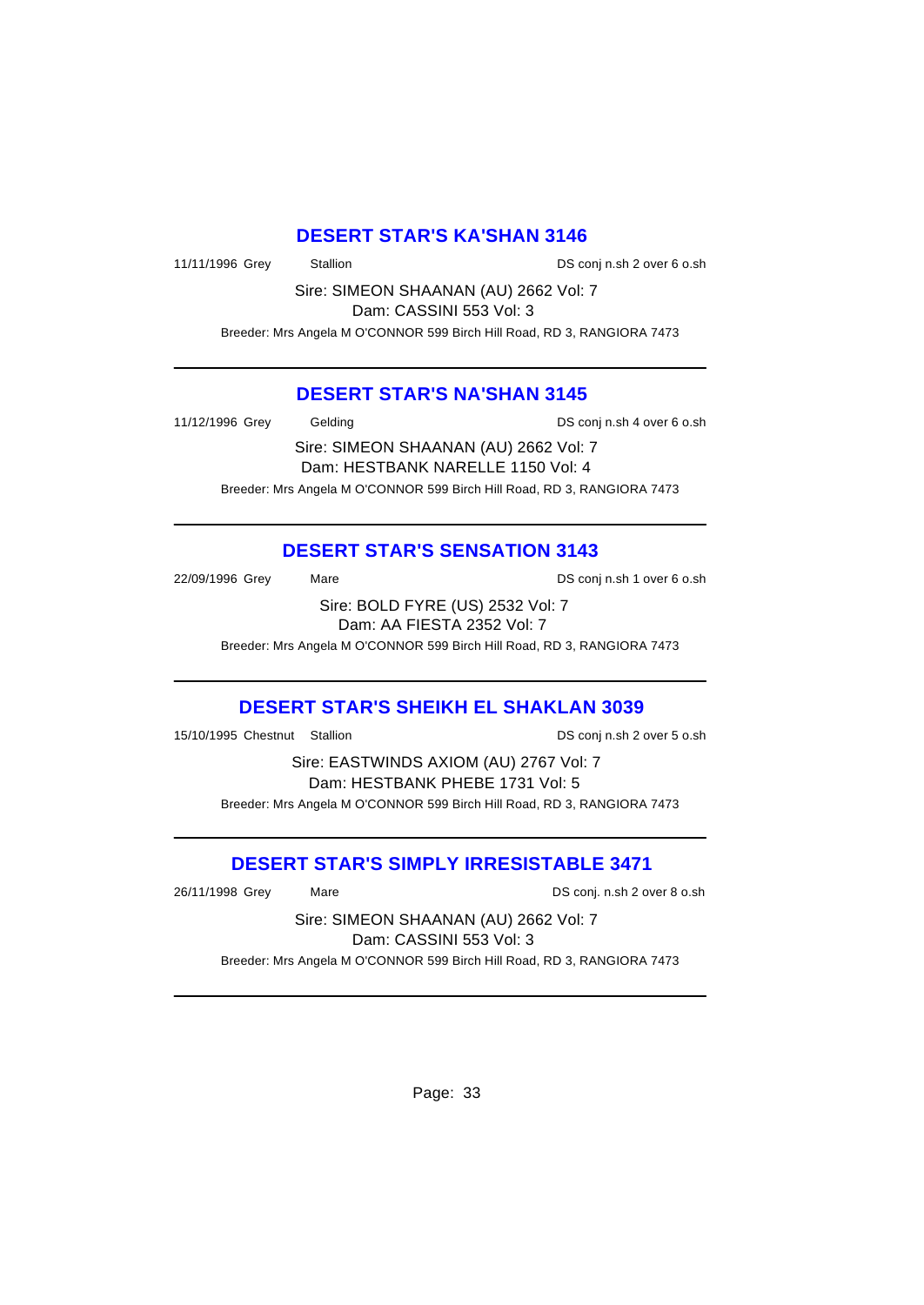#### **DESERT STAR'S KA'SHAN 3146**

11/11/1996 Grey Stallion DS conj n.sh 2 over 6 o.sh

Sire: SIMEON SHAANAN (AU) 2662 Vol: 7 Dam: CASSINI 553 Vol: 3

Breeder: Mrs Angela M O'CONNOR 599 Birch Hill Road, RD 3, RANGIORA 7473

#### **DESERT STAR'S NA'SHAN 3145**

11/12/1996 Grey Gelding DS conj n.sh 4 over 6 o.sh

Sire: SIMEON SHAANAN (AU) 2662 Vol: 7 Dam: HESTBANK NARELLE 1150 Vol: 4 Breeder: Mrs Angela M O'CONNOR 599 Birch Hill Road, RD 3, RANGIORA 7473

### **DESERT STAR'S SENSATION 3143**

22/09/1996 Grey Mare Mare DS conj n.sh 1 over 6 o.sh Sire: BOLD FYRE (US) 2532 Vol: 7

Dam: AA FIESTA 2352 Vol: 7

Breeder: Mrs Angela M O'CONNOR 599 Birch Hill Road, RD 3, RANGIORA 7473

## **DESERT STAR'S SHEIKH EL SHAKLAN 3039**

15/10/1995 Chestnut Stallion DS conj n.sh 2 over 5 o.sh

Sire: EASTWINDS AXIOM (AU) 2767 Vol: 7 Dam: HESTBANK PHEBE 1731 Vol: 5 Breeder: Mrs Angela M O'CONNOR 599 Birch Hill Road, RD 3, RANGIORA 7473

### **DESERT STAR'S SIMPLY IRRESISTABLE 3471**

26/11/1998 Grey Mare DS conj. n.sh 2 over 8 o.sh

Sire: SIMEON SHAANAN (AU) 2662 Vol: 7 Dam: CASSINI 553 Vol: 3 Breeder: Mrs Angela M O'CONNOR 599 Birch Hill Road, RD 3, RANGIORA 7473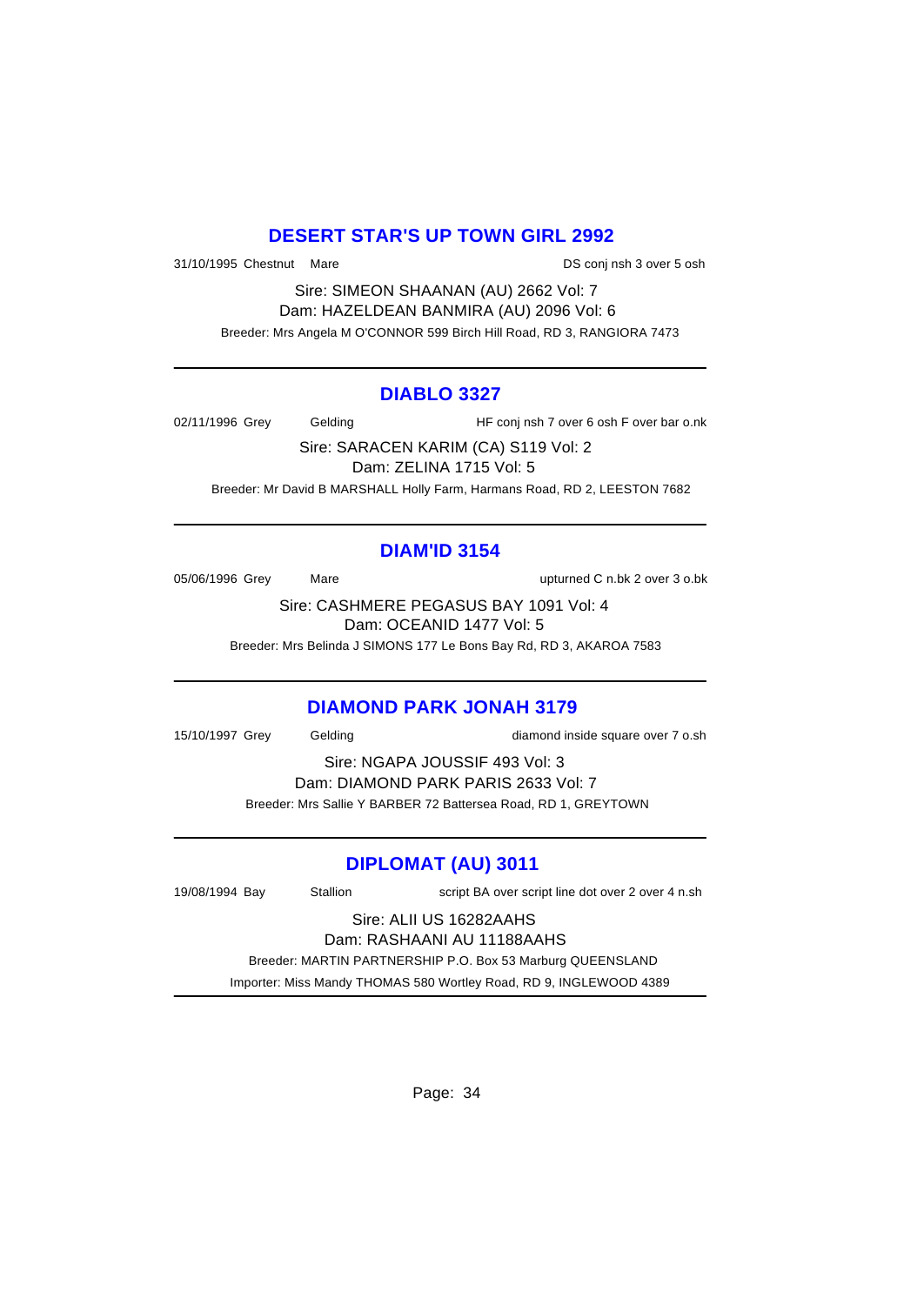## **DESERT STAR'S UP TOWN GIRL 2992**

31/10/1995 Chestnut Mare **DS** conj nsh 3 over 5 osh

Sire: SIMEON SHAANAN (AU) 2662 Vol: 7 Dam: HAZELDEAN BANMIRA (AU) 2096 Vol: 6 Breeder: Mrs Angela M O'CONNOR 599 Birch Hill Road, RD 3, RANGIORA 7473

#### **DIABLO 3327**

02/11/1996 Grey Gelding HF conj nsh 7 over 6 osh F over bar o.nk

Sire: SARACEN KARIM (CA) S119 Vol: 2 Dam: ZELINA 1715 Vol: 5 Breeder: Mr David B MARSHALL Holly Farm, Harmans Road, RD 2, LEESTON 7682

# **DIAM'ID 3154**

05/06/1996 Grey Mare Mare upturned C n.bk 2 over 3 o.bk

Sire: CASHMERE PEGASUS BAY 1091 Vol: 4 Dam: OCEANID 1477 Vol: 5

Breeder: Mrs Belinda J SIMONS 177 Le Bons Bay Rd, RD 3, AKAROA 7583

### **DIAMOND PARK JONAH 3179**

15/10/1997 Grey Gelding diamond inside square over 7 o.sh

Sire: NGAPA JOUSSIF 493 Vol: 3 Dam: DIAMOND PARK PARIS 2633 Vol: 7 Breeder: Mrs Sallie Y BARBER 72 Battersea Road, RD 1, GREYTOWN

### **DIPLOMAT (AU) 3011**

19/08/1994 Bay Stallion script BA over script line dot over 2 over 4 n.sh Sire: ALII US 16282AAHS Dam: RASHAANI AU 11188AAHS Breeder: MARTIN PARTNERSHIP P.O. Box 53 Marburg QUEENSLAND

Importer: Miss Mandy THOMAS 580 Wortley Road, RD 9, INGLEWOOD 4389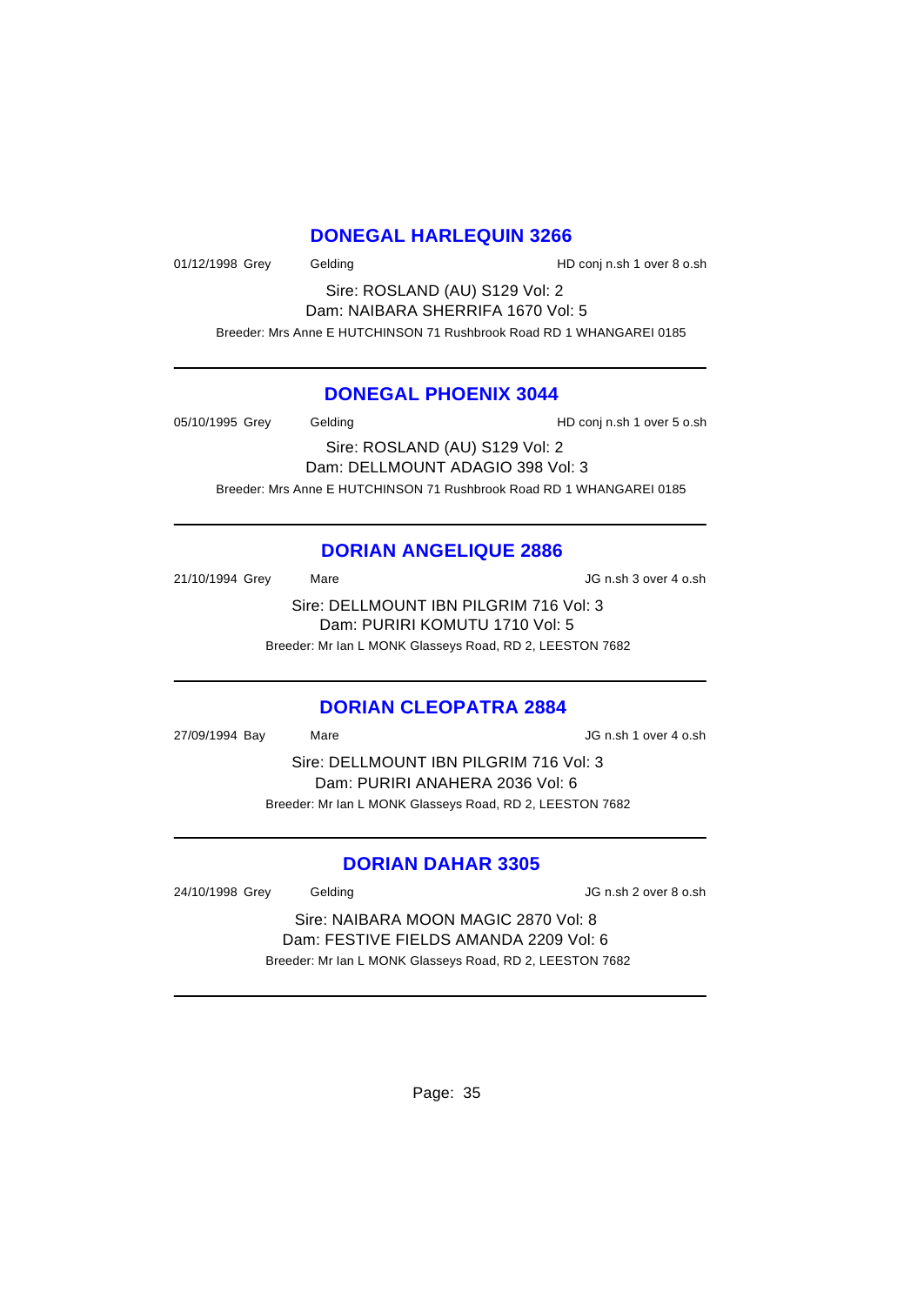#### **DONEGAL HARLEQUIN 3266**

01/12/1998 Grey Gelding Gelding HD conj n.sh 1 over 8 o.sh

Sire: ROSLAND (AU) S129 Vol: 2 Dam: NAIBARA SHERRIFA 1670 Vol: 5

Breeder: Mrs Anne E HUTCHINSON 71 Rushbrook Road RD 1 WHANGAREI 0185

#### **DONEGAL PHOENIX 3044**

05/10/1995 Grey Gelding Gelding HD conj n.sh 1 over 5 o.sh Sire: ROSLAND (AU) S129 Vol: 2 Dam: DELLMOUNT ADAGIO 398 Vol: 3 Breeder: Mrs Anne E HUTCHINSON 71 Rushbrook Road RD 1 WHANGAREI 0185

# **DORIAN ANGELIQUE 2886**

21/10/1994 Grey Mare Mare JG n.sh 3 over 4 o.sh Sire: DELLMOUNT IBN PILGRIM 716 Vol: 3 Dam: PURIRI KOMUTU 1710 Vol: 5 Breeder: Mr Ian L MONK Glasseys Road, RD 2, LEESTON 7682

#### **DORIAN CLEOPATRA 2884**

27/09/1994 Bay Mare JG n.sh 1 over 4 o.sh Sire: DELLMOUNT IBN PILGRIM 716 Vol: 3 Dam: PURIRI ANAHERA 2036 Vol: 6 Breeder: Mr Ian L MONK Glasseys Road, RD 2, LEESTON 7682

### **DORIAN DAHAR 3305**

24/10/1998 Grey Gelding JG n.sh 2 over 8 o.sh

Sire: NAIBARA MOON MAGIC 2870 Vol: 8 Dam: FESTIVE FIELDS AMANDA 2209 Vol: 6 Breeder: Mr Ian L MONK Glasseys Road, RD 2, LEESTON 7682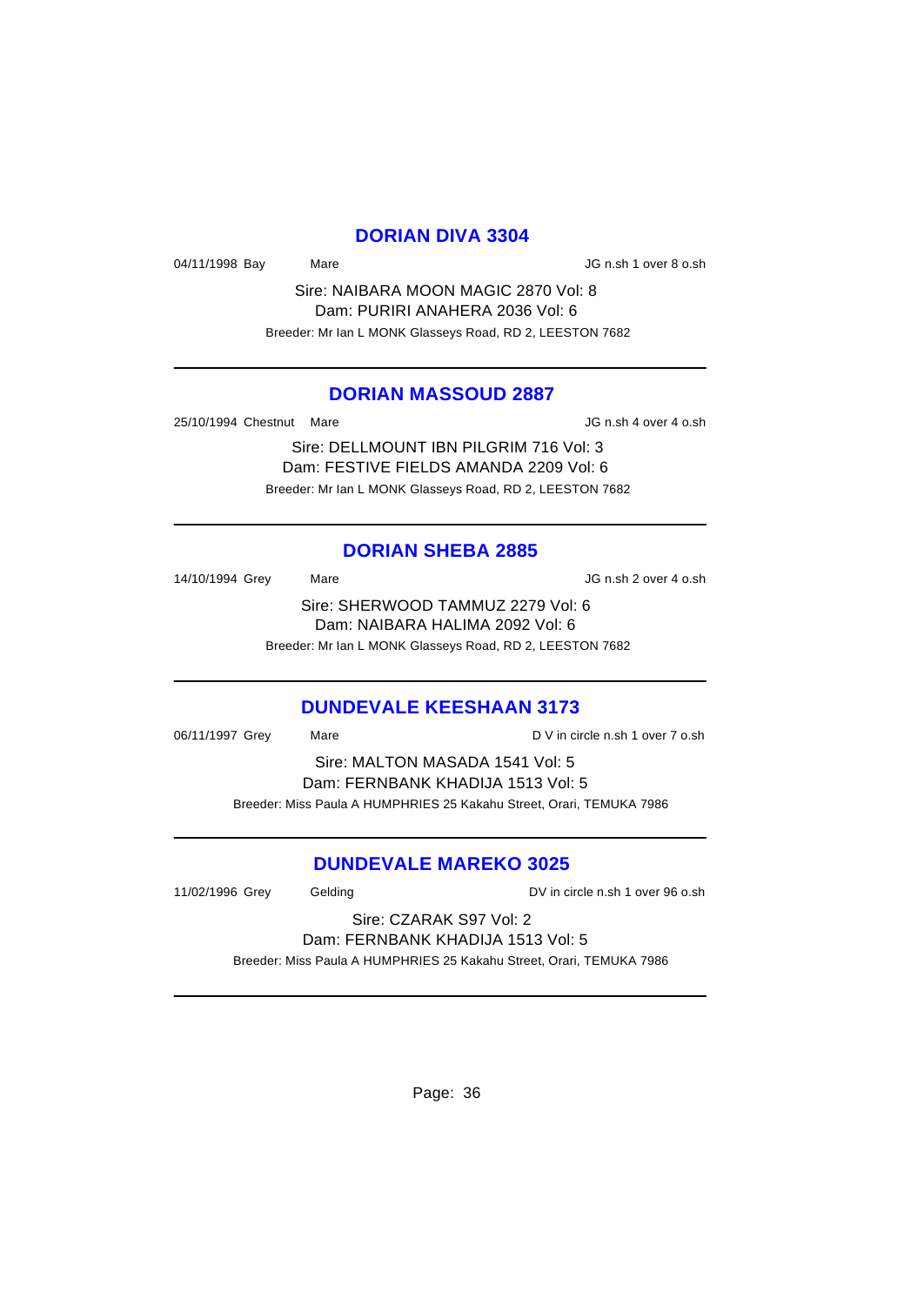#### **DORIAN DIVA 3304**

04/11/1998 Bay Mare Mare JG n.sh 1 over 8 o.sh

Sire: NAIBARA MOON MAGIC 2870 Vol: 8 Dam: PURIRI ANAHERA 2036 Vol: 6 Breeder: Mr Ian L MONK Glasseys Road, RD 2, LEESTON 7682

#### **DORIAN MASSOUD 2887**

25/10/1994 Chestnut Mare JG n.sh 4 over 4 o.sh

Sire: DELLMOUNT IBN PILGRIM 716 Vol: 3 Dam: FESTIVE FIELDS AMANDA 2209 Vol: 6 Breeder: Mr Ian L MONK Glasseys Road, RD 2, LEESTON 7682

#### **DORIAN SHEBA 2885**

14/10/1994 Grey Mare Mare JG n.sh 2 over 4 o.sh Sire: SHERWOOD TAMMUZ 2279 Vol: 6 Dam: NAIBARA HALIMA 2092 Vol: 6 Breeder: Mr Ian L MONK Glasseys Road, RD 2, LEESTON 7682

#### **DUNDEVALE KEESHAAN 3173**

| 06/11/1997 Grey                   | Mare | D V in circle n.sh 1 over 7 o.sh                                     |
|-----------------------------------|------|----------------------------------------------------------------------|
|                                   |      | Sire: MALTON MASADA 1541 Vol: 5                                      |
| Dam: FERNBANK KHADIJA 1513 Vol: 5 |      |                                                                      |
|                                   |      | Breeder: Miss Paula A HUMPHRIES 25 Kakahu Street, Orari, TEMUKA 7986 |

#### **DUNDEVALE MAREKO 3025**

11/02/1996 Grey Gelding DV in circle n.sh 1 over 96 o.sh

Sire: CZARAK S97 Vol: 2 Dam: FERNBANK KHADIJA 1513 Vol: 5

Breeder: Miss Paula A HUMPHRIES 25 Kakahu Street, Orari, TEMUKA 7986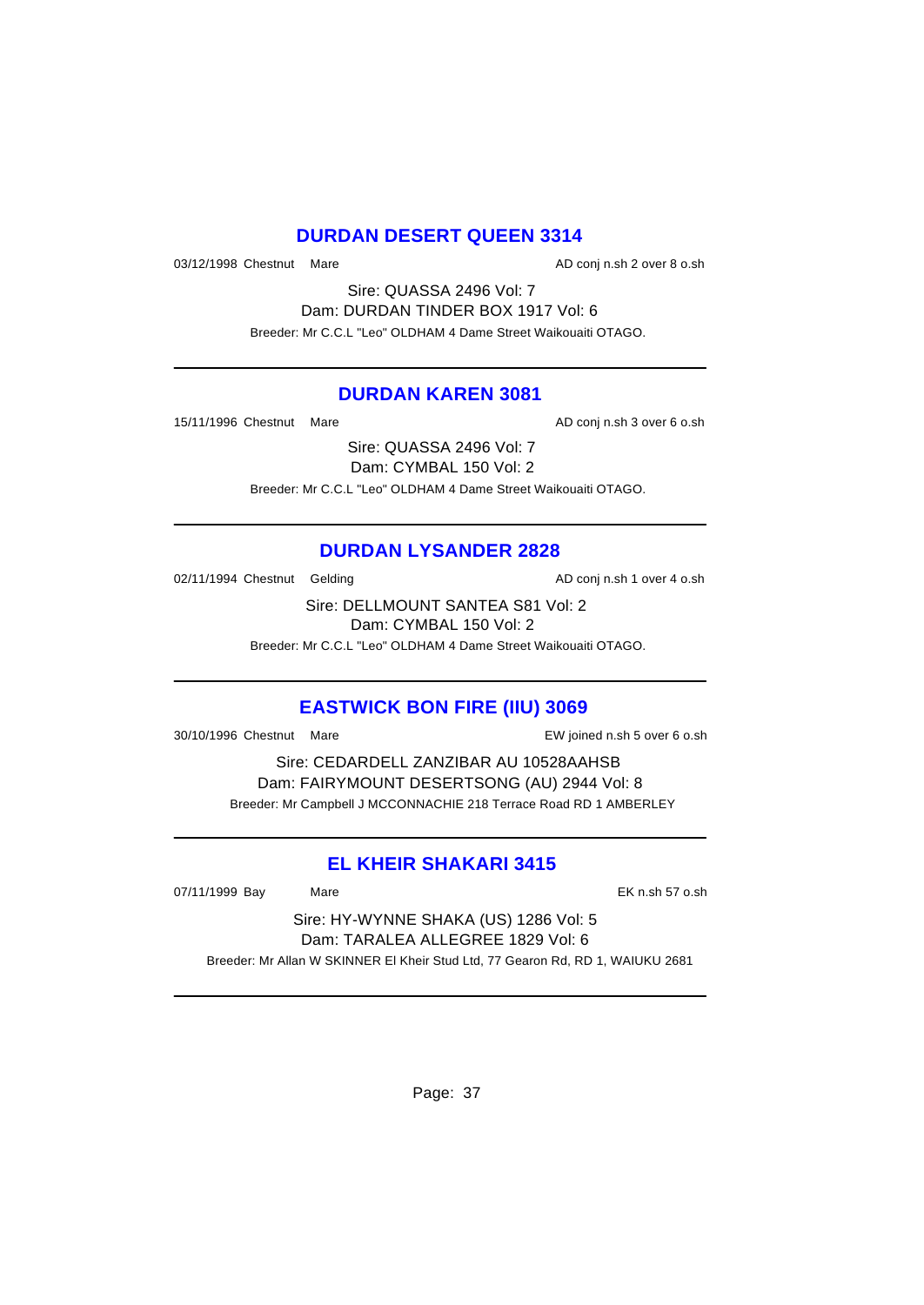## **DURDAN DESERT QUEEN 3314**

03/12/1998 Chestnut Mare **AD** conj n.sh 2 over 8 o.sh

Sire: QUASSA 2496 Vol: 7 Dam: DURDAN TINDER BOX 1917 Vol: 6 Breeder: Mr C.C.L "Leo" OLDHAM 4 Dame Street Waikouaiti OTAGO.

#### **DURDAN KAREN 3081**

15/11/1996 Chestnut Mare **AD** conj n.sh 3 over 6 o.sh

Sire: QUASSA 2496 Vol: 7 Dam: CYMBAL 150 Vol: 2 Breeder: Mr C.C.L "Leo" OLDHAM 4 Dame Street Waikouaiti OTAGO.

### **DURDAN LYSANDER 2828**

02/11/1994 Chestnut Gelding and all the AD conj n.sh 1 over 4 o.sh

Sire: DELLMOUNT SANTEA S81 Vol: 2 Dam: CYMBAL 150 Vol: 2

Breeder: Mr C.C.L "Leo" OLDHAM 4 Dame Street Waikouaiti OTAGO.

### **EASTWICK BON FIRE (IIU) 3069**

30/10/1996 Chestnut Mare EW joined n.sh 5 over 6 o.sh

Sire: CEDARDELL ZANZIBAR AU 10528AAHSB Dam: FAIRYMOUNT DESERTSONG (AU) 2944 Vol: 8 Breeder: Mr Campbell J MCCONNACHIE 218 Terrace Road RD 1 AMBERLEY

### **EL KHEIR SHAKARI 3415**

07/11/1999 Bay Mare 2012 12:00 Mare 2012 12:00 Mare 2012 12:00 Mare 2012 12:00 Mare 2013 12:00 Mare 2014 12:00

Sire: HY-WYNNE SHAKA (US) 1286 Vol: 5 Dam: TARALEA ALLEGREE 1829 Vol: 6 Breeder: Mr Allan W SKINNER El Kheir Stud Ltd, 77 Gearon Rd, RD 1, WAIUKU 2681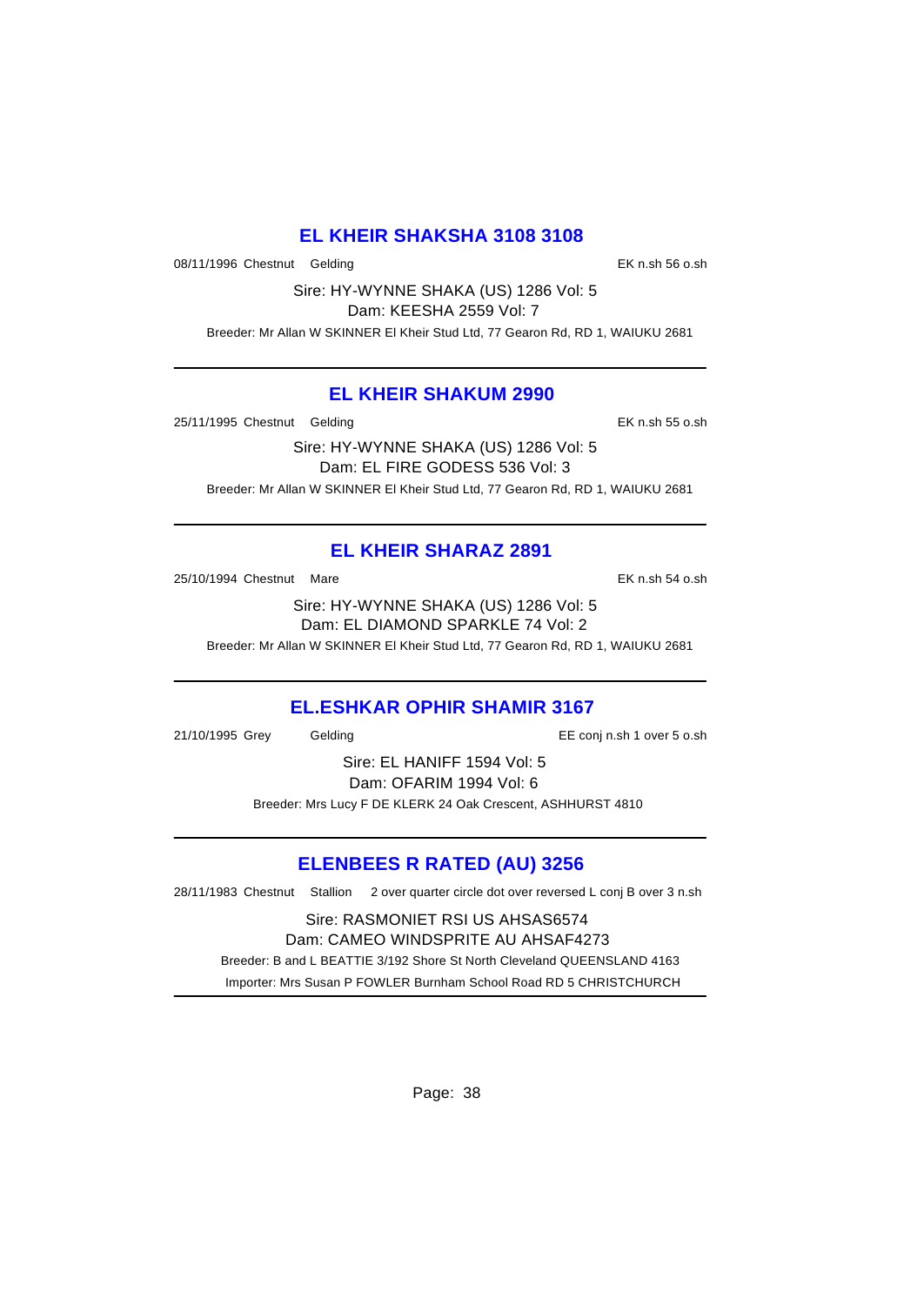## **EL KHEIR SHAKSHA 3108 3108**

08/11/1996 Chestnut Gelding **EX n.sh 56 o.sh** EK n.sh 56 o.sh

Sire: HY-WYNNE SHAKA (US) 1286 Vol: 5 Dam: KEESHA 2559 Vol: 7

Breeder: Mr Allan W SKINNER El Kheir Stud Ltd, 77 Gearon Rd, RD 1, WAIUKU 2681

#### **EL KHEIR SHAKUM 2990**

25/11/1995 Chestnut Gelding **EX 120 and Strategies Chemical EX n.sh 55 o.sh** 

Sire: HY-WYNNE SHAKA (US) 1286 Vol: 5 Dam: EL FIRE GODESS 536 Vol: 3 Breeder: Mr Allan W SKINNER El Kheir Stud Ltd, 77 Gearon Rd, RD 1, WAIUKU 2681

# **EL KHEIR SHARAZ 2891**

25/10/1994 Chestnut Mare EK n.sh 54 o.sh

Sire: HY-WYNNE SHAKA (US) 1286 Vol: 5 Dam: EL DIAMOND SPARKLE 74 Vol: 2

Breeder: Mr Allan W SKINNER El Kheir Stud Ltd, 77 Gearon Rd, RD 1, WAIUKU 2681

# **EL.ESHKAR OPHIR SHAMIR 3167**

21/10/1995 Grey Gelding EE conj n.sh 1 over 5 o.sh

Sire: EL HANIFF 1594 Vol: 5 Dam: OFARIM 1994 Vol: 6 Breeder: Mrs Lucy F DE KLERK 24 Oak Crescent, ASHHURST 4810

# **ELENBEES R RATED (AU) 3256**

28/11/1983 Chestnut Stallion 2 over quarter circle dot over reversed L conj B over 3 n.sh

Sire: RASMONIET RSI US AHSAS6574 Dam: CAMEO WINDSPRITE AU AHSAF4273 Breeder: B and L BEATTIE 3/192 Shore St North Cleveland QUEENSLAND 4163 Importer: Mrs Susan P FOWLER Burnham School Road RD 5 CHRISTCHURCH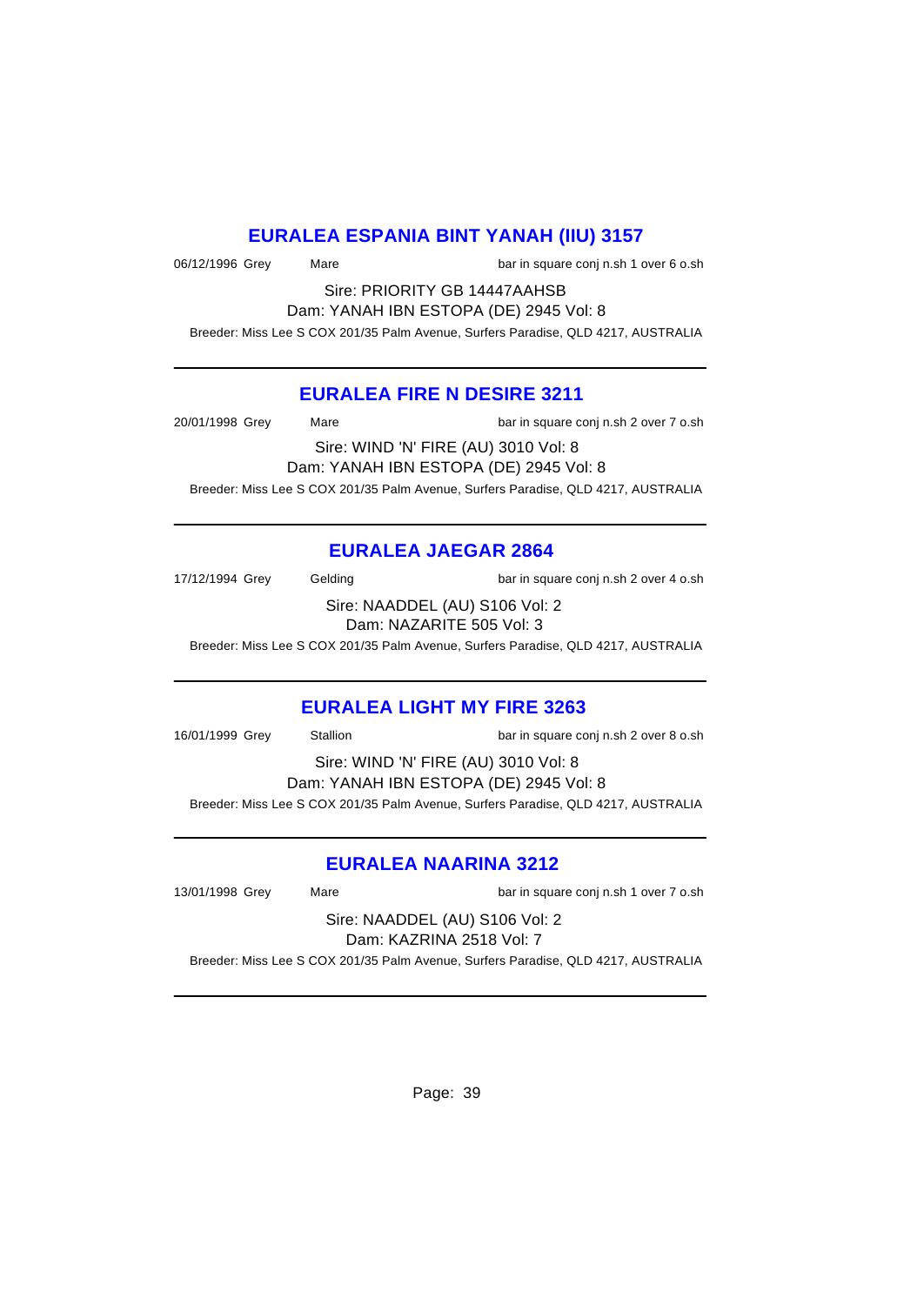### **EURALEA ESPANIA BINT YANAH (IIU) 3157**

06/12/1996 Grey Mare Mare bar in square conj n.sh 1 over 6 o.sh

Sire: PRIORITY GB 14447AAHSB Dam: YANAH IBN ESTOPA (DE) 2945 Vol: 8

Breeder: Miss Lee S COX 201/35 Palm Avenue, Surfers Paradise, QLD 4217, AUSTRALIA

#### **EURALEA FIRE N DESIRE 3211**

20/01/1998 Grey Mare **Mare** bar in square conj n.sh 2 over 7 o.sh Sire: WIND 'N' FIRE (AU) 3010 Vol: 8 Dam: YANAH IBN ESTOPA (DE) 2945 Vol: 8

Breeder: Miss Lee S COX 201/35 Palm Avenue, Surfers Paradise, QLD 4217, AUSTRALIA

#### **EURALEA JAEGAR 2864**

17/12/1994 Grey Gelding bar in square conj n.sh 2 over 4 o.sh Sire: NAADDEL (AU) S106 Vol: 2

Dam: NAZARITE 505 Vol: 3

Breeder: Miss Lee S COX 201/35 Palm Avenue, Surfers Paradise, QLD 4217, AUSTRALIA

#### **EURALEA LIGHT MY FIRE 3263**

16/01/1999 Grey Stallion bar in square conj n.sh 2 over 8 o.sh

Sire: WIND 'N' FIRE (AU) 3010 Vol: 8 Dam: YANAH IBN ESTOPA (DE) 2945 Vol: 8 Breeder: Miss Lee S COX 201/35 Palm Avenue, Surfers Paradise, QLD 4217, AUSTRALIA

### **EURALEA NAARINA 3212**

13/01/1998 Grey Mare **Mare** bar in square conj n.sh 1 over 7 o.sh

Sire: NAADDEL (AU) S106 Vol: 2 Dam: KAZRINA 2518 Vol: 7

Breeder: Miss Lee S COX 201/35 Palm Avenue, Surfers Paradise, QLD 4217, AUSTRALIA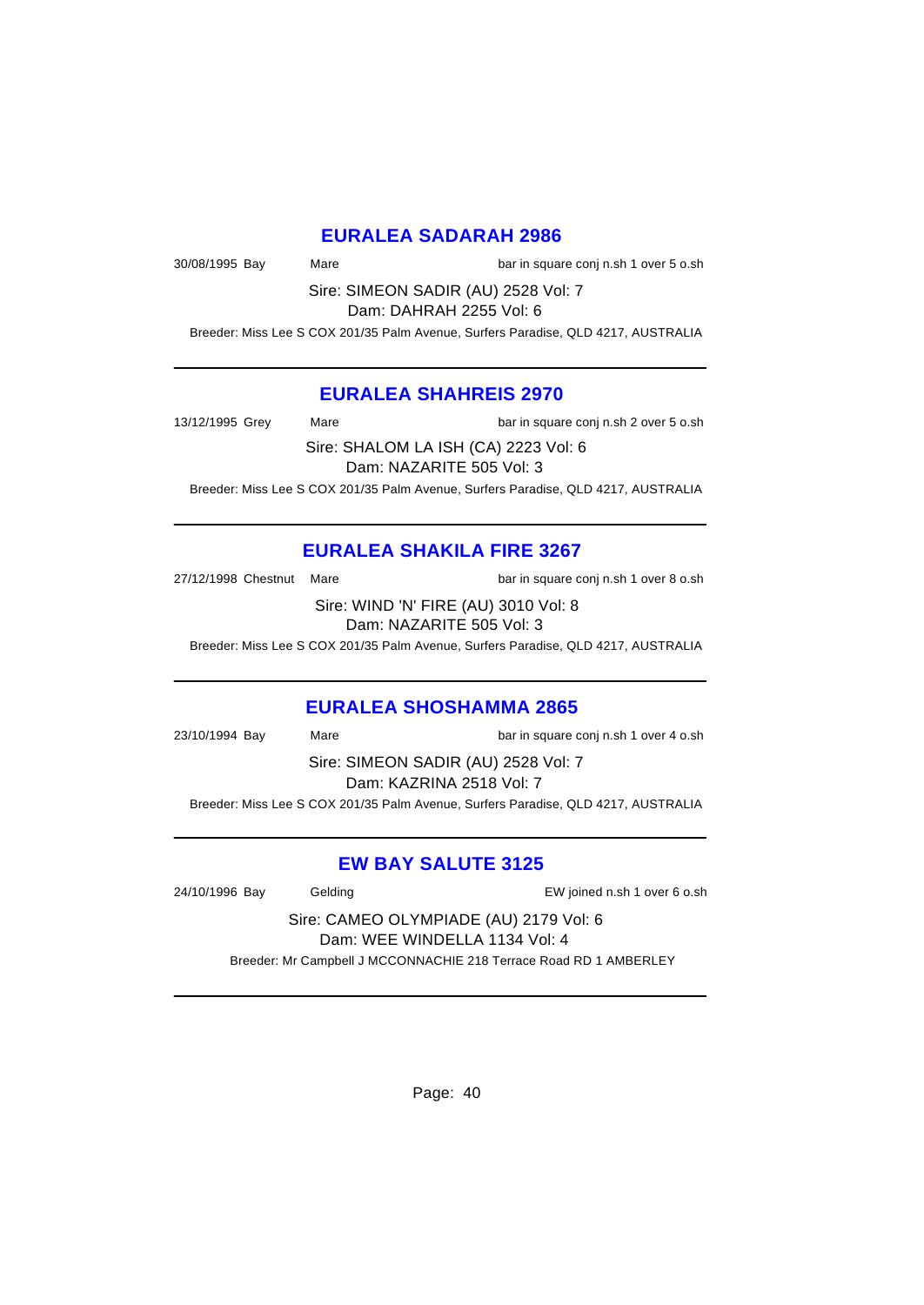#### **EURALEA SADARAH 2986**

30/08/1995 Bay Mare Mare bar in square conj n.sh 1 over 5 o.sh

Sire: SIMEON SADIR (AU) 2528 Vol: 7 Dam: DAHRAH 2255 Vol: 6

Breeder: Miss Lee S COX 201/35 Palm Avenue, Surfers Paradise, QLD 4217, AUSTRALIA

### **EURALEA SHAHREIS 2970**

13/12/1995 Grey Mare Mare bar in square conj n.sh 2 over 5 o.sh

Sire: SHALOM LA ISH (CA) 2223 Vol: 6 Dam: NAZARITE 505 Vol: 3

Breeder: Miss Lee S COX 201/35 Palm Avenue, Surfers Paradise, QLD 4217, AUSTRALIA

## **EURALEA SHAKILA FIRE 3267**

27/12/1998 Chestnut Mare bar in square conj n.sh 1 over 8 o.sh

Sire: WIND 'N' FIRE (AU) 3010 Vol: 8 Dam: NAZARITE 505 Vol: 3

Breeder: Miss Lee S COX 201/35 Palm Avenue, Surfers Paradise, QLD 4217, AUSTRALIA

#### **EURALEA SHOSHAMMA 2865**

23/10/1994 Bay Mare bar in square conj n.sh 1 over 4 o.sh Sire: SIMEON SADIR (AU) 2528 Vol: 7 Dam: KAZRINA 2518 Vol: 7 Breeder: Miss Lee S COX 201/35 Palm Avenue, Surfers Paradise, QLD 4217, AUSTRALIA

### **EW BAY SALUTE 3125**

24/10/1996 Bay Gelding EW joined n.sh 1 over 6 o.sh

Sire: CAMEO OLYMPIADE (AU) 2179 Vol: 6 Dam: WEE WINDELLA 1134 Vol: 4

Breeder: Mr Campbell J MCCONNACHIE 218 Terrace Road RD 1 AMBERLEY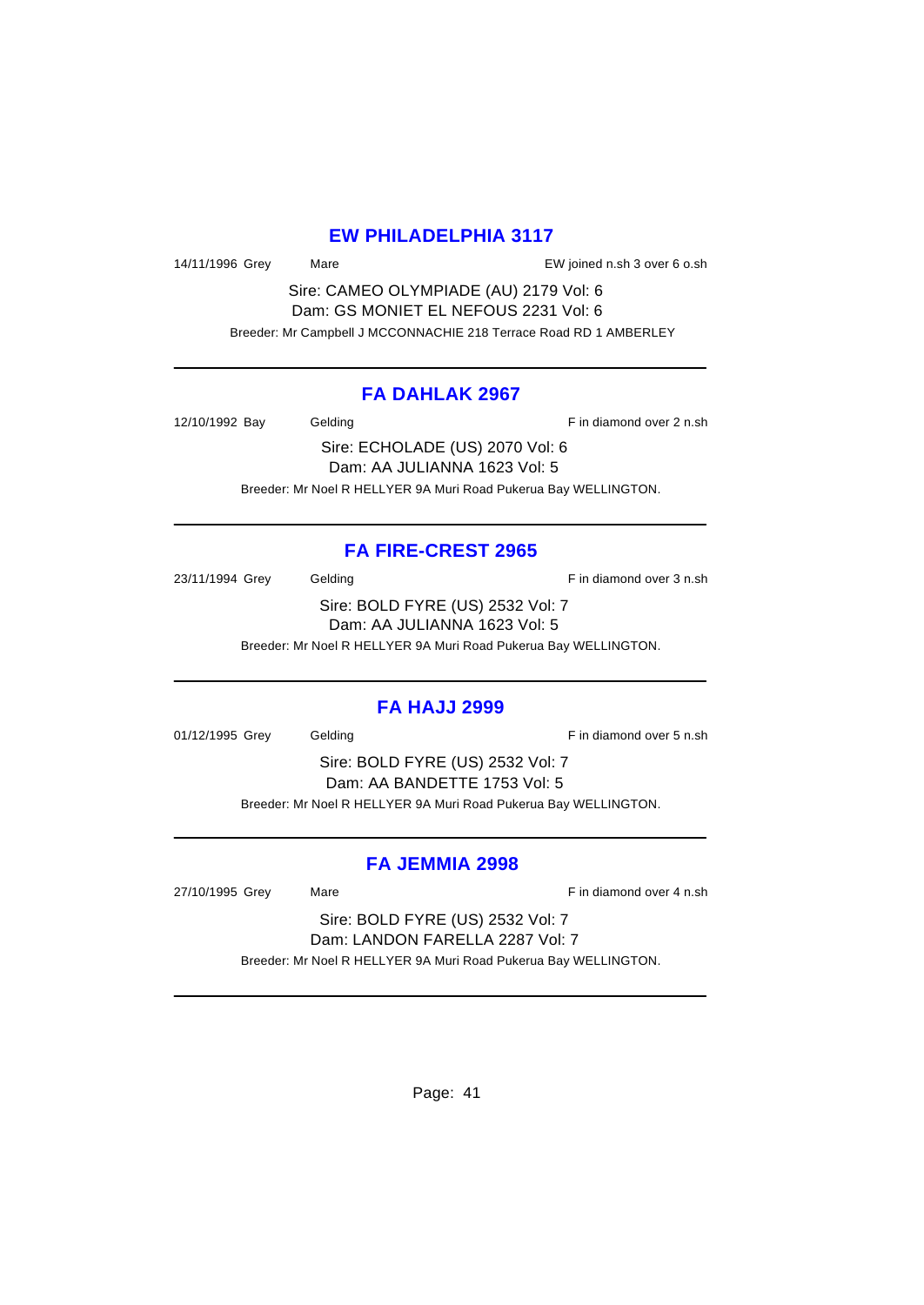#### **EW PHILADELPHIA 3117**

14/11/1996 Grey Mare EW joined n.sh 3 over 6 o.sh

Sire: CAMEO OLYMPIADE (AU) 2179 Vol: 6 Dam: GS MONIET EL NEFOUS 2231 Vol: 6 Breeder: Mr Campbell J MCCONNACHIE 218 Terrace Road RD 1 AMBERLEY

#### **FA DAHLAK 2967**

12/10/1992 Bay Gelding Gelding F in diamond over 2 n.sh Sire: ECHOLADE (US) 2070 Vol: 6

Dam: AA JULIANNA 1623 Vol: 5 Breeder: Mr Noel R HELLYER 9A Muri Road Pukerua Bay WELLINGTON.

### **FA FIRE-CREST 2965**

23/11/1994 Grey Gelding Gelding F in diamond over 3 n.sh

Sire: BOLD FYRE (US) 2532 Vol: 7 Dam: AA JULIANNA 1623 Vol: 5 Breeder: Mr Noel R HELLYER 9A Muri Road Pukerua Bay WELLINGTON.

#### **FA HAJJ 2999**

01/12/1995 Grey Gelding Fin diamond over 5 n.sh

Sire: BOLD FYRE (US) 2532 Vol: 7 Dam: AA BANDETTE 1753 Vol: 5 Breeder: Mr Noel R HELLYER 9A Muri Road Pukerua Bay WELLINGTON.

### **FA JEMMIA 2998**

27/10/1995 Grey Mare **Market Accord Accord Market Accord Accord F** in diamond over 4 n.sh

Sire: BOLD FYRE (US) 2532 Vol: 7 Dam: LANDON FARELLA 2287 Vol: 7

Breeder: Mr Noel R HELLYER 9A Muri Road Pukerua Bay WELLINGTON.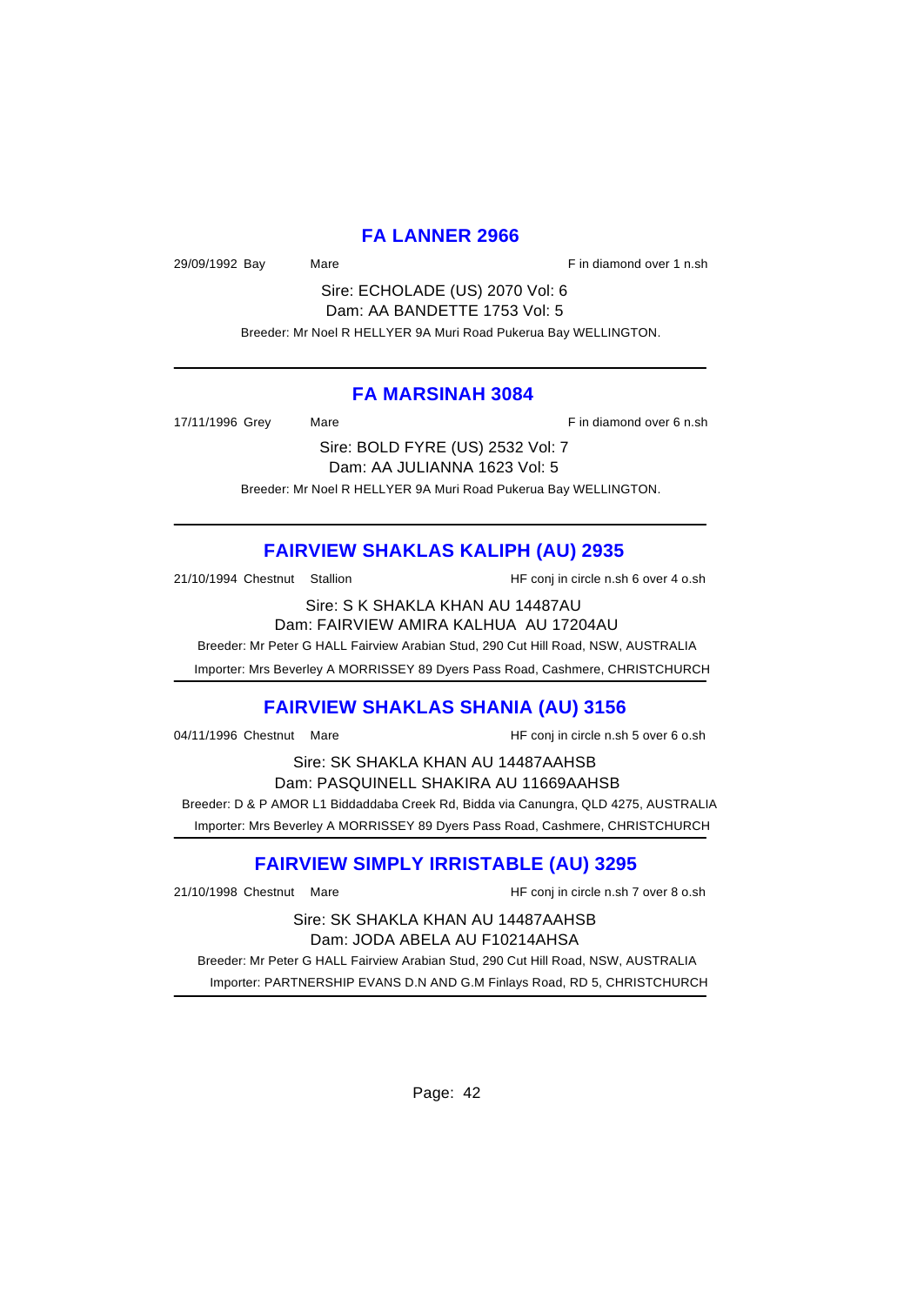#### **FA LANNER 2966**

29/09/1992 Bay Mare Mare Fin diamond over 1 n.sh

Sire: ECHOLADE (US) 2070 Vol: 6 Dam: AA BANDETTE 1753 Vol: 5

Breeder: Mr Noel R HELLYER 9A Muri Road Pukerua Bay WELLINGTON.

#### **FA MARSINAH 3084**

17/11/1996 Grey Mare **Marting Community** Research 17/11/1996 Grey Mare

Sire: BOLD FYRE (US) 2532 Vol: 7 Dam: AA JULIANNA 1623 Vol: 5 Breeder: Mr Noel R HELLYER 9A Muri Road Pukerua Bay WELLINGTON.

# **FAIRVIEW SHAKLAS KALIPH (AU) 2935**

21/10/1994 Chestnut Stallion HF conj in circle n.sh 6 over 4 o.sh

Sire: S K SHAKLA KHAN AU 14487AU Dam: FAIRVIEW AMIRA KALHUA AU 17204AU

Breeder: Mr Peter G HALL Fairview Arabian Stud, 290 Cut Hill Road, NSW, AUSTRALIA

Importer: Mrs Beverley A MORRISSEY 89 Dyers Pass Road, Cashmere, CHRISTCHURCH

### **FAIRVIEW SHAKLAS SHANIA (AU) 3156**

04/11/1996 Chestnut Mare **HF** conj in circle n.sh 5 over 6 o.sh

Sire: SK SHAKLA KHAN AU 14487AAHSB Dam: PASQUINELL SHAKIRA AU 11669AAHSB Breeder: D & P AMOR L1 Biddaddaba Creek Rd, Bidda via Canungra, QLD 4275, AUSTRALIA Importer: Mrs Beverley A MORRISSEY 89 Dyers Pass Road, Cashmere, CHRISTCHURCH

# **FAIRVIEW SIMPLY IRRISTABLE (AU) 3295**

21/10/1998 Chestnut Mare HF conj in circle n.sh 7 over 8 o.sh

Sire: SK SHAKLA KHAN AU 14487AAHSB Dam: JODA ABELA AU F10214AHSA

 Breeder: Mr Peter G HALL Fairview Arabian Stud, 290 Cut Hill Road, NSW, AUSTRALIA Importer: PARTNERSHIP EVANS D.N AND G.M Finlays Road, RD 5, CHRISTCHURCH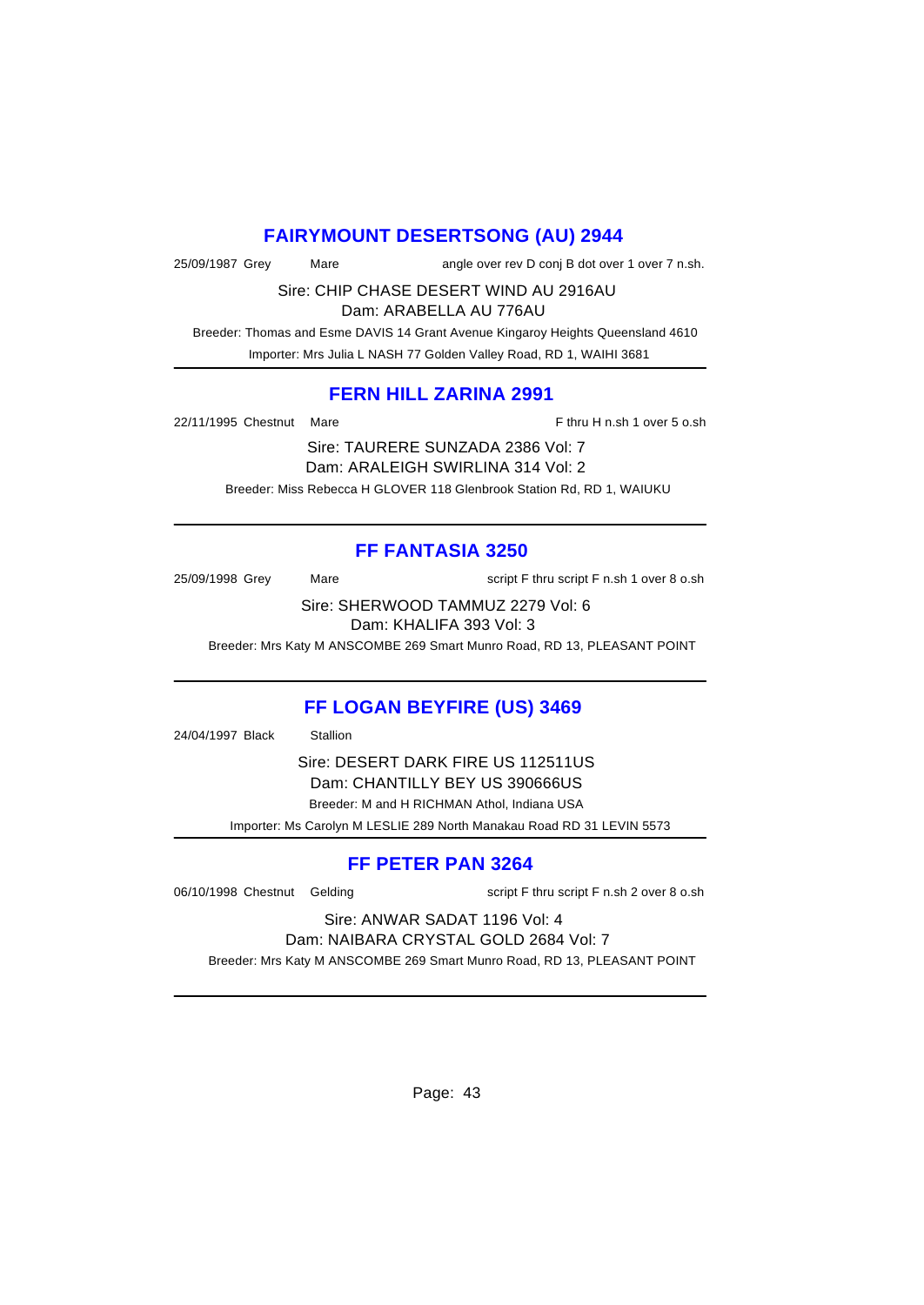### **FAIRYMOUNT DESERTSONG (AU) 2944**

25/09/1987 Grey Mare angle over rev D conj B dot over 1 over 7 n.sh.

Sire: CHIP CHASE DESERT WIND AU 2916AU

Dam: ARABELLA AU 776AU

 Breeder: Thomas and Esme DAVIS 14 Grant Avenue Kingaroy Heights Queensland 4610 Importer: Mrs Julia L NASH 77 Golden Valley Road, RD 1, WAIHI 3681

### **FERN HILL ZARINA 2991**

22/11/1995 Chestnut Mare **F** thru H n.sh 1 over 5 o.sh

Sire: TAURERE SUNZADA 2386 Vol: 7 Dam: ARALEIGH SWIRLINA 314 Vol: 2 Breeder: Miss Rebecca H GLOVER 118 Glenbrook Station Rd, RD 1, WAIUKU

# **FF FANTASIA 3250**

25/09/1998 Grey Mare Mare script F thru script F n.sh 1 over 8 o.sh

Sire: SHERWOOD TAMMUZ 2279 Vol: 6 Dam: KHALIFA 393 Vol: 3

Breeder: Mrs Katy M ANSCOMBE 269 Smart Munro Road, RD 13, PLEASANT POINT

# **FF LOGAN BEYFIRE (US) 3469**

24/04/1997 Black Stallion

Sire: DESERT DARK FIRE US 112511US Dam: CHANTILLY BEY US 390666US Breeder: M and H RICHMAN Athol, Indiana USA

Importer: Ms Carolyn M LESLIE 289 North Manakau Road RD 31 LEVIN 5573

# **FF PETER PAN 3264**

06/10/1998 Chestnut Gelding script F thru script F n.sh 2 over 8 o.sh

#### Sire: ANWAR SADAT 1196 Vol: 4 Dam: NAIBARA CRYSTAL GOLD 2684 Vol: 7

Breeder: Mrs Katy M ANSCOMBE 269 Smart Munro Road, RD 13, PLEASANT POINT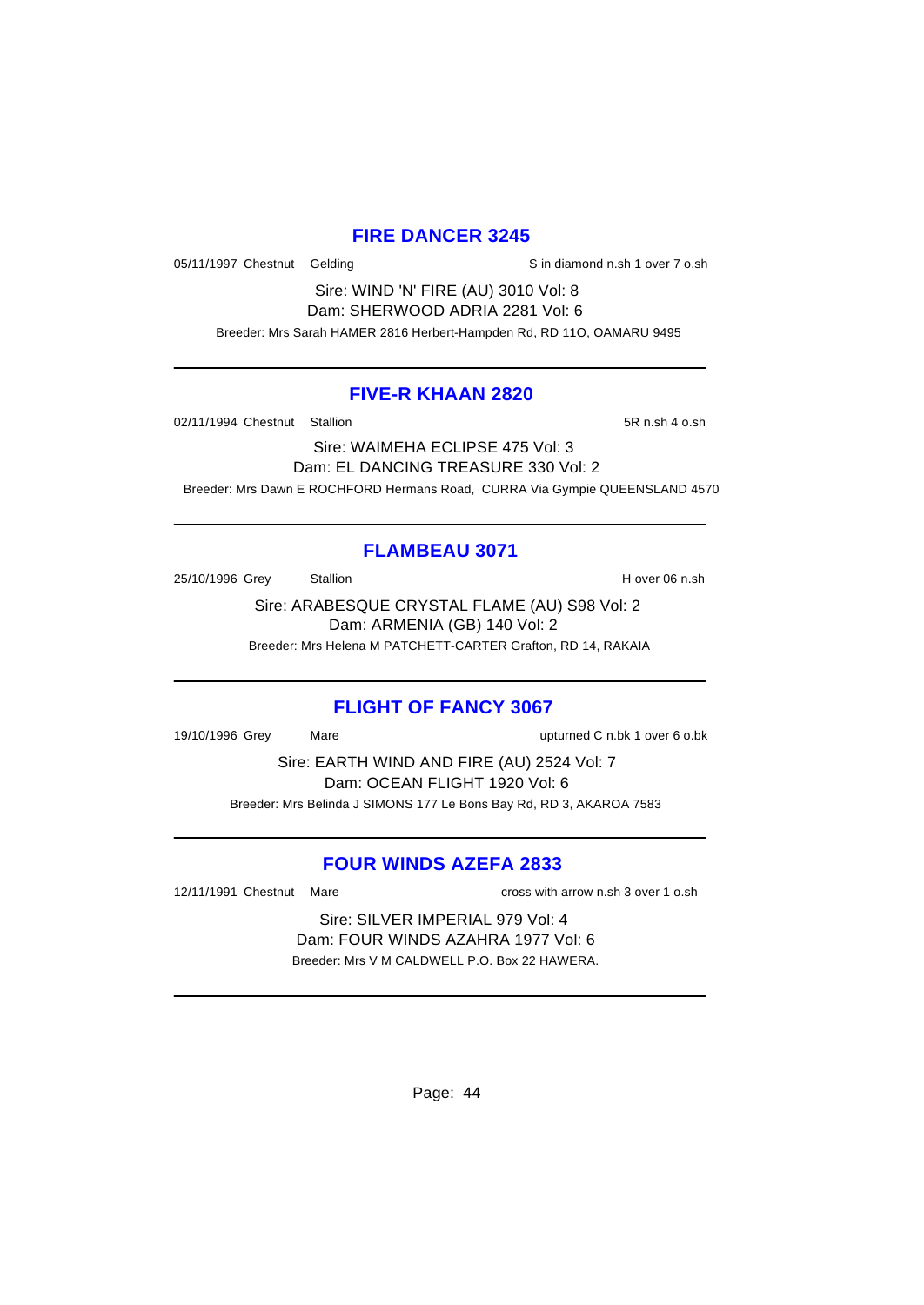#### **FIRE DANCER 3245**

05/11/1997 Chestnut Gelding Sin diamond n.sh 1 over 7 o.sh

Sire: WIND 'N' FIRE (AU) 3010 Vol: 8 Dam: SHERWOOD ADRIA 2281 Vol: 6

Breeder: Mrs Sarah HAMER 2816 Herbert-Hampden Rd, RD 11O, OAMARU 9495

#### **FIVE-R KHAAN 2820**

02/11/1994 Chestnut Stallion 5R n.sh 4 o.sh

Sire: WAIMEHA ECLIPSE 475 Vol: 3 Dam: EL DANCING TREASURE 330 Vol: 2 Breeder: Mrs Dawn E ROCHFORD Hermans Road, CURRA Via Gympie QUEENSLAND 4570

## **FLAMBEAU 3071**

25/10/1996 Grey Stallion Stallion State State State State State State State State State State State State State State State State State State State State State State State State State State State State State State State St

Sire: ARABESQUE CRYSTAL FLAME (AU) S98 Vol: 2 Dam: ARMENIA (GB) 140 Vol: 2 Breeder: Mrs Helena M PATCHETT-CARTER Grafton, RD 14, RAKAIA

### **FLIGHT OF FANCY 3067**

19/10/1996 Grey Mare upturned C n.bk 1 over 6 o.bk

Sire: EARTH WIND AND FIRE (AU) 2524 Vol: 7 Dam: OCEAN FLIGHT 1920 Vol: 6 Breeder: Mrs Belinda J SIMONS 177 Le Bons Bay Rd, RD 3, AKAROA 7583

### **FOUR WINDS AZEFA 2833**

12/11/1991 Chestnut Mare cross with arrow n.sh 3 over 1 o.sh

Sire: SILVER IMPERIAL 979 Vol: 4 Dam: FOUR WINDS AZAHRA 1977 Vol: 6 Breeder: Mrs V M CALDWELL P.O. Box 22 HAWERA.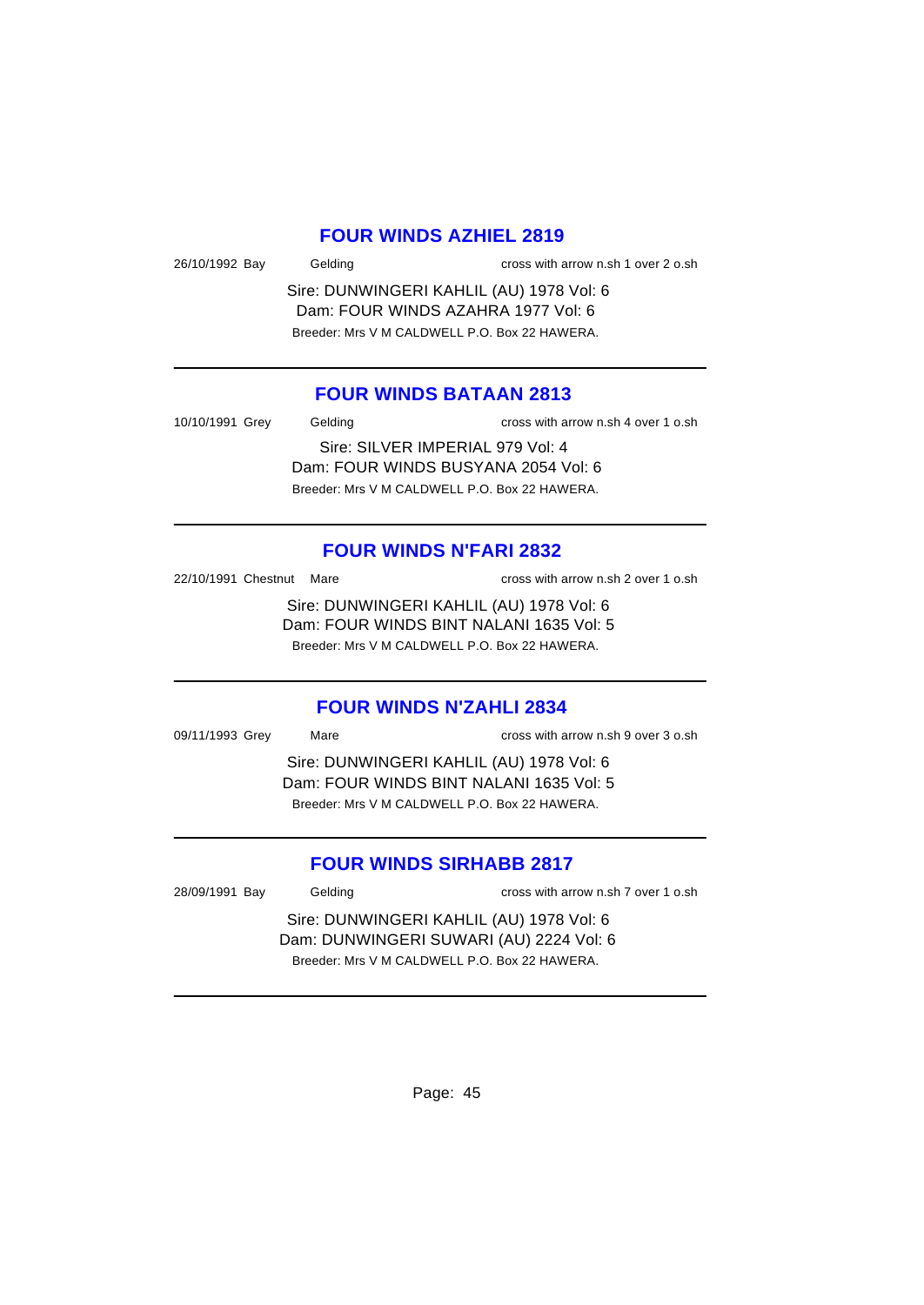### **FOUR WINDS AZHIEL 2819**

| 26/10/1992 Bay | Gelding | cross with arrow n.sh |
|----------------|---------|-----------------------|
|                |         |                       |

Sire: DUNWINGERI KAHLIL (AU) 1978 Vol: 6 Dam: FOUR WINDS AZAHRA 1977 Vol: 6 Breeder: Mrs V M CALDWELL P.O. Box 22 HAWERA.

### **FOUR WINDS BATAAN 2813**

10/10/1991 Grey Gelding cross with arrow n.sh 4 over 1 o.sh

Sire: SILVER IMPERIAL 979 Vol: 4 Dam: FOUR WINDS BUSYANA 2054 Vol: 6 Breeder: Mrs V M CALDWELL P.O. Box 22 HAWERA.

#### **FOUR WINDS N'FARI 2832**

22/10/1991 Chestnut Mare cross with arrow n.sh 2 over 1 o.sh

1 over  $2$  o.sh

Sire: DUNWINGERI KAHLIL (AU) 1978 Vol: 6 Dam: FOUR WINDS BINT NALANI 1635 Vol: 5 Breeder: Mrs V M CALDWELL P.O. Box 22 HAWERA.

#### **FOUR WINDS N'ZAHLI 2834**

09/11/1993 Grey Mare cross with arrow n.sh 9 over 3 o.sh

Sire: DUNWINGERI KAHLIL (AU) 1978 Vol: 6 Dam: FOUR WINDS BINT NALANI 1635 Vol: 5 Breeder: Mrs V M CALDWELL P.O. Box 22 HAWERA.

#### **FOUR WINDS SIRHABB 2817**

28/09/1991 Bay Gelding cross with arrow n.sh 7 over 1 o.sh

Sire: DUNWINGERI KAHLIL (AU) 1978 Vol: 6 Dam: DUNWINGERI SUWARI (AU) 2224 Vol: 6 Breeder: Mrs V M CALDWELL P.O. Box 22 HAWERA.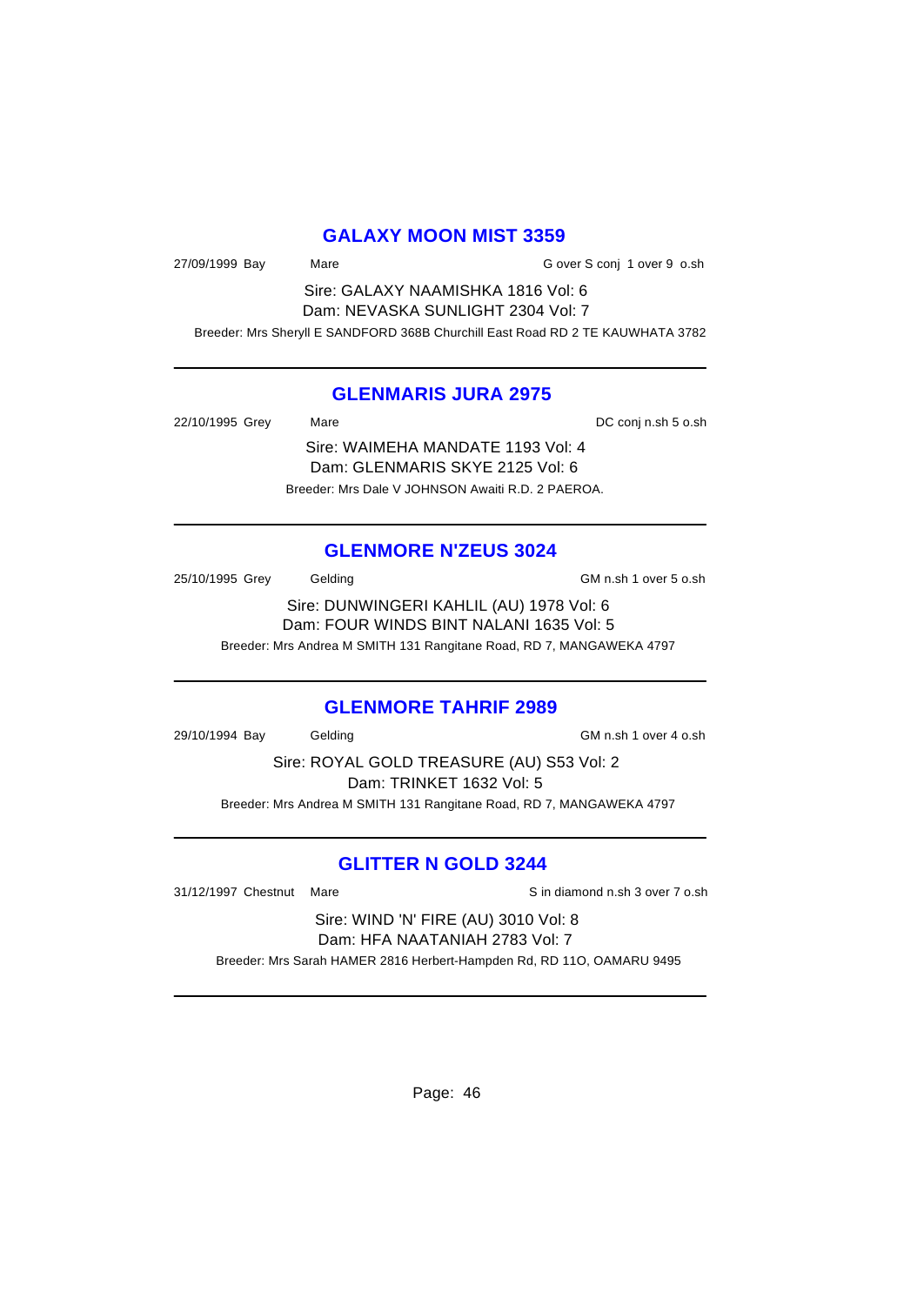### **GALAXY MOON MIST 3359**

27/09/1999 Bay Mare G over S conj 1 over 9 o.sh

Sire: GALAXY NAAMISHKA 1816 Vol: 6 Dam: NEVASKA SUNLIGHT 2304 Vol: 7

Breeder: Mrs Sheryll E SANDFORD 368B Churchill East Road RD 2 TE KAUWHATA 3782

#### **GLENMARIS JURA 2975**

22/10/1995 Grey Mare Mare 22/10/1995 Grey Mare

Sire: WAIMEHA MANDATE 1193 Vol: 4 Dam: GLENMARIS SKYE 2125 Vol: 6 Breeder: Mrs Dale V JOHNSON Awaiti R.D. 2 PAEROA.

#### **GLENMORE N'ZEUS 3024**

25/10/1995 Grey Gelding GM n.sh 1 over 5 o.sh

Sire: DUNWINGERI KAHLIL (AU) 1978 Vol: 6 Dam: FOUR WINDS BINT NALANI 1635 Vol: 5 Breeder: Mrs Andrea M SMITH 131 Rangitane Road, RD 7, MANGAWEKA 4797

#### **GLENMORE TAHRIF 2989**

29/10/1994 Bay Gelding GM n.sh 1 over 4 o.sh

Sire: ROYAL GOLD TREASURE (AU) S53 Vol: 2 Dam: TRINKET 1632 Vol: 5 Breeder: Mrs Andrea M SMITH 131 Rangitane Road, RD 7, MANGAWEKA 4797

### **GLITTER N GOLD 3244**

31/12/1997 Chestnut Mare Sin diamond n.sh 3 over 7 o.sh

Sire: WIND 'N' FIRE (AU) 3010 Vol: 8 Dam: HFA NAATANIAH 2783 Vol: 7

Breeder: Mrs Sarah HAMER 2816 Herbert-Hampden Rd, RD 11O, OAMARU 9495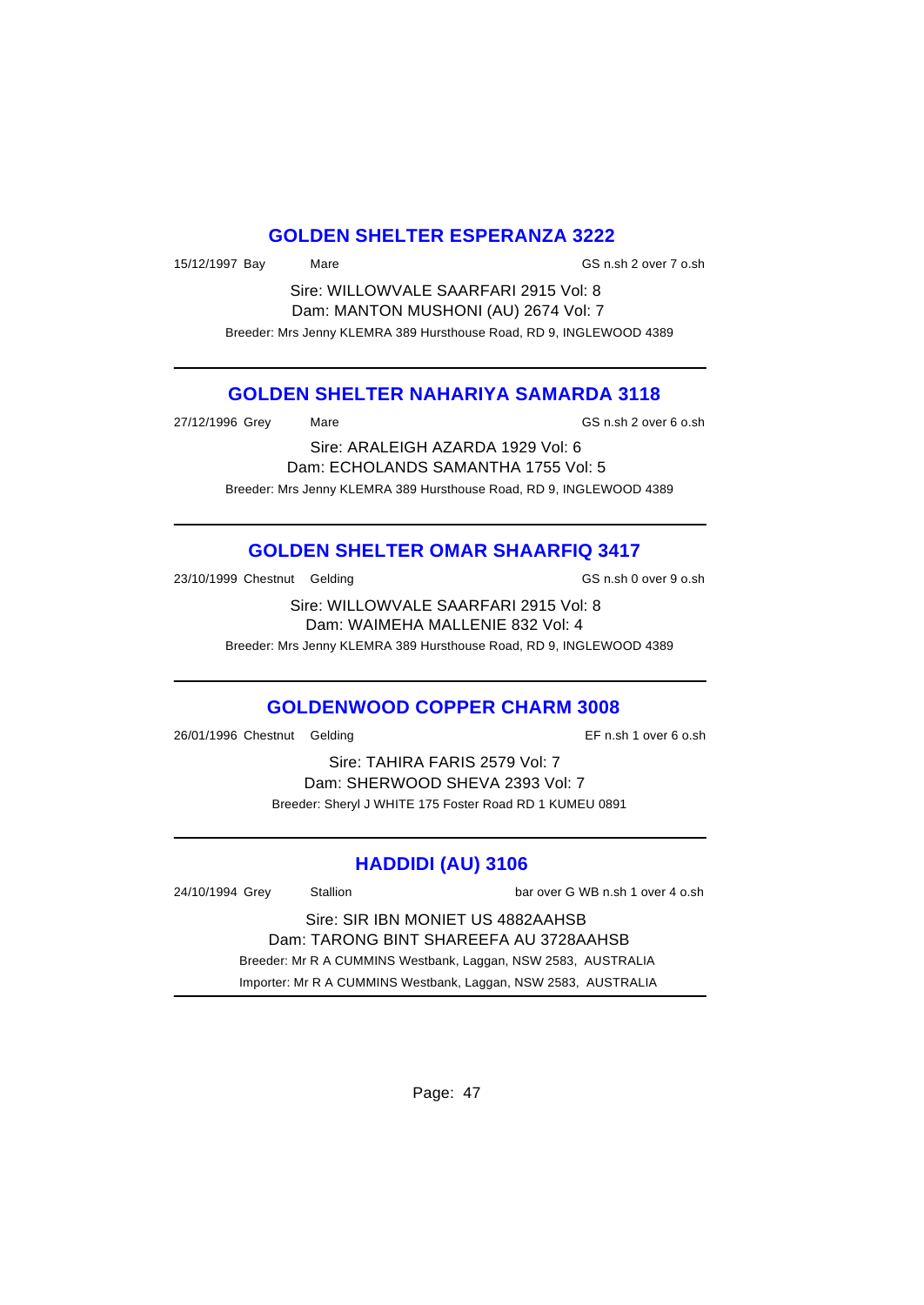### **GOLDEN SHELTER ESPERANZA 3222**

15/12/1997 Bay Mare GS n.sh 2 over 7 o.sh

Sire: WILLOWVALE SAARFARI 2915 Vol: 8 Dam: MANTON MUSHONI (AU) 2674 Vol: 7 Breeder: Mrs Jenny KLEMRA 389 Hursthouse Road, RD 9, INGLEWOOD 4389

### **GOLDEN SHELTER NAHARIYA SAMARDA 3118**

27/12/1996 Grey Mare GS n.sh 2 over 6 o.sh

Sire: ARALEIGH AZARDA 1929 Vol: 6 Dam: ECHOLANDS SAMANTHA 1755 Vol: 5 Breeder: Mrs Jenny KLEMRA 389 Hursthouse Road, RD 9, INGLEWOOD 4389

# **GOLDEN SHELTER OMAR SHAARFIQ 3417**

23/10/1999 Chestnut Gelding GS n.sh 0 over 9 o.sh

Sire: WILLOWVALE SAARFARI 2915 Vol: 8 Dam: WAIMEHA MALLENIE 832 Vol: 4

Breeder: Mrs Jenny KLEMRA 389 Hursthouse Road, RD 9, INGLEWOOD 4389

### **GOLDENWOOD COPPER CHARM 3008**

26/01/1996 Chestnut Gelding EF n.sh 1 over 6 o.sh

Sire: TAHIRA FARIS 2579 Vol: 7 Dam: SHERWOOD SHEVA 2393 Vol: 7 Breeder: Sheryl J WHITE 175 Foster Road RD 1 KUMEU 0891

# **HADDIDI (AU) 3106**

| 24/10/1994 Grey                                               | Stallion                                                       | bar over G WB n.sh 1 over 4 o.sh |  |
|---------------------------------------------------------------|----------------------------------------------------------------|----------------------------------|--|
| Sire: SIR IBN MONIET US 4882AAHSB                             |                                                                |                                  |  |
| Dam: TARONG BINT SHAREEFA AU 3728AAHSB                        |                                                                |                                  |  |
| Breeder: Mr R A CUMMINS Westbank, Laggan, NSW 2583, AUSTRALIA |                                                                |                                  |  |
|                                                               | Importer: Mr R A CUMMINS Westbank, Laggan, NSW 2583, AUSTRALIA |                                  |  |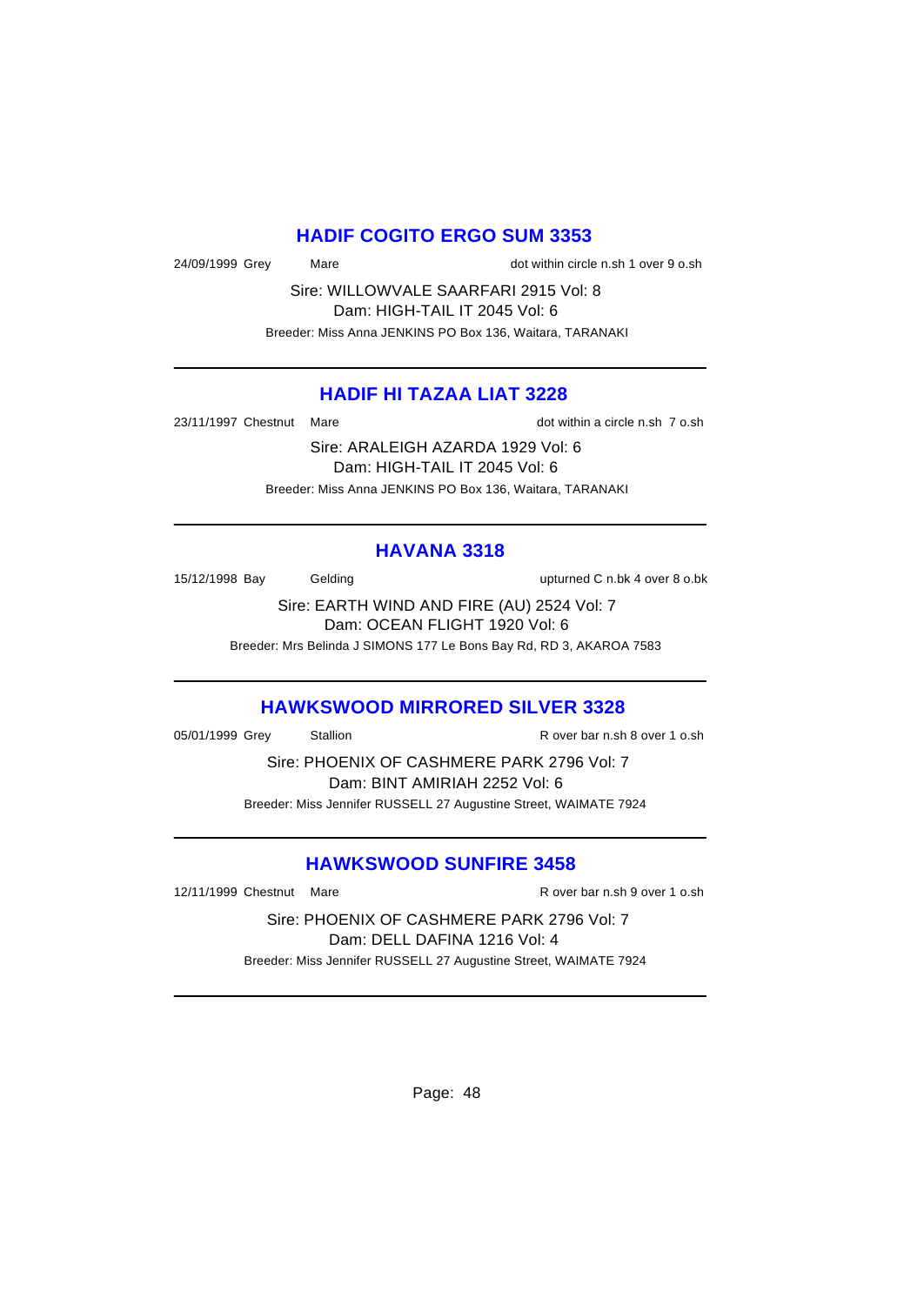### **HADIF COGITO ERGO SUM 3353**

24/09/1999 Grey Mare dot within circle n.sh 1 over 9 o.sh

Sire: WILLOWVALE SAARFARI 2915 Vol: 8 Dam: HIGH-TAIL IT 2045 Vol: 6 Breeder: Miss Anna JENKINS PO Box 136, Waitara, TARANAKI

### **HADIF HI TAZAA LIAT 3228**

23/11/1997 Chestnut Mare dot within a circle n.sh 7 o.sh

Sire: ARALEIGH AZARDA 1929 Vol: 6 Dam: HIGH-TAIL IT 2045 Vol: 6 Breeder: Miss Anna JENKINS PO Box 136, Waitara, TARANAKI

#### **HAVANA 3318**

15/12/1998 Bay Gelding upturned C n.bk 4 over 8 o.bk

Sire: EARTH WIND AND FIRE (AU) 2524 Vol: 7 Dam: OCEAN FLIGHT 1920 Vol: 6

Breeder: Mrs Belinda J SIMONS 177 Le Bons Bay Rd, RD 3, AKAROA 7583

### **HAWKSWOOD MIRRORED SILVER 3328**

05/01/1999 Grey Stallion Stallion R over bar n.sh 8 over 1 o.sh

Sire: PHOENIX OF CASHMERE PARK 2796 Vol: 7 Dam: BINT AMIRIAH 2252 Vol: 6 Breeder: Miss Jennifer RUSSELL 27 Augustine Street, WAIMATE 7924

### **HAWKSWOOD SUNFIRE 3458**

12/11/1999 Chestnut Mare **R** over bar n.sh 9 over 1 o.sh

Sire: PHOENIX OF CASHMERE PARK 2796 Vol: 7 Dam: DELL DAFINA 1216 Vol: 4 Breeder: Miss Jennifer RUSSELL 27 Augustine Street, WAIMATE 7924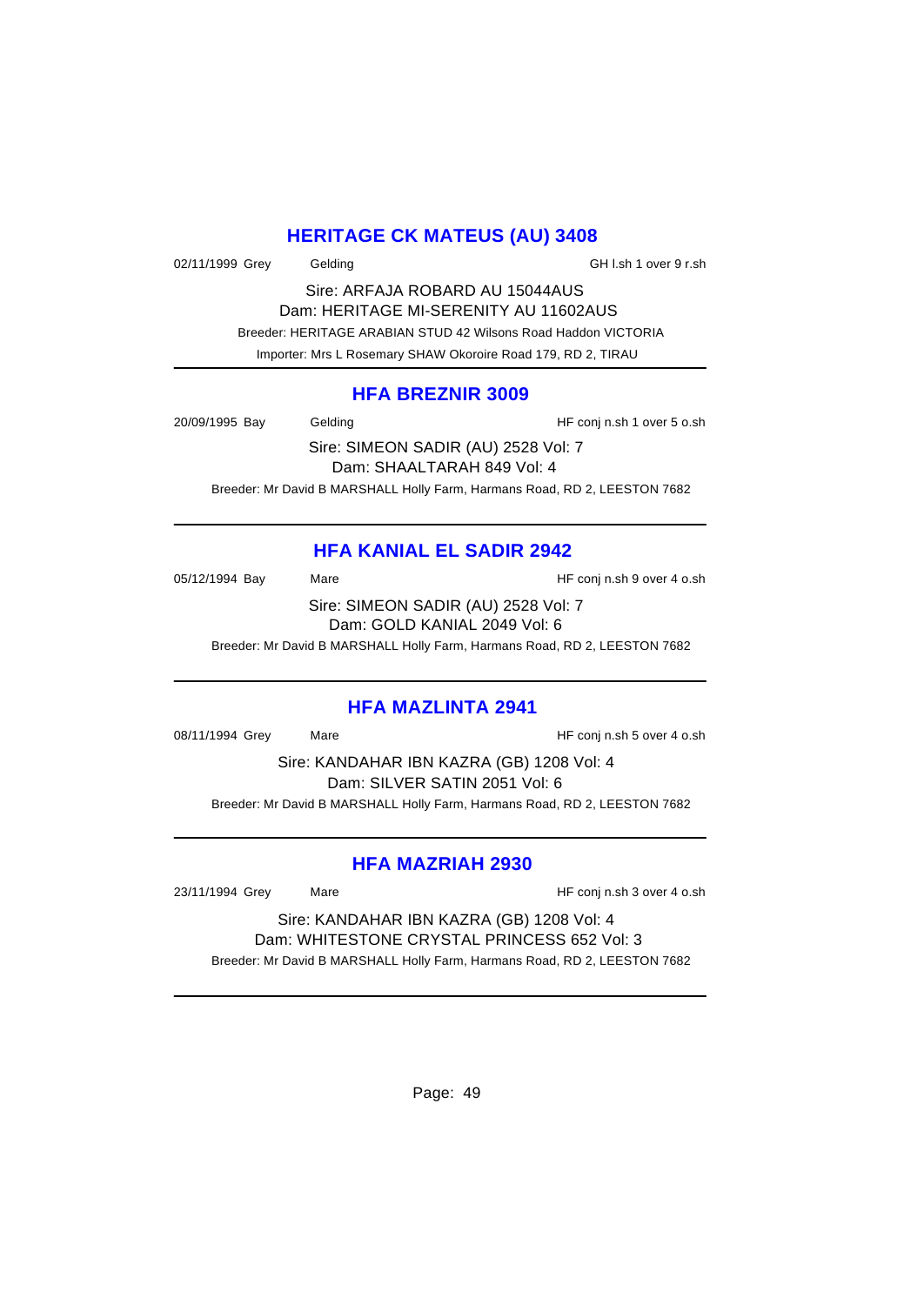### **HERITAGE CK MATEUS (AU) 3408**

02/11/1999 Grey Gelding General CH l.sh 1 over 9 r.sh

Sire: ARFAJA ROBARD AU 15044AUS Dam: HERITAGE MI-SERENITY AU 11602AUS Breeder: HERITAGE ARABIAN STUD 42 Wilsons Road Haddon VICTORIA Importer: Mrs L Rosemary SHAW Okoroire Road 179, RD 2, TIRAU

#### **HFA BREZNIR 3009**

20/09/1995 Bay Gelding Gelding HF conj n.sh 1 over 5 o.sh

Sire: SIMEON SADIR (AU) 2528 Vol: 7 Dam: SHAALTARAH 849 Vol: 4 Breeder: Mr David B MARSHALL Holly Farm, Harmans Road, RD 2, LEESTON 7682

# **HFA KANIAL EL SADIR 2942**

05/12/1994 Bay Mare Mare HF conj n.sh 9 over 4 o.sh Sire: SIMEON SADIR (AU) 2528 Vol: 7 Dam: GOLD KANIAL 2049 Vol: 6

Breeder: Mr David B MARSHALL Holly Farm, Harmans Road, RD 2, LEESTON 7682

#### **HFA MAZLINTA 2941**

08/11/1994 Grey Mare Mare HF conj n.sh 5 over 4 o.sh

Sire: KANDAHAR IBN KAZRA (GB) 1208 Vol: 4 Dam: SILVER SATIN 2051 Vol: 6 Breeder: Mr David B MARSHALL Holly Farm, Harmans Road, RD 2, LEESTON 7682

### **HFA MAZRIAH 2930**

23/11/1994 Grey Mare HF conj n.sh 3 over 4 o.sh

Sire: KANDAHAR IBN KAZRA (GB) 1208 Vol: 4 Dam: WHITESTONE CRYSTAL PRINCESS 652 Vol: 3 Breeder: Mr David B MARSHALL Holly Farm, Harmans Road, RD 2, LEESTON 7682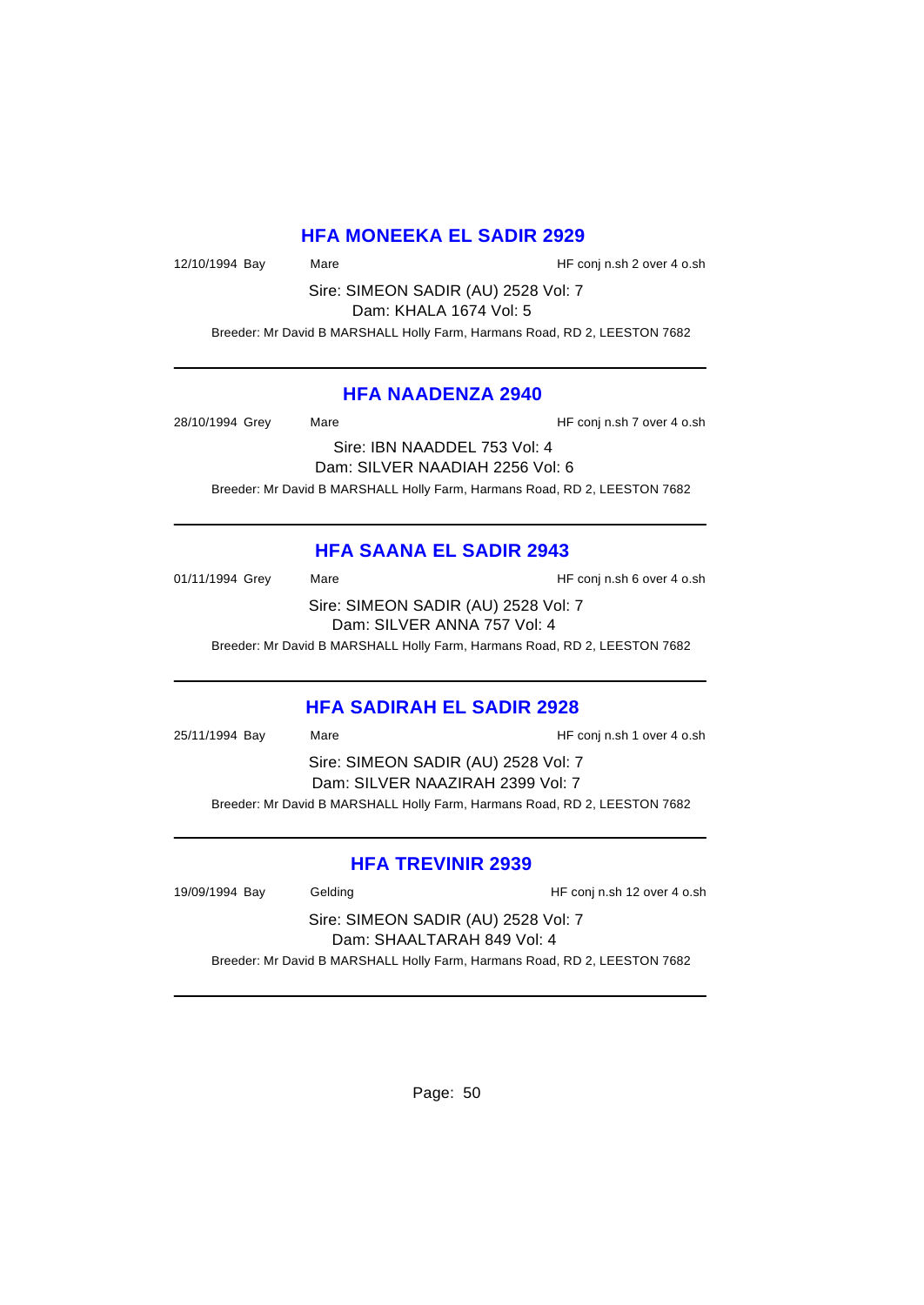### **HFA MONEEKA EL SADIR 2929**

12/10/1994 Bay Mare Mare HF conj n.sh 2 over 4 o.sh

Sire: SIMEON SADIR (AU) 2528 Vol: 7 Dam: KHALA 1674 Vol: 5

Breeder: Mr David B MARSHALL Holly Farm, Harmans Road, RD 2, LEESTON 7682

### **HFA NAADENZA 2940**

28/10/1994 Grey Mare Mare HF conj n.sh 7 over 4 o.sh

Sire: IBN NAADDEL 753 Vol: 4 Dam: SILVER NAADIAH 2256 Vol: 6 Breeder: Mr David B MARSHALL Holly Farm, Harmans Road, RD 2, LEESTON 7682

### **HFA SAANA EL SADIR 2943**

01/11/1994 Grey Mare Mare HF conj n.sh 6 over 4 o.sh Sire: SIMEON SADIR (AU) 2528 Vol: 7 Dam: SILVER ANNA 757 Vol: 4

Breeder: Mr David B MARSHALL Holly Farm, Harmans Road, RD 2, LEESTON 7682

### **HFA SADIRAH EL SADIR 2928**

25/11/1994 Bay Mare HF conj n.sh 1 over 4 o.sh Sire: SIMEON SADIR (AU) 2528 Vol: 7 Dam: SILVER NAAZIRAH 2399 Vol: 7 Breeder: Mr David B MARSHALL Holly Farm, Harmans Road, RD 2, LEESTON 7682

#### **HFA TREVINIR 2939**

19/09/1994 Bay Gelding Gelding HF conj n.sh 12 over 4 o.sh

Sire: SIMEON SADIR (AU) 2528 Vol: 7 Dam: SHAALTARAH 849 Vol: 4

Breeder: Mr David B MARSHALL Holly Farm, Harmans Road, RD 2, LEESTON 7682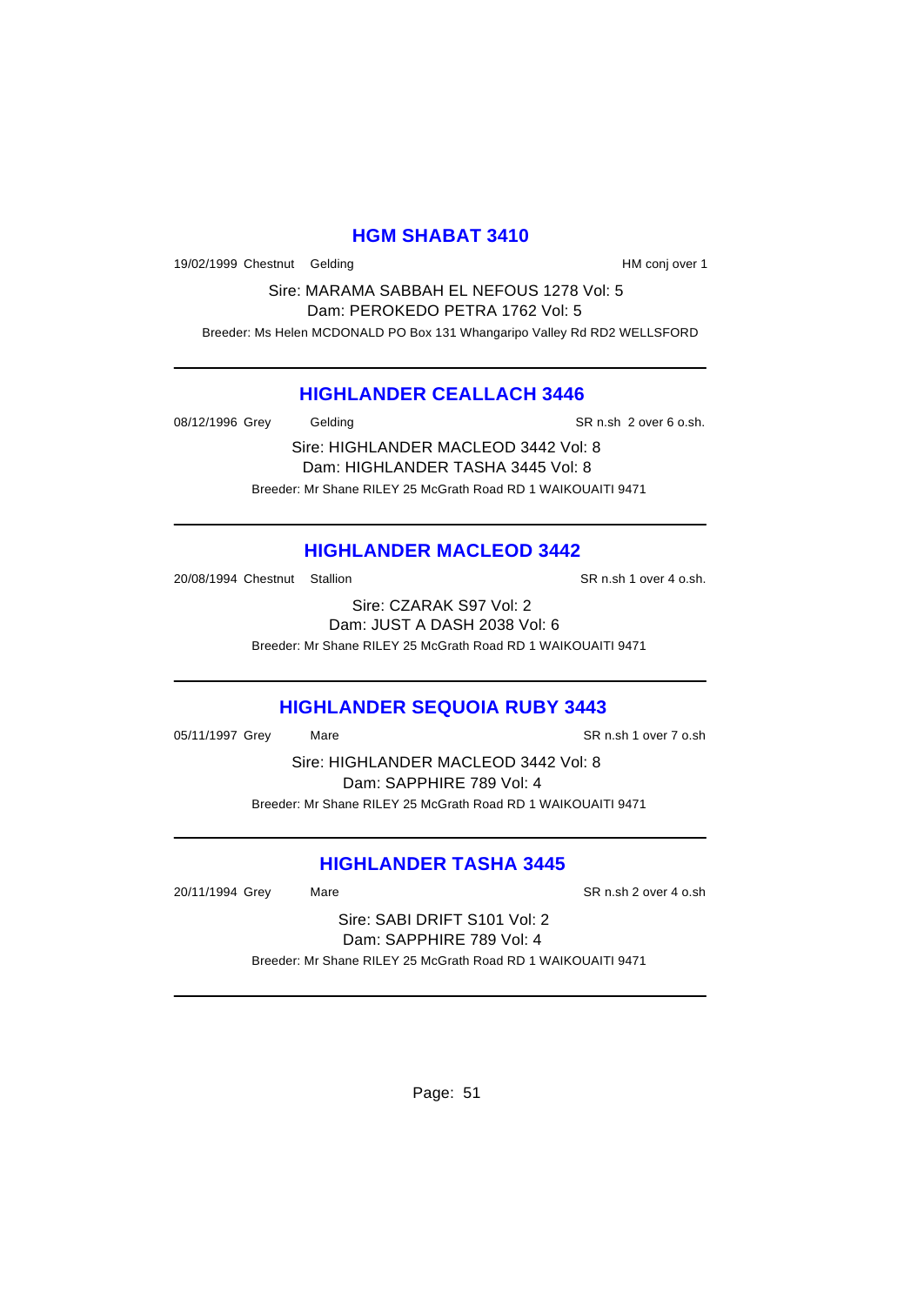## **HGM SHABAT 3410**

19/02/1999 Chestnut Gelding The Conjunction over 1

Sire: MARAMA SABBAH EL NEFOUS 1278 Vol: 5 Dam: PEROKEDO PETRA 1762 Vol: 5 Breeder: Ms Helen MCDONALD PO Box 131 Whangaripo Valley Rd RD2 WELLSFORD

#### **HIGHLANDER CEALLACH 3446**

08/12/1996 Grey Gelding Gelding SR n.sh 2 over 6 o.sh.

Sire: HIGHLANDER MACLEOD 3442 Vol: 8 Dam: HIGHLANDER TASHA 3445 Vol: 8 Breeder: Mr Shane RILEY 25 McGrath Road RD 1 WAIKOUAITI 9471

## **HIGHLANDER MACLEOD 3442**

20/08/1994 Chestnut Stallion State of SR n.sh 1 over 4 o.sh.

Sire: CZARAK S97 Vol: 2 Dam: JUST A DASH 2038 Vol: 6 Breeder: Mr Shane RILEY 25 McGrath Road RD 1 WAIKOUAITI 9471

# **HIGHLANDER SEQUOIA RUBY 3443**

05/11/1997 Grey Mare SR n.sh 1 over 7 o.sh

Sire: HIGHLANDER MACLEOD 3442 Vol: 8 Dam: SAPPHIRE 789 Vol: 4 Breeder: Mr Shane RILEY 25 McGrath Road RD 1 WAIKOUAITI 9471

# **HIGHLANDER TASHA 3445**

20/11/1994 Grey Mare SR n.sh 2 over 4 o.sh

Sire: SABI DRIFT S101 Vol: 2 Dam: SAPPHIRE 789 Vol: 4 Breeder: Mr Shane RILEY 25 McGrath Road RD 1 WAIKOUAITI 9471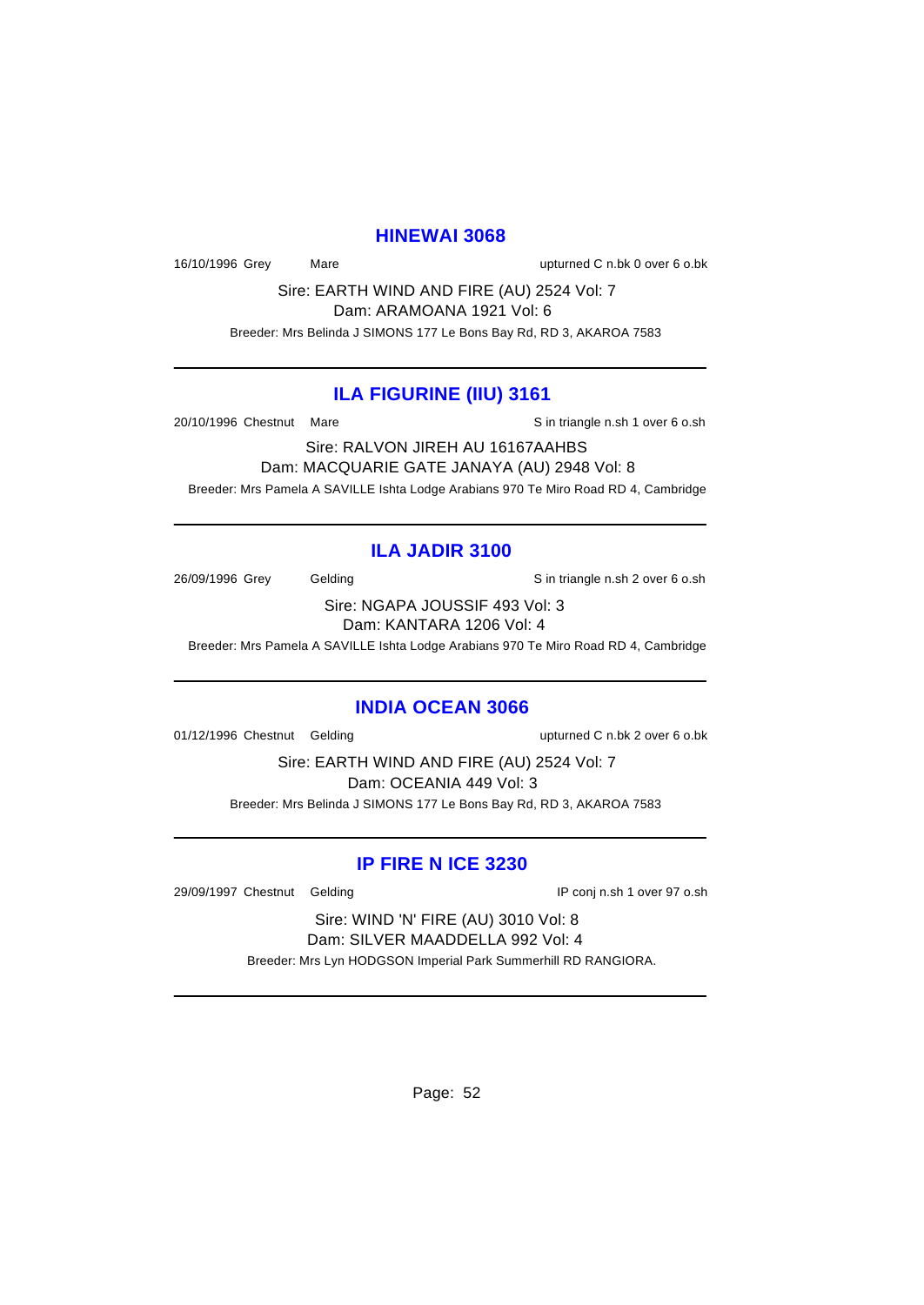#### **HINEWAI 3068**

16/10/1996 Grey Mare upturned C n.bk 0 over 6 o.bk

Sire: EARTH WIND AND FIRE (AU) 2524 Vol: 7 Dam: ARAMOANA 1921 Vol: 6

Breeder: Mrs Belinda J SIMONS 177 Le Bons Bay Rd, RD 3, AKAROA 7583

#### **ILA FIGURINE (IIU) 3161**

20/10/1996 Chestnut Mare Sin triangle n.sh 1 over 6 o.sh

Sire: RALVON JIREH AU 16167AAHBS Dam: MACQUARIE GATE JANAYA (AU) 2948 Vol: 8 Breeder: Mrs Pamela A SAVILLE Ishta Lodge Arabians 970 Te Miro Road RD 4, Cambridge

### **ILA JADIR 3100**

26/09/1996 Grey Gelding Gelding S in triangle n.sh 2 over 6 o.sh

Sire: NGAPA JOUSSIF 493 Vol: 3 Dam: KANTARA 1206 Vol: 4

Breeder: Mrs Pamela A SAVILLE Ishta Lodge Arabians 970 Te Miro Road RD 4, Cambridge

#### **INDIA OCEAN 3066**

01/12/1996 Chestnut Gelding upturned C n.bk 2 over 6 o.bk

Sire: EARTH WIND AND FIRE (AU) 2524 Vol: 7 Dam: OCEANIA 449 Vol: 3 Breeder: Mrs Belinda J SIMONS 177 Le Bons Bay Rd, RD 3, AKAROA 7583

# **IP FIRE N ICE 3230**

29/09/1997 Chestnut Gelding IP conj n.sh 1 over 97 o.sh

Sire: WIND 'N' FIRE (AU) 3010 Vol: 8 Dam: SILVER MAADDELLA 992 Vol: 4

Breeder: Mrs Lyn HODGSON Imperial Park Summerhill RD RANGIORA.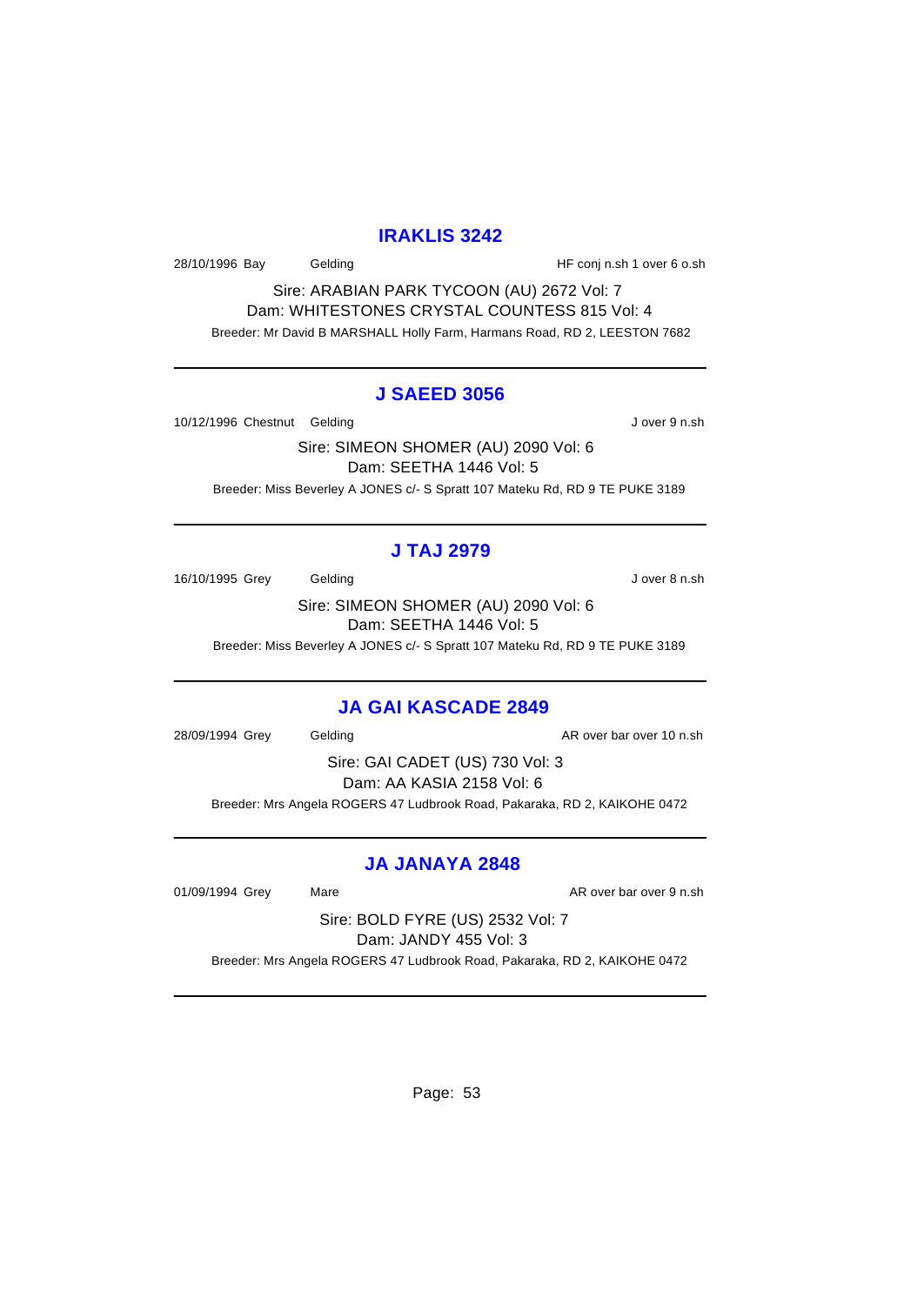## **IRAKLIS 3242**

28/10/1996 Bay Gelding Gelding HF conj n.sh 1 over 6 o.sh

Sire: ARABIAN PARK TYCOON (AU) 2672 Vol: 7 Dam: WHITESTONES CRYSTAL COUNTESS 815 Vol: 4 Breeder: Mr David B MARSHALL Holly Farm, Harmans Road, RD 2, LEESTON 7682

#### **J SAEED 3056**

10/12/1996 Chestnut Gelding and a state of the U over 9 n.sh

Sire: SIMEON SHOMER (AU) 2090 Vol: 6 Dam: SEETHA 1446 Vol: 5 Breeder: Miss Beverley A JONES c/- S Spratt 107 Mateku Rd, RD 9 TE PUKE 3189

# **J TAJ 2979**

16/10/1995 Grey Gelding Gelding J over 8 n.sh

Sire: SIMEON SHOMER (AU) 2090 Vol: 6 Dam: SEETHA 1446 Vol: 5

Breeder: Miss Beverley A JONES c/- S Spratt 107 Mateku Rd, RD 9 TE PUKE 3189

#### **JA GAI KASCADE 2849**

28/09/1994 Grey Gelding Communication AR over bar over 10 n.sh

Sire: GAI CADET (US) 730 Vol: 3 Dam: AA KASIA 2158 Vol: 6 Breeder: Mrs Angela ROGERS 47 Ludbrook Road, Pakaraka, RD 2, KAIKOHE 0472

### **JA JANAYA 2848**

01/09/1994 Grey Mare Mare AR over bar over 9 n.sh

Sire: BOLD FYRE (US) 2532 Vol: 7 Dam: JANDY 455 Vol: 3

Breeder: Mrs Angela ROGERS 47 Ludbrook Road, Pakaraka, RD 2, KAIKOHE 0472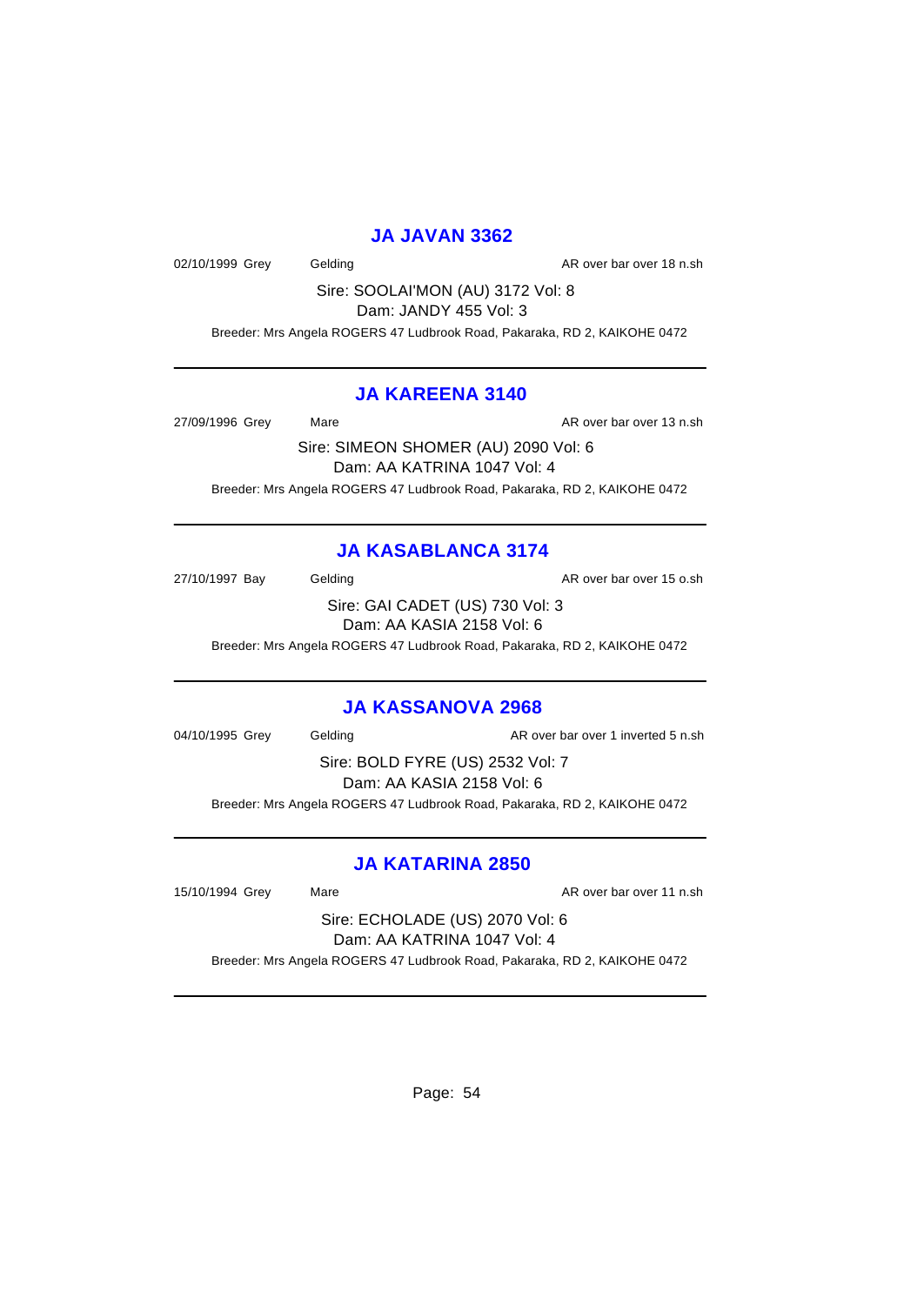#### **JA JAVAN 3362**

02/10/1999 Grey Gelding Contact Contact AR over bar over 18 n.sh

Sire: SOOLAI'MON (AU) 3172 Vol: 8 Dam: JANDY 455 Vol: 3

Breeder: Mrs Angela ROGERS 47 Ludbrook Road, Pakaraka, RD 2, KAIKOHE 0472

#### **JA KAREENA 3140**

27/09/1996 Grey Mare Mare AR over bar over 13 n.sh

Sire: SIMEON SHOMER (AU) 2090 Vol: 6 Dam: AA KATRINA 1047 Vol: 4 Breeder: Mrs Angela ROGERS 47 Ludbrook Road, Pakaraka, RD 2, KAIKOHE 0472

# **JA KASABLANCA 3174**

27/10/1997 Bay Gelding Casset Controller and AR over bar over 15 o.sh

Sire: GAI CADET (US) 730 Vol: 3 Dam: AA KASIA 2158 Vol: 6

Breeder: Mrs Angela ROGERS 47 Ludbrook Road, Pakaraka, RD 2, KAIKOHE 0472

### **JA KASSANOVA 2968**

04/10/1995 Grey Gelding Communication AR over bar over 1 inverted 5 n.sh

Sire: BOLD FYRE (US) 2532 Vol: 7 Dam: AA KASIA 2158 Vol: 6 Breeder: Mrs Angela ROGERS 47 Ludbrook Road, Pakaraka, RD 2, KAIKOHE 0472

# **JA KATARINA 2850**

15/10/1994 Grey Mare Mare AR over bar over 11 n.sh

Sire: ECHOLADE (US) 2070 Vol: 6 Dam: AA KATRINA 1047 Vol: 4

Breeder: Mrs Angela ROGERS 47 Ludbrook Road, Pakaraka, RD 2, KAIKOHE 0472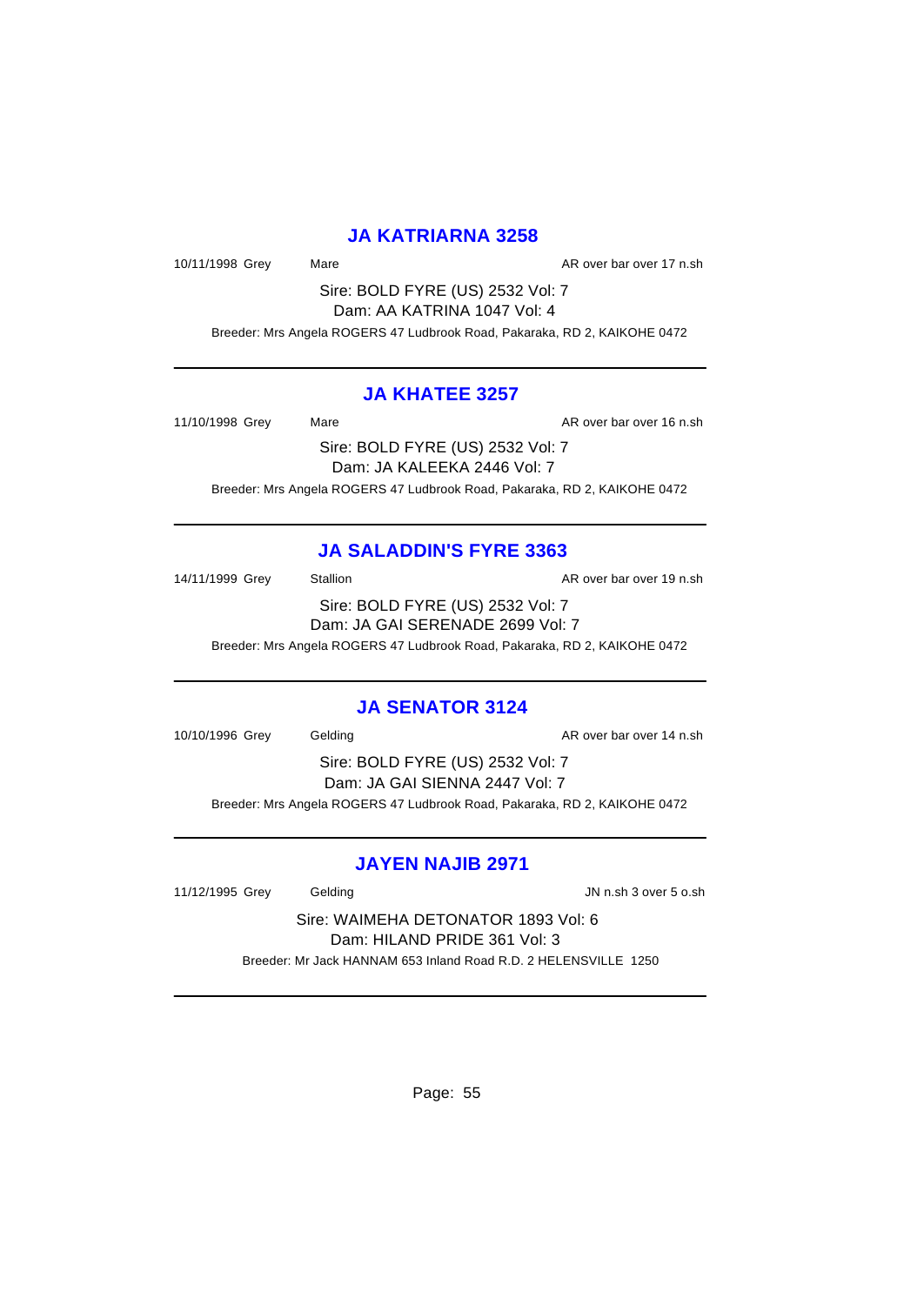### **JA KATRIARNA 3258**

10/11/1998 Grey Mare Mare AR over bar over 17 n.sh

Sire: BOLD FYRE (US) 2532 Vol: 7 Dam: AA KATRINA 1047 Vol: 4

Breeder: Mrs Angela ROGERS 47 Ludbrook Road, Pakaraka, RD 2, KAIKOHE 0472

#### **JA KHATEE 3257**

11/10/1998 Grey Mare Mare AR over bar over 16 n.sh

Sire: BOLD FYRE (US) 2532 Vol: 7 Dam: JA KALEEKA 2446 Vol: 7 Breeder: Mrs Angela ROGERS 47 Ludbrook Road, Pakaraka, RD 2, KAIKOHE 0472

## **JA SALADDIN'S FYRE 3363**

14/11/1999 Grey Stallion Stallion State State AR over bar over 19 n.sh Sire: BOLD FYRE (US) 2532 Vol: 7 Dam: JA GAI SERENADE 2699 Vol: 7 Breeder: Mrs Angela ROGERS 47 Ludbrook Road, Pakaraka, RD 2, KAIKOHE 0472

# **JA SENATOR 3124**

10/10/1996 Grey Gelding Communication over 14 n.sh

Sire: BOLD FYRE (US) 2532 Vol: 7 Dam: JA GAI SIENNA 2447 Vol: 7 Breeder: Mrs Angela ROGERS 47 Ludbrook Road, Pakaraka, RD 2, KAIKOHE 0472

### **JAYEN NAJIB 2971**

11/12/1995 Grey Gelding JN n.sh 3 over 5 o.sh

Sire: WAIMEHA DETONATOR 1893 Vol: 6 Dam: HILAND PRIDE 361 Vol: 3 Breeder: Mr Jack HANNAM 653 Inland Road R.D. 2 HELENSVILLE 1250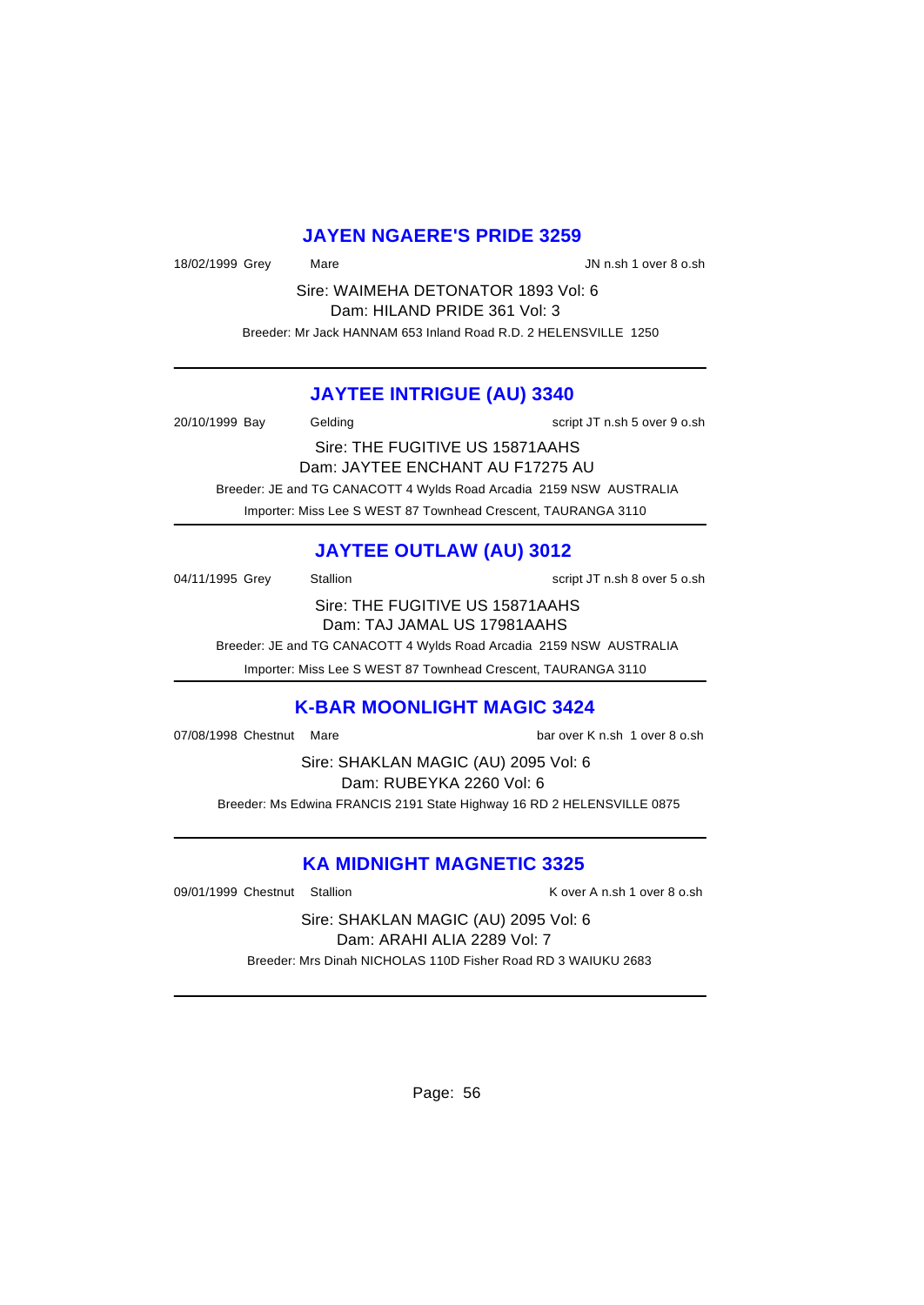#### **JAYEN NGAERE'S PRIDE 3259**

18/02/1999 Grey Mare Mare JN n.sh 1 over 8 o.sh

Sire: WAIMEHA DETONATOR 1893 Vol: 6 Dam: HILAND PRIDE 361 Vol: 3 Breeder: Mr Jack HANNAM 653 Inland Road R.D. 2 HELENSVILLE 1250

#### **JAYTEE INTRIGUE (AU) 3340**

20/10/1999 Bay Gelding Script JT n.sh 5 over 9 o.sh Sire: THE FUGITIVE US 15871AAHS Dam: JAYTEE ENCHANT AU F17275 AU Breeder: JE and TG CANACOTT 4 Wylds Road Arcadia 2159 NSW AUSTRALIA

Importer: Miss Lee S WEST 87 Townhead Crescent, TAURANGA 3110

# **JAYTEE OUTLAW (AU) 3012**

04/11/1995 Grey Stallion Stallion State State State State State State State State State State State State State State State State State State State State State State State State State State State State State State State St

Sire: THE FUGITIVE US 15871AAHS Dam: TAJ JAMAL US 17981AAHS

Breeder: JE and TG CANACOTT 4 Wylds Road Arcadia 2159 NSW AUSTRALIA

Importer: Miss Lee S WEST 87 Townhead Crescent, TAURANGA 3110

### **K-BAR MOONLIGHT MAGIC 3424**

07/08/1998 Chestnut Mare bar over K n.sh 1 over 8 o.sh

Sire: SHAKLAN MAGIC (AU) 2095 Vol: 6 Dam: RUBEYKA 2260 Vol: 6 Breeder: Ms Edwina FRANCIS 2191 State Highway 16 RD 2 HELENSVILLE 0875

# **KA MIDNIGHT MAGNETIC 3325**

09/01/1999 Chestnut Stallion **K** over A n.sh 1 over 8 o.sh

Sire: SHAKLAN MAGIC (AU) 2095 Vol: 6 Dam: ARAHI ALIA 2289 Vol: 7 Breeder: Mrs Dinah NICHOLAS 110D Fisher Road RD 3 WAIUKU 2683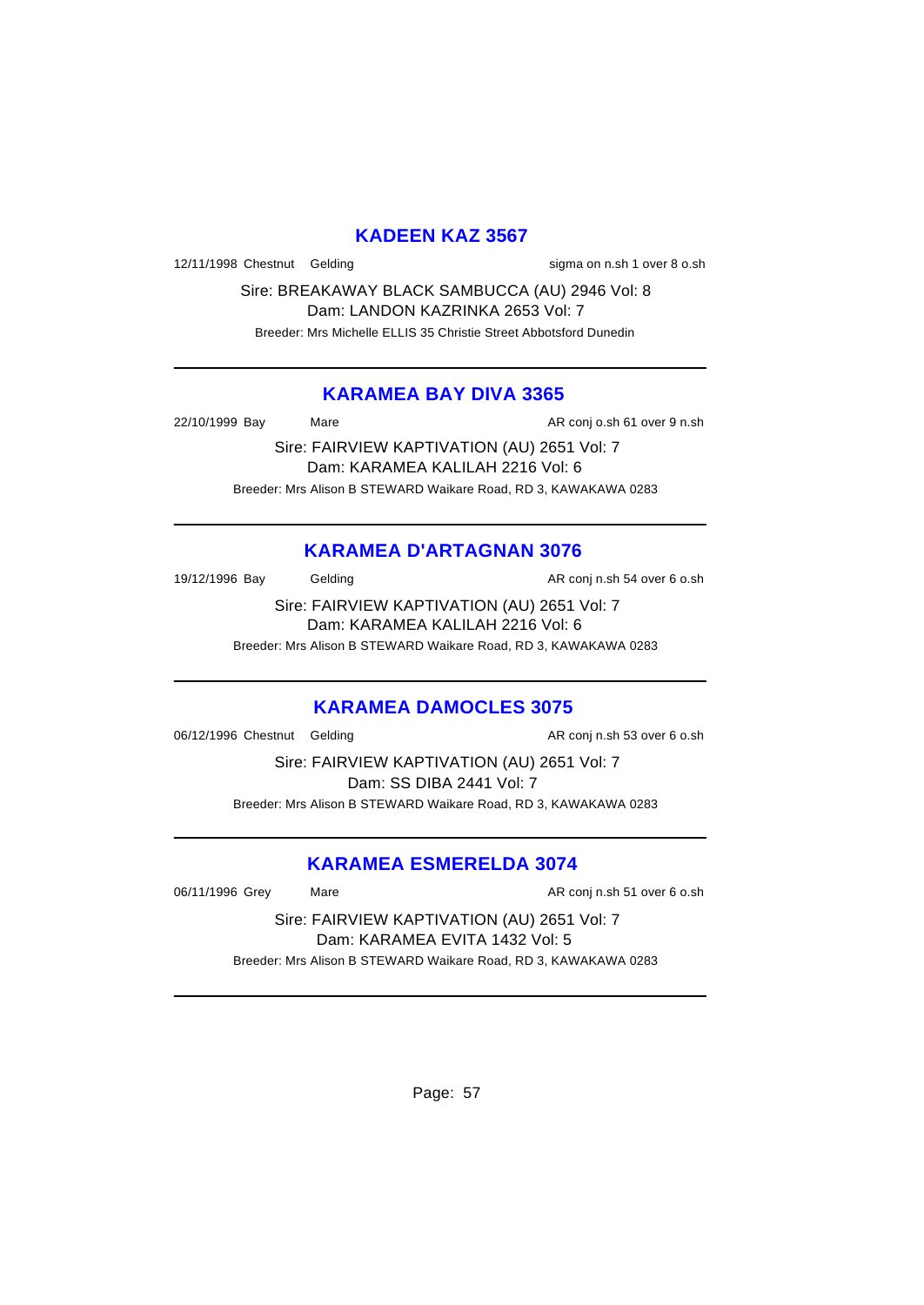### **KADEEN KAZ 3567**

12/11/1998 Chestnut Gelding states and sigma on n.sh 1 over 8 o.sh

Sire: BREAKAWAY BLACK SAMBUCCA (AU) 2946 Vol: 8 Dam: LANDON KAZRINKA 2653 Vol: 7 Breeder: Mrs Michelle ELLIS 35 Christie Street Abbotsford Dunedin

### **KARAMEA BAY DIVA 3365**

22/10/1999 Bay Mare Mare AR conj o.sh 61 over 9 n.sh

Sire: FAIRVIEW KAPTIVATION (AU) 2651 Vol: 7 Dam: KARAMEA KALILAH 2216 Vol: 6 Breeder: Mrs Alison B STEWARD Waikare Road, RD 3, KAWAKAWA 0283

# **KARAMEA D'ARTAGNAN 3076**

19/12/1996 Bay Gelding Cash Conj n.sh 54 over 6 o.sh

Sire: FAIRVIEW KAPTIVATION (AU) 2651 Vol: 7 Dam: KARAMEA KALILAH 2216 Vol: 6

Breeder: Mrs Alison B STEWARD Waikare Road, RD 3, KAWAKAWA 0283

### **KARAMEA DAMOCLES 3075**

06/12/1996 Chestnut Gelding and AR conj n.sh 53 over 6 o.sh

Sire: FAIRVIEW KAPTIVATION (AU) 2651 Vol: 7 Dam: SS DIBA 2441 Vol: 7 Breeder: Mrs Alison B STEWARD Waikare Road, RD 3, KAWAKAWA 0283

### **KARAMEA ESMERELDA 3074**

06/11/1996 Grey Mare Mare AR conj n.sh 51 over 6 o.sh

Sire: FAIRVIEW KAPTIVATION (AU) 2651 Vol: 7 Dam: KARAMEA EVITA 1432 Vol: 5 Breeder: Mrs Alison B STEWARD Waikare Road, RD 3, KAWAKAWA 0283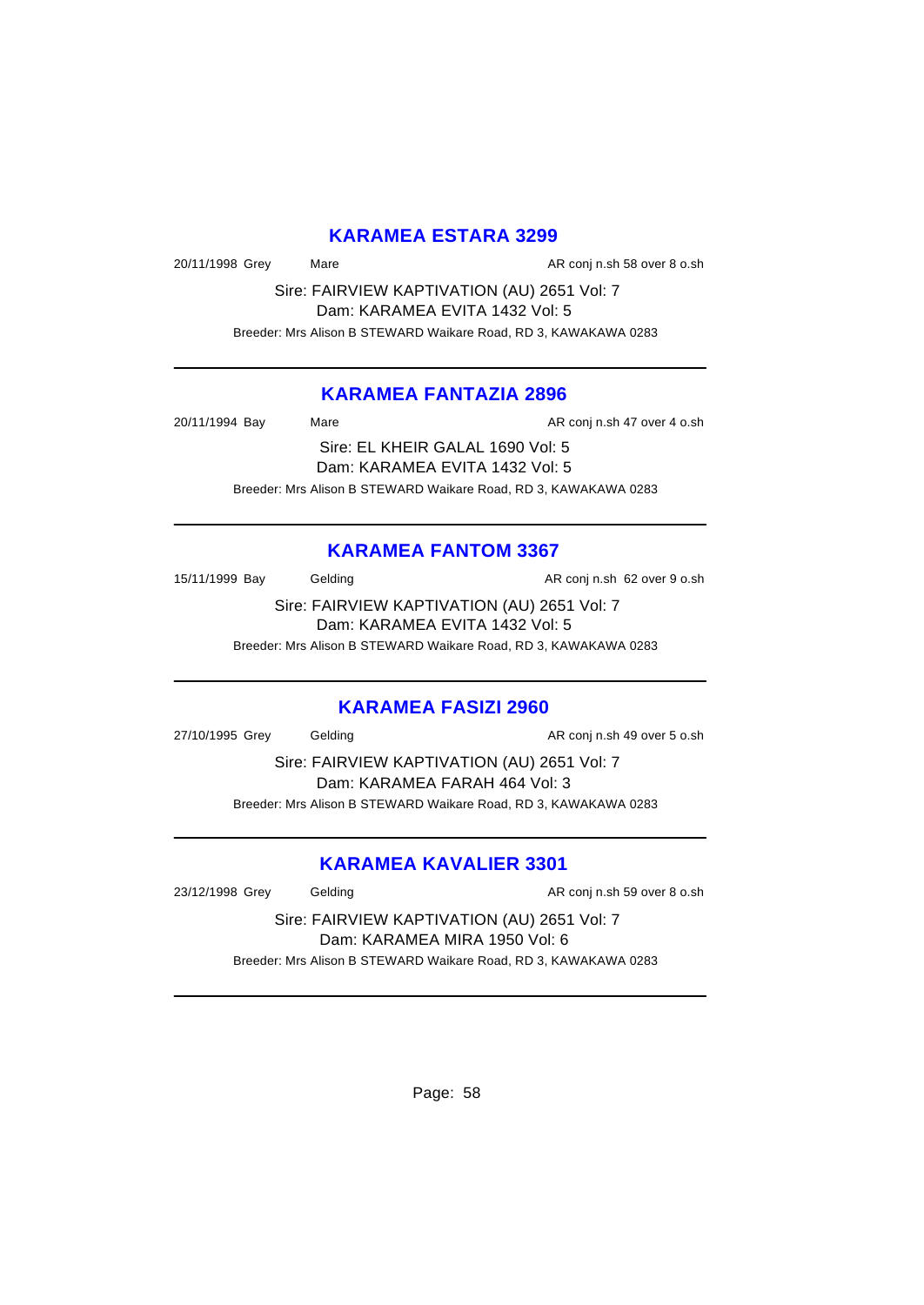## **KARAMEA ESTARA 3299**

20/11/1998 Grey Mare Mare AR conj n.sh 58 over 8 o.sh

Sire: FAIRVIEW KAPTIVATION (AU) 2651 Vol: 7 Dam: KARAMEA EVITA 1432 Vol: 5 Breeder: Mrs Alison B STEWARD Waikare Road, RD 3, KAWAKAWA 0283

#### **KARAMEA FANTAZIA 2896**

| 20/11/1994 Bay | Mare                                                            | AR conj n.sh 47 over 4 o.sh |
|----------------|-----------------------------------------------------------------|-----------------------------|
|                | Sire: EL KHEIR GALAL 1690 Vol: 5                                |                             |
|                | Dam: KARAMEA EVITA 1432 Vol: 5                                  |                             |
|                | Breeder: Mrs Alison B STEWARD Waikare Road, RD 3, KAWAKAWA 0283 |                             |

## **KARAMEA FANTOM 3367**

15/11/1999 Bay Gelding Cash and AR conj n.sh 62 over 9 o.sh

Sire: FAIRVIEW KAPTIVATION (AU) 2651 Vol: 7 Dam: KARAMEA EVITA 1432 Vol: 5

Breeder: Mrs Alison B STEWARD Waikare Road, RD 3, KAWAKAWA 0283

#### **KARAMEA FASIZI 2960**

27/10/1995 Grey Gelding Conjunction AR conjunction AR conjunction AR conjunction AR conjunction AR conjunction

Sire: FAIRVIEW KAPTIVATION (AU) 2651 Vol: 7 Dam: KARAMEA FARAH 464 Vol: 3 Breeder: Mrs Alison B STEWARD Waikare Road, RD 3, KAWAKAWA 0283

## **KARAMEA KAVALIER 3301**

23/12/1998 Grey Gelding Conjunction AR conjunction Solid AR conjunction Solid AR conjunction Solid AR conjunction

Sire: FAIRVIEW KAPTIVATION (AU) 2651 Vol: 7 Dam: KARAMEA MIRA 1950 Vol: 6 Breeder: Mrs Alison B STEWARD Waikare Road, RD 3, KAWAKAWA 0283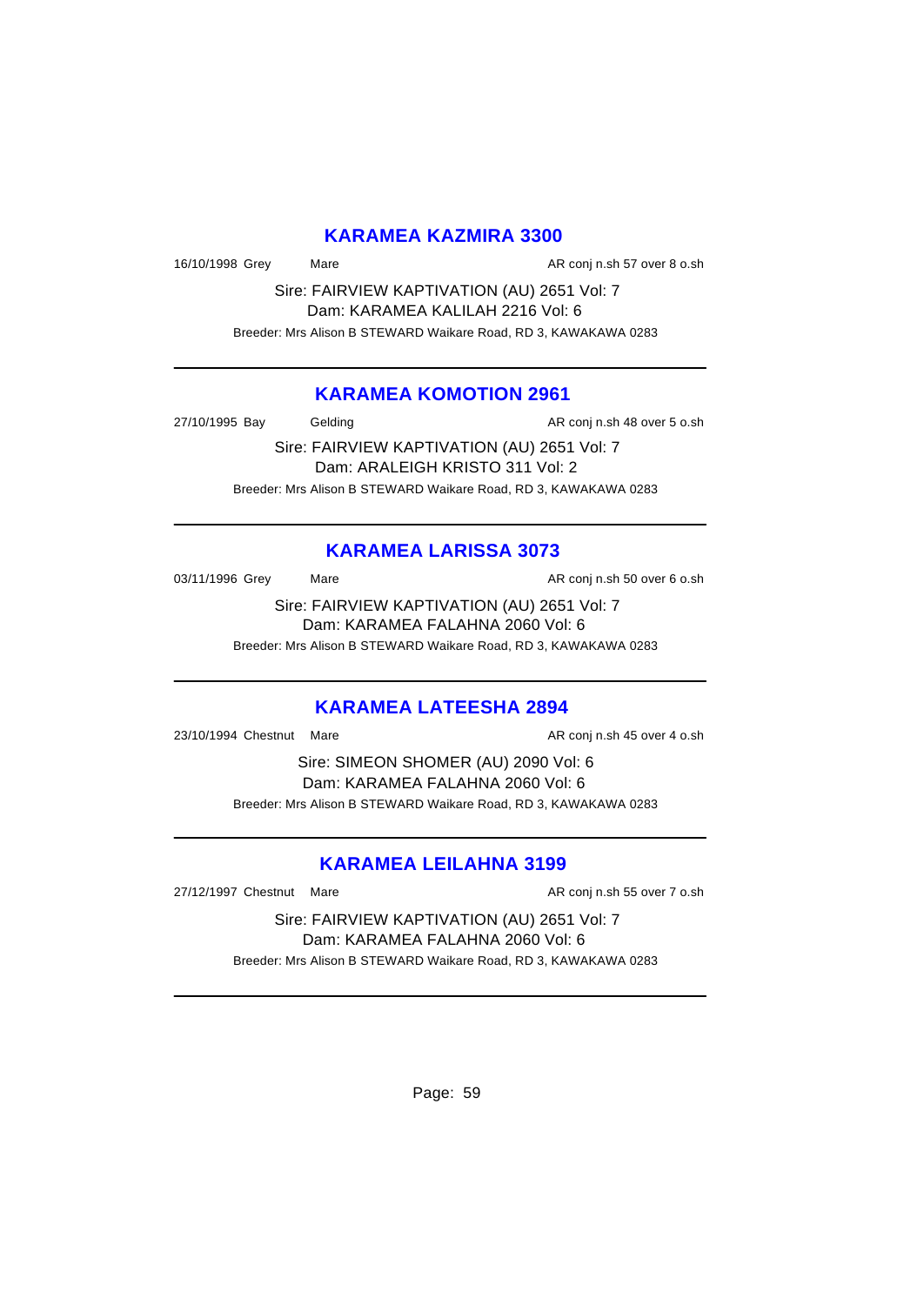#### **KARAMEA KAZMIRA 3300**

16/10/1998 Grey Mare Mare AR conj n.sh 57 over 8 o.sh

Sire: FAIRVIEW KAPTIVATION (AU) 2651 Vol: 7 Dam: KARAMEA KALILAH 2216 Vol: 6 Breeder: Mrs Alison B STEWARD Waikare Road, RD 3, KAWAKAWA 0283

#### **KARAMEA KOMOTION 2961**

27/10/1995 Bay Gelding Conjuncture AR conjunction AR conjunction Books

Sire: FAIRVIEW KAPTIVATION (AU) 2651 Vol: 7 Dam: ARALEIGH KRISTO 311 Vol: 2 Breeder: Mrs Alison B STEWARD Waikare Road, RD 3, KAWAKAWA 0283

## **KARAMEA LARISSA 3073**

03/11/1996 Grey Mare Mare AR conj n.sh 50 over 6 o.sh

Sire: FAIRVIEW KAPTIVATION (AU) 2651 Vol: 7 Dam: KARAMEA FALAHNA 2060 Vol: 6 Breeder: Mrs Alison B STEWARD Waikare Road, RD 3, KAWAKAWA 0283

### **KARAMEA LATEESHA 2894**

23/10/1994 Chestnut Mare **AR conj n.sh 45 over 4 o.sh** AR conj n.sh 45 over 4 o.sh

Sire: SIMEON SHOMER (AU) 2090 Vol: 6 Dam: KARAMEA FALAHNA 2060 Vol: 6 Breeder: Mrs Alison B STEWARD Waikare Road, RD 3, KAWAKAWA 0283

### **KARAMEA LEILAHNA 3199**

27/12/1997 Chestnut Mare **AR conj n.sh 55 over 7 o.sh** AR conj n.sh 55 over 7 o.sh

Sire: FAIRVIEW KAPTIVATION (AU) 2651 Vol: 7 Dam: KARAMEA FALAHNA 2060 Vol: 6 Breeder: Mrs Alison B STEWARD Waikare Road, RD 3, KAWAKAWA 0283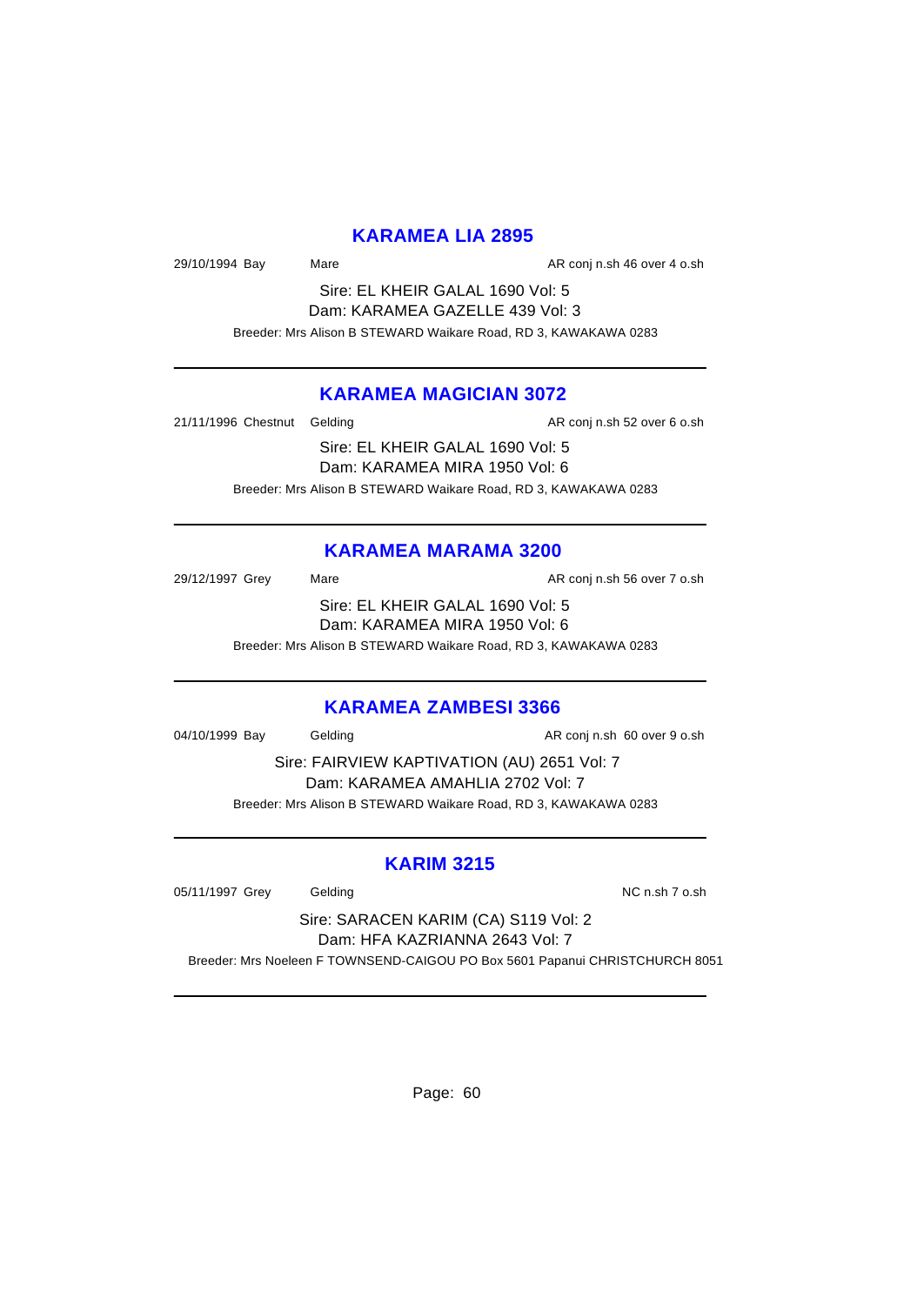#### **KARAMEA LIA 2895**

29/10/1994 Bay Mare Mare AR conj n.sh 46 over 4 o.sh

Sire: EL KHEIR GALAL 1690 Vol: 5 Dam: KARAMEA GAZELLE 439 Vol: 3 Breeder: Mrs Alison B STEWARD Waikare Road, RD 3, KAWAKAWA 0283

#### **KARAMEA MAGICIAN 3072**

21/11/1996 Chestnut Gelding and all the AR conj n.sh 52 over 6 o.sh Sire: EL KHEIR GALAL 1690 Vol: 5 Dam: KARAMEA MIRA 1950 Vol: 6 Breeder: Mrs Alison B STEWARD Waikare Road, RD 3, KAWAKAWA 0283

#### **KARAMEA MARAMA 3200**

29/12/1997 Grey Mare Mare AR conj n.sh 56 over 7 o.sh Sire: EL KHEIR GALAL 1690 Vol: 5 Dam: KARAMEA MIRA 1950 Vol: 6 Breeder: Mrs Alison B STEWARD Waikare Road, RD 3, KAWAKAWA 0283

#### **KARAMEA ZAMBESI 3366**

04/10/1999 Bay Gelding Conj n.sh 60 over 9 o.sh

Sire: FAIRVIEW KAPTIVATION (AU) 2651 Vol: 7 Dam: KARAMEA AMAHLIA 2702 Vol: 7 Breeder: Mrs Alison B STEWARD Waikare Road, RD 3, KAWAKAWA 0283

#### **KARIM 3215**

05/11/1997 Grey Gelding Communication of the NC n.sh 7 o.sh

Sire: SARACEN KARIM (CA) S119 Vol: 2 Dam: HFA KAZRIANNA 2643 Vol: 7

Breeder: Mrs Noeleen F TOWNSEND-CAIGOU PO Box 5601 Papanui CHRISTCHURCH 8051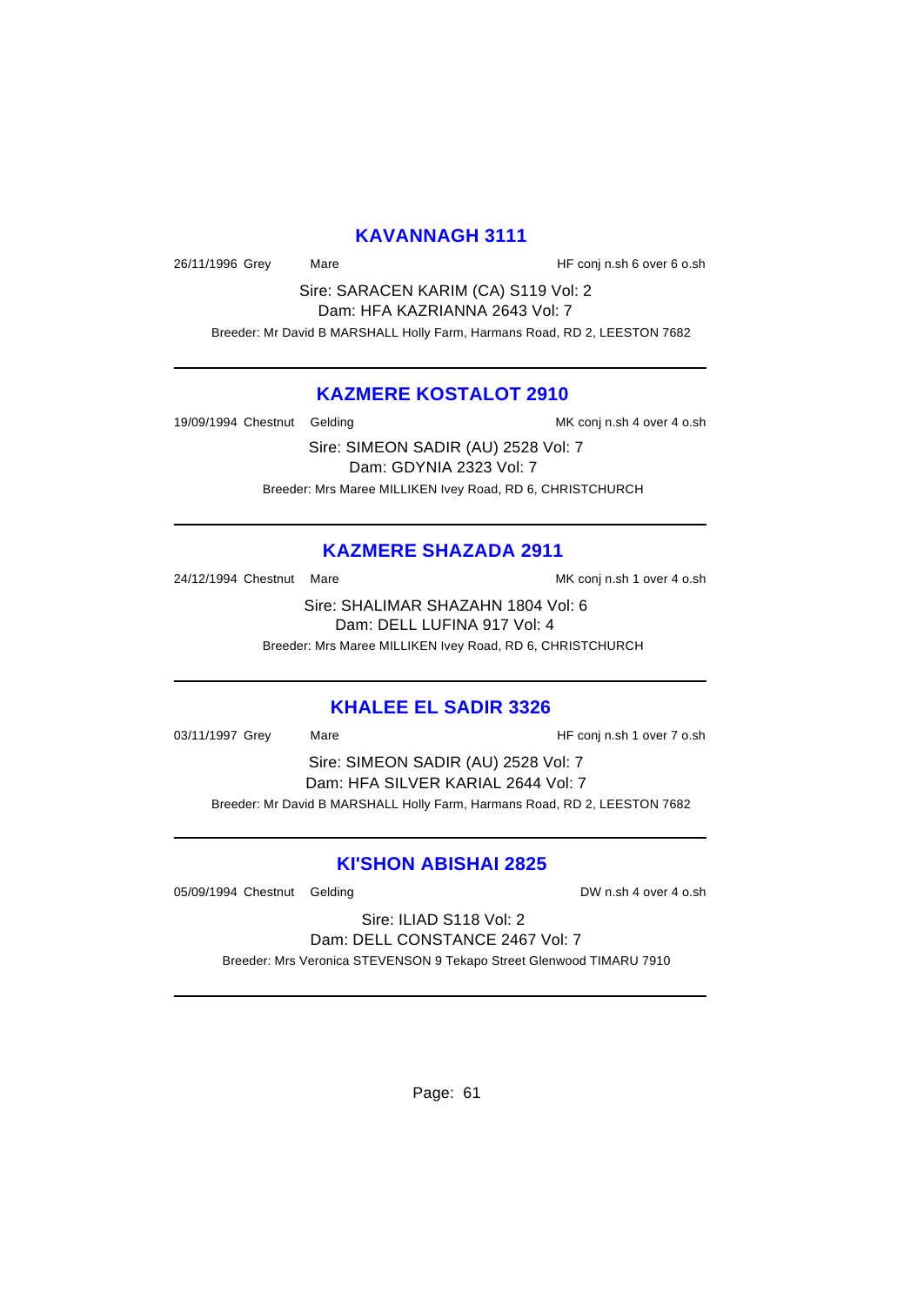#### **KAVANNAGH 3111**

26/11/1996 Grey Mare Mare HF conj n.sh 6 over 6 o.sh

Sire: SARACEN KARIM (CA) S119 Vol: 2 Dam: HFA KAZRIANNA 2643 Vol: 7

Breeder: Mr David B MARSHALL Holly Farm, Harmans Road, RD 2, LEESTON 7682

#### **KAZMERE KOSTALOT 2910**

19/09/1994 Chestnut Gelding and a state of MK conj n.sh 4 over 4 o.sh

Sire: SIMEON SADIR (AU) 2528 Vol: 7 Dam: GDYNIA 2323 Vol: 7 Breeder: Mrs Maree MILLIKEN Ivey Road, RD 6, CHRISTCHURCH

### **KAZMERE SHAZADA 2911**

24/12/1994 Chestnut Mare Maximus And MK conj n.sh 1 over 4 o.sh

Sire: SHALIMAR SHAZAHN 1804 Vol: 6 Dam: DELL LUFINA 917 Vol: 4 Breeder: Mrs Maree MILLIKEN Ivey Road, RD 6, CHRISTCHURCH

#### **KHALEE EL SADIR 3326**

03/11/1997 Grey Mare Mare HF conj n.sh 1 over 7 o.sh Sire: SIMEON SADIR (AU) 2528 Vol: 7 Dam: HFA SILVER KARIAL 2644 Vol: 7 Breeder: Mr David B MARSHALL Holly Farm, Harmans Road, RD 2, LEESTON 7682

#### **KI'SHON ABISHAI 2825**

05/09/1994 Chestnut Gelding DW n.sh 4 over 4 o.sh

Sire: ILIAD S118 Vol: 2 Dam: DELL CONSTANCE 2467 Vol: 7 Breeder: Mrs Veronica STEVENSON 9 Tekapo Street Glenwood TIMARU 7910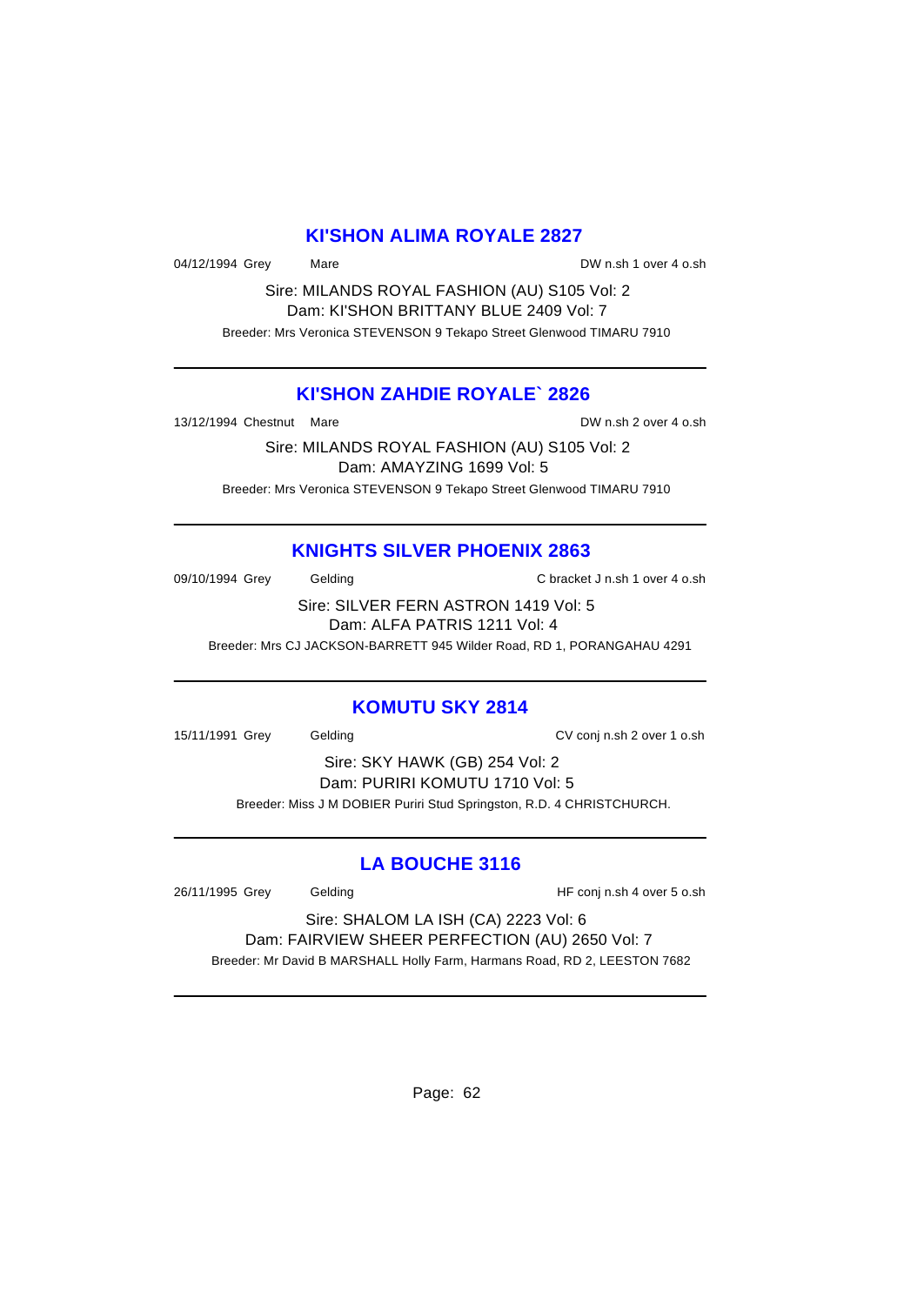#### **KI'SHON ALIMA ROYALE 2827**

04/12/1994 Grey Mare Mare DW n.sh 1 over 4 o.sh

Sire: MILANDS ROYAL FASHION (AU) S105 Vol: 2 Dam: KI'SHON BRITTANY BLUE 2409 Vol: 7 Breeder: Mrs Veronica STEVENSON 9 Tekapo Street Glenwood TIMARU 7910

#### **KI'SHON ZAHDIE ROYALE` 2826**

13/12/1994 Chestnut Mare DW n.sh 2 over 4 o.sh

Sire: MILANDS ROYAL FASHION (AU) S105 Vol: 2 Dam: AMAYZING 1699 Vol: 5 Breeder: Mrs Veronica STEVENSON 9 Tekapo Street Glenwood TIMARU 7910

## **KNIGHTS SILVER PHOENIX 2863**

09/10/1994 Grey Gelding C bracket J n.sh 1 over 4 o.sh

Sire: SILVER FERN ASTRON 1419 Vol: 5 Dam: ALFA PATRIS 1211 Vol: 4

Breeder: Mrs CJ JACKSON-BARRETT 945 Wilder Road, RD 1, PORANGAHAU 4291

### **KOMUTU SKY 2814**

15/11/1991 Grey Gelding CV conj n.sh 2 over 1 o.sh

Sire: SKY HAWK (GB) 254 Vol: 2 Dam: PURIRI KOMUTU 1710 Vol: 5 Breeder: Miss J M DOBIER Puriri Stud Springston, R.D. 4 CHRISTCHURCH.

### **LA BOUCHE 3116**

26/11/1995 Grey Gelding HF conj n.sh 4 over 5 o.sh

Sire: SHALOM LA ISH (CA) 2223 Vol: 6 Dam: FAIRVIEW SHEER PERFECTION (AU) 2650 Vol: 7 Breeder: Mr David B MARSHALL Holly Farm, Harmans Road, RD 2, LEESTON 7682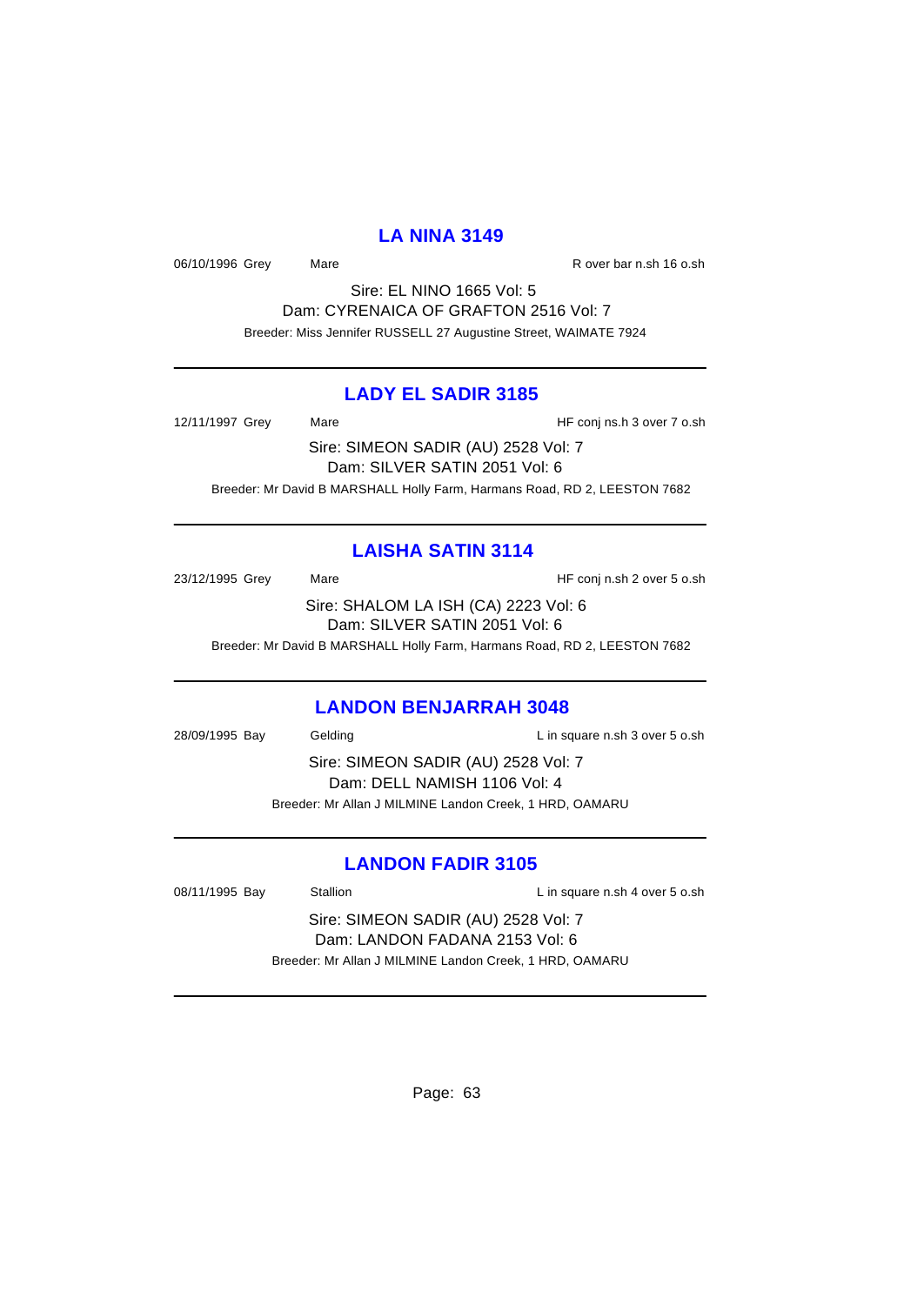#### **LA NINA 3149**

06/10/1996 Grey Mare Mare R over bar n.sh 16 o.sh

Sire: EL NINO 1665 Vol: 5 Dam: CYRENAICA OF GRAFTON 2516 Vol: 7 Breeder: Miss Jennifer RUSSELL 27 Augustine Street, WAIMATE 7924

#### **LADY EL SADIR 3185**

12/11/1997 Grey Mare Mare HF conj ns.h 3 over 7 o.sh

Sire: SIMEON SADIR (AU) 2528 Vol: 7 Dam: SILVER SATIN 2051 Vol: 6 Breeder: Mr David B MARSHALL Holly Farm, Harmans Road, RD 2, LEESTON 7682

#### **LAISHA SATIN 3114**

23/12/1995 Grey Mare Mare HF conj n.sh 2 over 5 o.sh Sire: SHALOM LA ISH (CA) 2223 Vol: 6 Dam: SILVER SATIN 2051 Vol: 6

Breeder: Mr David B MARSHALL Holly Farm, Harmans Road, RD 2, LEESTON 7682

#### **LANDON BENJARRAH 3048**

28/09/1995 Bay Gelding Casset Contract L in square n.sh 3 over 5 o.sh Sire: SIMEON SADIR (AU) 2528 Vol: 7 Dam: DELL NAMISH 1106 Vol: 4 Breeder: Mr Allan J MILMINE Landon Creek, 1 HRD, OAMARU

### **LANDON FADIR 3105**

| 08/11/1995 Bay                                          | Stallion | L in square n.sh 4 over 5 o.sh |
|---------------------------------------------------------|----------|--------------------------------|
| Sire: SIMEON SADIR (AU) 2528 Vol: 7                     |          |                                |
| Dam: LANDON FADANA 2153 Vol: 6                          |          |                                |
| Breeder: Mr Allan J MILMINE Landon Creek, 1 HRD, OAMARU |          |                                |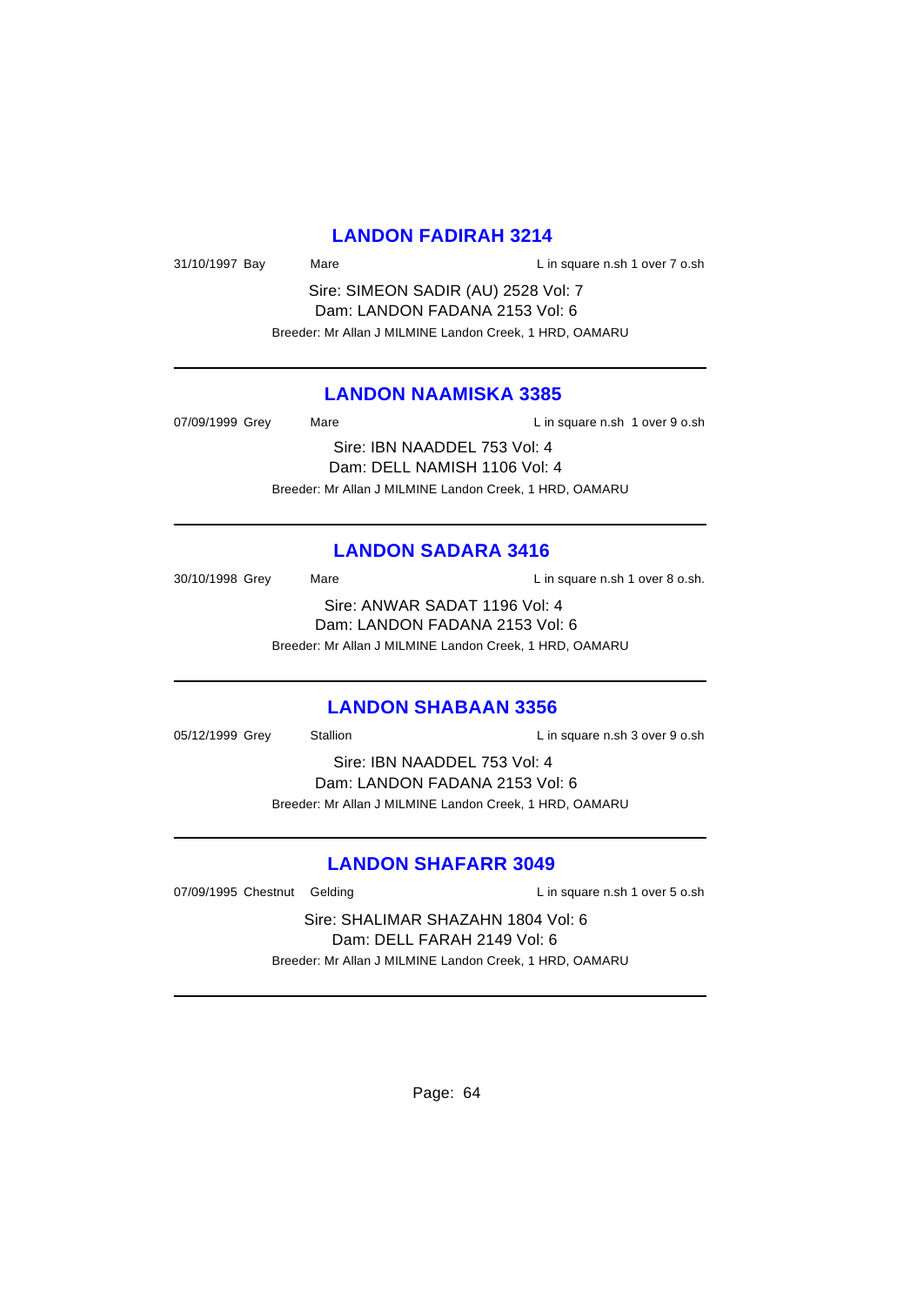#### **LANDON FADIRAH 3214**

31/10/1997 Bay Mare Mare Lin square n.sh 1 over 7 o.sh

Sire: SIMEON SADIR (AU) 2528 Vol: 7 Dam: LANDON FADANA 2153 Vol: 6 Breeder: Mr Allan J MILMINE Landon Creek, 1 HRD, OAMARU

#### **LANDON NAAMISKA 3385**

| 07/09/1999 Grey              | Mare | L in square n.sh 1 over 9 o.sh                          |  |
|------------------------------|------|---------------------------------------------------------|--|
|                              |      | Sire: IBN NAADDEL 753 Vol: 4                            |  |
| Dam: DELL NAMISH 1106 Vol: 4 |      |                                                         |  |
|                              |      | Breeder: Mr Allan J MILMINE Landon Creek, 1 HRD, OAMARU |  |

#### **LANDON SADARA 3416**

| 30/10/1998 Grey                | Mare                                                    | L in square n.sh 1 over 8 o.sh. |
|--------------------------------|---------------------------------------------------------|---------------------------------|
|                                | Sire: ANWAR SADAT 1196 Vol: 4                           |                                 |
| Dam: LANDON FADANA 2153 Vol: 6 |                                                         |                                 |
|                                | Breeder: Mr Allan J MILMINE Landon Creek, 1 HRD, OAMARU |                                 |

#### **LANDON SHABAAN 3356**

| 05/12/1999 Grey                | Stallion                                                | L in square n.sh 3 over 9 o.sh |
|--------------------------------|---------------------------------------------------------|--------------------------------|
| Sire: IBN NAADDEL 753 Vol: 4   |                                                         |                                |
| Dam: LANDON FADANA 2153 Vol: 6 |                                                         |                                |
|                                | Breeder: Mr Allan J MILMINE Landon Creek, 1 HRD, OAMARU |                                |
|                                |                                                         |                                |

### **LANDON SHAFARR 3049**

07/09/1995 Chestnut Gelding Lin square n.sh 1 over 5 o.sh

Sire: SHALIMAR SHAZAHN 1804 Vol: 6 Dam: DELL FARAH 2149 Vol: 6 Breeder: Mr Allan J MILMINE Landon Creek, 1 HRD, OAMARU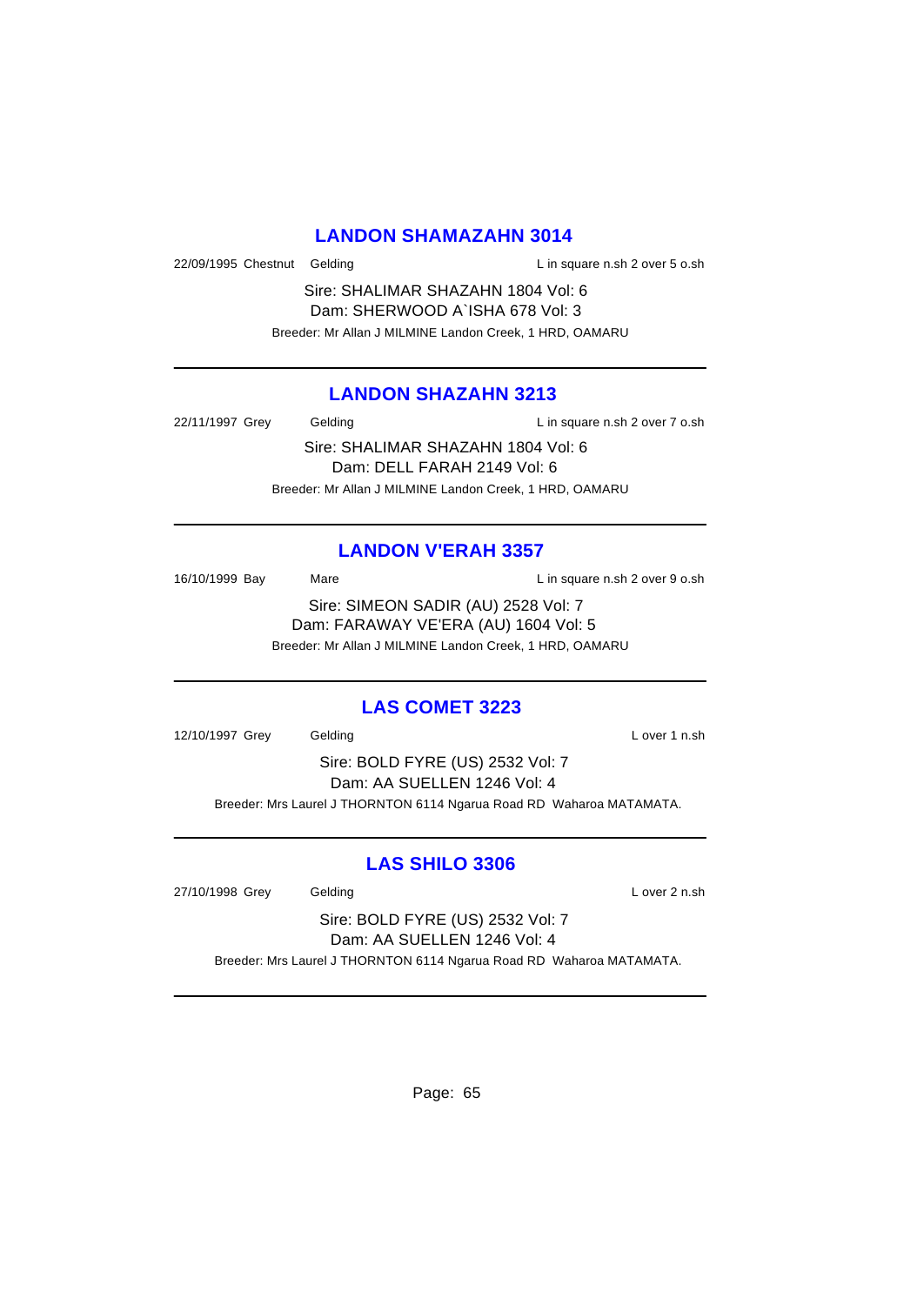#### **LANDON SHAMAZAHN 3014**

22/09/1995 Chestnut Gelding L in square n.sh 2 over 5 o.sh

Sire: SHALIMAR SHAZAHN 1804 Vol: 6 Dam: SHERWOOD A`ISHA 678 Vol: 3 Breeder: Mr Allan J MILMINE Landon Creek, 1 HRD, OAMARU

### **LANDON SHAZAHN 3213**

22/11/1997 Grey Gelding Casset Controller L in square n.sh 2 over 7 o.sh

Sire: SHALIMAR SHAZAHN 1804 Vol: 6 Dam: DELL FARAH 2149 Vol: 6 Breeder: Mr Allan J MILMINE Landon Creek, 1 HRD, OAMARU

### **LANDON V'ERAH 3357**

16/10/1999 Bay Mare L in square n.sh 2 over 9 o.sh Sire: SIMEON SADIR (AU) 2528 Vol: 7 Dam: FARAWAY VE'ERA (AU) 1604 Vol: 5 Breeder: Mr Allan J MILMINE Landon Creek, 1 HRD, OAMARU

#### **LAS COMET 3223**

12/10/1997 Grey Gelding Contract Contract Contract Contract Contract Contract Contract Contract Contract Contract Contract Contract Contract Contract Contract Contract Contract Contract Contract Contract Contract Contract

Sire: BOLD FYRE (US) 2532 Vol: 7 Dam: AA SUELLEN 1246 Vol: 4 Breeder: Mrs Laurel J THORNTON 6114 Ngarua Road RD Waharoa MATAMATA.

### **LAS SHILO 3306**

27/10/1998 Grey Gelding Care Constants Cover 2 n.sh

Sire: BOLD FYRE (US) 2532 Vol: 7 Dam: AA SUELLEN 1246 Vol: 4 Breeder: Mrs Laurel J THORNTON 6114 Ngarua Road RD Waharoa MATAMATA.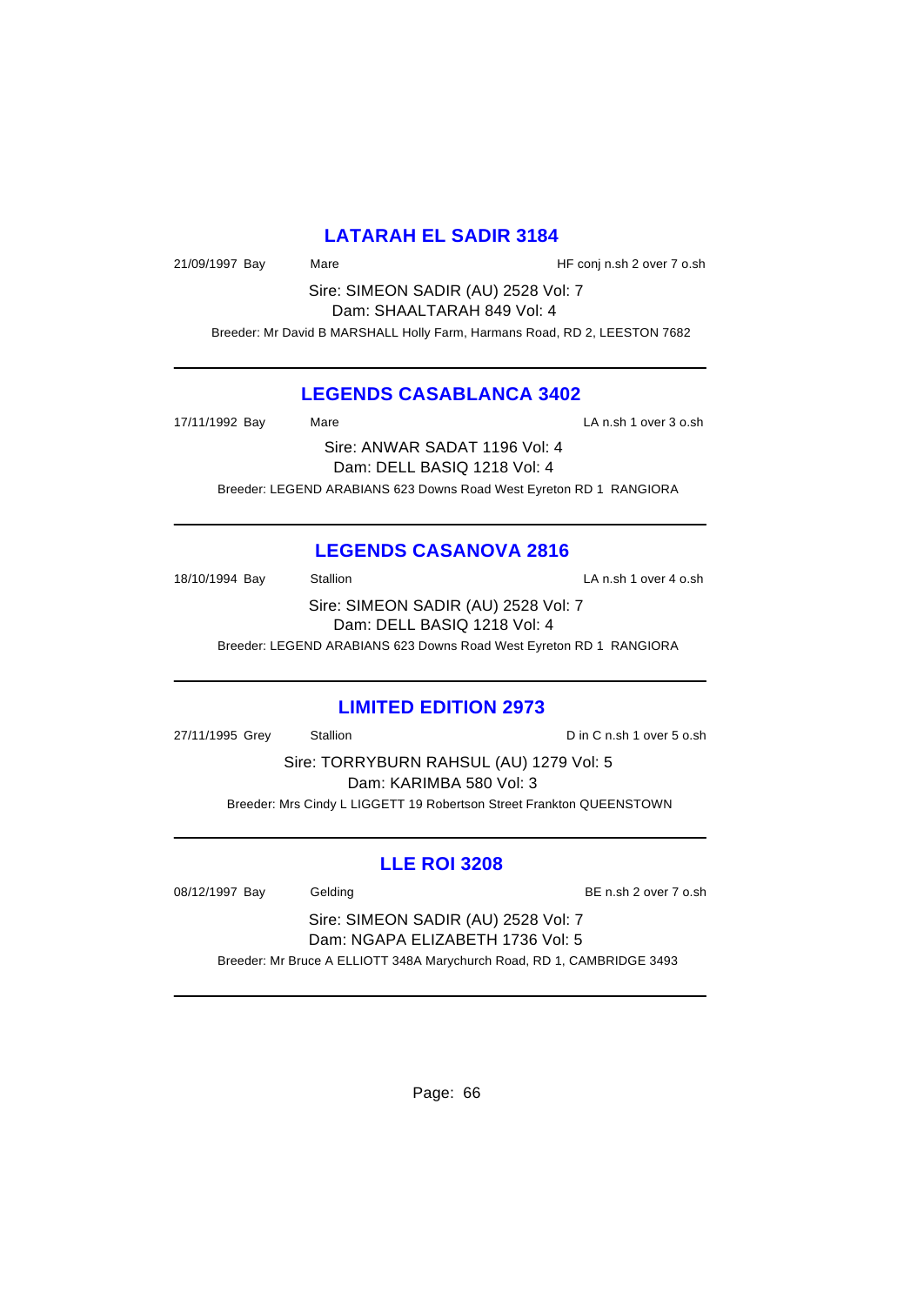### **LATARAH EL SADIR 3184**

21/09/1997 Bay Mare Mare HF conj n.sh 2 over 7 o.sh

Sire: SIMEON SADIR (AU) 2528 Vol: 7 Dam: SHAALTARAH 849 Vol: 4

Breeder: Mr David B MARSHALL Holly Farm, Harmans Road, RD 2, LEESTON 7682

### **LEGENDS CASABLANCA 3402**

17/11/1992 Bay Mare LA n.sh 1 over 3 o.sh Sire: ANWAR SADAT 1196 Vol: 4 Dam: DELL BASIQ 1218 Vol: 4 Breeder: LEGEND ARABIANS 623 Downs Road West Eyreton RD 1 RANGIORA

## **LEGENDS CASANOVA 2816**

18/10/1994 Bay Stallion Stallion State State State State State State State State State State State State State State State State State State State State State State State State State State State State State State State Sta Sire: SIMEON SADIR (AU) 2528 Vol: 7 Dam: DELL BASIQ 1218 Vol: 4

Breeder: LEGEND ARABIANS 623 Downs Road West Eyreton RD 1 RANGIORA

### **LIMITED EDITION 2973**

27/11/1995 Grey Stallion C n.sh 1 over 5 o.sh

Sire: TORRYBURN RAHSUL (AU) 1279 Vol: 5 Dam: KARIMBA 580 Vol: 3 Breeder: Mrs Cindy L LIGGETT 19 Robertson Street Frankton QUEENSTOWN

### **LLE ROI 3208**

08/12/1997 Bay Gelding Gelding BE n.sh 2 over 7 o.sh

Sire: SIMEON SADIR (AU) 2528 Vol: 7 Dam: NGAPA ELIZABETH 1736 Vol: 5

Breeder: Mr Bruce A ELLIOTT 348A Marychurch Road, RD 1, CAMBRIDGE 3493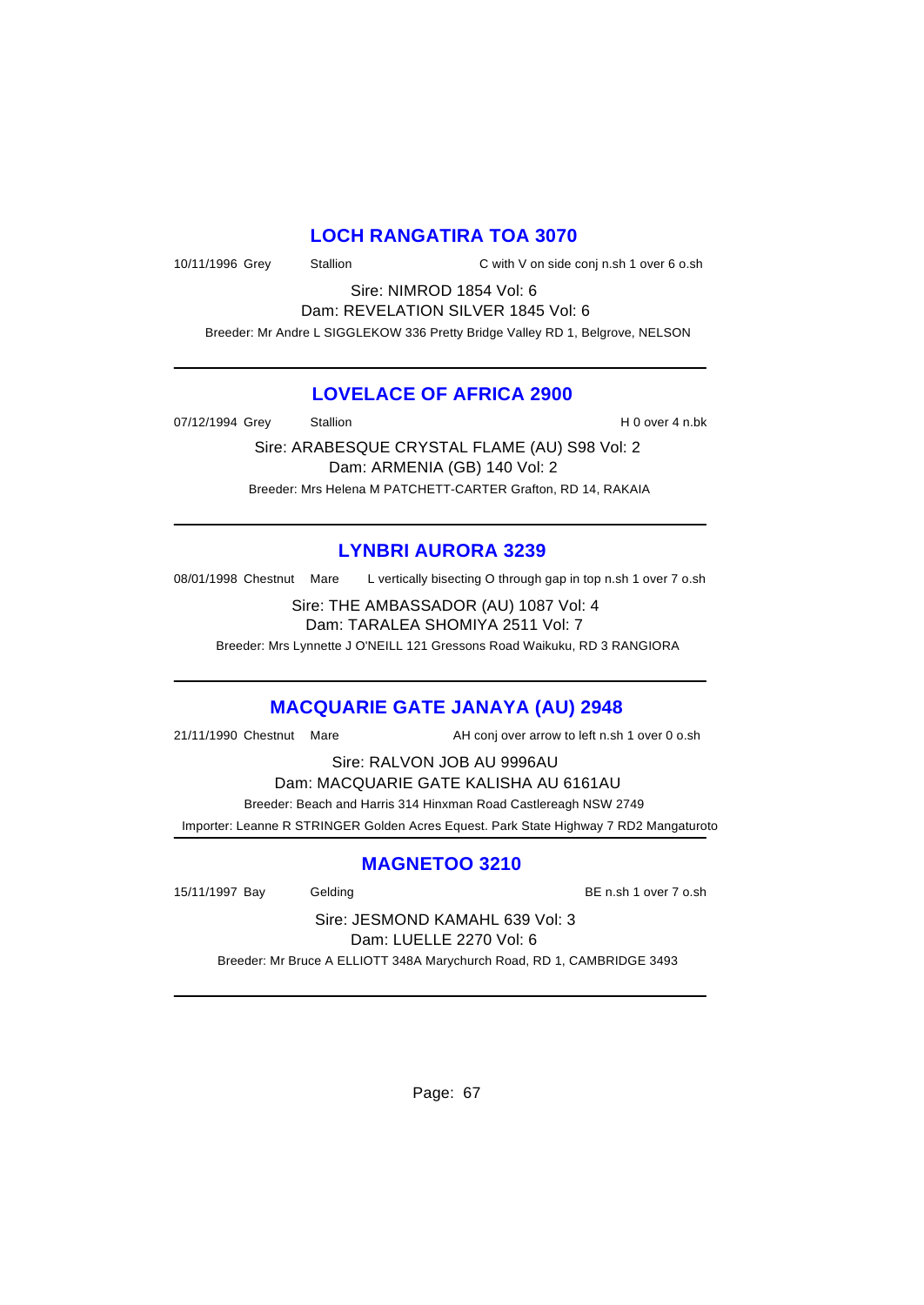#### **LOCH RANGATIRA TOA 3070**

10/11/1996 Grey Stallion C with V on side conj n.sh 1 over 6 o.sh

Sire: NIMROD 1854 Vol: 6 Dam: REVELATION SILVER 1845 Vol: 6

Breeder: Mr Andre L SIGGLEKOW 336 Pretty Bridge Valley RD 1, Belgrove, NELSON

### **LOVELACE OF AFRICA 2900**

07/12/1994 Grey Stallion Stallion Stallion Stallion State State State State State State State State State State

Sire: ARABESQUE CRYSTAL FLAME (AU) S98 Vol: 2 Dam: ARMENIA (GB) 140 Vol: 2 Breeder: Mrs Helena M PATCHETT-CARTER Grafton, RD 14, RAKAIA

# **LYNBRI AURORA 3239**

08/01/1998 Chestnut Mare L vertically bisecting O through gap in top n.sh 1 over 7 o.sh

Sire: THE AMBASSADOR (AU) 1087 Vol: 4 Dam: TARALEA SHOMIYA 2511 Vol: 7

Breeder: Mrs Lynnette J O'NEILL 121 Gressons Road Waikuku, RD 3 RANGIORA

### **MACQUARIE GATE JANAYA (AU) 2948**

21/11/1990 Chestnut Mare AH conj over arrow to left n.sh 1 over 0 o.sh

Sire: RALVON JOB AU 9996AU

Dam: MACQUARIE GATE KALISHA AU 6161AU

Breeder: Beach and Harris 314 Hinxman Road Castlereagh NSW 2749

Importer: Leanne R STRINGER Golden Acres Equest. Park State Highway 7 RD2 Mangaturoto

### **MAGNETOO 3210**

15/11/1997 Bay Gelding Gelding BE n.sh 1 over 7 o.sh

Sire: JESMOND KAMAHL 639 Vol: 3 Dam: LUELLE 2270 Vol: 6

Breeder: Mr Bruce A ELLIOTT 348A Marychurch Road, RD 1, CAMBRIDGE 3493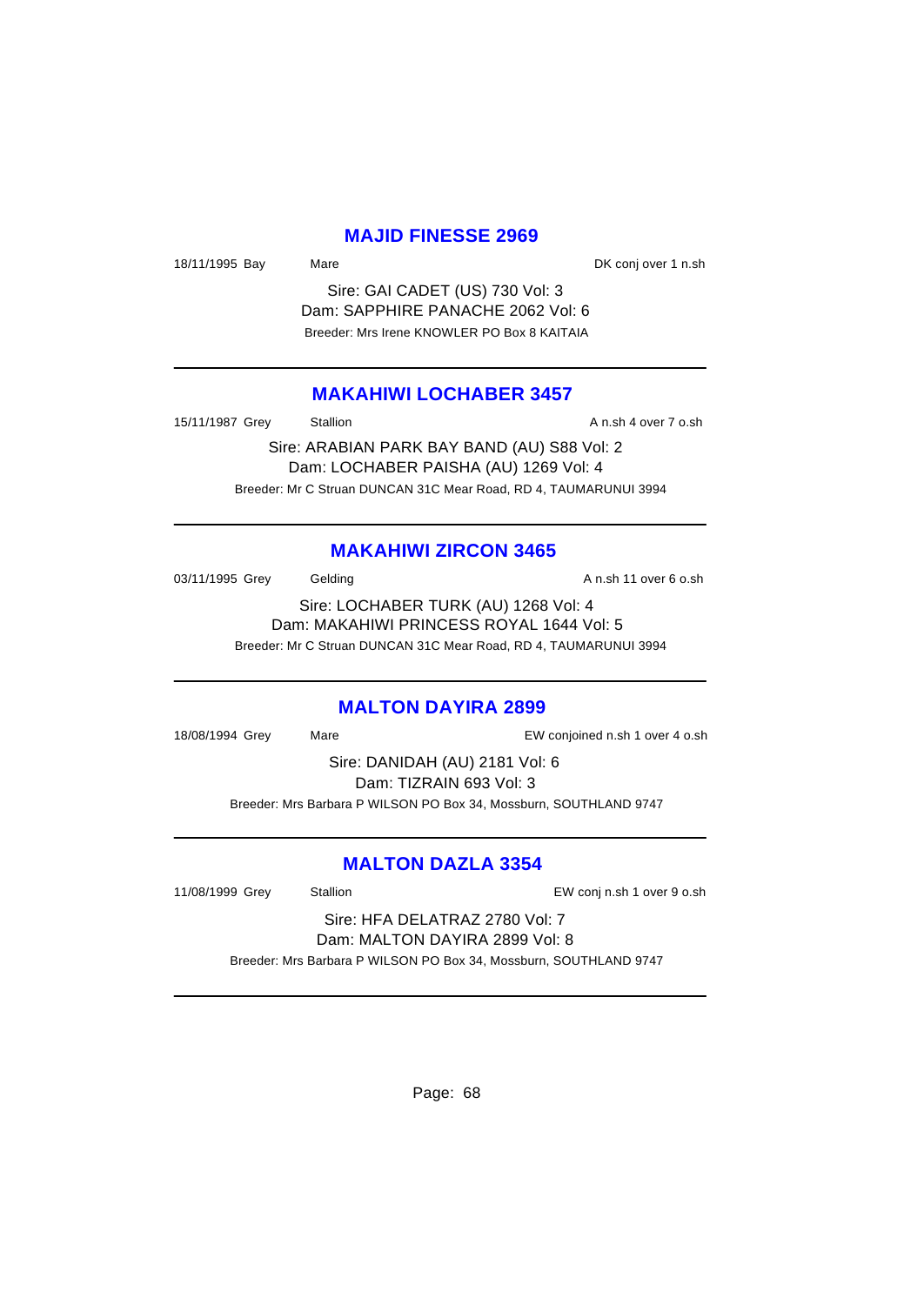#### **MAJID FINESSE 2969**

18/11/1995 Bay Mare Mare DK conj over 1 n.sh

Sire: GAI CADET (US) 730 Vol: 3 Dam: SAPPHIRE PANACHE 2062 Vol: 6 Breeder: Mrs Irene KNOWLER PO Box 8 KAITAIA

#### **MAKAHIWI LOCHABER 3457**

15/11/1987 Grey Stallion **Stallion** A n.sh 4 over 7 o.sh

Sire: ARABIAN PARK BAY BAND (AU) S88 Vol: 2 Dam: LOCHABER PAISHA (AU) 1269 Vol: 4 Breeder: Mr C Struan DUNCAN 31C Mear Road, RD 4, TAUMARUNUI 3994

#### **MAKAHIWI ZIRCON 3465**

03/11/1995 Grey Gelding Gelding A n.sh 11 over 6 o.sh

Sire: LOCHABER TURK (AU) 1268 Vol: 4 Dam: MAKAHIWI PRINCESS ROYAL 1644 Vol: 5 Breeder: Mr C Struan DUNCAN 31C Mear Road, RD 4, TAUMARUNUI 3994

#### **MALTON DAYIRA 2899**

18/08/1994 Grey Mare EW conjoined n.sh 1 over 4 o.sh

Sire: DANIDAH (AU) 2181 Vol: 6 Dam: TIZRAIN 693 Vol: 3 Breeder: Mrs Barbara P WILSON PO Box 34, Mossburn, SOUTHLAND 9747

#### **MALTON DAZLA 3354**

11/08/1999 Grey Stallion EW conj n.sh 1 over 9 o.sh

Sire: HFA DELATRAZ 2780 Vol: 7 Dam: MALTON DAYIRA 2899 Vol: 8

Breeder: Mrs Barbara P WILSON PO Box 34, Mossburn, SOUTHLAND 9747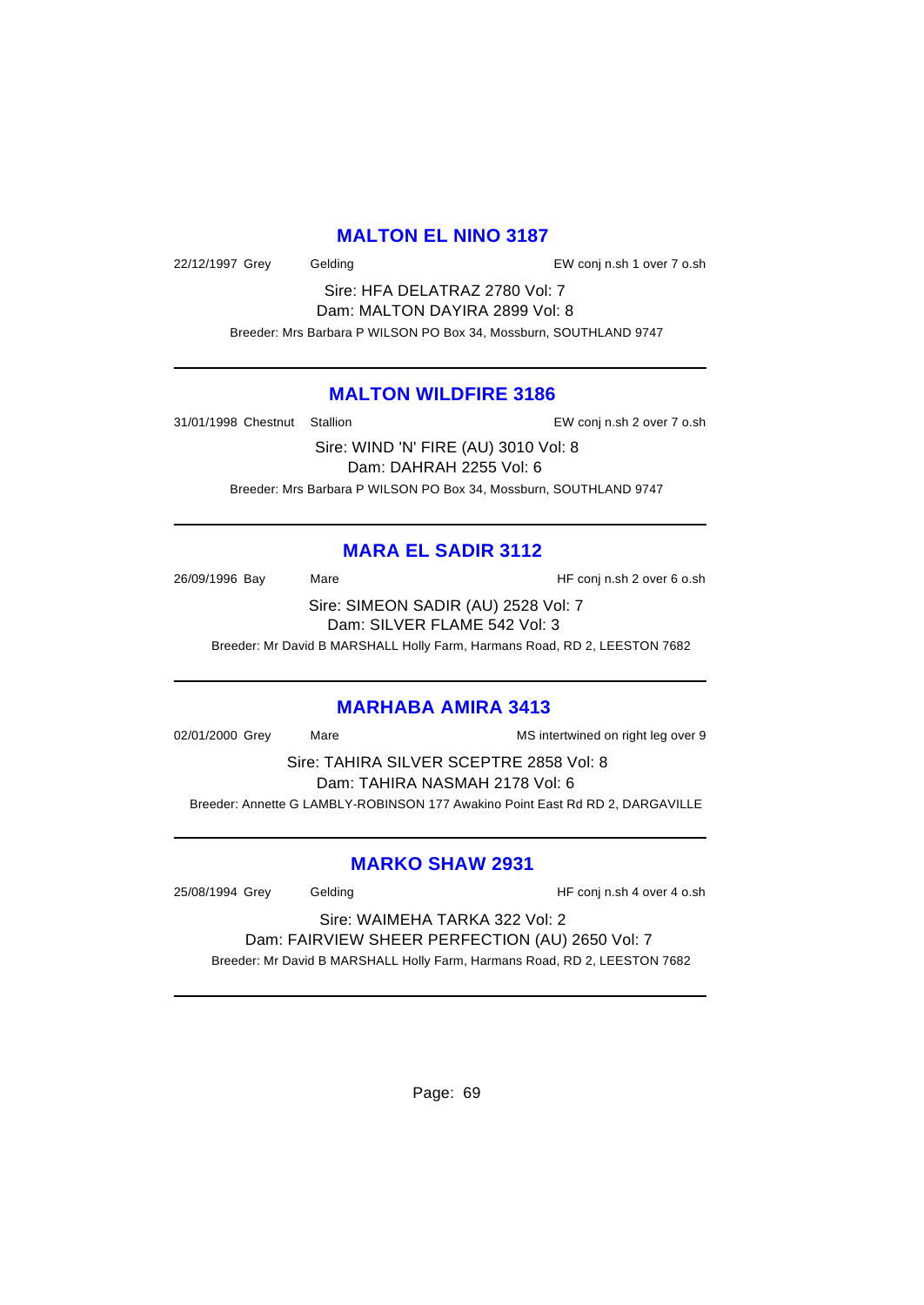#### **MALTON EL NINO 3187**

22/12/1997 Grey Gelding EW conj n.sh 1 over 7 o.sh

Sire: HFA DELATRAZ 2780 Vol: 7 Dam: MALTON DAYIRA 2899 Vol: 8 Breeder: Mrs Barbara P WILSON PO Box 34, Mossburn, SOUTHLAND 9747

#### **MALTON WILDFIRE 3186**

31/01/1998 Chestnut Stallion EW conj n.sh 2 over 7 o.sh

Sire: WIND 'N' FIRE (AU) 3010 Vol: 8 Dam: DAHRAH 2255 Vol: 6 Breeder: Mrs Barbara P WILSON PO Box 34, Mossburn, SOUTHLAND 9747

## **MARA EL SADIR 3112**

26/09/1996 Bay Mare Mare HF conj n.sh 2 over 6 o.sh Sire: SIMEON SADIR (AU) 2528 Vol: 7 Dam: SILVER FLAME 542 Vol: 3

Breeder: Mr David B MARSHALL Holly Farm, Harmans Road, RD 2, LEESTON 7682

#### **MARHABA AMIRA 3413**

02/01/2000 Grey Mare Mare Mathematic MS intertwined on right leg over 9

Sire: TAHIRA SILVER SCEPTRE 2858 Vol: 8 Dam: TAHIRA NASMAH 2178 Vol: 6 Breeder: Annette G LAMBLY-ROBINSON 177 Awakino Point East Rd RD 2, DARGAVILLE

### **MARKO SHAW 2931**

25/08/1994 Grey Gelding HF conj n.sh 4 over 4 o.sh

Sire: WAIMEHA TARKA 322 Vol: 2 Dam: FAIRVIEW SHEER PERFECTION (AU) 2650 Vol: 7 Breeder: Mr David B MARSHALL Holly Farm, Harmans Road, RD 2, LEESTON 7682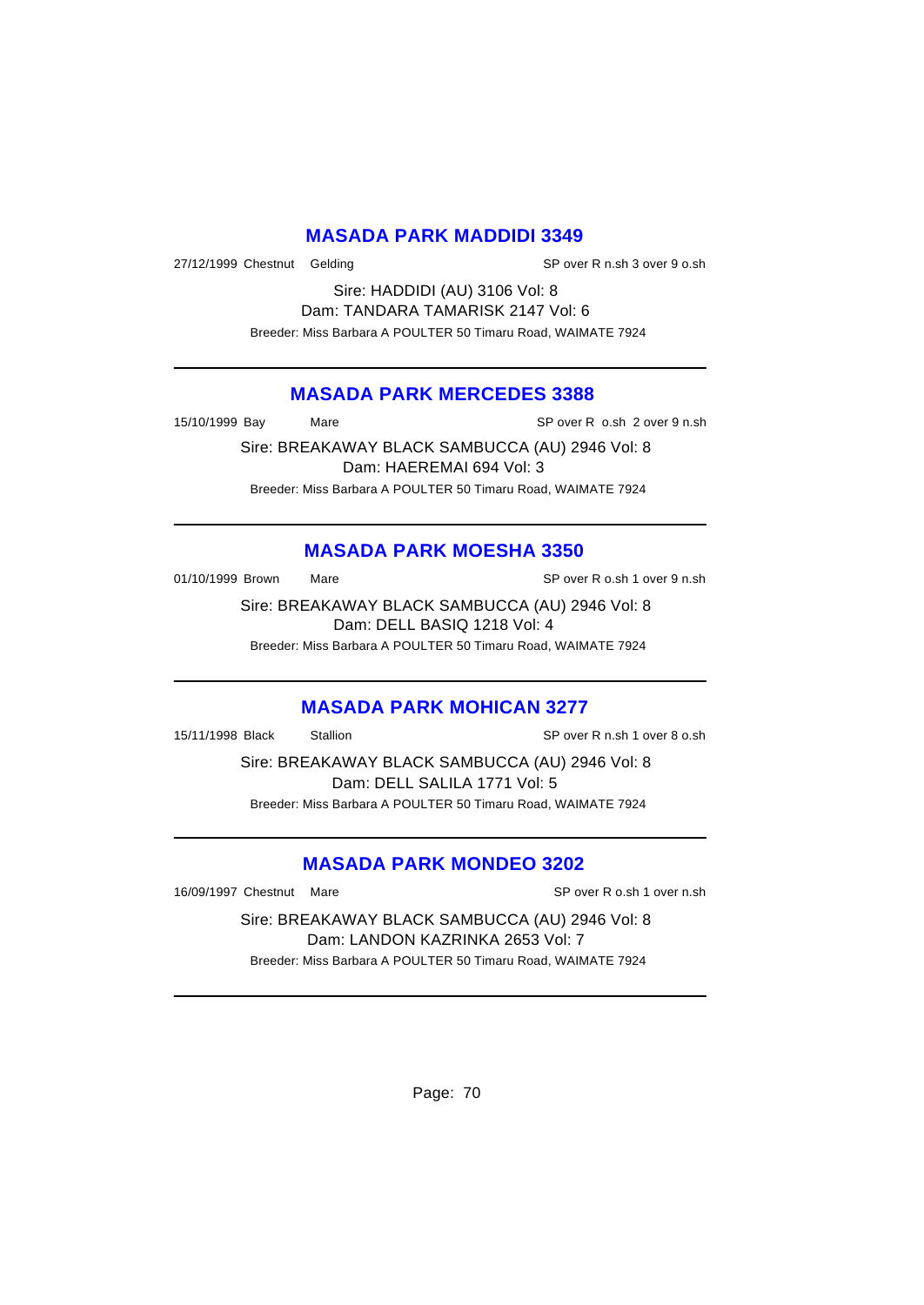### **MASADA PARK MADDIDI 3349**

27/12/1999 Chestnut Gelding SP over R n.sh 3 over 9 o.sh

Sire: HADDIDI (AU) 3106 Vol: 8 Dam: TANDARA TAMARISK 2147 Vol: 6 Breeder: Miss Barbara A POULTER 50 Timaru Road, WAIMATE 7924

#### **MASADA PARK MERCEDES 3388**

15/10/1999 Bay Mare SP over R o.sh 2 over 9 n.sh

Sire: BREAKAWAY BLACK SAMBUCCA (AU) 2946 Vol: 8 Dam: HAEREMAI 694 Vol: 3 Breeder: Miss Barbara A POULTER 50 Timaru Road, WAIMATE 7924

## **MASADA PARK MOESHA 3350**

01/10/1999 Brown Mare Mare SP over R o.sh 1 over 9 n.sh

Sire: BREAKAWAY BLACK SAMBUCCA (AU) 2946 Vol: 8 Dam: DELL BASIQ 1218 Vol: 4 Breeder: Miss Barbara A POULTER 50 Timaru Road, WAIMATE 7924

#### **MASADA PARK MOHICAN 3277**

15/11/1998 Black Stallion SP over R n.sh 1 over 8 o.sh

Sire: BREAKAWAY BLACK SAMBUCCA (AU) 2946 Vol: 8 Dam: DELL SALILA 1771 Vol: 5 Breeder: Miss Barbara A POULTER 50 Timaru Road, WAIMATE 7924

### **MASADA PARK MONDEO 3202**

16/09/1997 Chestnut Mare SP over R o.sh 1 over n.sh

Sire: BREAKAWAY BLACK SAMBUCCA (AU) 2946 Vol: 8 Dam: LANDON KAZRINKA 2653 Vol: 7 Breeder: Miss Barbara A POULTER 50 Timaru Road, WAIMATE 7924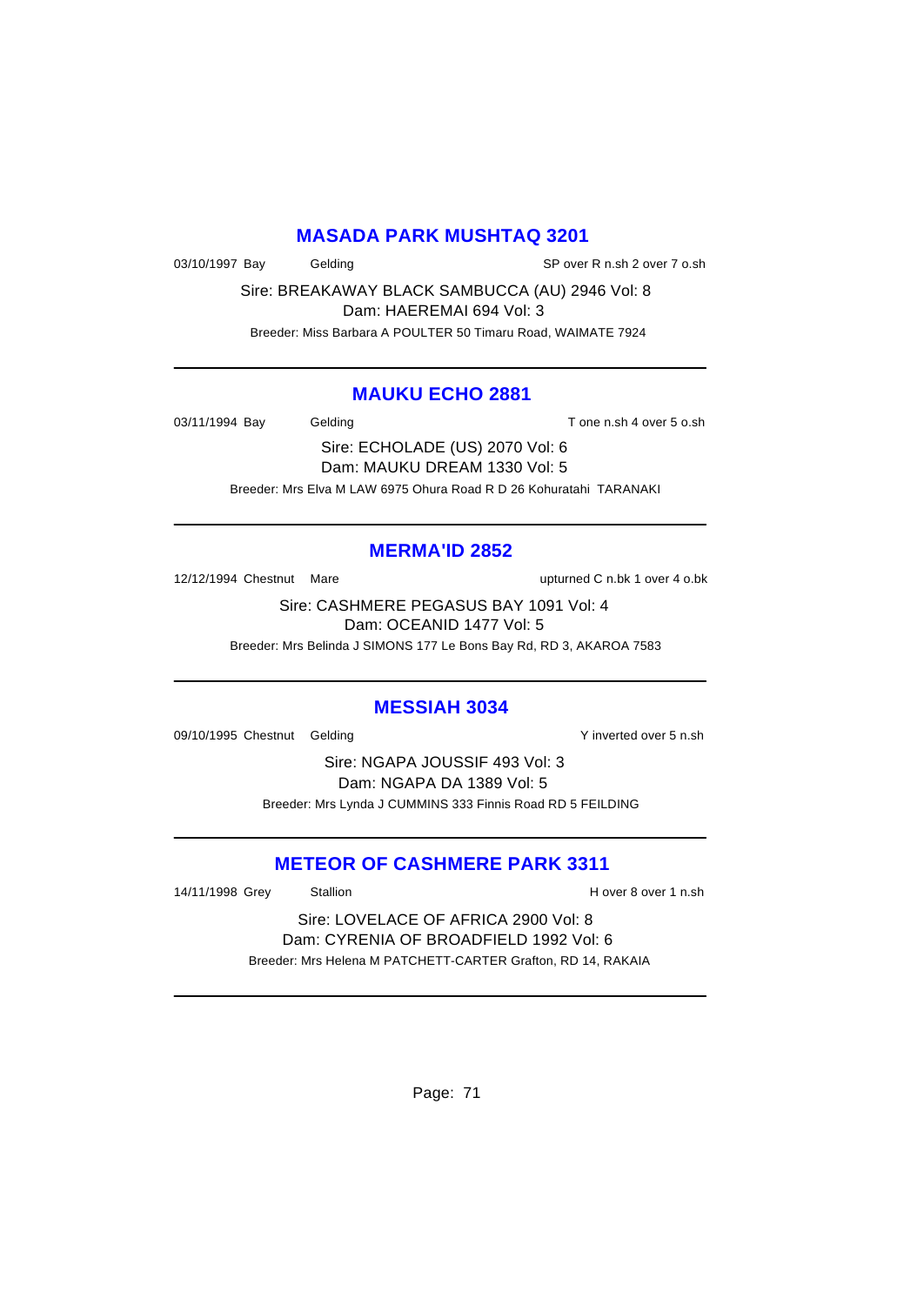### **MASADA PARK MUSHTAQ 3201**

03/10/1997 Bay Gelding Gelding SP over R n.sh 2 over 7 o.sh

Sire: BREAKAWAY BLACK SAMBUCCA (AU) 2946 Vol: 8 Dam: HAEREMAI 694 Vol: 3

Breeder: Miss Barbara A POULTER 50 Timaru Road, WAIMATE 7924

### **MAUKU ECHO 2881**

03/11/1994 Bay Gelding Gelding T one n.sh 4 over 5 o.sh

Sire: ECHOLADE (US) 2070 Vol: 6 Dam: MAUKU DREAM 1330 Vol: 5 Breeder: Mrs Elva M LAW 6975 Ohura Road R D 26 Kohuratahi TARANAKI

### **MERMA'ID 2852**

12/12/1994 Chestnut Mare upturned C n.bk 1 over 4 o.bk

Sire: CASHMERE PEGASUS BAY 1091 Vol: 4 Dam: OCEANID 1477 Vol: 5

Breeder: Mrs Belinda J SIMONS 177 Le Bons Bay Rd, RD 3, AKAROA 7583

#### **MESSIAH 3034**

09/10/1995 Chestnut Gelding Y inverted over 5 n.sh

Sire: NGAPA JOUSSIF 493 Vol: 3 Dam: NGAPA DA 1389 Vol: 5 Breeder: Mrs Lynda J CUMMINS 333 Finnis Road RD 5 FEILDING

### **METEOR OF CASHMERE PARK 3311**

14/11/1998 Grey Stallion **Stallion H** over 8 over 1 n.sh

Sire: LOVELACE OF AFRICA 2900 Vol: 8 Dam: CYRENIA OF BROADFIELD 1992 Vol: 6 Breeder: Mrs Helena M PATCHETT-CARTER Grafton, RD 14, RAKAIA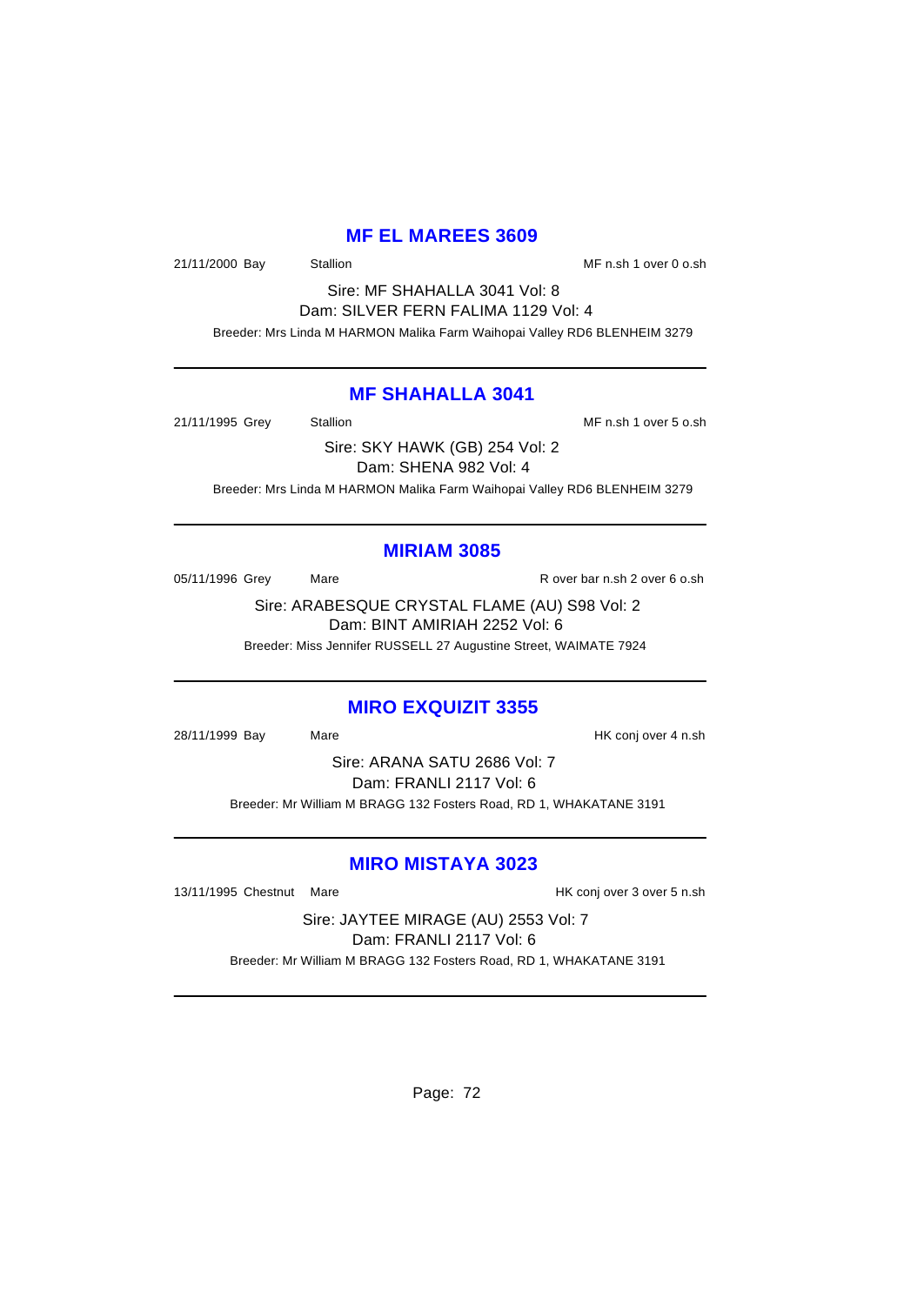#### **MF EL MAREES 3609**

21/11/2000 Bay Stallion Stallion State of MF n.sh 1 over 0 o.sh

Sire: MF SHAHALLA 3041 Vol: 8 Dam: SILVER FERN FALIMA 1129 Vol: 4

Breeder: Mrs Linda M HARMON Malika Farm Waihopai Valley RD6 BLENHEIM 3279

#### **MF SHAHALLA 3041**

21/11/1995 Grey Stallion MF n.sh 1 over 5 o.sh

Sire: SKY HAWK (GB) 254 Vol: 2

Dam: SHENA 982 Vol: 4

Breeder: Mrs Linda M HARMON Malika Farm Waihopai Valley RD6 BLENHEIM 3279

#### **MIRIAM 3085**

05/11/1996 Grey Mare Mare R over bar n.sh 2 over 6 o.sh

Sire: ARABESQUE CRYSTAL FLAME (AU) S98 Vol: 2 Dam: BINT AMIRIAH 2252 Vol: 6

Breeder: Miss Jennifer RUSSELL 27 Augustine Street, WAIMATE 7924

### **MIRO EXQUIZIT 3355**

28/11/1999 Bay Mare HK conj over 4 n.sh

Sire: ARANA SATU 2686 Vol: 7 Dam: FRANLI 2117 Vol: 6 Breeder: Mr William M BRAGG 132 Fosters Road, RD 1, WHAKATANE 3191

### **MIRO MISTAYA 3023**

13/11/1995 Chestnut Mare **Market Constructs** HK conj over 3 over 5 n.sh

Sire: JAYTEE MIRAGE (AU) 2553 Vol: 7 Dam: FRANLI 2117 Vol: 6 Breeder: Mr William M BRAGG 132 Fosters Road, RD 1, WHAKATANE 3191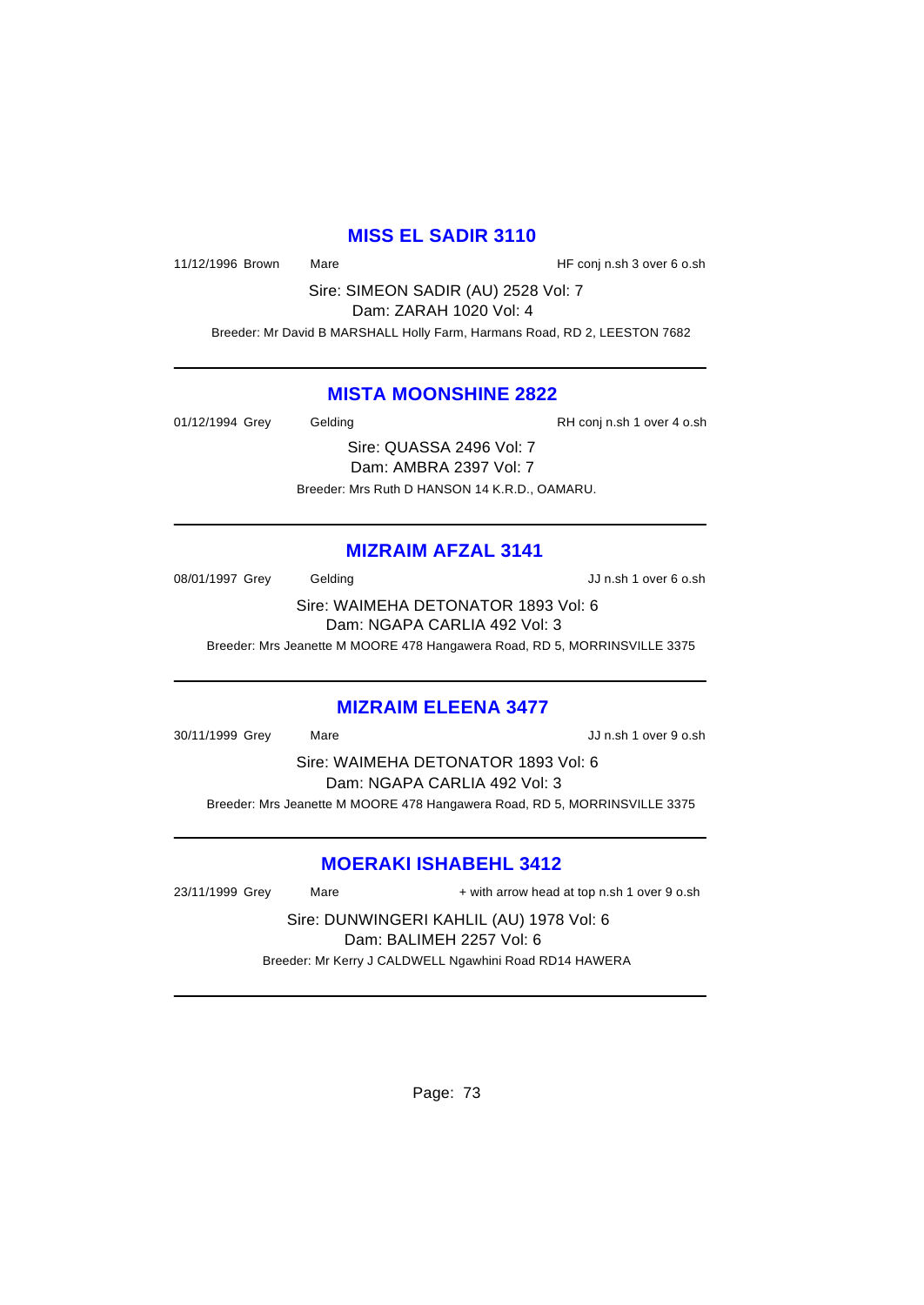#### **MISS EL SADIR 3110**

11/12/1996 Brown Mare Mare HF conj n.sh 3 over 6 o.sh

Sire: SIMEON SADIR (AU) 2528 Vol: 7 Dam: ZARAH 1020 Vol: 4

Breeder: Mr David B MARSHALL Holly Farm, Harmans Road, RD 2, LEESTON 7682

#### **MISTA MOONSHINE 2822**

01/12/1994 Grey Gelding Gelding RH conj n.sh 1 over 4 o.sh

Sire: QUASSA 2496 Vol: 7 Dam: AMBRA 2397 Vol: 7 Breeder: Mrs Ruth D HANSON 14 K.R.D., OAMARU.

### **MIZRAIM AFZAL 3141**

08/01/1997 Grey Gelding Gelding Control Control and Control Control Control Control Control Control O Sire: WAIMEHA DETONATOR 1893 Vol: 6

Dam: NGAPA CARLIA 492 Vol: 3

Breeder: Mrs Jeanette M MOORE 478 Hangawera Road, RD 5, MORRINSVILLE 3375

#### **MIZRAIM ELEENA 3477**

30/11/1999 Grey Mare JJ n.sh 1 over 9 o.sh

Sire: WAIMEHA DETONATOR 1893 Vol: 6 Dam: NGAPA CARLIA 492 Vol: 3 Breeder: Mrs Jeanette M MOORE 478 Hangawera Road, RD 5, MORRINSVILLE 3375

### **MOERAKI ISHABEHL 3412**

23/11/1999 Grey Mare  $+$  with arrow head at top n.sh 1 over 9 o.sh

Sire: DUNWINGERI KAHLIL (AU) 1978 Vol: 6 Dam: BALIMEH 2257 Vol: 6 Breeder: Mr Kerry J CALDWELL Ngawhini Road RD14 HAWERA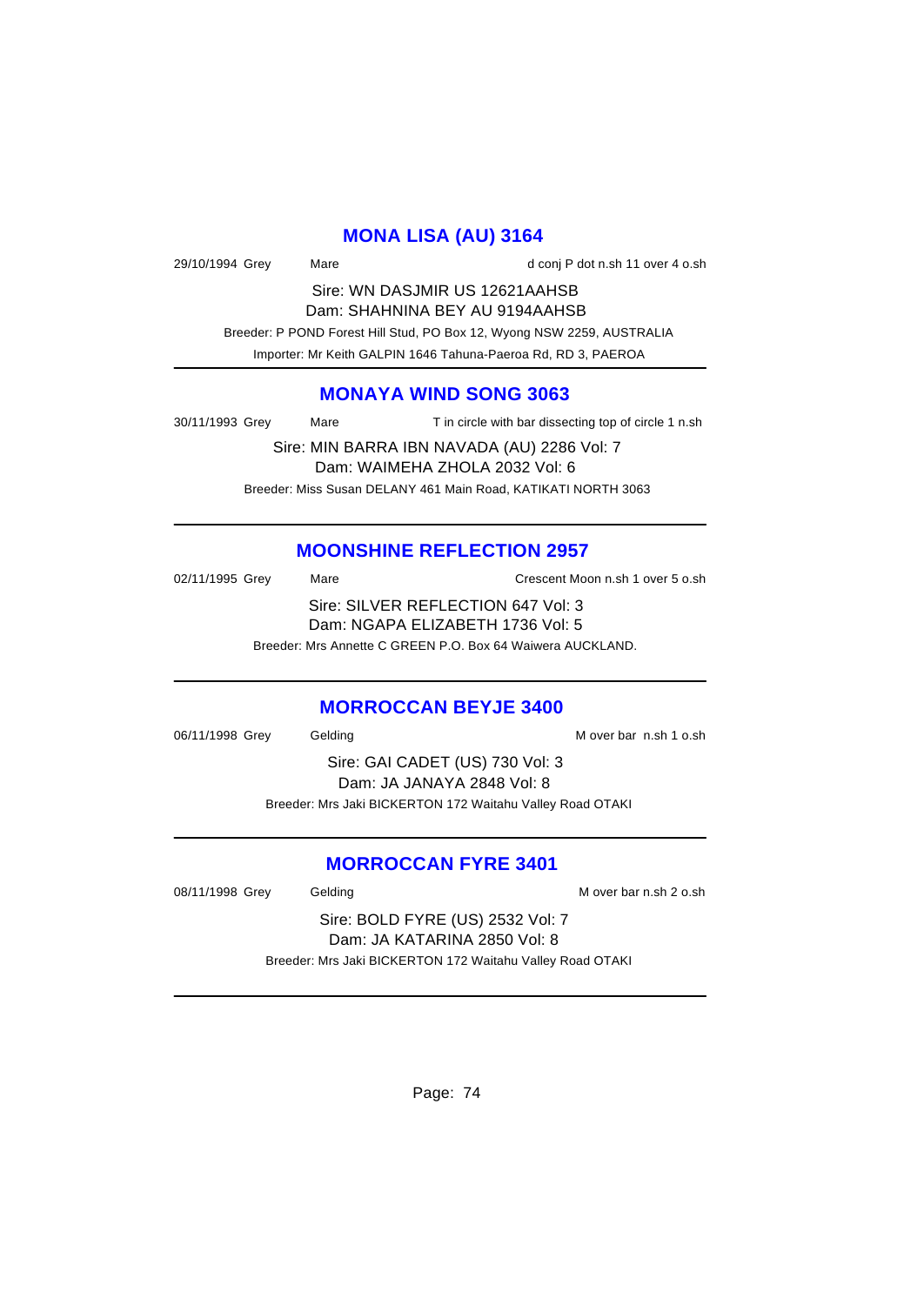### **MONA LISA (AU) 3164**

| 29/10/1994 Grey | Mare                                                          | d conj P dot n.sh 11 over 4 o.sh                                       |
|-----------------|---------------------------------------------------------------|------------------------------------------------------------------------|
|                 | Sire: WN DASJMIR US 12621AAHSB                                |                                                                        |
|                 | Dam: SHAHNINA BEY AU 9194AAHSB                                |                                                                        |
|                 |                                                               | Breeder: P POND Forest Hill Stud, PO Box 12, Wyong NSW 2259, AUSTRALIA |
|                 | Importer: Mr Keith GALPIN 1646 Tahuna-Paeroa Rd, RD 3, PAEROA |                                                                        |

### **MONAYA WIND SONG 3063**

30/11/1993 Grey Mare T in circle with bar dissecting top of circle 1 n.sh

Sire: MIN BARRA IBN NAVADA (AU) 2286 Vol: 7 Dam: WAIMEHA ZHOLA 2032 Vol: 6 Breeder: Miss Susan DELANY 461 Main Road, KATIKATI NORTH 3063

### **MOONSHINE REFLECTION 2957**

| 02/11/1995 Grey | Mare | Crescent Moon n.sh 1 over 5 o.sh                           |
|-----------------|------|------------------------------------------------------------|
|                 |      | Sire: SILVER REFLECTION 647 Vol: 3                         |
|                 |      | Dam: NGAPA ELIZABETH 1736 Vol: 5                           |
|                 |      | Breeder: Mrs Annette C GREEN P.O. Box 64 Waiwera AUCKLAND. |

#### **MORROCCAN BEYJE 3400**

06/11/1998 Grey Gelding Contact Contact M over bar n.sh 1 o.sh Sire: GAI CADET (US) 730 Vol: 3 Dam: JA JANAYA 2848 Vol: 8 Breeder: Mrs Jaki BICKERTON 172 Waitahu Valley Road OTAKI

### **MORROCCAN FYRE 3401**

08/11/1998 Grey Gelding Gelding M over bar n.sh 2 o.sh

Sire: BOLD FYRE (US) 2532 Vol: 7 Dam: JA KATARINA 2850 Vol: 8 Breeder: Mrs Jaki BICKERTON 172 Waitahu Valley Road OTAKI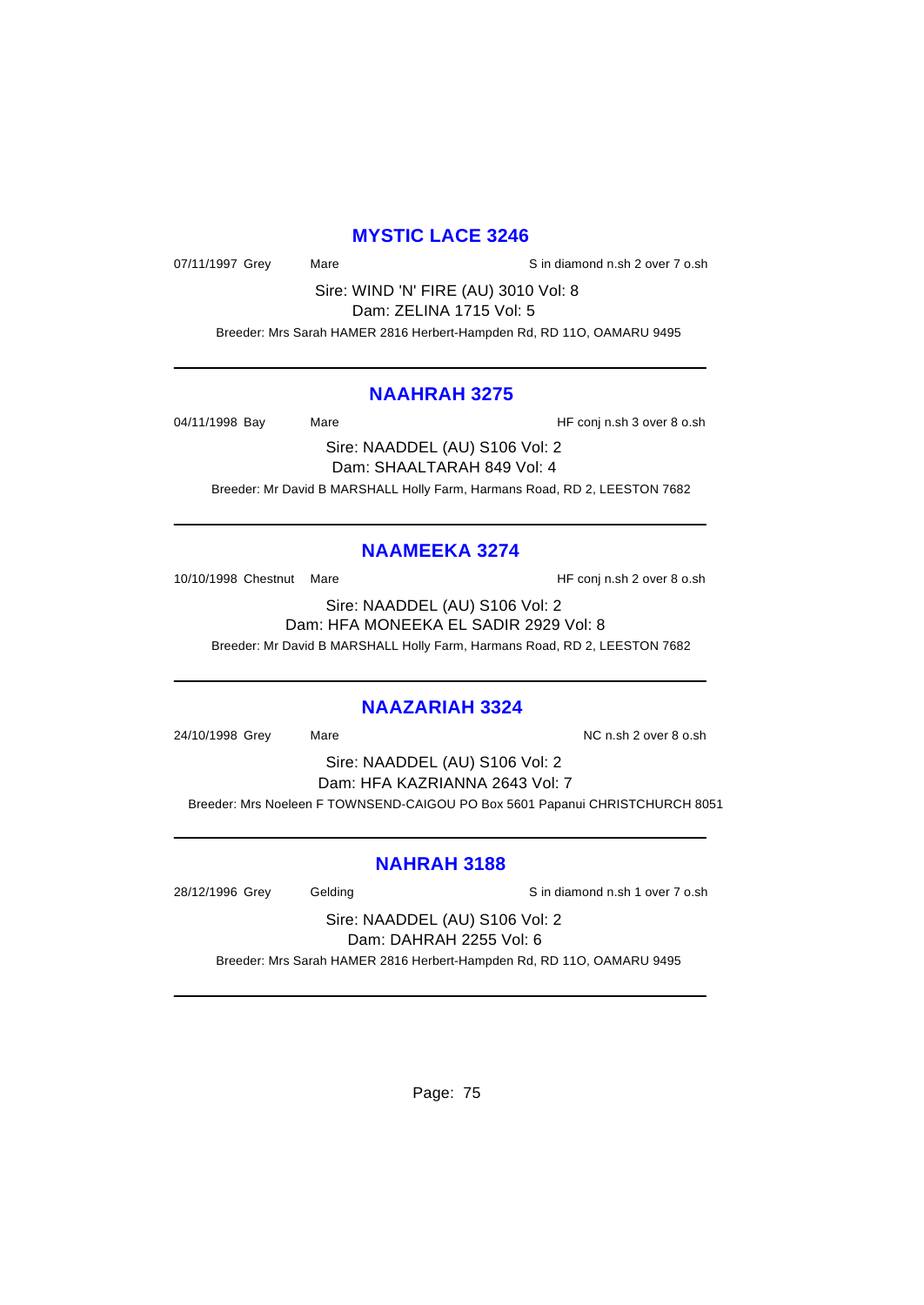### **MYSTIC LACE 3246**

07/11/1997 Grey Mare Mare Sin diamond n.sh 2 over 7 o.sh

Sire: WIND 'N' FIRE (AU) 3010 Vol: 8 Dam: ZELINA 1715 Vol: 5

Breeder: Mrs Sarah HAMER 2816 Herbert-Hampden Rd, RD 11O, OAMARU 9495

#### **NAAHRAH 3275**

04/11/1998 Bay Mare Mare HF conj n.sh 3 over 8 o.sh

Sire: NAADDEL (AU) S106 Vol: 2 Dam: SHAALTARAH 849 Vol: 4 Breeder: Mr David B MARSHALL Holly Farm, Harmans Road, RD 2, LEESTON 7682

# **NAAMEEKA 3274**

10/10/1998 Chestnut Mare **HF** conj n.sh 2 over 8 o.sh

Sire: NAADDEL (AU) S106 Vol: 2 Dam: HFA MONEEKA EL SADIR 2929 Vol: 8 Breeder: Mr David B MARSHALL Holly Farm, Harmans Road, RD 2, LEESTON 7682

#### **NAAZARIAH 3324**

24/10/1998 Grey Mare National Mc n.sh 2 over 8 o.sh

Sire: NAADDEL (AU) S106 Vol: 2 Dam: HFA KAZRIANNA 2643 Vol: 7 Breeder: Mrs Noeleen F TOWNSEND-CAIGOU PO Box 5601 Papanui CHRISTCHURCH 8051

### **NAHRAH 3188**

28/12/1996 Grey Gelding Gelding Sin diamond n.sh 1 over 7 o.sh

Sire: NAADDEL (AU) S106 Vol: 2 Dam: DAHRAH 2255 Vol: 6

Breeder: Mrs Sarah HAMER 2816 Herbert-Hampden Rd, RD 11O, OAMARU 9495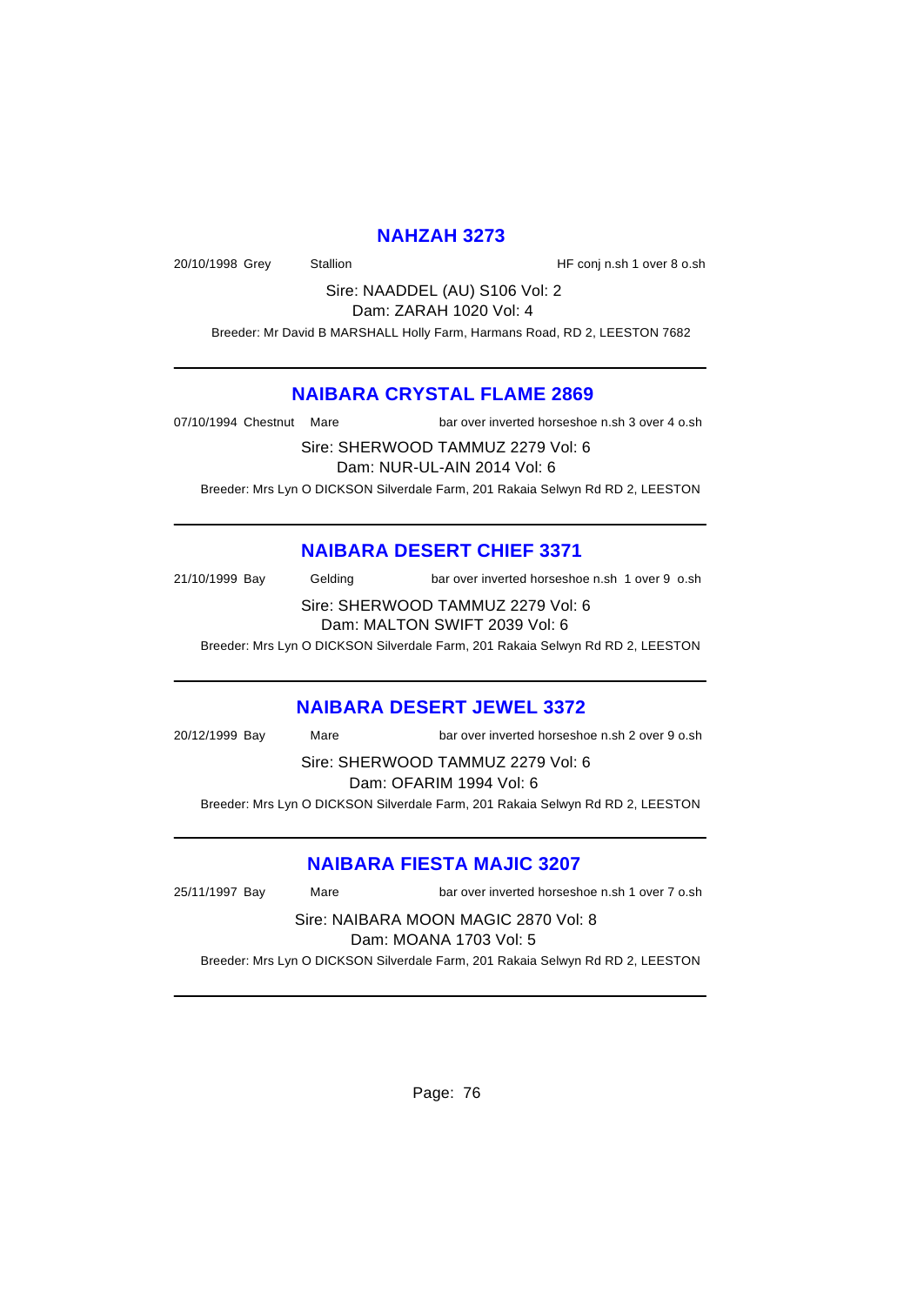### **NAHZAH 3273**

20/10/1998 Grey Stallion Stallion Stallion HF conj n.sh 1 over 8 o.sh

Sire: NAADDEL (AU) S106 Vol: 2 Dam: ZARAH 1020 Vol: 4

Breeder: Mr David B MARSHALL Holly Farm, Harmans Road, RD 2, LEESTON 7682

### **NAIBARA CRYSTAL FLAME 2869**

07/10/1994 Chestnut Mare bar over inverted horseshoe n.sh 3 over 4 o.sh

Sire: SHERWOOD TAMMUZ 2279 Vol: 6

Dam: NUR-UL-AIN 2014 Vol: 6

Breeder: Mrs Lyn O DICKSON Silverdale Farm, 201 Rakaia Selwyn Rd RD 2, LEESTON

# **NAIBARA DESERT CHIEF 3371**

21/10/1999 Bay Gelding bar over inverted horseshoe n.sh 1 over 9 o.sh Sire: SHERWOOD TAMMUZ 2279 Vol: 6

Dam: MALTON SWIFT 2039 Vol: 6

Breeder: Mrs Lyn O DICKSON Silverdale Farm, 201 Rakaia Selwyn Rd RD 2, LEESTON

#### **NAIBARA DESERT JEWEL 3372**

| 20/12/1999 Bay                    | Mare | bar over inverted horseshoe n.sh 2 over 9 o.sh                                 |  |
|-----------------------------------|------|--------------------------------------------------------------------------------|--|
| Sire: SHERWOOD TAMMUZ 2279 Vol: 6 |      |                                                                                |  |
| Dam: OFARIM 1994 Vol: 6           |      |                                                                                |  |
|                                   |      | Breeder: Mrs Lyn O DICKSON Silverdale Farm, 201 Rakaia Selwyn Rd RD 2, LEESTON |  |

### **NAIBARA FIESTA MAJIC 3207**

25/11/1997 Bay Mare bar over inverted horseshoe n.sh 1 over 7 o.sh

Sire: NAIBARA MOON MAGIC 2870 Vol: 8 Dam: MOANA 1703 Vol: 5 Breeder: Mrs Lyn O DICKSON Silverdale Farm, 201 Rakaia Selwyn Rd RD 2, LEESTON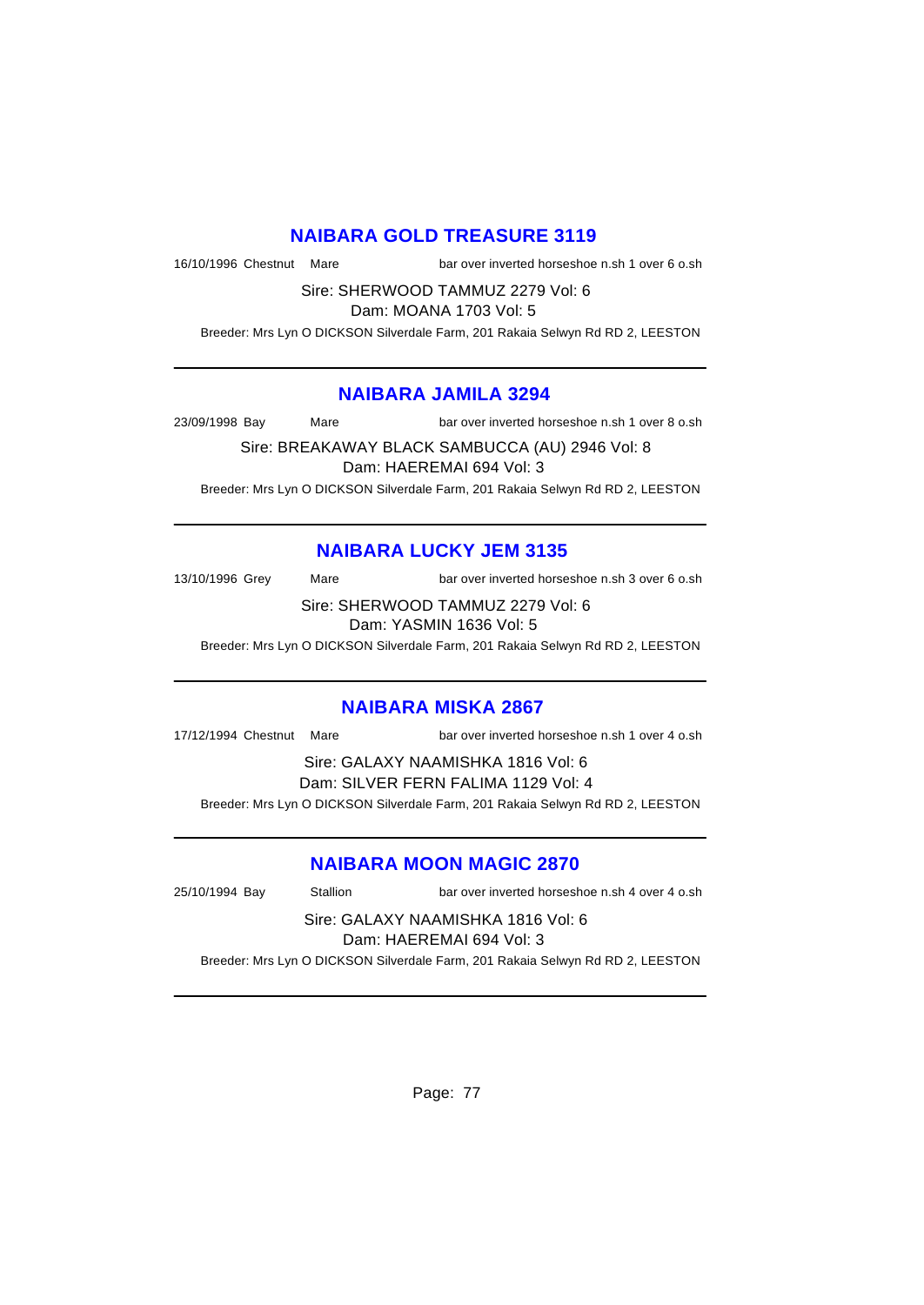### **NAIBARA GOLD TREASURE 3119**

16/10/1996 Chestnut Mare bar over inverted horseshoe n.sh 1 over 6 o.sh

Sire: SHERWOOD TAMMUZ 2279 Vol: 6

Dam: MOANA 1703 Vol: 5

Breeder: Mrs Lyn O DICKSON Silverdale Farm, 201 Rakaia Selwyn Rd RD 2, LEESTON

#### **NAIBARA JAMILA 3294**

23/09/1998 Bay Mare bar over inverted horseshoe n.sh 1 over 8 o.sh

Sire: BREAKAWAY BLACK SAMBUCCA (AU) 2946 Vol: 8 Dam: HAEREMAI 694 Vol: 3 Breeder: Mrs Lyn O DICKSON Silverdale Farm, 201 Rakaia Selwyn Rd RD 2, LEESTON

### **NAIBARA LUCKY JEM 3135**

13/10/1996 Grey Mare bar over inverted horseshoe n.sh 3 over 6 o.sh

Sire: SHERWOOD TAMMUZ 2279 Vol: 6 Dam: YASMIN 1636 Vol: 5

Breeder: Mrs Lyn O DICKSON Silverdale Farm, 201 Rakaia Selwyn Rd RD 2, LEESTON

### **NAIBARA MISKA 2867**

17/12/1994 Chestnut Mare bar over inverted horseshoe n.sh 1 over 4 o.sh

Sire: GALAXY NAAMISHKA 1816 Vol: 6 Dam: SILVER FERN FALIMA 1129 Vol: 4 Breeder: Mrs Lyn O DICKSON Silverdale Farm, 201 Rakaia Selwyn Rd RD 2, LEESTON

### **NAIBARA MOON MAGIC 2870**

25/10/1994 Bay Stallion bar over inverted horseshoe n.sh 4 over 4 o.sh

Sire: GALAXY NAAMISHKA 1816 Vol: 6 Dam: HAEREMAI 694 Vol: 3

Breeder: Mrs Lyn O DICKSON Silverdale Farm, 201 Rakaia Selwyn Rd RD 2, LEESTON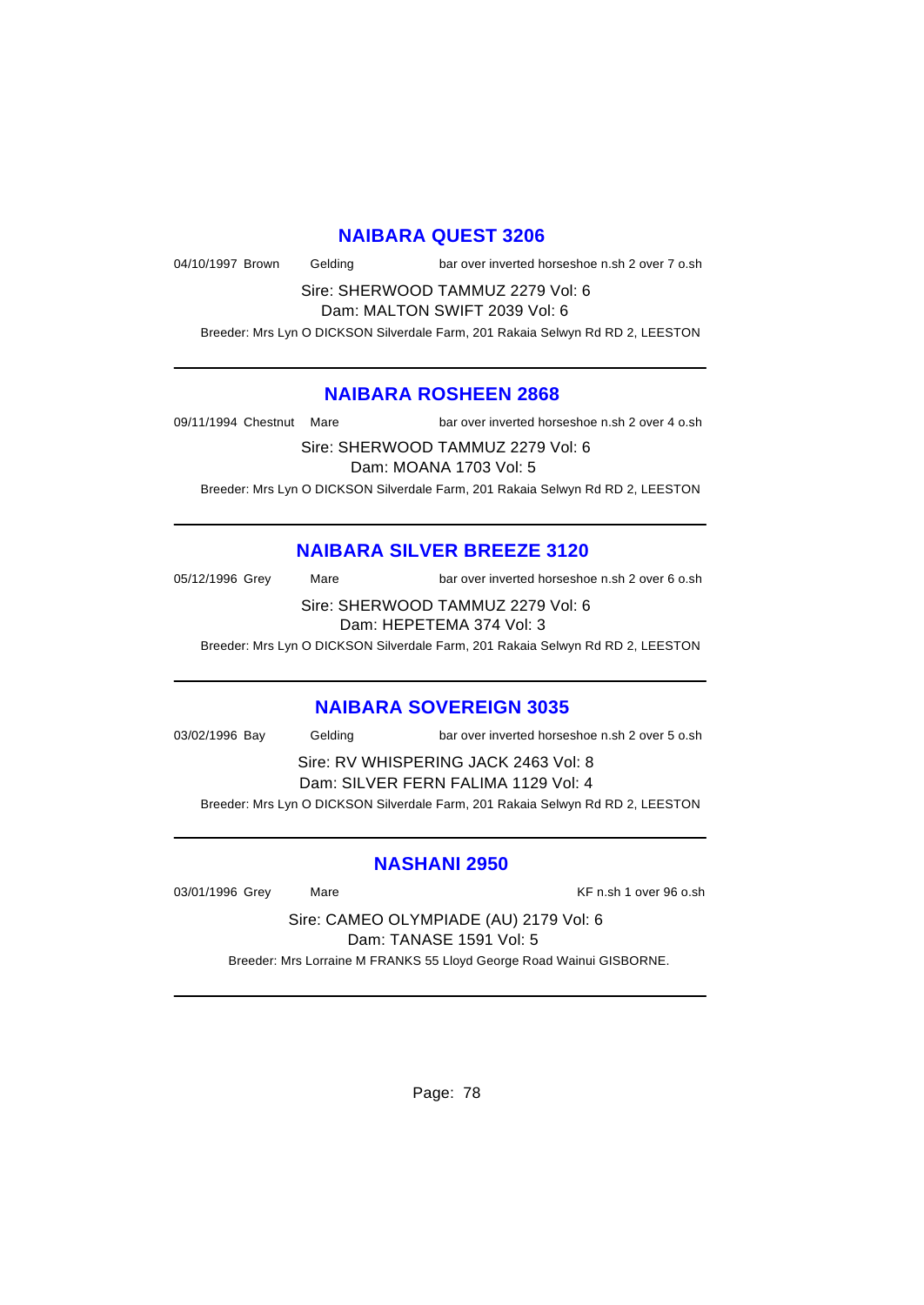#### **NAIBARA QUEST 3206**

04/10/1997 Brown Gelding bar over inverted horseshoe n.sh 2 over 7 o.sh

Sire: SHERWOOD TAMMUZ 2279 Vol: 6 Dam: MALTON SWIFT 2039 Vol: 6

Breeder: Mrs Lyn O DICKSON Silverdale Farm, 201 Rakaia Selwyn Rd RD 2, LEESTON

#### **NAIBARA ROSHEEN 2868**

09/11/1994 Chestnut Mare bar over inverted horseshoe n.sh 2 over 4 o.sh

Sire: SHERWOOD TAMMUZ 2279 Vol: 6

Dam: MOANA 1703 Vol: 5

Breeder: Mrs Lyn O DICKSON Silverdale Farm, 201 Rakaia Selwyn Rd RD 2, LEESTON

### **NAIBARA SILVER BREEZE 3120**

05/12/1996 Grey Mare bar over inverted horseshoe n.sh 2 over 6 o.sh

Sire: SHERWOOD TAMMUZ 2279 Vol: 6 Dam: HEPETEMA 374 Vol: 3

Breeder: Mrs Lyn O DICKSON Silverdale Farm, 201 Rakaia Selwyn Rd RD 2, LEESTON

#### **NAIBARA SOVEREIGN 3035**

03/02/1996 Bay Gelding bar over inverted horseshoe n.sh 2 over 5 o.sh

Sire: RV WHISPERING JACK 2463 Vol: 8 Dam: SILVER FERN FALIMA 1129 Vol: 4

Breeder: Mrs Lyn O DICKSON Silverdale Farm, 201 Rakaia Selwyn Rd RD 2, LEESTON

#### **NASHANI 2950**

03/01/1996 Grey Mare Mare KF n.sh 1 over 96 o.sh

Sire: CAMEO OLYMPIADE (AU) 2179 Vol: 6 Dam: TANASE 1591 Vol: 5

Breeder: Mrs Lorraine M FRANKS 55 Lloyd George Road Wainui GISBORNE.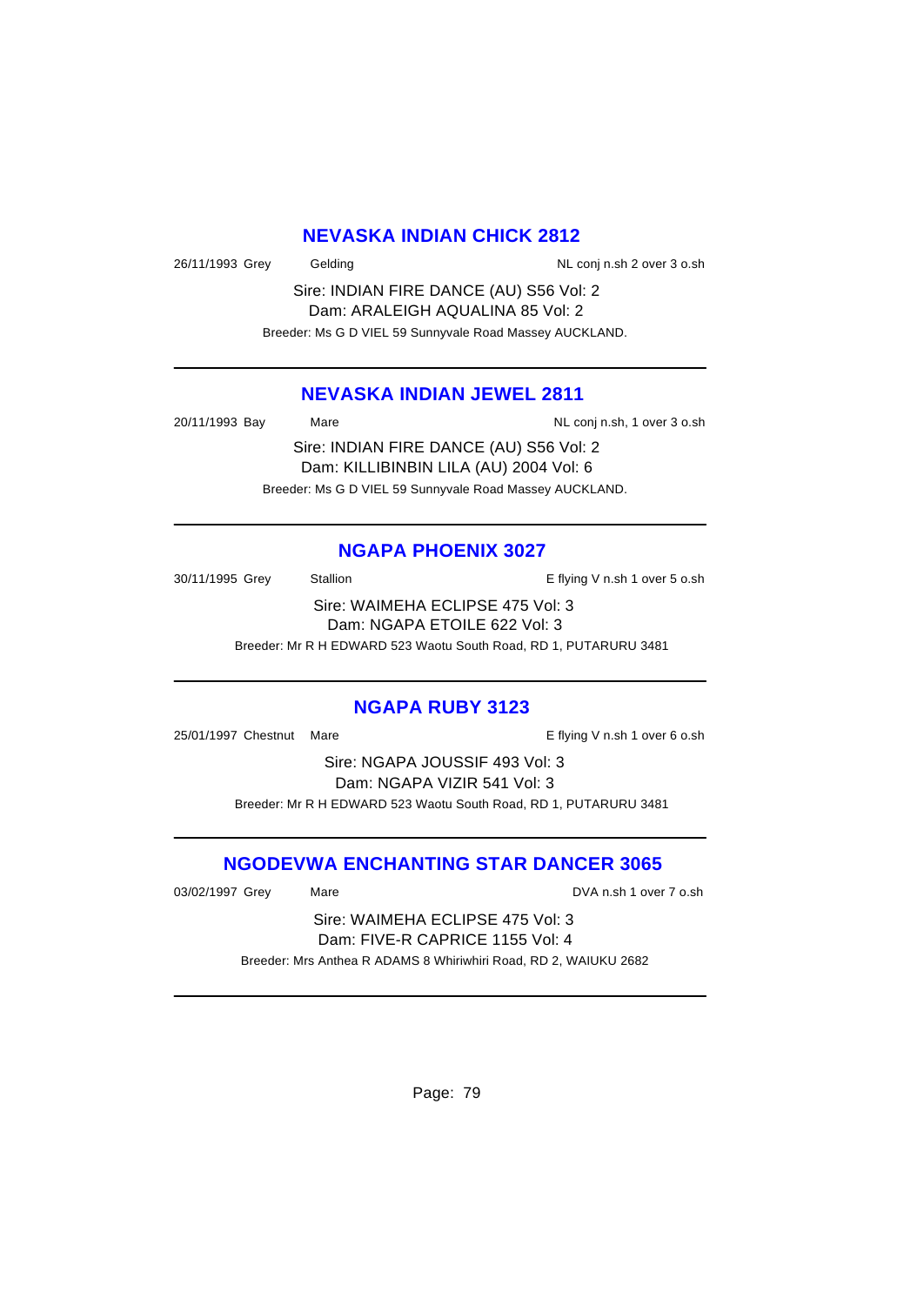### **NEVASKA INDIAN CHICK 2812**

26/11/1993 Grey Gelding Constant Conj n.sh 2 over 3 o.sh

Sire: INDIAN FIRE DANCE (AU) S56 Vol: 2 Dam: ARALEIGH AQUALINA 85 Vol: 2 Breeder: Ms G D VIEL 59 Sunnyvale Road Massey AUCKLAND.

# **NEVASKA INDIAN JEWEL 2811**

20/11/1993 Bay Mare Mare NL conj n.sh, 1 over 3 o.sh

Sire: INDIAN FIRE DANCE (AU) S56 Vol: 2 Dam: KILLIBINBIN LILA (AU) 2004 Vol: 6 Breeder: Ms G D VIEL 59 Sunnyvale Road Massey AUCKLAND.

# **NGAPA PHOENIX 3027**

30/11/1995 Grey Stallion Stallion E flying V n.sh 1 over 5 o.sh Sire: WAIMEHA ECLIPSE 475 Vol: 3 Dam: NGAPA ETOILE 622 Vol: 3 Breeder: Mr R H EDWARD 523 Waotu South Road, RD 1, PUTARURU 3481

# **NGAPA RUBY 3123**

25/01/1997 Chestnut Mare E flying V n.sh 1 over 6 o.sh

Sire: NGAPA JOUSSIF 493 Vol: 3 Dam: NGAPA VIZIR 541 Vol: 3 Breeder: Mr R H EDWARD 523 Waotu South Road, RD 1, PUTARURU 3481

# **NGODEVWA ENCHANTING STAR DANCER 3065**

03/02/1997 Grey Mare Mare DVA n.sh 1 over 7 o.sh

Sire: WAIMEHA ECLIPSE 475 Vol: 3 Dam: FIVE-R CAPRICE 1155 Vol: 4 Breeder: Mrs Anthea R ADAMS 8 Whiriwhiri Road, RD 2, WAIUKU 2682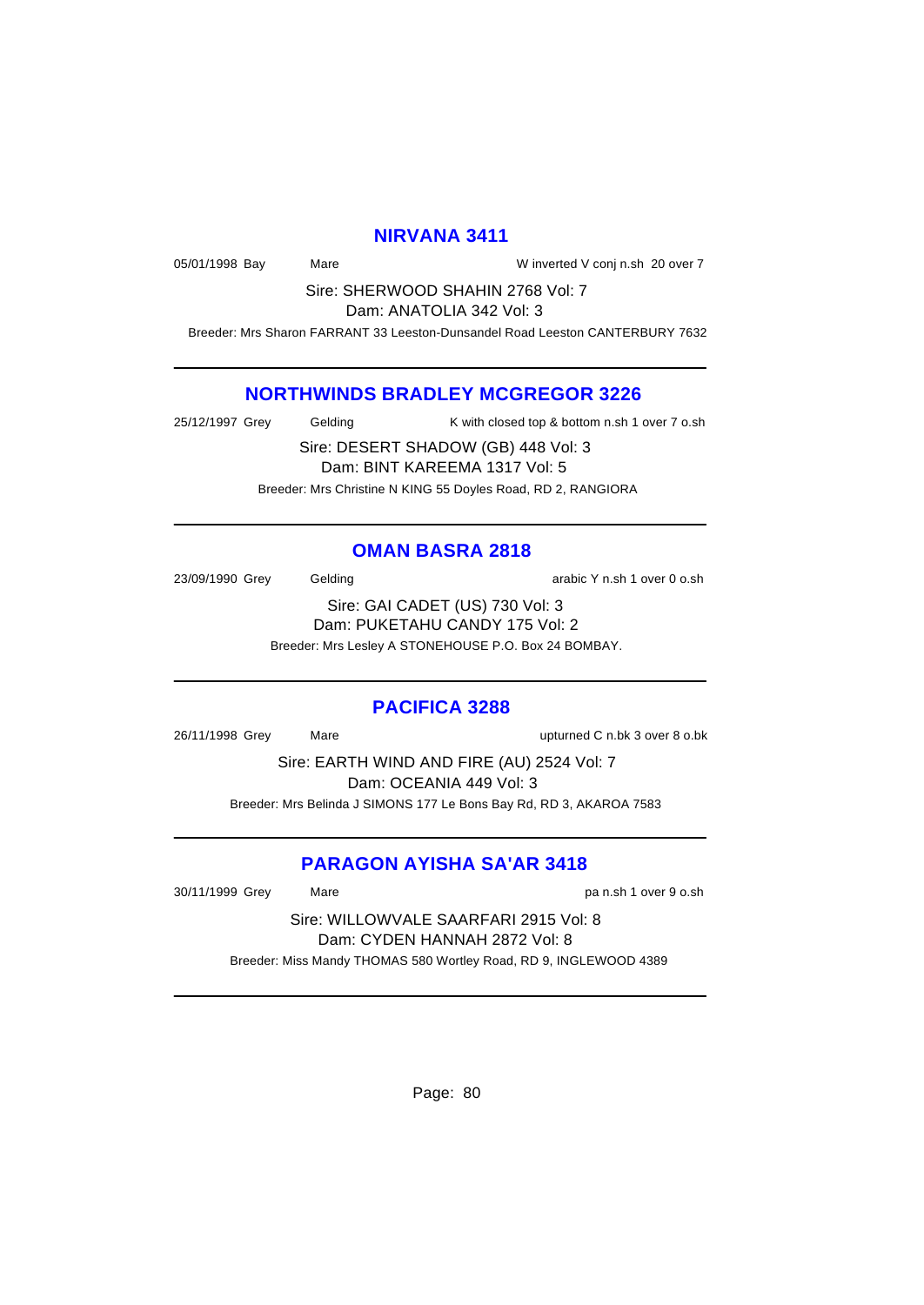#### **NIRVANA 3411**

05/01/1998 Bay Mare Mare Winverted V conj n.sh 20 over 7

Sire: SHERWOOD SHAHIN 2768 Vol: 7 Dam: ANATOLIA 342 Vol: 3

Breeder: Mrs Sharon FARRANT 33 Leeston-Dunsandel Road Leeston CANTERBURY 7632

#### **NORTHWINDS BRADLEY MCGREGOR 3226**

25/12/1997 Grey Gelding K with closed top & bottom n.sh 1 over 7 o.sh

Sire: DESERT SHADOW (GB) 448 Vol: 3 Dam: BINT KAREEMA 1317 Vol: 5 Breeder: Mrs Christine N KING 55 Doyles Road, RD 2, RANGIORA

#### **OMAN BASRA 2818**

23/09/1990 Grey Gelding Cash Contract Contract Consumer Service Consumer Service Consumer Consumer Service Consu

Sire: GAI CADET (US) 730 Vol: 3 Dam: PUKETAHU CANDY 175 Vol: 2 Breeder: Mrs Lesley A STONEHOUSE P.O. Box 24 BOMBAY.

#### **PACIFICA 3288**

26/11/1998 Grey Mare upturned C n.bk 3 over 8 o.bk

Sire: EARTH WIND AND FIRE (AU) 2524 Vol: 7 Dam: OCEANIA 449 Vol: 3 Breeder: Mrs Belinda J SIMONS 177 Le Bons Bay Rd, RD 3, AKAROA 7583

### **PARAGON AYISHA SA'AR 3418**

30/11/1999 Grey Mare pa n.sh 1 over 9 o.sh

Sire: WILLOWVALE SAARFARI 2915 Vol: 8 Dam: CYDEN HANNAH 2872 Vol: 8 Breeder: Miss Mandy THOMAS 580 Wortley Road, RD 9, INGLEWOOD 4389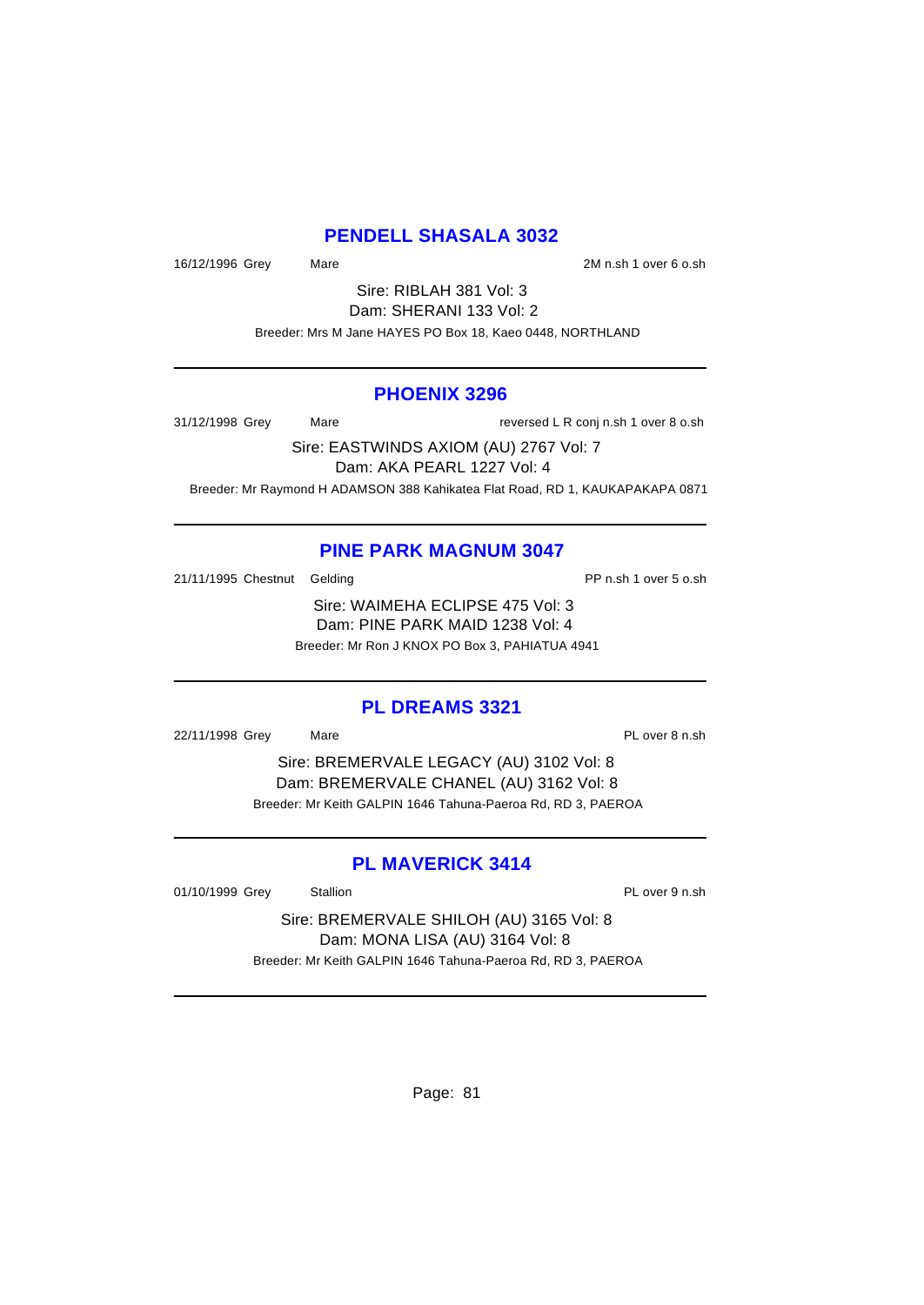### **PENDELL SHASALA 3032**

16/12/1996 Grey Mare 2M n.sh 1 over 6 o.sh

Sire: RIBLAH 381 Vol: 3 Dam: SHERANI 133 Vol: 2 Breeder: Mrs M Jane HAYES PO Box 18, Kaeo 0448, NORTHLAND

#### **PHOENIX 3296**

31/12/1998 Grey Mare Mare reversed L R conj n.sh 1 over 8 o.sh

Sire: EASTWINDS AXIOM (AU) 2767 Vol: 7 Dam: AKA PEARL 1227 Vol: 4 Breeder: Mr Raymond H ADAMSON 388 Kahikatea Flat Road, RD 1, KAUKAPAKAPA 0871

#### **PINE PARK MAGNUM 3047**

21/11/1995 Chestnut Gelding **PP n.sh 1 over 5 o.sh** 

Sire: WAIMEHA ECLIPSE 475 Vol: 3 Dam: PINE PARK MAID 1238 Vol: 4 Breeder: Mr Ron J KNOX PO Box 3, PAHIATUA 4941

#### **PL DREAMS 3321**

22/11/1998 Grey Mare Mare PL over 8 n.sh

Sire: BREMERVALE LEGACY (AU) 3102 Vol: 8 Dam: BREMERVALE CHANEL (AU) 3162 Vol: 8 Breeder: Mr Keith GALPIN 1646 Tahuna-Paeroa Rd, RD 3, PAEROA

### **PL MAVERICK 3414**

01/10/1999 Grey Stallion Stallion State State PL over 9 n.sh

Sire: BREMERVALE SHILOH (AU) 3165 Vol: 8 Dam: MONA LISA (AU) 3164 Vol: 8 Breeder: Mr Keith GALPIN 1646 Tahuna-Paeroa Rd, RD 3, PAEROA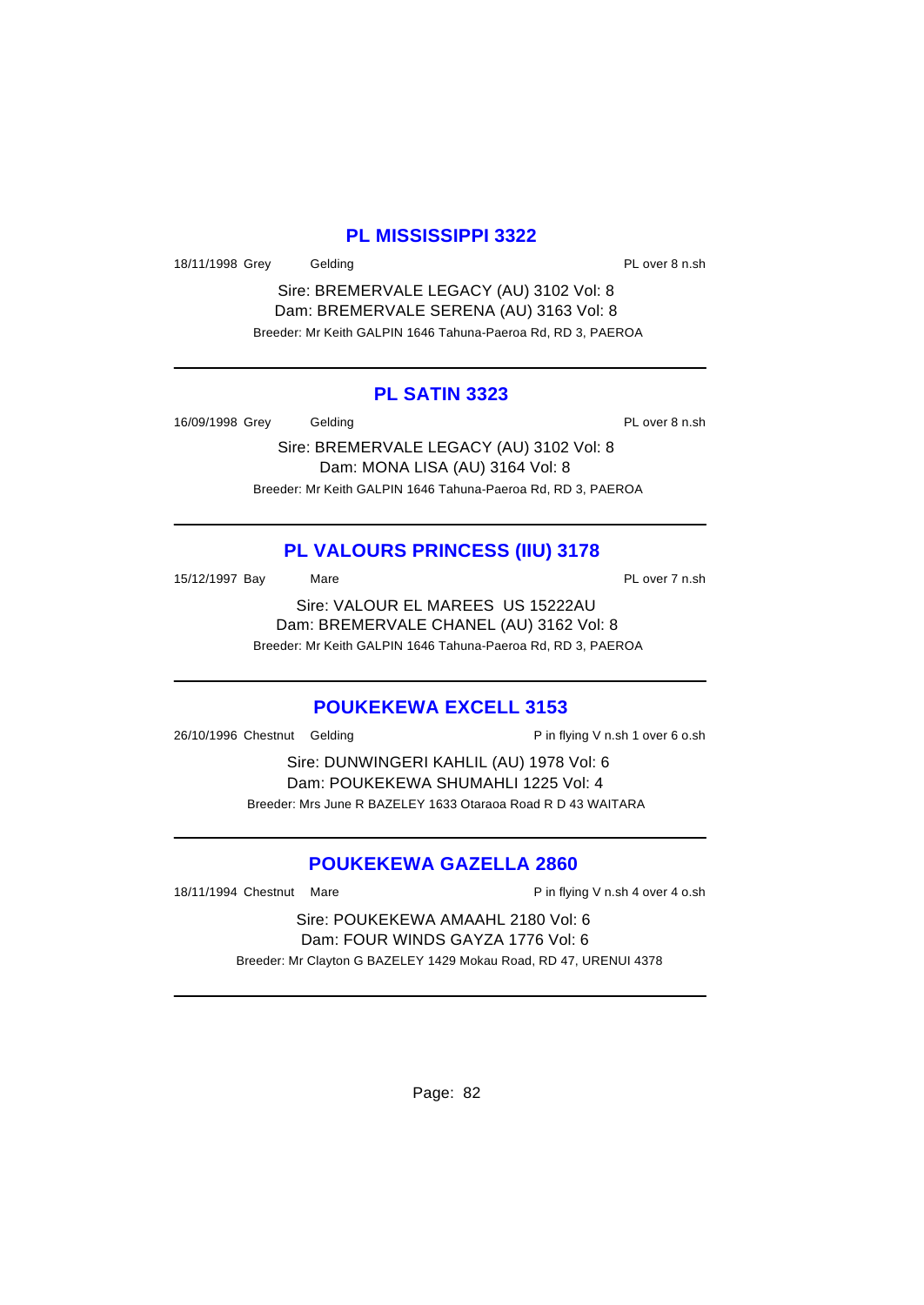### **PL MISSISSIPPI 3322**

18/11/1998 Grey Gelding **PL over 8 n.sh** 

Sire: BREMERVALE LEGACY (AU) 3102 Vol: 8 Dam: BREMERVALE SERENA (AU) 3163 Vol: 8 Breeder: Mr Keith GALPIN 1646 Tahuna-Paeroa Rd, RD 3, PAEROA

#### **PL SATIN 3323**

16/09/1998 Grey Gelding **Contact Contact Contact Contact Contact Contact Contact Contact Contact Contact Contact Contact Contact Contact Contact Contact Contact Contact Contact Contact Contact Contact Contact Contact Conta** 

Sire: BREMERVALE LEGACY (AU) 3102 Vol: 8 Dam: MONA LISA (AU) 3164 Vol: 8 Breeder: Mr Keith GALPIN 1646 Tahuna-Paeroa Rd, RD 3, PAEROA

# **PL VALOURS PRINCESS (IIU) 3178**

15/12/1997 Bay Mare Mare PL over 7 n.sh

Sire: VALOUR EL MAREES US 15222AU Dam: BREMERVALE CHANEL (AU) 3162 Vol: 8 Breeder: Mr Keith GALPIN 1646 Tahuna-Paeroa Rd, RD 3, PAEROA

### **POUKEKEWA EXCELL 3153**

26/10/1996 Chestnut Gelding Pin flying V n.sh 1 over 6 o.sh

Sire: DUNWINGERI KAHLIL (AU) 1978 Vol: 6 Dam: POUKEKEWA SHUMAHLI 1225 Vol: 4 Breeder: Mrs June R BAZELEY 1633 Otaraoa Road R D 43 WAITARA

# **POUKEKEWA GAZELLA 2860**

18/11/1994 Chestnut Mare **P** in flying V n.sh 4 over 4 o.sh

Sire: POUKEKEWA AMAAHL 2180 Vol: 6 Dam: FOUR WINDS GAYZA 1776 Vol: 6 Breeder: Mr Clayton G BAZELEY 1429 Mokau Road, RD 47, URENUI 4378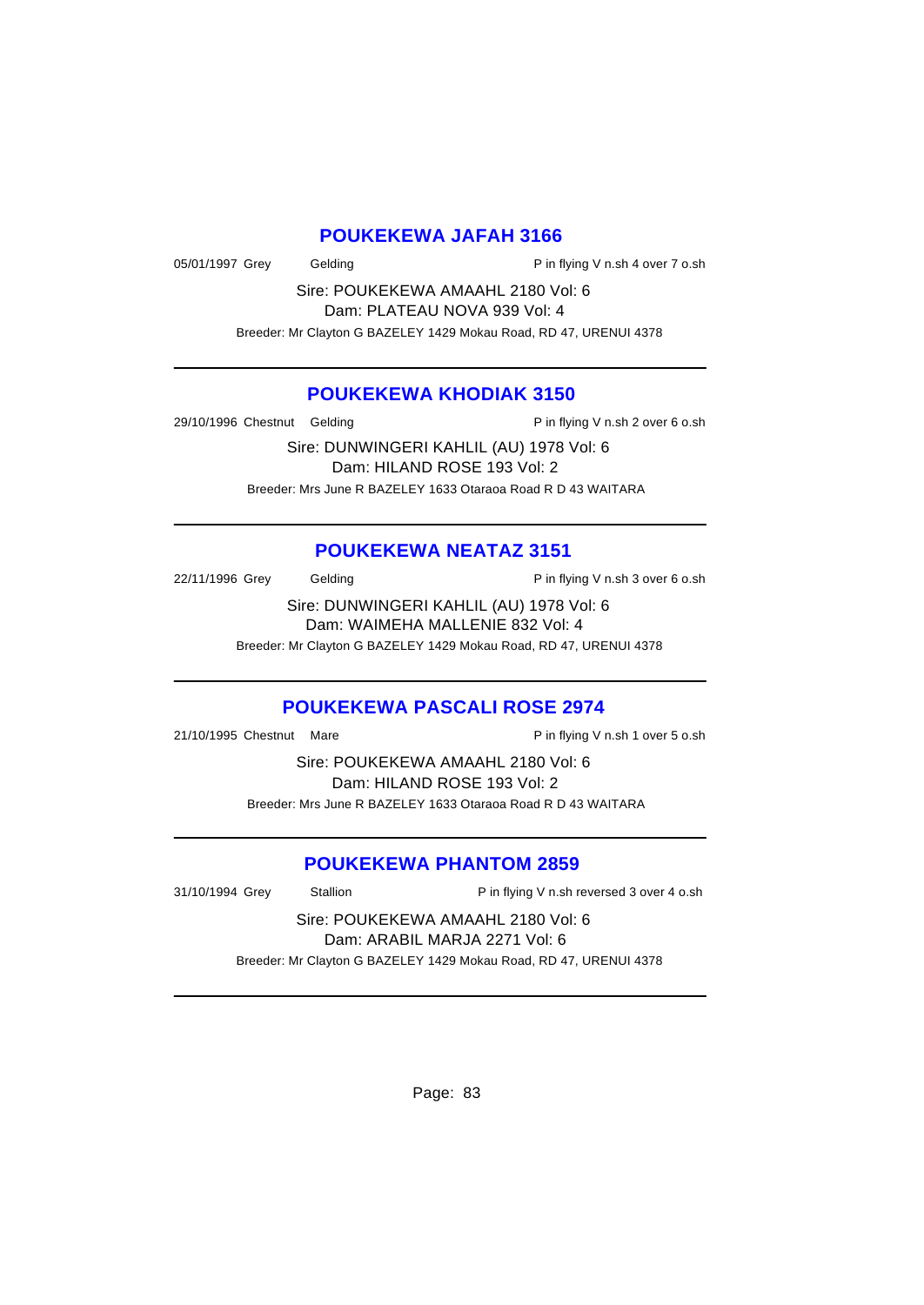#### **POUKEKEWA JAFAH 3166**

05/01/1997 Grey Gelding Contact P in flying V n.sh 4 over 7 o.sh

Sire: POUKEKEWA AMAAHL 2180 Vol: 6 Dam: PLATEAU NOVA 939 Vol: 4 Breeder: Mr Clayton G BAZELEY 1429 Mokau Road, RD 47, URENUI 4378

#### **POUKEKEWA KHODIAK 3150**

29/10/1996 Chestnut Gelding P in flying V n.sh 2 over 6 o.sh

Sire: DUNWINGERI KAHLIL (AU) 1978 Vol: 6 Dam: HILAND ROSE 193 Vol: 2 Breeder: Mrs June R BAZELEY 1633 Otaraoa Road R D 43 WAITARA

#### **POUKEKEWA NEATAZ 3151**

22/11/1996 Grey Gelding Cash Contact P in flying V n.sh 3 over 6 o.sh

Sire: DUNWINGERI KAHLIL (AU) 1978 Vol: 6 Dam: WAIMEHA MALLENIE 832 Vol: 4 Breeder: Mr Clayton G BAZELEY 1429 Mokau Road, RD 47, URENUI 4378

# **POUKEKEWA PASCALI ROSE 2974**

21/10/1995 Chestnut Mare **P** in flying V n.sh 1 over 5 o.sh

Sire: POUKEKEWA AMAAHL 2180 Vol: 6 Dam: HILAND ROSE 193 Vol: 2 Breeder: Mrs June R BAZELEY 1633 Otaraoa Road R D 43 WAITARA

#### **POUKEKEWA PHANTOM 2859**

31/10/1994 Grey Stallion Pin flying V n.sh reversed 3 over 4 o.sh

Sire: POUKEKEWA AMAAHL 2180 Vol: 6 Dam: ARABIL MARJA 2271 Vol: 6 Breeder: Mr Clayton G BAZELEY 1429 Mokau Road, RD 47, URENUI 4378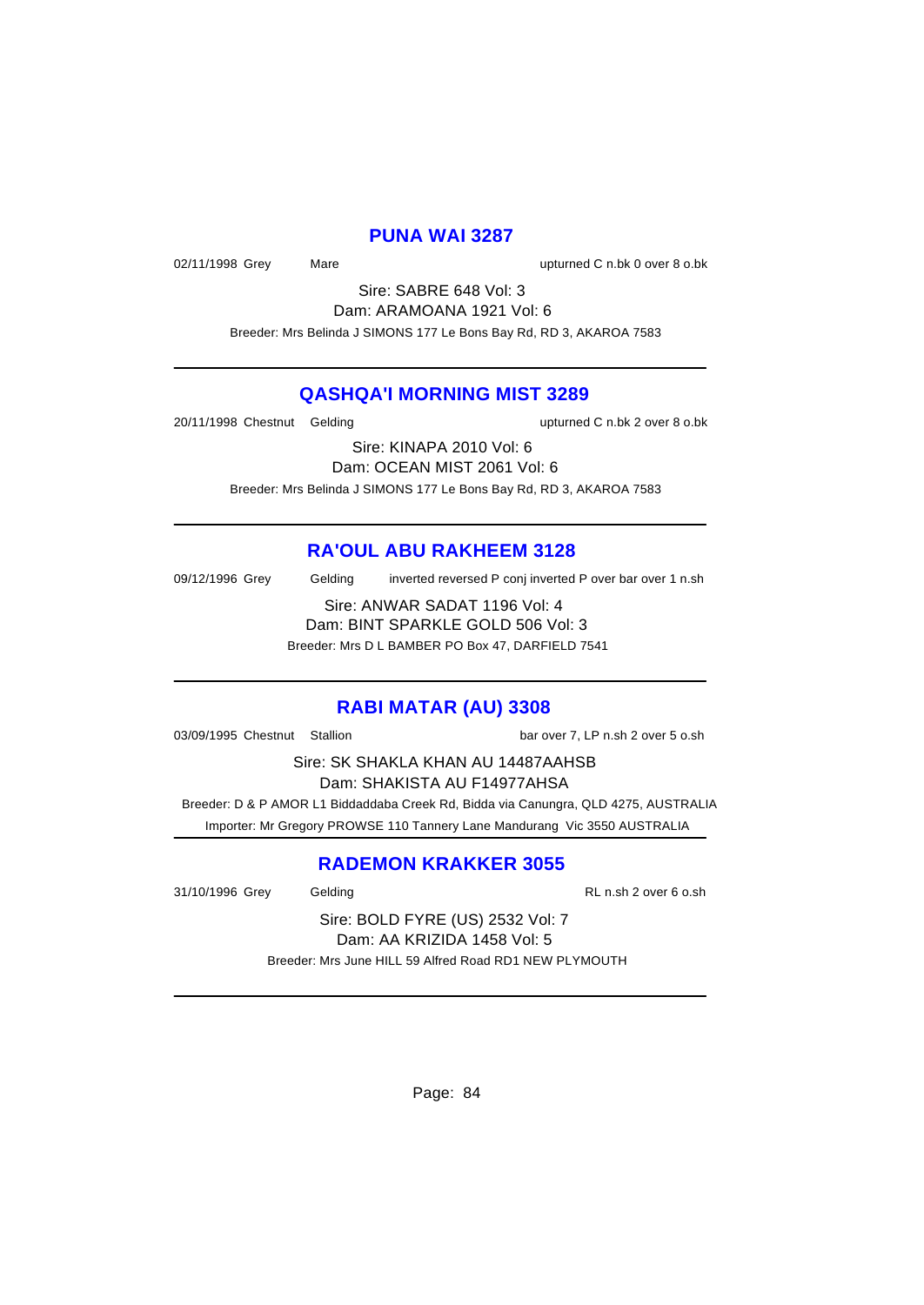#### **PUNA WAI 3287**

02/11/1998 Grey Mare upturned C n.bk 0 over 8 o.bk

Sire: SABRE 648 Vol: 3 Dam: ARAMOANA 1921 Vol: 6 Breeder: Mrs Belinda J SIMONS 177 Le Bons Bay Rd, RD 3, AKAROA 7583

#### **QASHQA'I MORNING MIST 3289**

20/11/1998 Chestnut Gelding upturned C n.bk 2 over 8 o.bk

Sire: KINAPA 2010 Vol: 6 Dam: OCEAN MIST 2061 Vol: 6 Breeder: Mrs Belinda J SIMONS 177 Le Bons Bay Rd, RD 3, AKAROA 7583

### **RA'OUL ABU RAKHEEM 3128**

09/12/1996 Grey Gelding inverted reversed P conj inverted P over bar over 1 n.sh Sire: ANWAR SADAT 1196 Vol: 4

Dam: BINT SPARKLE GOLD 506 Vol: 3 Breeder: Mrs D L BAMBER PO Box 47, DARFIELD 7541

#### **RABI MATAR (AU) 3308**

03/09/1995 Chestnut Stallion bar over 7, LP n.sh 2 over 5 o.sh

Sire: SK SHAKLA KHAN AU 14487AAHSB

Dam: SHAKISTA AU F14977AHSA

 Breeder: D & P AMOR L1 Biddaddaba Creek Rd, Bidda via Canungra, QLD 4275, AUSTRALIA Importer: Mr Gregory PROWSE 110 Tannery Lane Mandurang Vic 3550 AUSTRALIA

### **RADEMON KRAKKER 3055**

31/10/1996 Grey Gelding RL n.sh 2 over 6 o.sh

Sire: BOLD FYRE (US) 2532 Vol: 7 Dam: AA KRIZIDA 1458 Vol: 5 Breeder: Mrs June HILL 59 Alfred Road RD1 NEW PLYMOUTH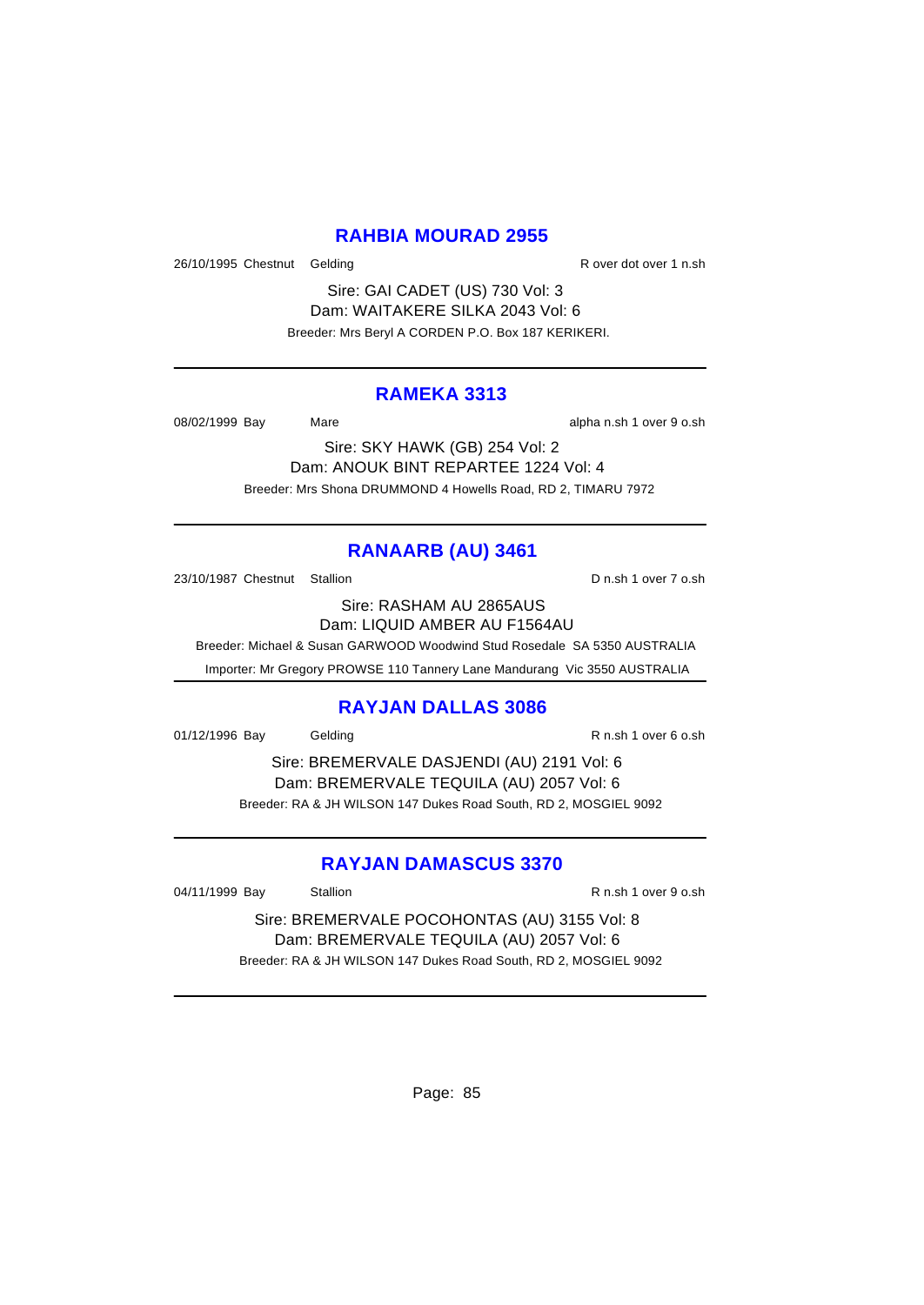### **RAHBIA MOURAD 2955**

26/10/1995 Chestnut Gelding R over dot over 1 n.sh

Sire: GAI CADET (US) 730 Vol: 3 Dam: WAITAKERE SILKA 2043 Vol: 6 Breeder: Mrs Beryl A CORDEN P.O. Box 187 KERIKERI.

### **RAMEKA 3313**

08/02/1999 Bay Mare Mare alpha n.sh 1 over 9 o.sh

Sire: SKY HAWK (GB) 254 Vol: 2 Dam: ANOUK BINT REPARTEE 1224 Vol: 4 Breeder: Mrs Shona DRUMMOND 4 Howells Road, RD 2, TIMARU 7972

# **RANAARB (AU) 3461**

23/10/1987 Chestnut Stallion D n.sh 1 over 7 o.sh

Sire: RASHAM AU 2865AUS Dam: LIQUID AMBER AU F1564AU

Breeder: Michael & Susan GARWOOD Woodwind Stud Rosedale SA 5350 AUSTRALIA

Importer: Mr Gregory PROWSE 110 Tannery Lane Mandurang Vic 3550 AUSTRALIA

#### **RAYJAN DALLAS 3086**

01/12/1996 Bay Gelding R n.sh 1 over 6 o.sh

Sire: BREMERVALE DASJENDI (AU) 2191 Vol: 6 Dam: BREMERVALE TEQUILA (AU) 2057 Vol: 6 Breeder: RA & JH WILSON 147 Dukes Road South, RD 2, MOSGIEL 9092

### **RAYJAN DAMASCUS 3370**

04/11/1999 Bay Stallion R n.sh 1 over 9 o.sh

Sire: BREMERVALE POCOHONTAS (AU) 3155 Vol: 8 Dam: BREMERVALE TEQUILA (AU) 2057 Vol: 6 Breeder: RA & JH WILSON 147 Dukes Road South, RD 2, MOSGIEL 9092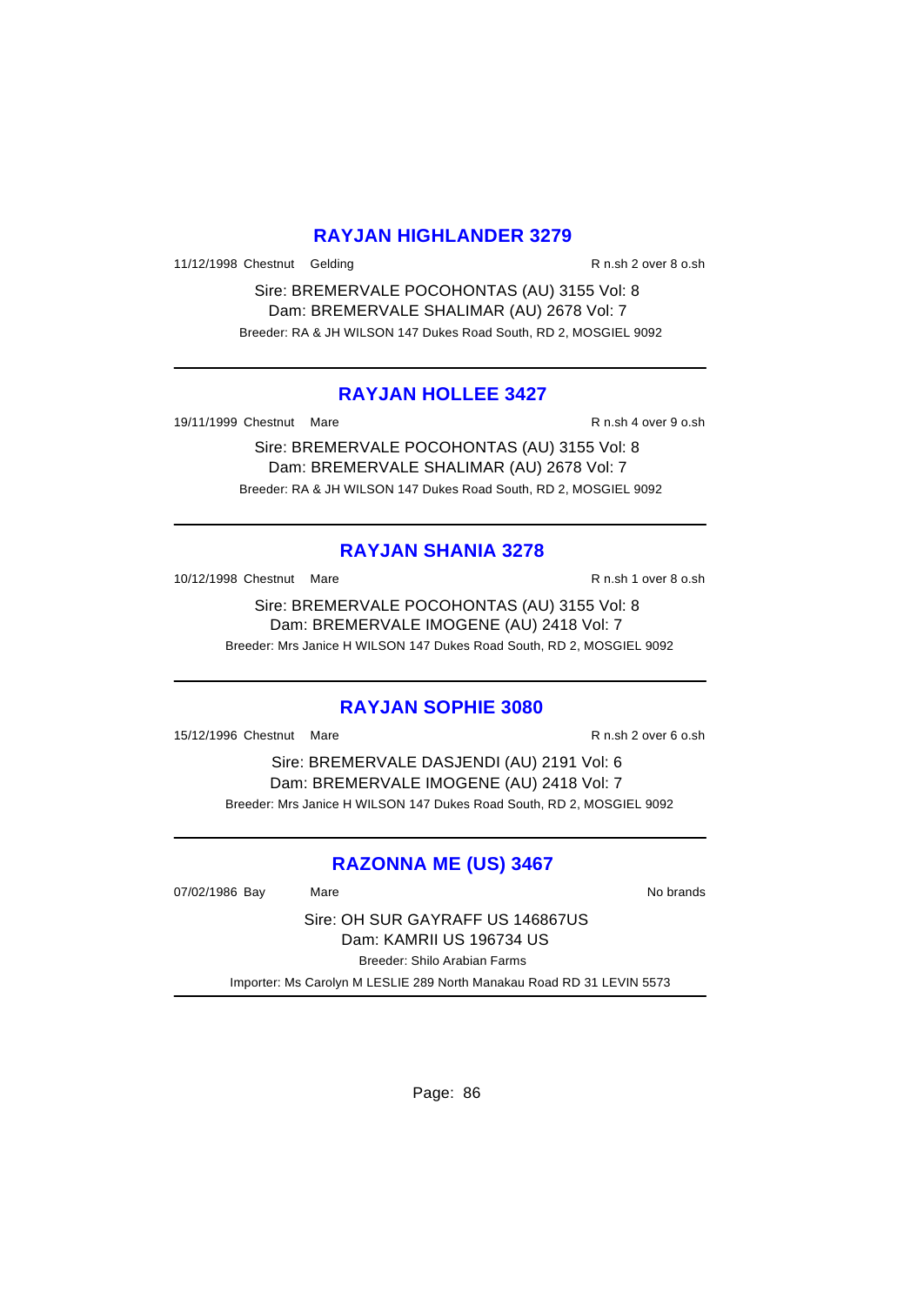### **RAYJAN HIGHLANDER 3279**

11/12/1998 Chestnut Gelding R n.sh 2 over 8 o.sh

Sire: BREMERVALE POCOHONTAS (AU) 3155 Vol: 8 Dam: BREMERVALE SHALIMAR (AU) 2678 Vol: 7 Breeder: RA & JH WILSON 147 Dukes Road South, RD 2, MOSGIEL 9092

### **RAYJAN HOLLEE 3427**

19/11/1999 Chestnut Mare **R** n.sh 4 over 9 o.sh

Sire: BREMERVALE POCOHONTAS (AU) 3155 Vol: 8 Dam: BREMERVALE SHALIMAR (AU) 2678 Vol: 7 Breeder: RA & JH WILSON 147 Dukes Road South, RD 2, MOSGIEL 9092

### **RAYJAN SHANIA 3278**

10/12/1998 Chestnut Mare R n.sh 1 over 8 o.sh

Sire: BREMERVALE POCOHONTAS (AU) 3155 Vol: 8 Dam: BREMERVALE IMOGENE (AU) 2418 Vol: 7 Breeder: Mrs Janice H WILSON 147 Dukes Road South, RD 2, MOSGIEL 9092

#### **RAYJAN SOPHIE 3080**

15/12/1996 Chestnut Mare **R** n.sh 2 over 6 o.sh

Sire: BREMERVALE DASJENDI (AU) 2191 Vol: 6 Dam: BREMERVALE IMOGENE (AU) 2418 Vol: 7 Breeder: Mrs Janice H WILSON 147 Dukes Road South, RD 2, MOSGIEL 9092

### **RAZONNA ME (US) 3467**

07/02/1986 Bay Mare National Market Control of the No brands

Sire: OH SUR GAYRAFF US 146867US Dam: KAMRII US 196734 US Breeder: Shilo Arabian Farms

Importer: Ms Carolyn M LESLIE 289 North Manakau Road RD 31 LEVIN 5573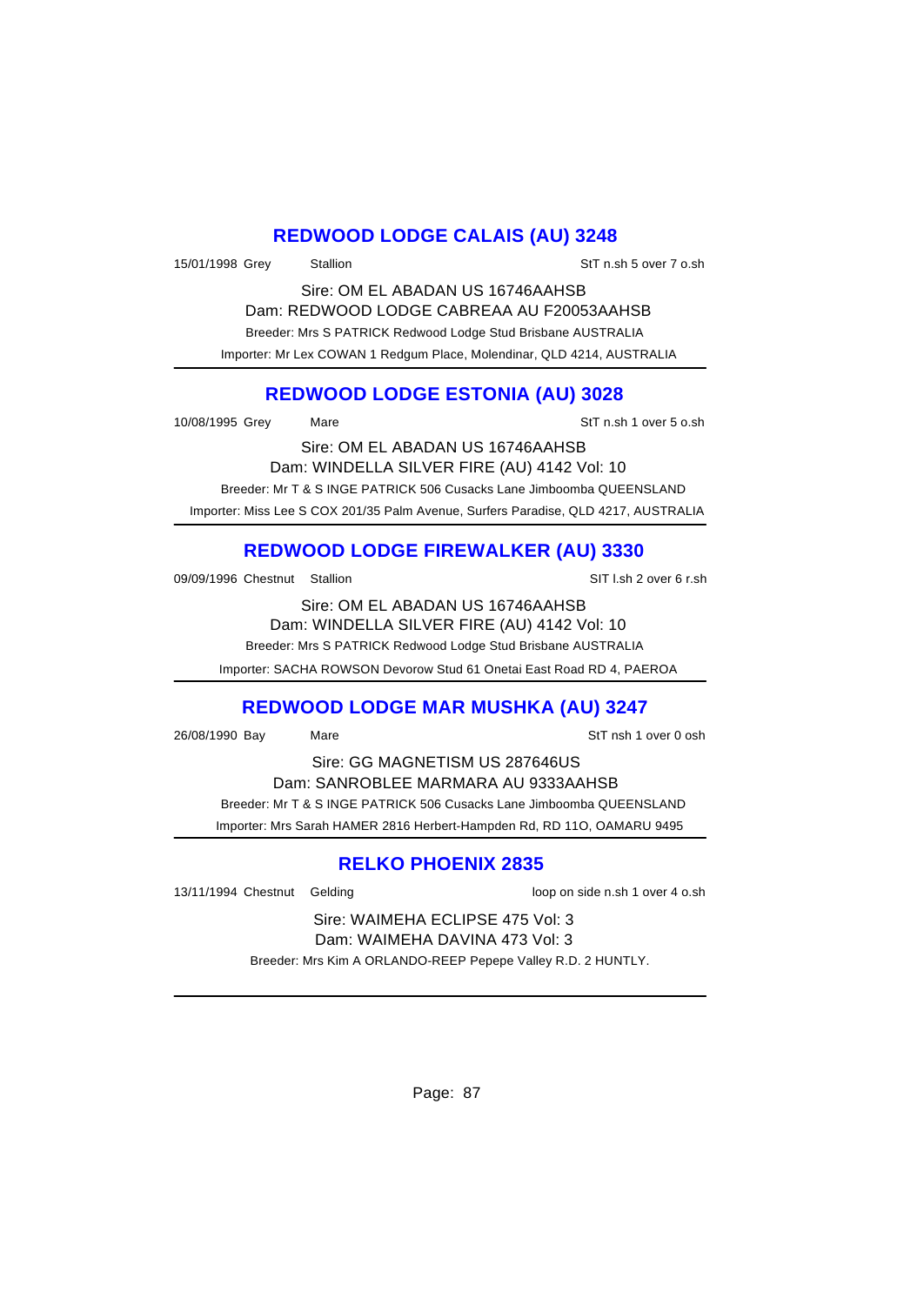### **REDWOOD LODGE CALAIS (AU) 3248**

15/01/1998 Grey Stallion States States States States States States States States States States States States S

Sire: OM EL ABADAN US 16746AAHSB Dam: REDWOOD LODGE CABREAA AU F20053AAHSB Breeder: Mrs S PATRICK Redwood Lodge Stud Brisbane AUSTRALIA Importer: Mr Lex COWAN 1 Redgum Place, Molendinar, QLD 4214, AUSTRALIA

# **REDWOOD LODGE ESTONIA (AU) 3028**

10/08/1995 Grey Mare StT n.sh 1 over 5 o.sh

Sire: OM EL ABADAN US 16746AAHSB Dam: WINDELLA SILVER FIRE (AU) 4142 Vol: 10 Breeder: Mr T & S INGE PATRICK 506 Cusacks Lane Jimboomba QUEENSLAND Importer: Miss Lee S COX 201/35 Palm Avenue, Surfers Paradise, QLD 4217, AUSTRALIA

# **REDWOOD LODGE FIREWALKER (AU) 3330**

09/09/1996 Chestnut Stallion State of the SIT l.sh 2 over 6 r.sh

Sire: OM EL ABADAN US 16746AAHSB Dam: WINDELLA SILVER FIRE (AU) 4142 Vol: 10 Breeder: Mrs S PATRICK Redwood Lodge Stud Brisbane AUSTRALIA

Importer: SACHA ROWSON Devorow Stud 61 Onetai East Road RD 4, PAEROA

# **REDWOOD LODGE MAR MUSHKA (AU) 3247**

26/08/1990 Bay Mare StT nsh 1 over 0 osh

Sire: GG MAGNETISM US 287646US Dam: SANROBLEE MARMARA AU 9333AAHSB Breeder: Mr T & S INGE PATRICK 506 Cusacks Lane Jimboomba QUEENSLAND Importer: Mrs Sarah HAMER 2816 Herbert-Hampden Rd, RD 11O, OAMARU 9495

# **RELKO PHOENIX 2835**

13/11/1994 Chestnut Gelding loop on side n.sh 1 over 4 o.sh

Sire: WAIMEHA ECLIPSE 475 Vol: 3 Dam: WAIMEHA DAVINA 473 Vol: 3

Breeder: Mrs Kim A ORLANDO-REEP Pepepe Valley R.D. 2 HUNTLY.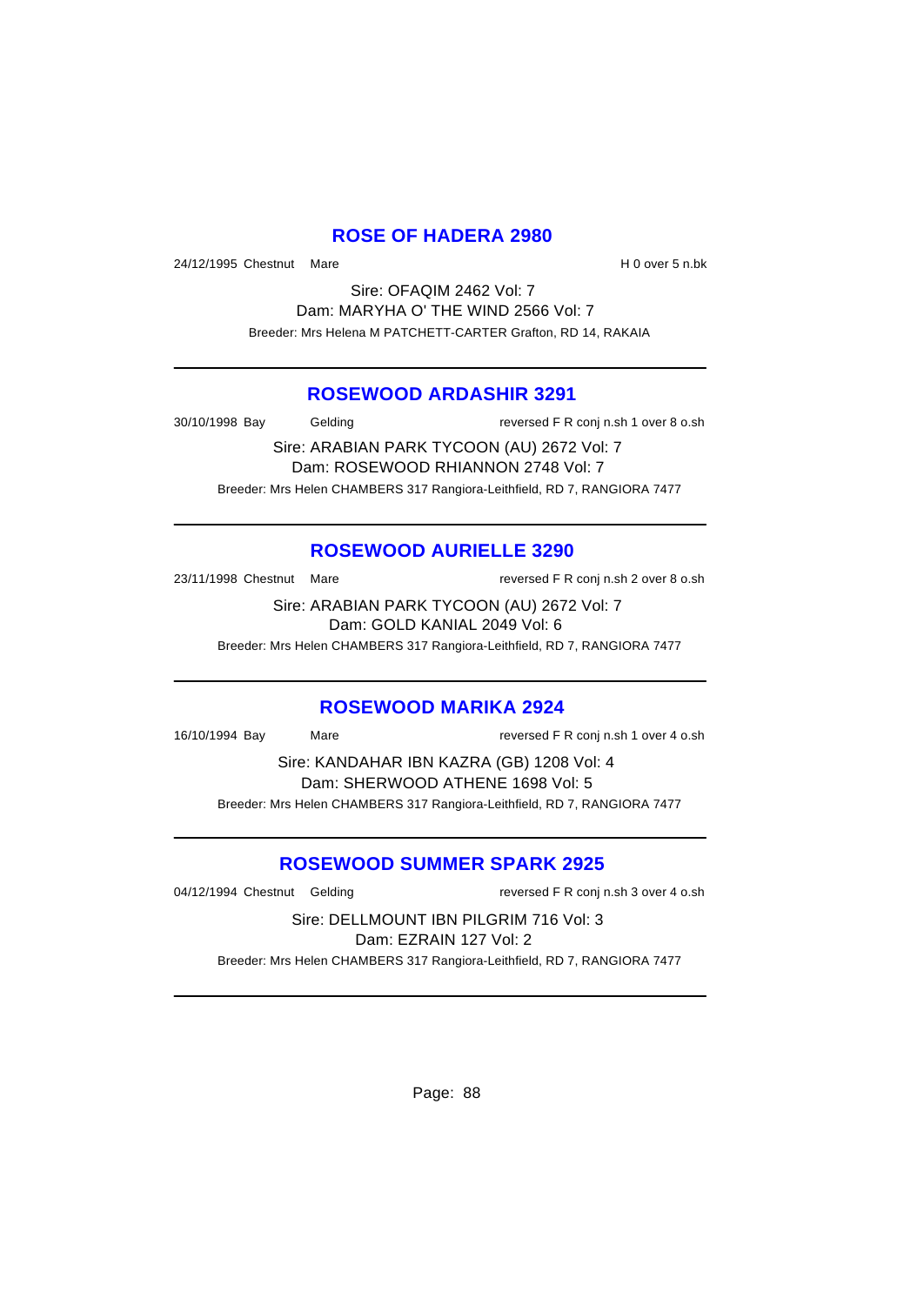### **ROSE OF HADERA 2980**

24/12/1995 Chestnut Mare **H** 0 over 5 n.bk

Sire: OFAQIM 2462 Vol: 7 Dam: MARYHA O' THE WIND 2566 Vol: 7 Breeder: Mrs Helena M PATCHETT-CARTER Grafton, RD 14, RAKAIA

#### **ROSEWOOD ARDASHIR 3291**

30/10/1998 Bay Gelding reversed F R conj n.sh 1 over 8 o.sh

Sire: ARABIAN PARK TYCOON (AU) 2672 Vol: 7 Dam: ROSEWOOD RHIANNON 2748 Vol: 7 Breeder: Mrs Helen CHAMBERS 317 Rangiora-Leithfield, RD 7, RANGIORA 7477

### **ROSEWOOD AURIELLE 3290**

23/11/1998 Chestnut Mare reversed F R conj n.sh 2 over 8 o.sh

Sire: ARABIAN PARK TYCOON (AU) 2672 Vol: 7 Dam: GOLD KANIAL 2049 Vol: 6

Breeder: Mrs Helen CHAMBERS 317 Rangiora-Leithfield, RD 7, RANGIORA 7477

### **ROSEWOOD MARIKA 2924**

16/10/1994 Bay Mare reversed F R conj n.sh 1 over 4 o.sh

Sire: KANDAHAR IBN KAZRA (GB) 1208 Vol: 4 Dam: SHERWOOD ATHENE 1698 Vol: 5 Breeder: Mrs Helen CHAMBERS 317 Rangiora-Leithfield, RD 7, RANGIORA 7477

### **ROSEWOOD SUMMER SPARK 2925**

04/12/1994 Chestnut Gelding reversed F R conj n.sh 3 over 4 o.sh

Sire: DELLMOUNT IBN PILGRIM 716 Vol: 3 Dam: EZRAIN 127 Vol: 2

Breeder: Mrs Helen CHAMBERS 317 Rangiora-Leithfield, RD 7, RANGIORA 7477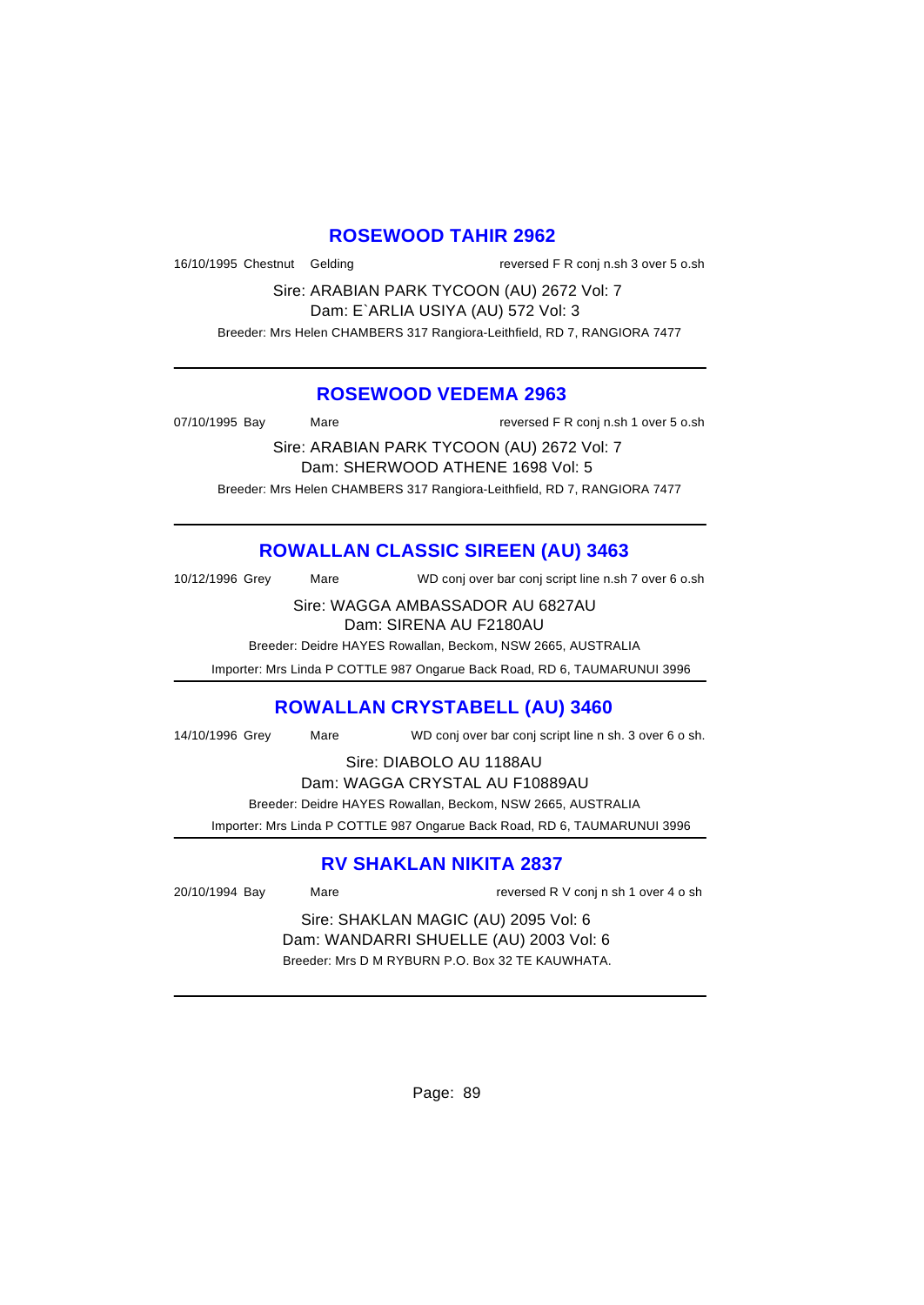#### **ROSEWOOD TAHIR 2962**

16/10/1995 Chestnut Gelding reversed F R conj n.sh 3 over 5 o.sh

Sire: ARABIAN PARK TYCOON (AU) 2672 Vol: 7 Dam: E`ARLIA USIYA (AU) 572 Vol: 3 Breeder: Mrs Helen CHAMBERS 317 Rangiora-Leithfield, RD 7, RANGIORA 7477

#### **ROSEWOOD VEDEMA 2963**

07/10/1995 Bay Mare Reversed F R conj n.sh 1 over 5 o.sh

Sire: ARABIAN PARK TYCOON (AU) 2672 Vol: 7 Dam: SHERWOOD ATHENE 1698 Vol: 5 Breeder: Mrs Helen CHAMBERS 317 Rangiora-Leithfield, RD 7, RANGIORA 7477

# **ROWALLAN CLASSIC SIREEN (AU) 3463**

10/12/1996 Grey Mare WD conj over bar conj script line n.sh 7 over 6 o.sh

Sire: WAGGA AMBASSADOR AU 6827AU Dam: SIRENA AU F2180AU

Breeder: Deidre HAYES Rowallan, Beckom, NSW 2665, AUSTRALIA

Importer: Mrs Linda P COTTLE 987 Ongarue Back Road, RD 6, TAUMARUNUI 3996

### **ROWALLAN CRYSTABELL (AU) 3460**

14/10/1996 Grey Mare WD conj over bar conj script line n sh. 3 over 6 o sh.

Sire: DIABOLO AU 1188AU

Dam: WAGGA CRYSTAL AU F10889AU

Breeder: Deidre HAYES Rowallan, Beckom, NSW 2665, AUSTRALIA

Importer: Mrs Linda P COTTLE 987 Ongarue Back Road, RD 6, TAUMARUNUI 3996

# **RV SHAKLAN NIKITA 2837**

20/10/1994 Bay Mare Mare reversed R V conj n sh 1 over 4 o sh

Sire: SHAKLAN MAGIC (AU) 2095 Vol: 6 Dam: WANDARRI SHUELLE (AU) 2003 Vol: 6 Breeder: Mrs D M RYBURN P.O. Box 32 TE KAUWHATA.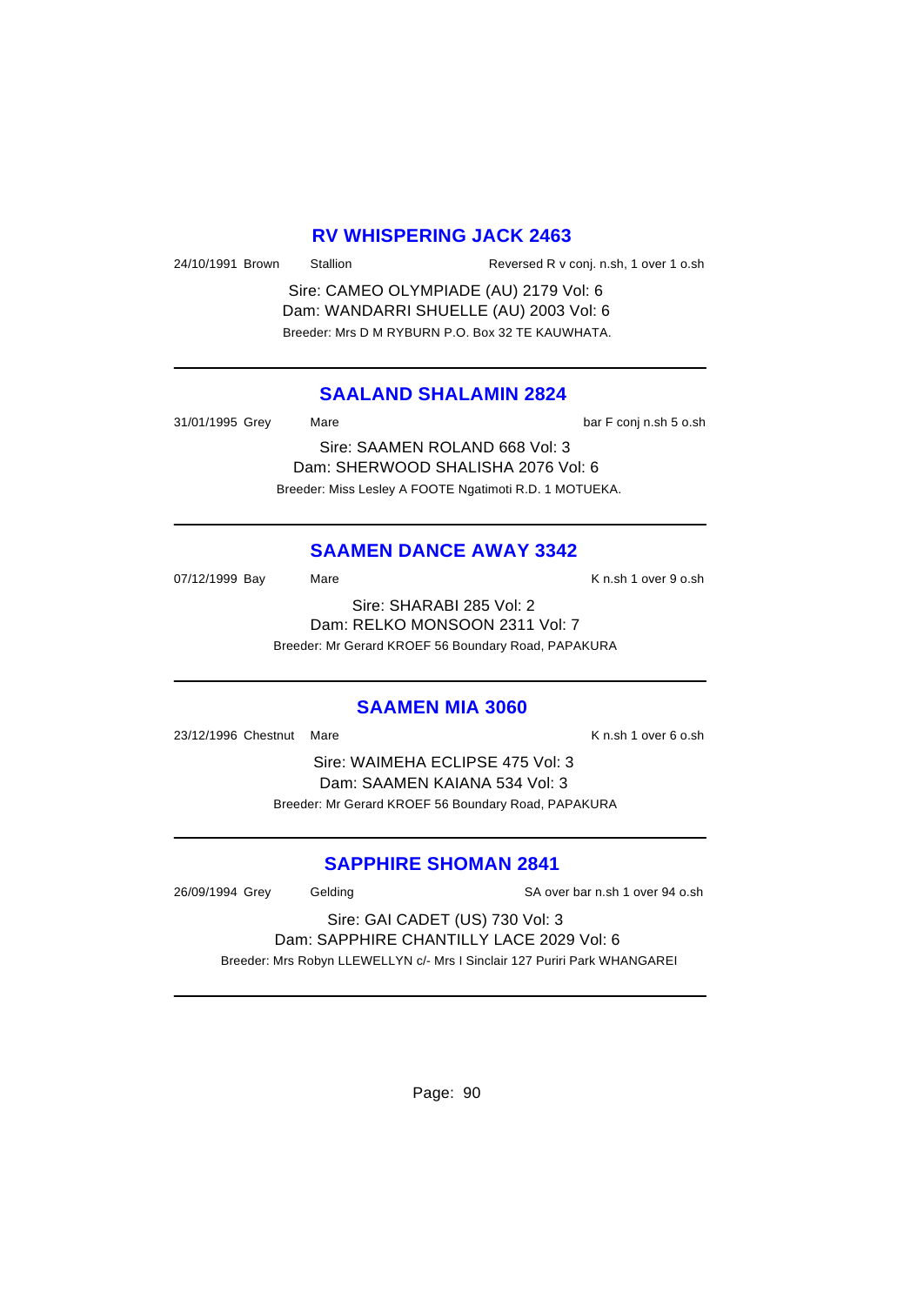#### **RV WHISPERING JACK 2463**

24/10/1991 Brown Stallion Reversed R v conj. n.sh, 1 over 1 o.sh

Sire: CAMEO OLYMPIADE (AU) 2179 Vol: 6 Dam: WANDARRI SHUELLE (AU) 2003 Vol: 6 Breeder: Mrs D M RYBURN P.O. Box 32 TE KAUWHATA.

### **SAALAND SHALAMIN 2824**

31/01/1995 Grey Mare Mare bar F conj n.sh 5 o.sh Sire: SAAMEN ROLAND 668 Vol: 3

Dam: SHERWOOD SHALISHA 2076 Vol: 6 Breeder: Miss Lesley A FOOTE Ngatimoti R.D. 1 MOTUEKA.

### **SAAMEN DANCE AWAY 3342**

07/12/1999 Bay Mare Mare K n.sh 1 over 9 o.sh Sire: SHARABI 285 Vol: 2

Dam: RELKO MONSOON 2311 Vol: 7

Breeder: Mr Gerard KROEF 56 Boundary Road, PAPAKURA

#### **SAAMEN MIA 3060**

23/12/1996 Chestnut Mare **K n.sh 1 over 6 o.sh** K n.sh 1 over 6 o.sh

Sire: WAIMEHA ECLIPSE 475 Vol: 3 Dam: SAAMEN KAIANA 534 Vol: 3 Breeder: Mr Gerard KROEF 56 Boundary Road, PAPAKURA

### **SAPPHIRE SHOMAN 2841**

26/09/1994 Grey Gelding SA over bar n.sh 1 over 94 o.sh

Sire: GAI CADET (US) 730 Vol: 3 Dam: SAPPHIRE CHANTILLY LACE 2029 Vol: 6

Breeder: Mrs Robyn LLEWELLYN c/- Mrs I Sinclair 127 Puriri Park WHANGAREI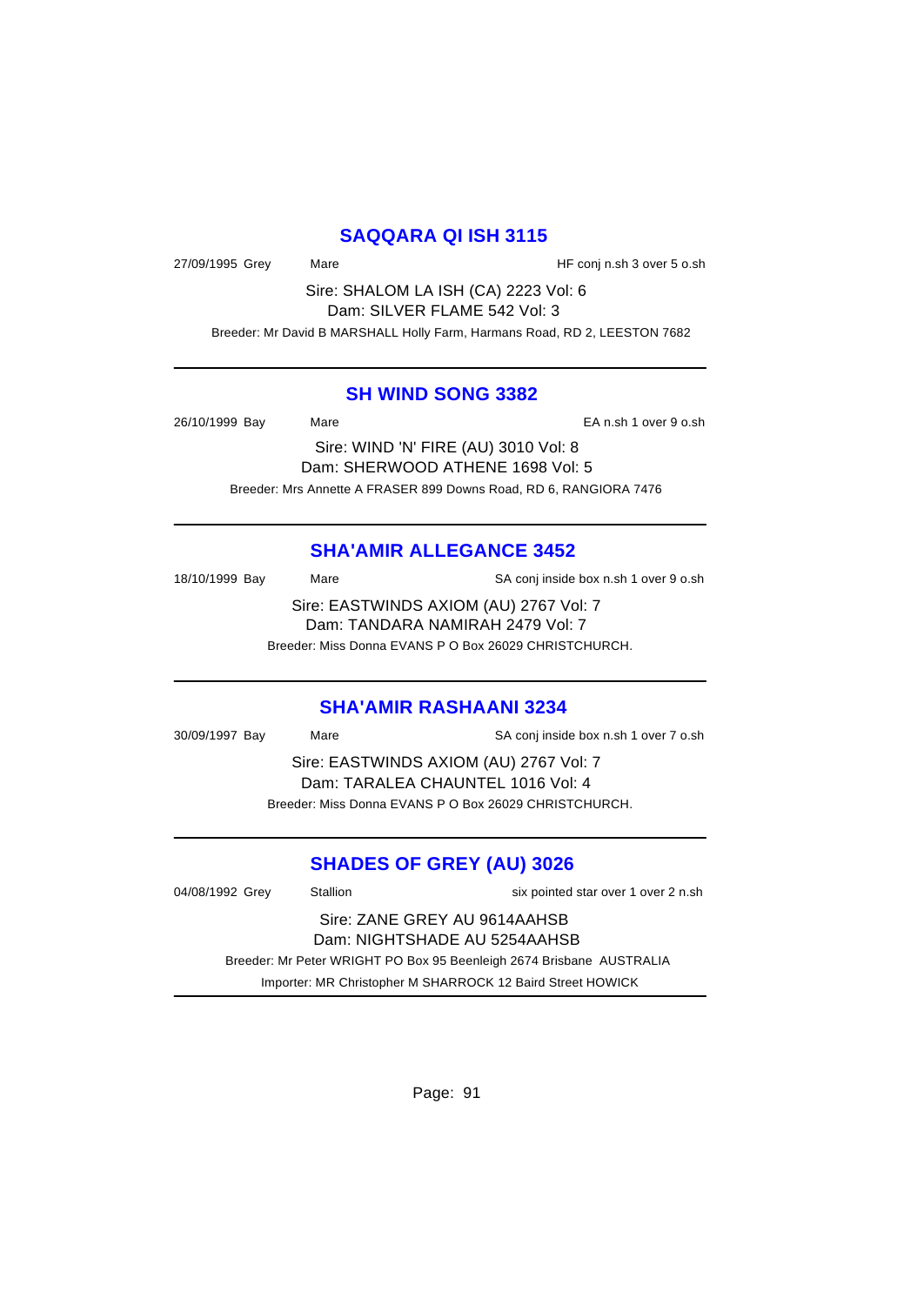### **SAQQARA QI ISH 3115**

27/09/1995 Grey Mare Mare Mare HF conj n.sh 3 over 5 o.sh

Sire: SHALOM LA ISH (CA) 2223 Vol: 6 Dam: SILVER FLAME 542 Vol: 3

Breeder: Mr David B MARSHALL Holly Farm, Harmans Road, RD 2, LEESTON 7682

#### **SH WIND SONG 3382**

26/10/1999 Bay Mare EA n.sh 1 over 9 o.sh

Sire: WIND 'N' FIRE (AU) 3010 Vol: 8 Dam: SHERWOOD ATHENE 1698 Vol: 5 Breeder: Mrs Annette A FRASER 899 Downs Road, RD 6, RANGIORA 7476

### **SHA'AMIR ALLEGANCE 3452**

| 18/10/1999 Bay | Mare | SA conj inside box n.sh 1 over 9 o.sh  |
|----------------|------|----------------------------------------|
|                |      | Sire: EASTWINDS AXIOM (AU) 2767 Vol: 7 |
|                |      | Dam: TANDARA NAMIRAH 2479 Vol: 7       |

Breeder: Miss Donna EVANS P O Box 26029 CHRISTCHURCH.

#### **SHA'AMIR RASHAANI 3234**

30/09/1997 Bay Mare SA conj inside box n.sh 1 over 7 o.sh

Sire: EASTWINDS AXIOM (AU) 2767 Vol: 7 Dam: TARALEA CHAUNTEL 1016 Vol: 4 Breeder: Miss Donna EVANS P O Box 26029 CHRISTCHURCH.

# **SHADES OF GREY (AU) 3026**

| 04/08/1992 Grey                                                      | Stallion | six pointed star over 1 over 2 n.sh |
|----------------------------------------------------------------------|----------|-------------------------------------|
| Sire: ZANE GREY AU 9614AAHSB                                         |          |                                     |
| Dam: NIGHTSHADE AU 5254AAHSB                                         |          |                                     |
| Breeder: Mr Peter WRIGHT PO Box 95 Beenleigh 2674 Brisbane AUSTRALIA |          |                                     |
| Importer: MR Christopher M SHARROCK 12 Baird Street HOWICK           |          |                                     |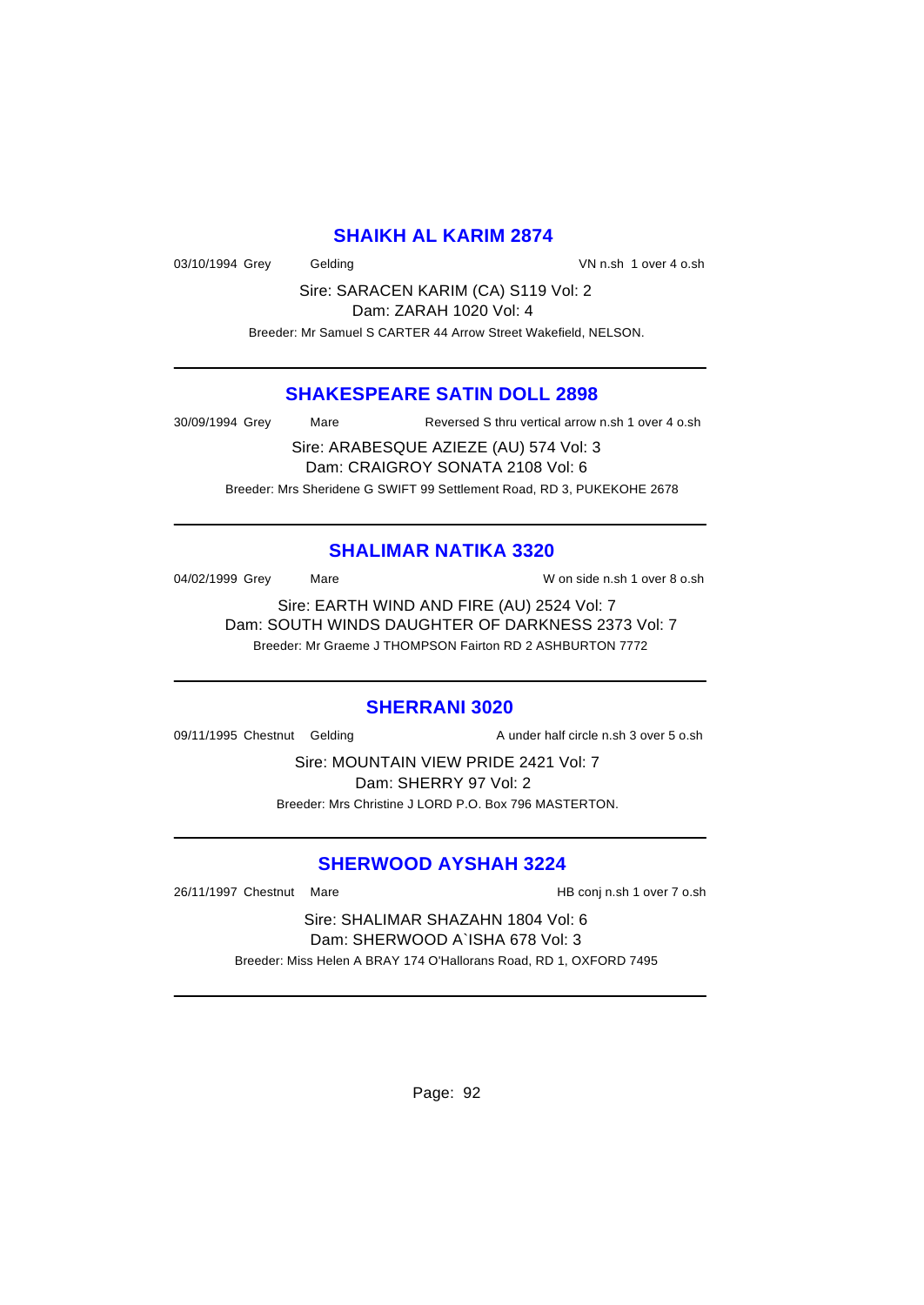#### **SHAIKH AL KARIM 2874**

03/10/1994 Grey Gelding Contract Contract Contract Contract Contract Contract Contract Contract Contract Contract Contract Contract Contract Contract Contract Contract Contract Contract Contract Contract Contract Contract

Sire: SARACEN KARIM (CA) S119 Vol: 2 Dam: ZARAH 1020 Vol: 4

Breeder: Mr Samuel S CARTER 44 Arrow Street Wakefield, NELSON.

#### **SHAKESPEARE SATIN DOLL 2898**

30/09/1994 Grey Mare Reversed S thru vertical arrow n.sh 1 over 4 o.sh

Sire: ARABESQUE AZIEZE (AU) 574 Vol: 3 Dam: CRAIGROY SONATA 2108 Vol: 6 Breeder: Mrs Sheridene G SWIFT 99 Settlement Road, RD 3, PUKEKOHE 2678

#### **SHALIMAR NATIKA 3320**

04/02/1999 Grey Mare Mare W on side n.sh 1 over 8 o.sh

Sire: EARTH WIND AND FIRE (AU) 2524 Vol: 7 Dam: SOUTH WINDS DAUGHTER OF DARKNESS 2373 Vol: 7 Breeder: Mr Graeme J THOMPSON Fairton RD 2 ASHBURTON 7772

#### **SHERRANI 3020**

09/11/1995 Chestnut Gelding and A under half circle n.sh 3 over 5 o.sh

Sire: MOUNTAIN VIEW PRIDE 2421 Vol: 7 Dam: SHERRY 97 Vol: 2 Breeder: Mrs Christine J LORD P.O. Box 796 MASTERTON.

#### **SHERWOOD AYSHAH 3224**

26/11/1997 Chestnut Mare HB conj n.sh 1 over 7 o.sh

Sire: SHALIMAR SHAZAHN 1804 Vol: 6 Dam: SHERWOOD A`ISHA 678 Vol: 3 Breeder: Miss Helen A BRAY 174 O'Hallorans Road, RD 1, OXFORD 7495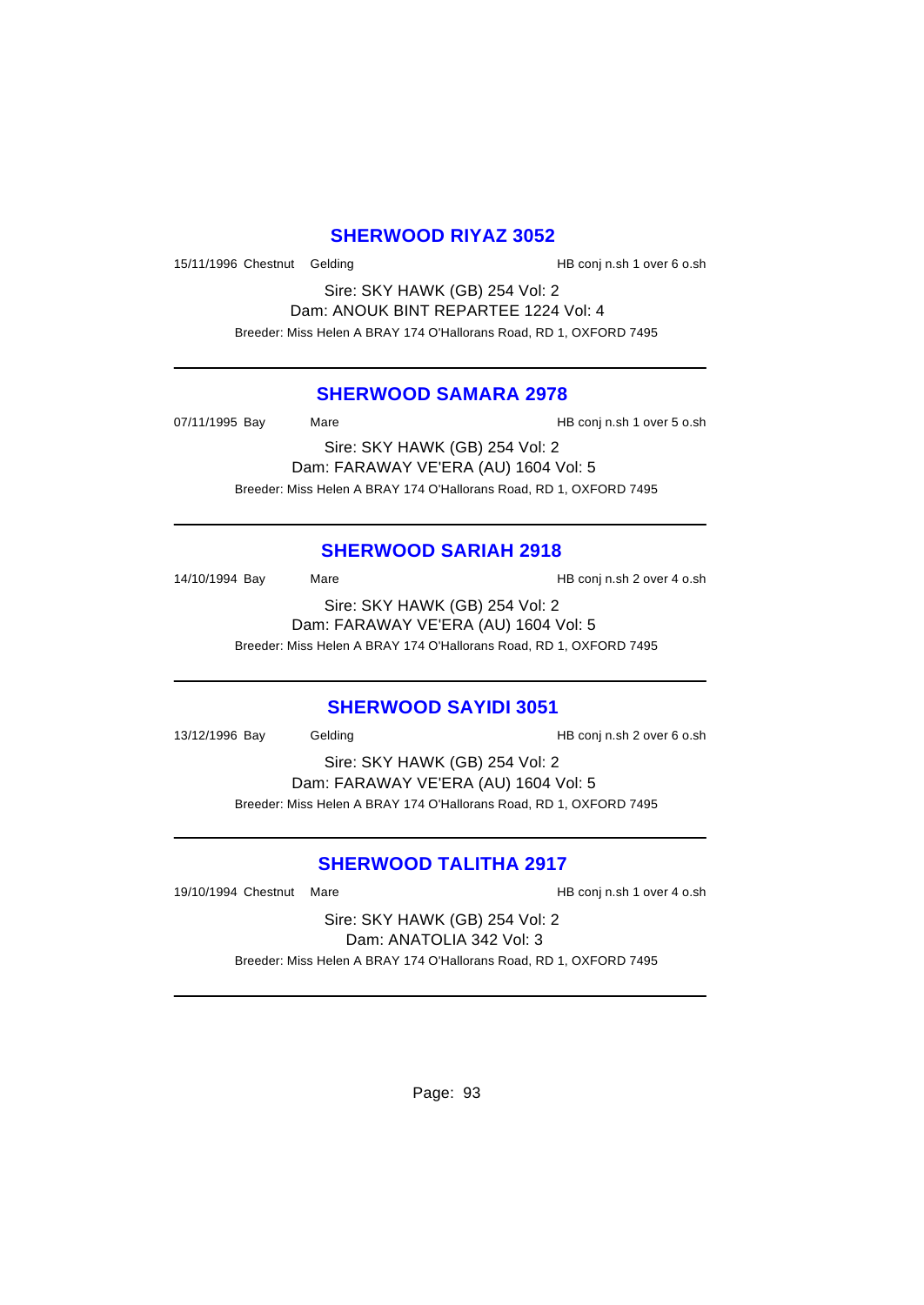### **SHERWOOD RIYAZ 3052**

15/11/1996 Chestnut Gelding HB conj n.sh 1 over 6 o.sh

Sire: SKY HAWK (GB) 254 Vol: 2 Dam: ANOUK BINT REPARTEE 1224 Vol: 4 Breeder: Miss Helen A BRAY 174 O'Hallorans Road, RD 1, OXFORD 7495

#### **SHERWOOD SAMARA 2978**

07/11/1995 Bay Mare Mare HB conj n.sh 1 over 5 o.sh

Sire: SKY HAWK (GB) 254 Vol: 2 Dam: FARAWAY VE'ERA (AU) 1604 Vol: 5 Breeder: Miss Helen A BRAY 174 O'Hallorans Road, RD 1, OXFORD 7495

### **SHERWOOD SARIAH 2918**

14/10/1994 Bay Mare Mare HB conj n.sh 2 over 4 o.sh Sire: SKY HAWK (GB) 254 Vol: 2 Dam: FARAWAY VE'ERA (AU) 1604 Vol: 5

Breeder: Miss Helen A BRAY 174 O'Hallorans Road, RD 1, OXFORD 7495

#### **SHERWOOD SAYIDI 3051**

13/12/1996 Bay Gelding HB conj n.sh 2 over 6 o.sh

Sire: SKY HAWK (GB) 254 Vol: 2 Dam: FARAWAY VE'ERA (AU) 1604 Vol: 5 Breeder: Miss Helen A BRAY 174 O'Hallorans Road, RD 1, OXFORD 7495

#### **SHERWOOD TALITHA 2917**

19/10/1994 Chestnut Mare HB conj n.sh 1 over 4 o.sh

Sire: SKY HAWK (GB) 254 Vol: 2 Dam: ANATOLIA 342 Vol: 3 Breeder: Miss Helen A BRAY 174 O'Hallorans Road, RD 1, OXFORD 7495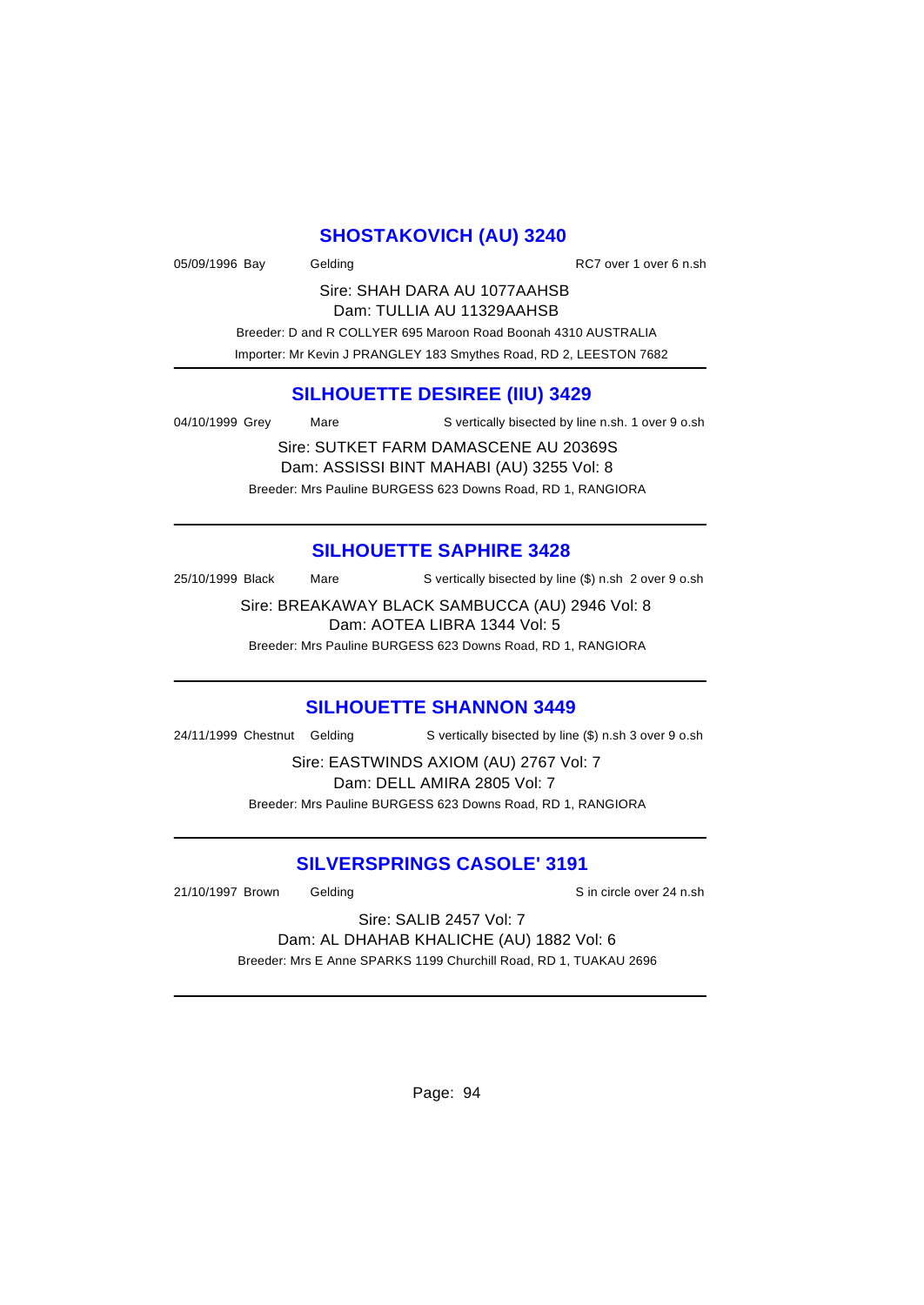### **SHOSTAKOVICH (AU) 3240**

| 05/09/1996 Bay | Gelding |                                                                 | RC7 over 1 over 6 n.sh |
|----------------|---------|-----------------------------------------------------------------|------------------------|
|                |         | Sire: SHAH DARA AU 1077AAHSB                                    |                        |
|                |         | Dam: TULLIA AU 11329AAHSB                                       |                        |
|                |         | Broader: D and R COLLYER 695 Marcon Road Boonah 4310 ALISTRALIA |                        |

and R COLLYER 695 Maroon Road Boonah 4310 AUSTRALIA Importer: Mr Kevin J PRANGLEY 183 Smythes Road, RD 2, LEESTON 7682

### **SILHOUETTE DESIREE (IIU) 3429**

04/10/1999 Grey Mare S vertically bisected by line n.sh. 1 over 9 o.sh

Sire: SUTKET FARM DAMASCENE AU 20369S Dam: ASSISSI BINT MAHABI (AU) 3255 Vol: 8 Breeder: Mrs Pauline BURGESS 623 Downs Road, RD 1, RANGIORA

### **SILHOUETTE SAPHIRE 3428**

25/10/1999 Black Mare S vertically bisected by line (\$) n.sh 2 over 9 o.sh

Sire: BREAKAWAY BLACK SAMBUCCA (AU) 2946 Vol: 8 Dam: AOTEA LIBRA 1344 Vol: 5

Breeder: Mrs Pauline BURGESS 623 Downs Road, RD 1, RANGIORA

### **SILHOUETTE SHANNON 3449**

24/11/1999 Chestnut Gelding S vertically bisected by line (\$) n.sh 3 over 9 o.sh

Sire: EASTWINDS AXIOM (AU) 2767 Vol: 7 Dam: DELL AMIRA 2805 Vol: 7 Breeder: Mrs Pauline BURGESS 623 Downs Road, RD 1, RANGIORA

### **SILVERSPRINGS CASOLE' 3191**

21/10/1997 Brown Gelding Sin circle over 24 n.sh

Sire: SALIB 2457 Vol: 7 Dam: AL DHAHAB KHALICHE (AU) 1882 Vol: 6 Breeder: Mrs E Anne SPARKS 1199 Churchill Road, RD 1, TUAKAU 2696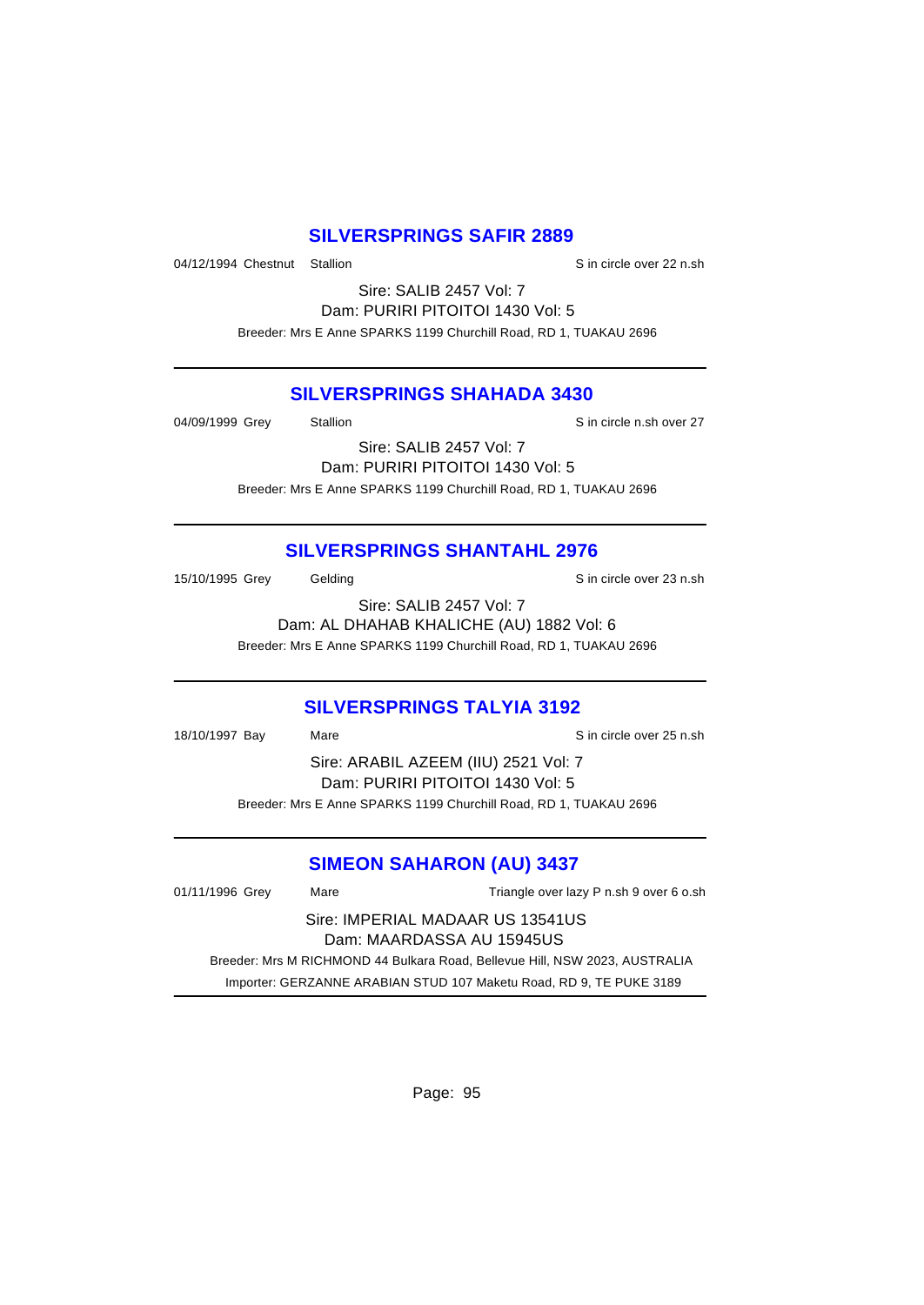### **SILVERSPRINGS SAFIR 2889**

04/12/1994 Chestnut Stallion State over 22 n.sh

Sire: SALIB 2457 Vol: 7 Dam: PURIRI PITOITOI 1430 Vol: 5 Breeder: Mrs E Anne SPARKS 1199 Churchill Road, RD 1, TUAKAU 2696

#### **SILVERSPRINGS SHAHADA 3430**

04/09/1999 Grey Stallion Stallion State State State State State State State State State State State State State State State State State State State State State State State State State State State State State State State St

Sire: SALIB 2457 Vol: 7 Dam: PURIRI PITOITOI 1430 Vol: 5 Breeder: Mrs E Anne SPARKS 1199 Churchill Road, RD 1, TUAKAU 2696

### **SILVERSPRINGS SHANTAHL 2976**

15/10/1995 Grey Gelding Gelding Sin circle over 23 n.sh

Sire: SALIB 2457 Vol: 7 Dam: AL DHAHAB KHALICHE (AU) 1882 Vol: 6 Breeder: Mrs E Anne SPARKS 1199 Churchill Road, RD 1, TUAKAU 2696

### **SILVERSPRINGS TALYIA 3192**

18/10/1997 Bay Mare Sincircle over 25 n.sh Sire: ARABIL AZEEM (IIU) 2521 Vol: 7 Dam: PURIRI PITOITOI 1430 Vol: 5 Breeder: Mrs E Anne SPARKS 1199 Churchill Road, RD 1, TUAKAU 2696

### **SIMEON SAHARON (AU) 3437**

01/11/1996 Grey Mare Mare Triangle over lazy P n.sh 9 over 6 o.sh Sire: IMPERIAL MADAAR US 13541US Dam: MAARDASSA AU 15945US Breeder: Mrs M RICHMOND 44 Bulkara Road, Bellevue Hill, NSW 2023, AUSTRALIA Importer: GERZANNE ARABIAN STUD 107 Maketu Road, RD 9, TE PUKE 3189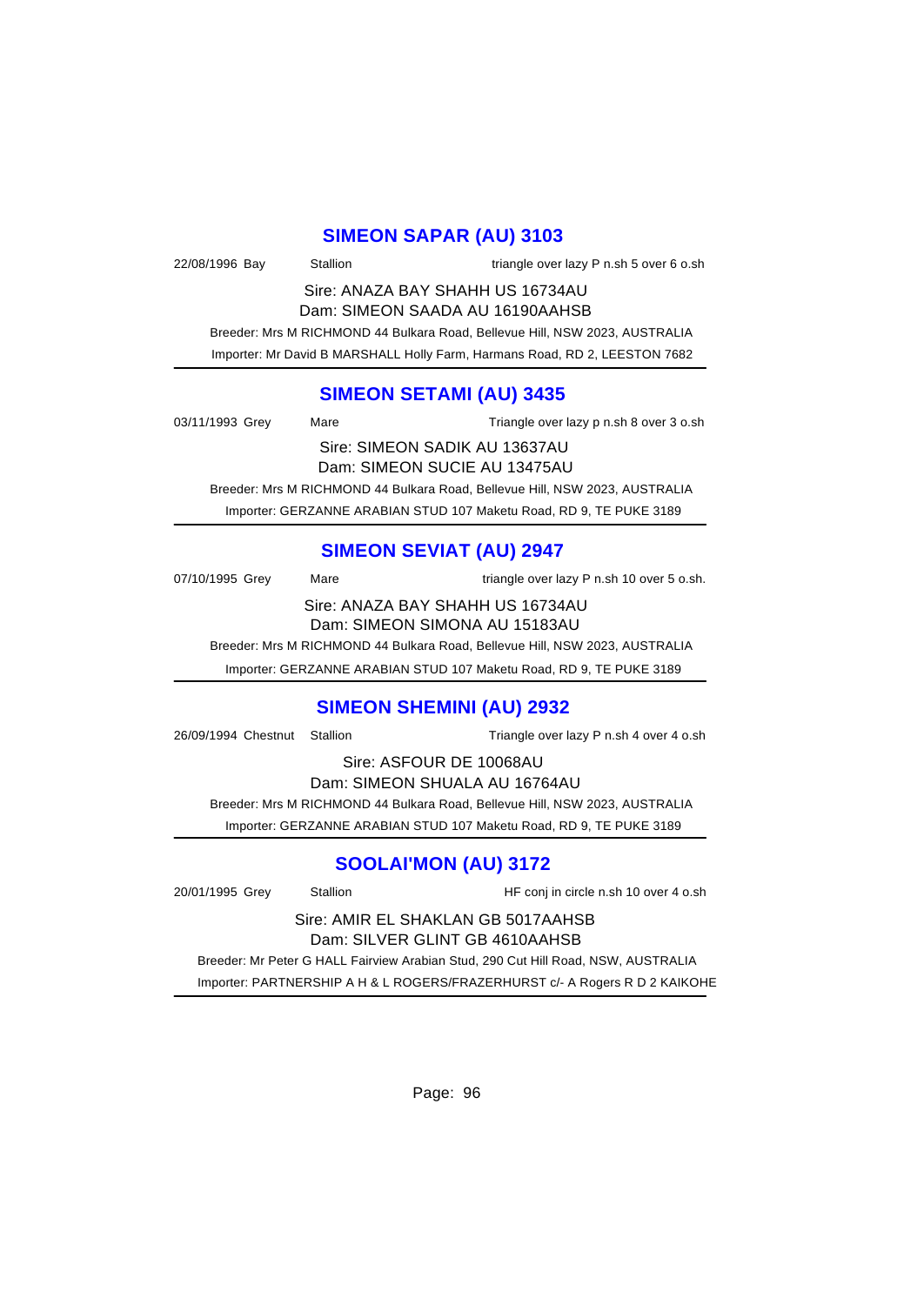### **SIMEON SAPAR (AU) 3103**

22/08/1996 Bay Stallion Stallion triangle over lazy P n.sh 5 over 6 o.sh Sire: ANAZA BAY SHAHH US 16734AU Dam: SIMEON SAADA AU 16190AAHSB

 Breeder: Mrs M RICHMOND 44 Bulkara Road, Bellevue Hill, NSW 2023, AUSTRALIA Importer: Mr David B MARSHALL Holly Farm, Harmans Road, RD 2, LEESTON 7682

### **SIMEON SETAMI (AU) 3435**

| 03/11/1993 Grey               | Mare | Triangle over lazy p n.sh 8 over 3 o.sh                                     |  |
|-------------------------------|------|-----------------------------------------------------------------------------|--|
| Sire: SIMEON SADIK AU 13637AU |      |                                                                             |  |
| Dam: SIMEON SUCIE AU 13475AU  |      |                                                                             |  |
|                               |      | Breeder: Mrs M RICHMOND 44 Bulkara Road, Bellevue Hill, NSW 2023, AUSTRALIA |  |
|                               |      | Importer: GERZANNE ARABIAN STUD 107 Maketu Road, RD 9, TE PUKE 3189         |  |

# **SIMEON SEVIAT (AU) 2947**

| 07/10/1995 Grey | Mare | triangle over lazy P n.sh 10 over 5 o.sh. |
|-----------------|------|-------------------------------------------|

Sire: ANAZA BAY SHAHH US 16734AU Dam: SIMEON SIMONA AU 15183AU

Breeder: Mrs M RICHMOND 44 Bulkara Road, Bellevue Hill, NSW 2023, AUSTRALIA

Importer: GERZANNE ARABIAN STUD 107 Maketu Road, RD 9, TE PUKE 3189

#### **SIMEON SHEMINI (AU) 2932**

26/09/1994 Chestnut Stallion Triangle over lazy P n.sh 4 over 4 o.sh

Sire: ASFOUR DE 10068AU

Dam: SIMEON SHUALA AU 16764AU

Breeder: Mrs M RICHMOND 44 Bulkara Road, Bellevue Hill, NSW 2023, AUSTRALIA

Importer: GERZANNE ARABIAN STUD 107 Maketu Road, RD 9, TE PUKE 3189

# **SOOLAI'MON (AU) 3172**

20/01/1995 Grey Stallion HF conj in circle n.sh 10 over 4 o.sh

Sire: AMIR EL SHAKLAN GB 5017AAHSB Dam: SILVER GLINT GB 4610AAHSB

 Breeder: Mr Peter G HALL Fairview Arabian Stud, 290 Cut Hill Road, NSW, AUSTRALIA Importer: PARTNERSHIP A H & L ROGERS/FRAZERHURST c/- A Rogers R D 2 KAIKOHE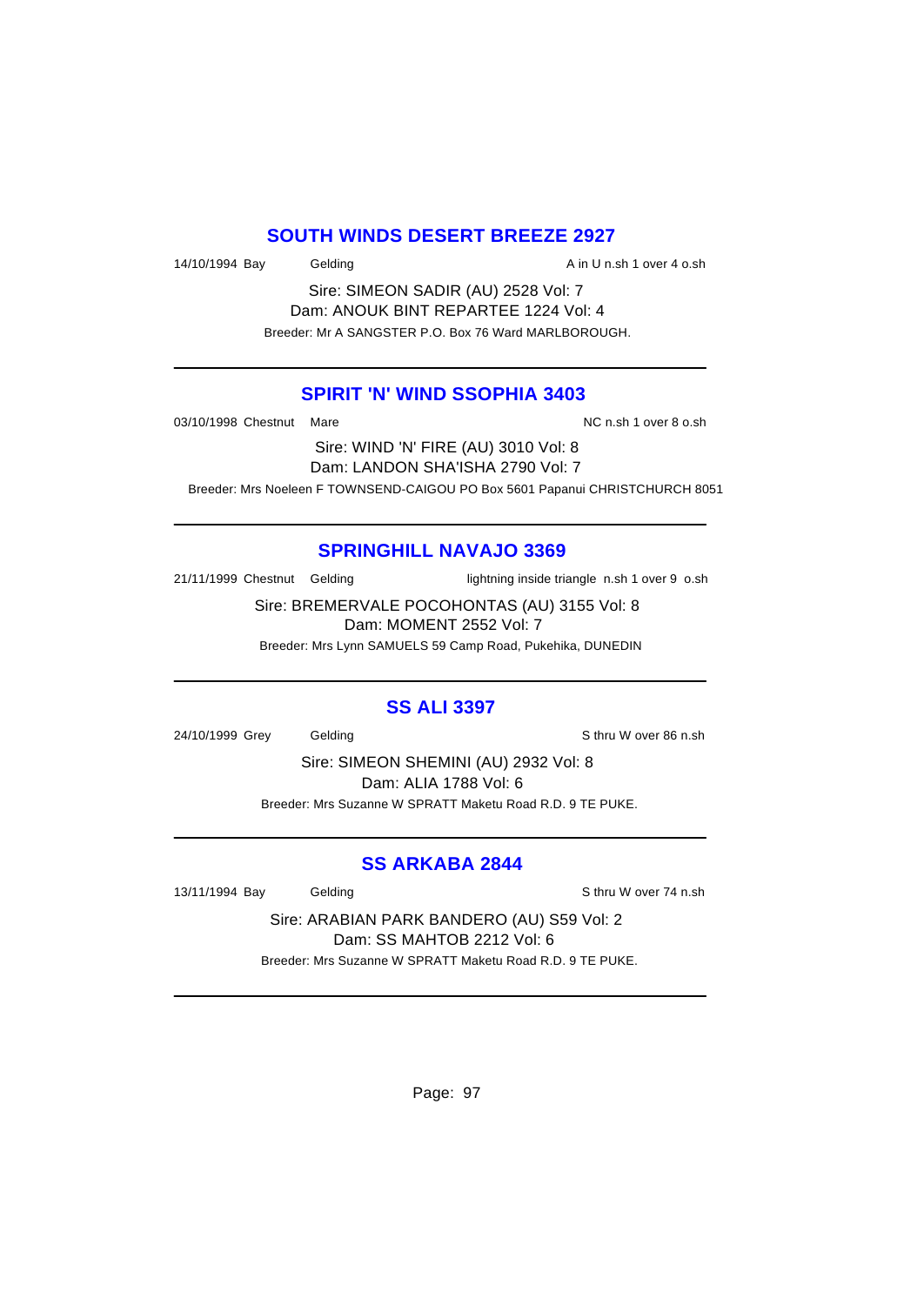### **SOUTH WINDS DESERT BREEZE 2927**

14/10/1994 Bay Gelding Communication A in U n.sh 1 over 4 o.sh

Sire: SIMEON SADIR (AU) 2528 Vol: 7 Dam: ANOUK BINT REPARTEE 1224 Vol: 4 Breeder: Mr A SANGSTER P.O. Box 76 Ward MARLBOROUGH.

### **SPIRIT 'N' WIND SSOPHIA 3403**

03/10/1998 Chestnut Mare **NC n.sh 1 over 8 o.sh** 03/10/1998 Chestnut Mare

Sire: WIND 'N' FIRE (AU) 3010 Vol: 8 Dam: LANDON SHA'ISHA 2790 Vol: 7 Breeder: Mrs Noeleen F TOWNSEND-CAIGOU PO Box 5601 Papanui CHRISTCHURCH 8051

### **SPRINGHILL NAVAJO 3369**

21/11/1999 Chestnut Gelding lightning inside triangle n.sh 1 over 9 o.sh

Sire: BREMERVALE POCOHONTAS (AU) 3155 Vol: 8 Dam: MOMENT 2552 Vol: 7

Breeder: Mrs Lynn SAMUELS 59 Camp Road, Pukehika, DUNEDIN

### **SS ALI 3397**

24/10/1999 Grey Gelding Schritten Gelding Schritten State State State State State State State State State State

Sire: SIMEON SHEMINI (AU) 2932 Vol: 8 Dam: ALIA 1788 Vol: 6 Breeder: Mrs Suzanne W SPRATT Maketu Road R.D. 9 TE PUKE.

### **SS ARKABA 2844**

13/11/1994 Bay Gelding Communication of Sthru W over 74 n.sh

Sire: ARABIAN PARK BANDERO (AU) S59 Vol: 2 Dam: SS MAHTOB 2212 Vol: 6 Breeder: Mrs Suzanne W SPRATT Maketu Road R.D. 9 TE PUKE.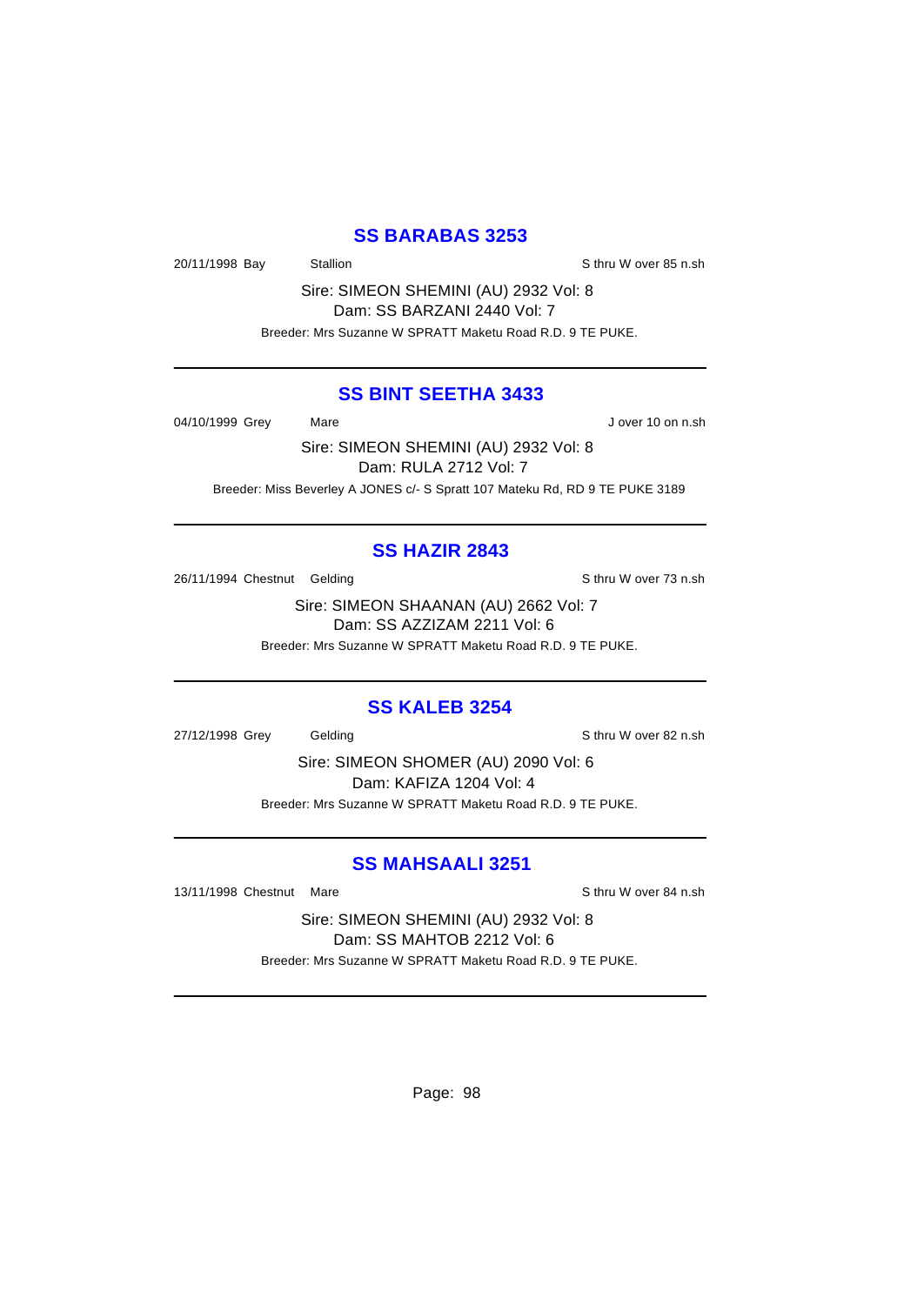### **SS BARABAS 3253**

20/11/1998 Bay Stallion Stallion State Strumber Strumber Strumber Strumber Strumber Strumber Strumber Strumber

Sire: SIMEON SHEMINI (AU) 2932 Vol: 8 Dam: SS BARZANI 2440 Vol: 7 Breeder: Mrs Suzanne W SPRATT Maketu Road R.D. 9 TE PUKE.

#### **SS BINT SEETHA 3433**

04/10/1999 Grey Mare Mare J over 10 on n.sh

Sire: SIMEON SHEMINI (AU) 2932 Vol: 8 Dam: RULA 2712 Vol: 7 Breeder: Miss Beverley A JONES c/- S Spratt 107 Mateku Rd, RD 9 TE PUKE 3189

### **SS HAZIR 2843**

26/11/1994 Chestnut Gelding Share States and States States States States States States States States States States States States States States States States States States States States States States States States States St

Sire: SIMEON SHAANAN (AU) 2662 Vol: 7 Dam: SS AZZIZAM 2211 Vol: 6

Breeder: Mrs Suzanne W SPRATT Maketu Road R.D. 9 TE PUKE.

#### **SS KALEB 3254**

27/12/1998 Grey Gelding Sthru W over 82 n.sh

Sire: SIMEON SHOMER (AU) 2090 Vol: 6 Dam: KAFIZA 1204 Vol: 4 Breeder: Mrs Suzanne W SPRATT Maketu Road R.D. 9 TE PUKE.

### **SS MAHSAALI 3251**

13/11/1998 Chestnut Mare Sthru W over 84 n.sh

Sire: SIMEON SHEMINI (AU) 2932 Vol: 8 Dam: SS MAHTOB 2212 Vol: 6 Breeder: Mrs Suzanne W SPRATT Maketu Road R.D. 9 TE PUKE.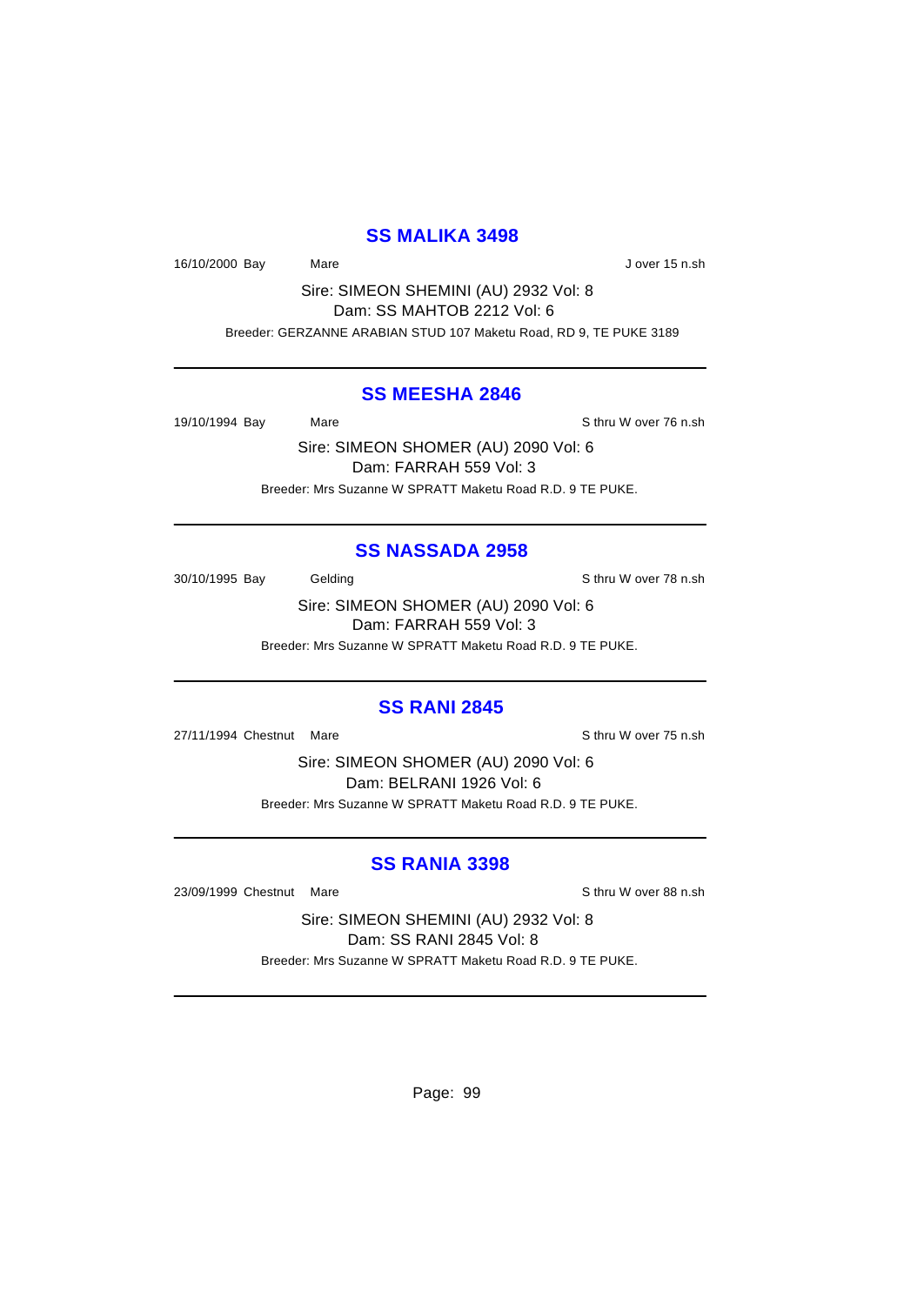#### **SS MALIKA 3498**

16/10/2000 Bay Mare Mare Jover 15 n.sh

Sire: SIMEON SHEMINI (AU) 2932 Vol: 8 Dam: SS MAHTOB 2212 Vol: 6 Breeder: GERZANNE ARABIAN STUD 107 Maketu Road, RD 9, TE PUKE 3189

#### **SS MEESHA 2846**

19/10/1994 Bay Mare Sthru W over 76 n.sh

Sire: SIMEON SHOMER (AU) 2090 Vol: 6 Dam: FARRAH 559 Vol: 3 Breeder: Mrs Suzanne W SPRATT Maketu Road R.D. 9 TE PUKE.

#### **SS NASSADA 2958**

30/10/1995 Bay Gelding Gelding Schritt Steiner Steiner Steiner Steiner Steiner Steiner Steiner Steiner Steiner

Sire: SIMEON SHOMER (AU) 2090 Vol: 6 Dam: FARRAH 559 Vol: 3 Breeder: Mrs Suzanne W SPRATT Maketu Road R.D. 9 TE PUKE.

#### **SS RANI 2845**

27/11/1994 Chestnut Mare Sthru W over 75 n.sh

Sire: SIMEON SHOMER (AU) 2090 Vol: 6 Dam: BELRANI 1926 Vol: 6 Breeder: Mrs Suzanne W SPRATT Maketu Road R.D. 9 TE PUKE.

### **SS RANIA 3398**

23/09/1999 Chestnut Mare Show Sthru W over 88 n.sh

Sire: SIMEON SHEMINI (AU) 2932 Vol: 8 Dam: SS RANI 2845 Vol: 8 Breeder: Mrs Suzanne W SPRATT Maketu Road R.D. 9 TE PUKE.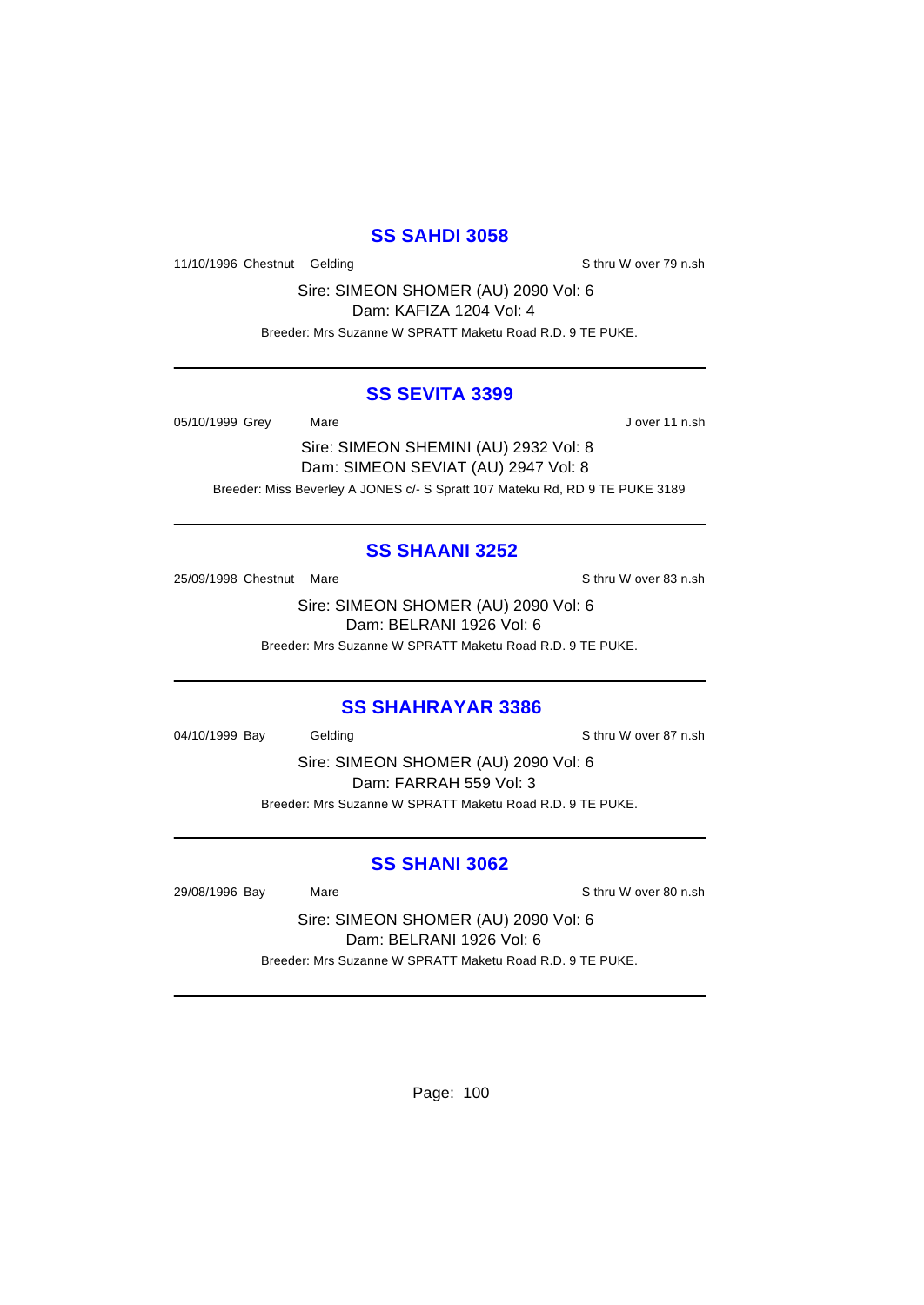### **SS SAHDI 3058**

11/10/1996 Chestnut Gelding Sthru W over 79 n.sh

Sire: SIMEON SHOMER (AU) 2090 Vol: 6 Dam: KAFIZA 1204 Vol: 4

Breeder: Mrs Suzanne W SPRATT Maketu Road R.D. 9 TE PUKE.

#### **SS SEVITA 3399**

05/10/1999 Grey Mare Mare Jover 11 n.sh

Sire: SIMEON SHEMINI (AU) 2932 Vol: 8 Dam: SIMEON SEVIAT (AU) 2947 Vol: 8 Breeder: Miss Beverley A JONES c/- S Spratt 107 Mateku Rd, RD 9 TE PUKE 3189

### **SS SHAANI 3252**

25/09/1998 Chestnut Mare S thru W over 83 n.sh

Sire: SIMEON SHOMER (AU) 2090 Vol: 6 Dam: BELRANI 1926 Vol: 6 Breeder: Mrs Suzanne W SPRATT Maketu Road R.D. 9 TE PUKE.

#### **SS SHAHRAYAR 3386**

04/10/1999 Bay Gelding Gelding S thru W over 87 n.sh

Sire: SIMEON SHOMER (AU) 2090 Vol: 6 Dam: FARRAH 559 Vol: 3 Breeder: Mrs Suzanne W SPRATT Maketu Road R.D. 9 TE PUKE.

### **SS SHANI 3062**

29/08/1996 Bay Mare Sthru W over 80 n.sh

Sire: SIMEON SHOMER (AU) 2090 Vol: 6 Dam: BELRANI 1926 Vol: 6 Breeder: Mrs Suzanne W SPRATT Maketu Road R.D. 9 TE PUKE.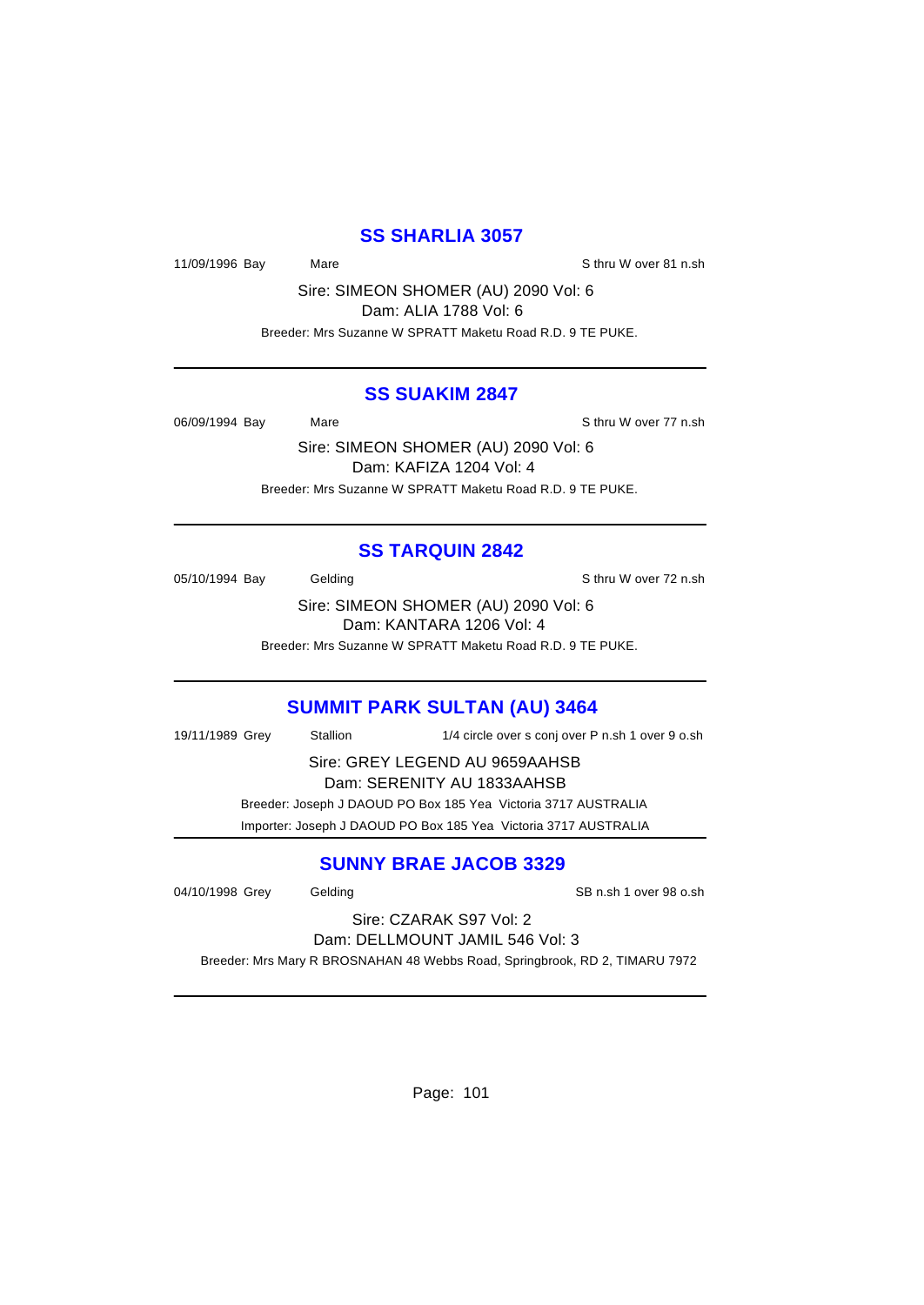### **SS SHARLIA 3057**

11/09/1996 Bay Mare Sthru W over 81 n.sh

Sire: SIMEON SHOMER (AU) 2090 Vol: 6 Dam: ALIA 1788 Vol: 6

Breeder: Mrs Suzanne W SPRATT Maketu Road R.D. 9 TE PUKE.

#### **SS SUAKIM 2847**

06/09/1994 Bay Mare Sthru W over 77 n.sh

Sire: SIMEON SHOMER (AU) 2090 Vol: 6 Dam: KAFIZA 1204 Vol: 4 Breeder: Mrs Suzanne W SPRATT Maketu Road R.D. 9 TE PUKE.

### **SS TARQUIN 2842**

05/10/1994 Bay Gelding Gelding Sthru W over 72 n.sh

Sire: SIMEON SHOMER (AU) 2090 Vol: 6 Dam: KANTARA 1206 Vol: 4

Breeder: Mrs Suzanne W SPRATT Maketu Road R.D. 9 TE PUKE.

### **SUMMIT PARK SULTAN (AU) 3464**

19/11/1989 Grey Stallion 1/4 circle over s conj over P n.sh 1 over 9 o.sh Sire: GREY LEGEND AU 9659AAHSB Dam: SERENITY AU 1833AAHSB Breeder: Joseph J DAOUD PO Box 185 Yea Victoria 3717 AUSTRALIA

Importer: Joseph J DAOUD PO Box 185 Yea Victoria 3717 AUSTRALIA

### **SUNNY BRAE JACOB 3329**

04/10/1998 Grey Gelding Communication CB n.sh 1 over 98 o.sh

Sire: CZARAK S97 Vol: 2 Dam: DELLMOUNT JAMIL 546 Vol: 3

Breeder: Mrs Mary R BROSNAHAN 48 Webbs Road, Springbrook, RD 2, TIMARU 7972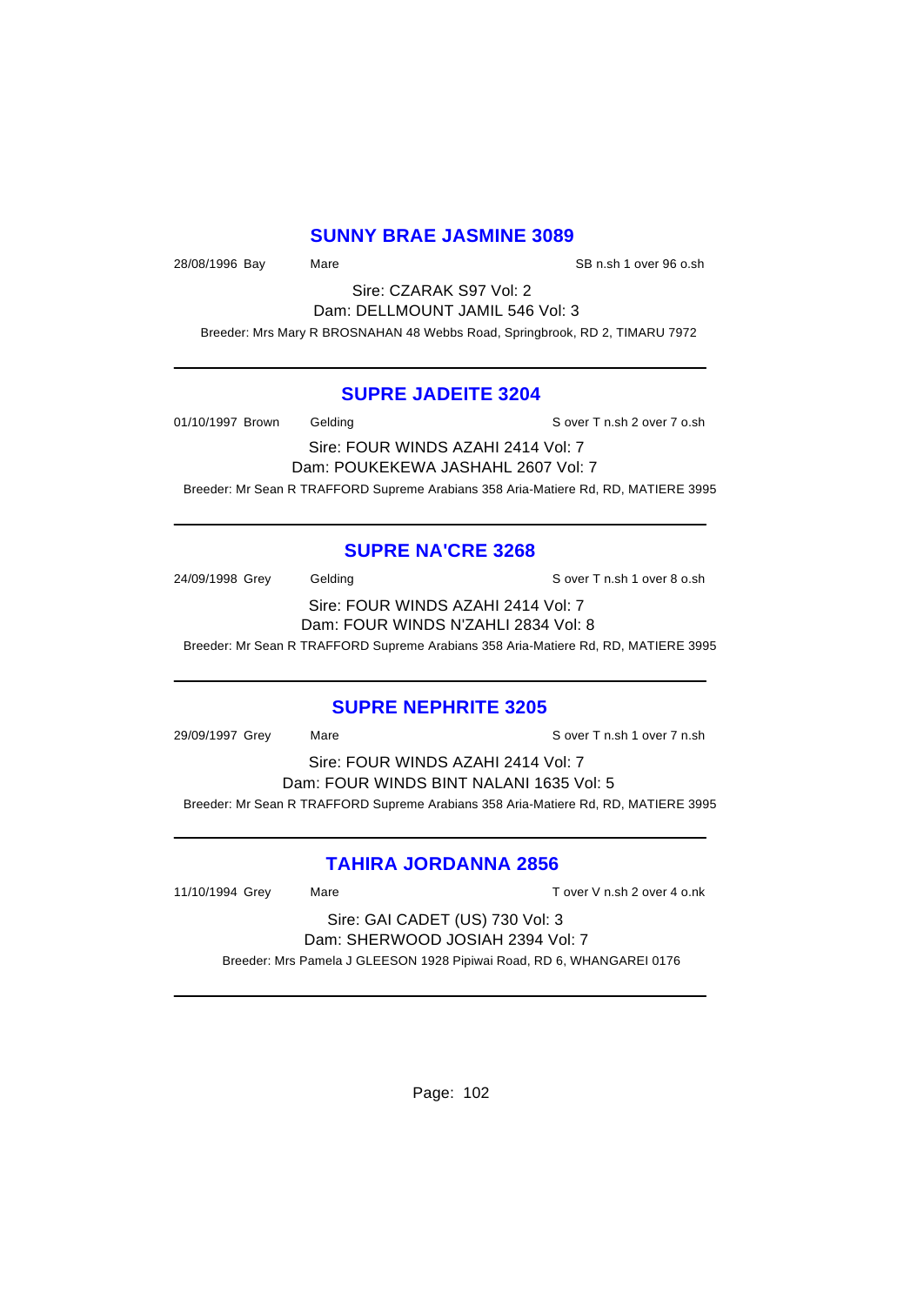### **SUNNY BRAE JASMINE 3089**

28/08/1996 Bay Mare Same SB n.sh 1 over 96 o.sh

Sire: CZARAK S97 Vol: 2 Dam: DELLMOUNT JAMIL 546 Vol: 3

Breeder: Mrs Mary R BROSNAHAN 48 Webbs Road, Springbrook, RD 2, TIMARU 7972

#### **SUPRE JADEITE 3204**

01/10/1997 Brown Gelding Sover T n.sh 2 over 7 o.sh

Sire: FOUR WINDS AZAHI 2414 Vol: 7 Dam: POUKEKEWA JASHAHL 2607 Vol: 7 Breeder: Mr Sean R TRAFFORD Supreme Arabians 358 Aria-Matiere Rd, RD, MATIERE 3995

### **SUPRE NA'CRE 3268**

24/09/1998 Grey Gelding Gelding S over T n.sh 1 over 8 o.sh Sire: FOUR WINDS AZAHI 2414 Vol: 7 Dam: FOUR WINDS N'ZAHLI 2834 Vol: 8

Breeder: Mr Sean R TRAFFORD Supreme Arabians 358 Aria-Matiere Rd, RD, MATIERE 3995

### **SUPRE NEPHRITE 3205**

29/09/1997 Grey Mare Sover T n.sh 1 over 7 n.sh Sire: FOUR WINDS AZAHI 2414 Vol: 7 Dam: FOUR WINDS BINT NALANI 1635 Vol: 5 Breeder: Mr Sean R TRAFFORD Supreme Arabians 358 Aria-Matiere Rd, RD, MATIERE 3995

### **TAHIRA JORDANNA 2856**

11/10/1994 Grey Mare Mare T over V n.sh 2 over 4 o.nk

Sire: GAI CADET (US) 730 Vol: 3 Dam: SHERWOOD JOSIAH 2394 Vol: 7

Breeder: Mrs Pamela J GLEESON 1928 Pipiwai Road, RD 6, WHANGAREI 0176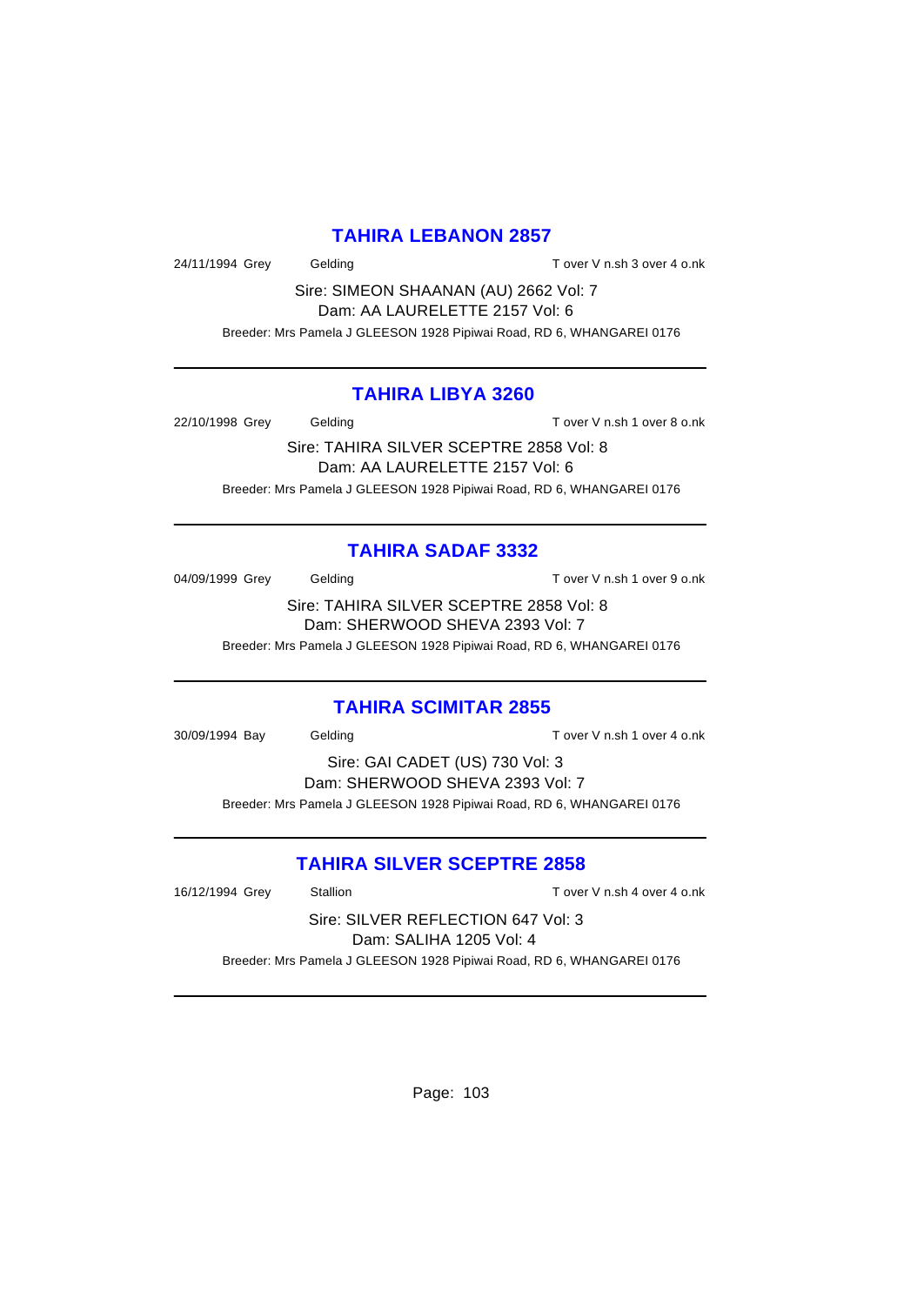### **TAHIRA LEBANON 2857**

24/11/1994 Grey Gelding Case Control over V n.sh 3 over 4 o.nk

Sire: SIMEON SHAANAN (AU) 2662 Vol: 7 Dam: AA LAURELETTE 2157 Vol: 6

Breeder: Mrs Pamela J GLEESON 1928 Pipiwai Road, RD 6, WHANGAREI 0176

### **TAHIRA LIBYA 3260**

22/10/1998 Grey Gelding T over V n.sh 1 over 8 o.nk

Sire: TAHIRA SILVER SCEPTRE 2858 Vol: 8 Dam: AA LAURELETTE 2157 Vol: 6 Breeder: Mrs Pamela J GLEESON 1928 Pipiwai Road, RD 6, WHANGAREI 0176

### **TAHIRA SADAF 3332**

04/09/1999 Grey Gelding Constant T over V n.sh 1 over 9 o.nk

Sire: TAHIRA SILVER SCEPTRE 2858 Vol: 8 Dam: SHERWOOD SHEVA 2393 Vol: 7

Breeder: Mrs Pamela J GLEESON 1928 Pipiwai Road, RD 6, WHANGAREI 0176

### **TAHIRA SCIMITAR 2855**

30/09/1994 Bay Gelding T over V n.sh 1 over 4 o.nk

Sire: GAI CADET (US) 730 Vol: 3 Dam: SHERWOOD SHEVA 2393 Vol: 7 Breeder: Mrs Pamela J GLEESON 1928 Pipiwai Road, RD 6, WHANGAREI 0176

### **TAHIRA SILVER SCEPTRE 2858**

16/12/1994 Grey Stallion T over V n.sh 4 over 4 o.nk

Sire: SILVER REFLECTION 647 Vol: 3 Dam: SALIHA 1205 Vol: 4 Breeder: Mrs Pamela J GLEESON 1928 Pipiwai Road, RD 6, WHANGAREI 0176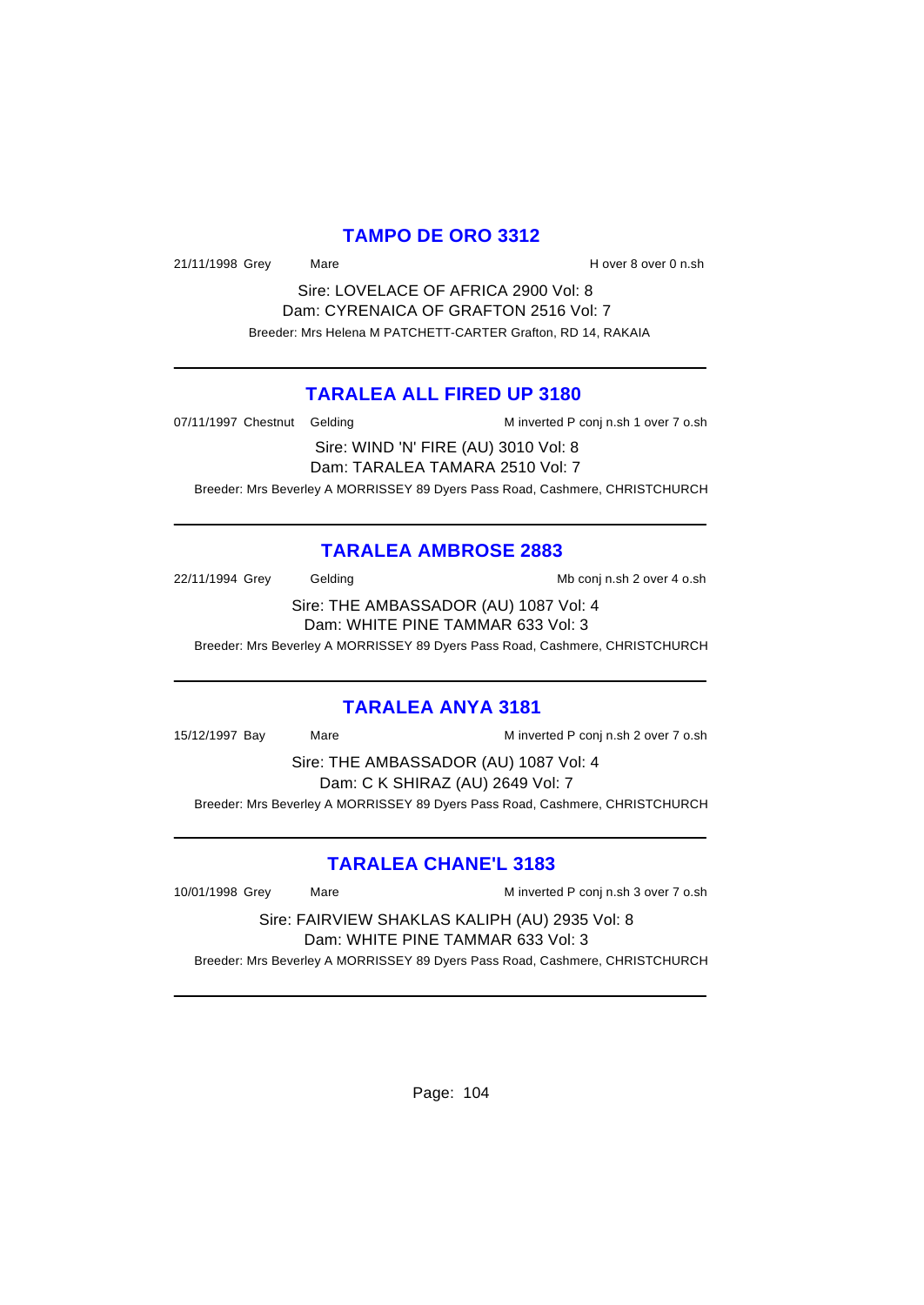### **TAMPO DE ORO 3312**

21/11/1998 Grey Mare Mare H over 8 over 0 n.sh

Sire: LOVELACE OF AFRICA 2900 Vol: 8 Dam: CYRENAICA OF GRAFTON 2516 Vol: 7 Breeder: Mrs Helena M PATCHETT-CARTER Grafton, RD 14, RAKAIA

### **TARALEA ALL FIRED UP 3180**

07/11/1997 Chestnut Gelding M inverted P conj n.sh 1 over 7 o.sh

Sire: WIND 'N' FIRE (AU) 3010 Vol: 8 Dam: TARALEA TAMARA 2510 Vol: 7

Breeder: Mrs Beverley A MORRISSEY 89 Dyers Pass Road, Cashmere, CHRISTCHURCH

### **TARALEA AMBROSE 2883**

22/11/1994 Grey Gelding Cash Conj n.sh 2 over 4 o.sh

Sire: THE AMBASSADOR (AU) 1087 Vol: 4 Dam: WHITE PINE TAMMAR 633 Vol: 3

Breeder: Mrs Beverley A MORRISSEY 89 Dyers Pass Road, Cashmere, CHRISTCHURCH

### **TARALEA ANYA 3181**

15/12/1997 Bay Mare M inverted P conj n.sh 2 over 7 o.sh

Sire: THE AMBASSADOR (AU) 1087 Vol: 4 Dam: C K SHIRAZ (AU) 2649 Vol: 7 Breeder: Mrs Beverley A MORRISSEY 89 Dyers Pass Road, Cashmere, CHRISTCHURCH

# **TARALEA CHANE'L 3183**

10/01/1998 Grey Mare Mare M inverted P conj n.sh 3 over 7 o.sh

Sire: FAIRVIEW SHAKLAS KALIPH (AU) 2935 Vol: 8 Dam: WHITE PINE TAMMAR 633 Vol: 3

Breeder: Mrs Beverley A MORRISSEY 89 Dyers Pass Road, Cashmere, CHRISTCHURCH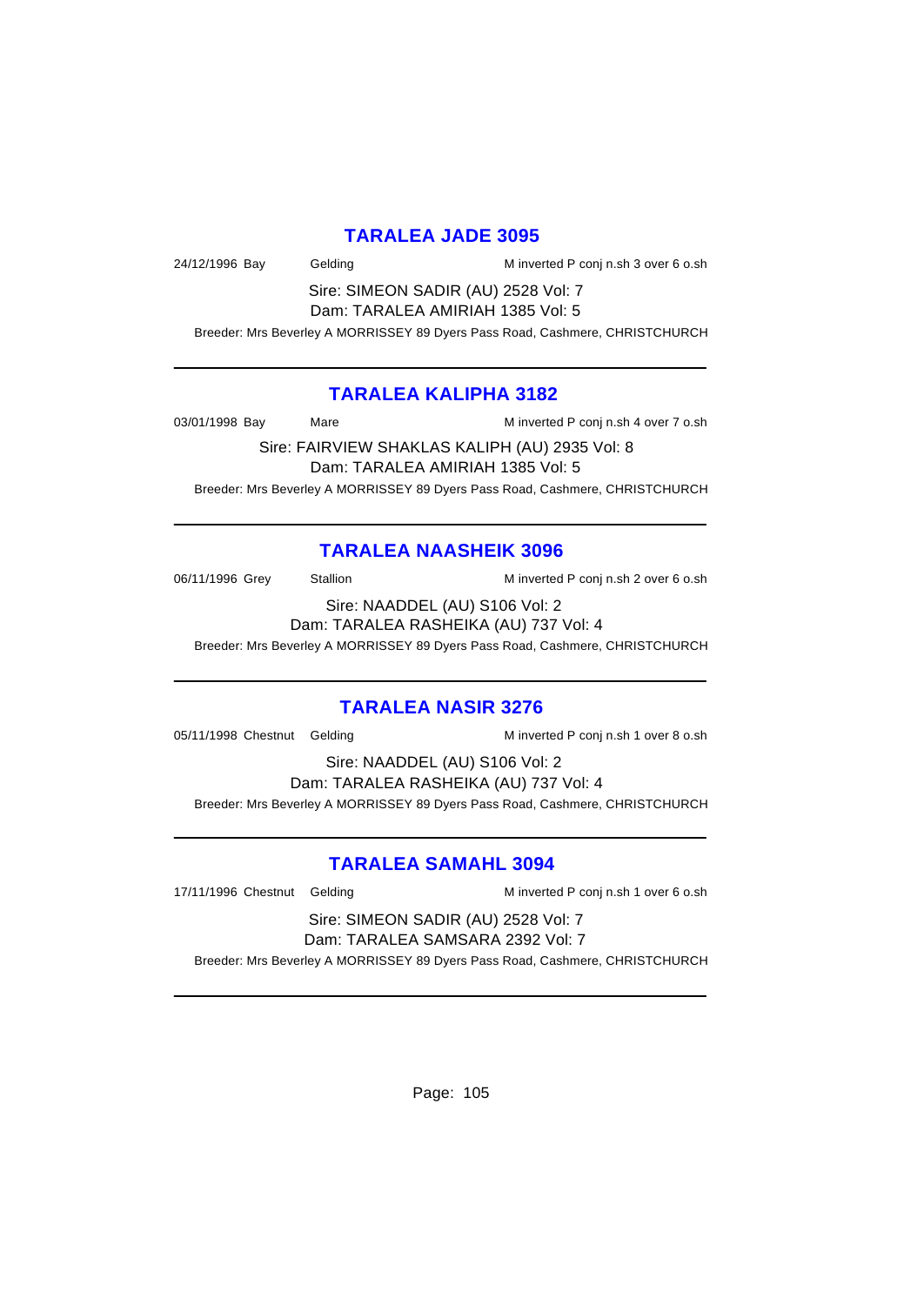### **TARALEA JADE 3095**

24/12/1996 Bay Gelding M inverted P conj n.sh 3 over 6 o.sh

Sire: SIMEON SADIR (AU) 2528 Vol: 7 Dam: TARALEA AMIRIAH 1385 Vol: 5

Breeder: Mrs Beverley A MORRISSEY 89 Dyers Pass Road, Cashmere, CHRISTCHURCH

### **TARALEA KALIPHA 3182**

03/01/1998 Bay Mare Mare M inverted P conj n.sh 4 over 7 o.sh

Sire: FAIRVIEW SHAKLAS KALIPH (AU) 2935 Vol: 8 Dam: TARALEA AMIRIAH 1385 Vol: 5 Breeder: Mrs Beverley A MORRISSEY 89 Dyers Pass Road, Cashmere, CHRISTCHURCH

### **TARALEA NAASHEIK 3096**

06/11/1996 Grey Stallion Minverted P conj n.sh 2 over 6 o.sh

Sire: NAADDEL (AU) S106 Vol: 2 Dam: TARALEA RASHEIKA (AU) 737 Vol: 4

Breeder: Mrs Beverley A MORRISSEY 89 Dyers Pass Road, Cashmere, CHRISTCHURCH

### **TARALEA NASIR 3276**

05/11/1998 Chestnut Gelding M inverted P conj n.sh 1 over 8 o.sh

Sire: NAADDEL (AU) S106 Vol: 2 Dam: TARALEA RASHEIKA (AU) 737 Vol: 4 Breeder: Mrs Beverley A MORRISSEY 89 Dyers Pass Road, Cashmere, CHRISTCHURCH

### **TARALEA SAMAHL 3094**

17/11/1996 Chestnut Gelding M inverted P conj n.sh 1 over 6 o.sh

#### Sire: SIMEON SADIR (AU) 2528 Vol: 7 Dam: TARALEA SAMSARA 2392 Vol: 7

Breeder: Mrs Beverley A MORRISSEY 89 Dyers Pass Road, Cashmere, CHRISTCHURCH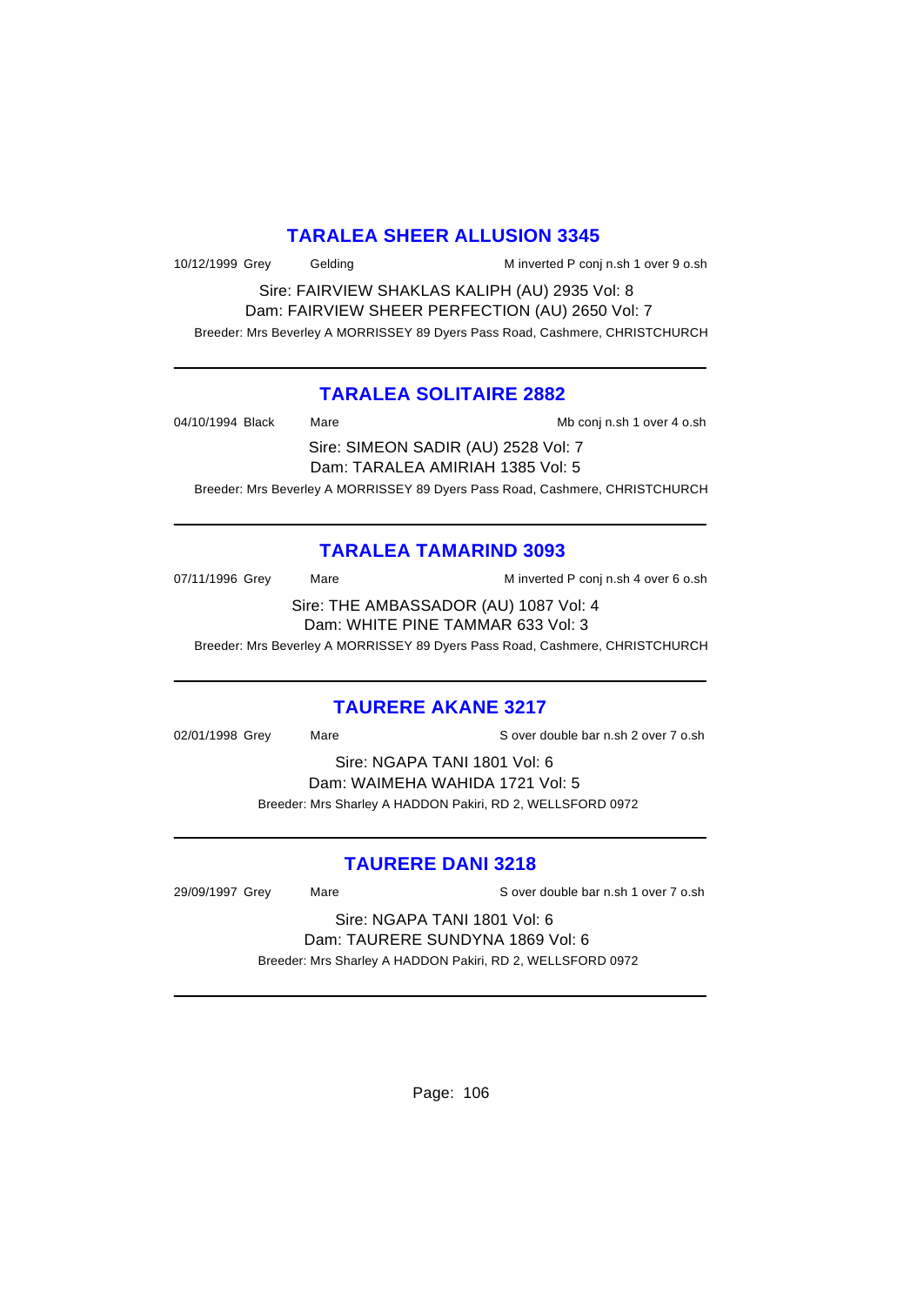### **TARALEA SHEER ALLUSION 3345**

10/12/1999 Grey Gelding Minverted P conj n.sh 1 over 9 o.sh

Sire: FAIRVIEW SHAKLAS KALIPH (AU) 2935 Vol: 8 Dam: FAIRVIEW SHEER PERFECTION (AU) 2650 Vol: 7 Breeder: Mrs Beverley A MORRISSEY 89 Dyers Pass Road, Cashmere, CHRISTCHURCH

### **TARALEA SOLITAIRE 2882**

|                  | $Q_{\text{max}}$ $Q_{\text{M}}$ $Q_{\text{M}}$ $Q_{\text{M}}$ $Q_{\text{M}}$ $Q_{\text{M}}$ $Q_{\text{M}}$ $Q_{\text{M}}$ $Q_{\text{M}}$ $Q_{\text{M}}$ $Q_{\text{M}}$ |                            |
|------------------|------------------------------------------------------------------------------------------------------------------------------------------------------------------------|----------------------------|
| 04/10/1994 Black | Mare                                                                                                                                                                   | Mb conj n.sh 1 over 4 o.sh |

Sire: SIMEON SADIR (AU) 2528 Vol: 7 Dam: TARALEA AMIRIAH 1385 Vol: 5

Breeder: Mrs Beverley A MORRISSEY 89 Dyers Pass Road, Cashmere, CHRISTCHURCH

### **TARALEA TAMARIND 3093**

| 07/11/1996 Grey | Mare | M inverted P conj n.sh 4 over 6 o.sh  |
|-----------------|------|---------------------------------------|
|                 |      | Sire: THE AMBASSADOR (AU) 1087 Vol: 4 |
|                 |      | Dam: WHITE PINE TAMMAR 633 Vol: 3     |

Breeder: Mrs Beverley A MORRISSEY 89 Dyers Pass Road, Cashmere, CHRISTCHURCH

# **TAURERE AKANE 3217**

02/01/1998 Grey Mare S over double bar n.sh 2 over 7 o.sh

Sire: NGAPA TANI 1801 Vol: 6 Dam: WAIMEHA WAHIDA 1721 Vol: 5 Breeder: Mrs Sharley A HADDON Pakiri, RD 2, WELLSFORD 0972

### **TAURERE DANI 3218**

29/09/1997 Grey Mare S over double bar n.sh 1 over 7 o.sh

Sire: NGAPA TANI 1801 Vol: 6 Dam: TAURERE SUNDYNA 1869 Vol: 6 Breeder: Mrs Sharley A HADDON Pakiri, RD 2, WELLSFORD 0972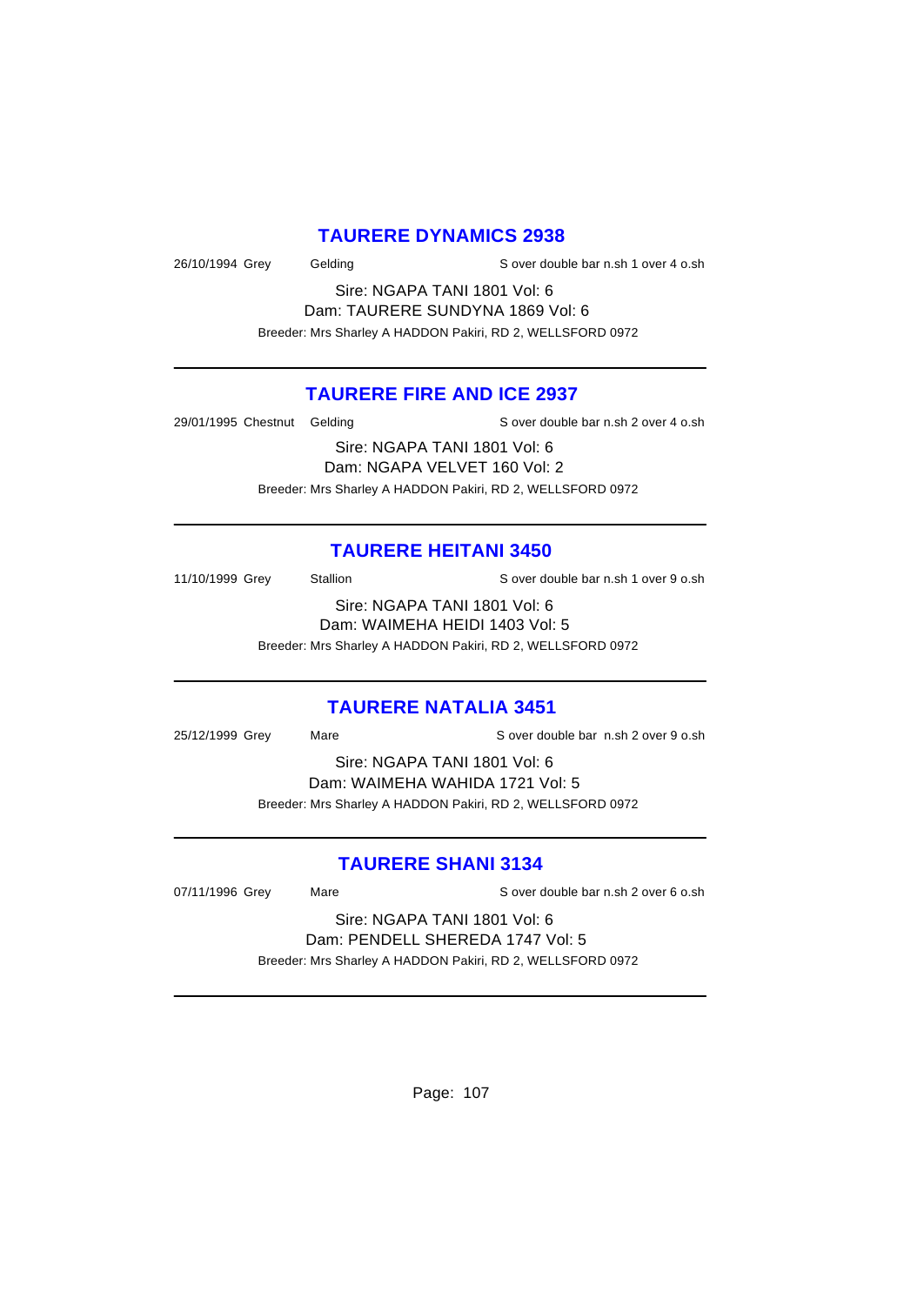### **TAURERE DYNAMICS 2938**

26/10/1994 Grey Gelding Sover double bar n.sh 1 over 4 o.sh

Sire: NGAPA TANI 1801 Vol: 6 Dam: TAURERE SUNDYNA 1869 Vol: 6 Breeder: Mrs Sharley A HADDON Pakiri, RD 2, WELLSFORD 0972

### **TAURERE FIRE AND ICE 2937**

29/01/1995 Chestnut Gelding Sover double bar n.sh 2 over 4 o.sh

Sire: NGAPA TANI 1801 Vol: 6 Dam: NGAPA VELVET 160 Vol: 2 Breeder: Mrs Sharley A HADDON Pakiri, RD 2, WELLSFORD 0972

### **TAURERE HEITANI 3450**

11/10/1999 Grey Stallion States S over double bar n.sh 1 over 9 o.sh

Sire: NGAPA TANI 1801 Vol: 6 Dam: WAIMEHA HEIDI 1403 Vol: 5

Breeder: Mrs Sharley A HADDON Pakiri, RD 2, WELLSFORD 0972

### **TAURERE NATALIA 3451**

25/12/1999 Grey Mare S over double bar n.sh 2 over 9 o.sh

Sire: NGAPA TANI 1801 Vol: 6 Dam: WAIMEHA WAHIDA 1721 Vol: 5 Breeder: Mrs Sharley A HADDON Pakiri, RD 2, WELLSFORD 0972

### **TAURERE SHANI 3134**

07/11/1996 Grey Mare Mare S over double bar n.sh 2 over 6 o.sh

Sire: NGAPA TANI 1801 Vol: 6 Dam: PENDELL SHEREDA 1747 Vol: 5 Breeder: Mrs Sharley A HADDON Pakiri, RD 2, WELLSFORD 0972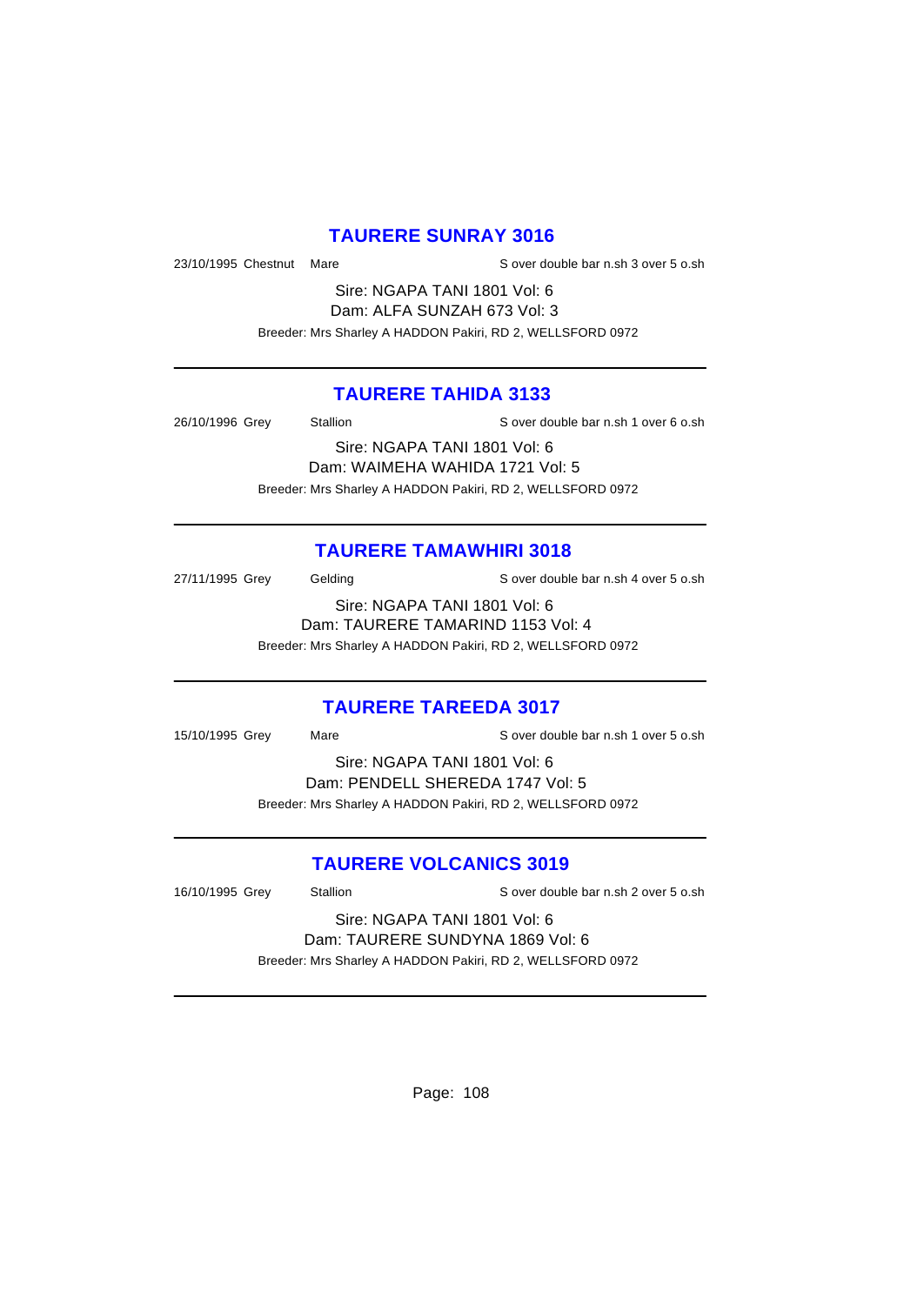### **TAURERE SUNRAY 3016**

23/10/1995 Chestnut Mare S over double bar n.sh 3 over 5 o.sh

Sire: NGAPA TANI 1801 Vol: 6 Dam: ALFA SUNZAH 673 Vol: 3 Breeder: Mrs Sharley A HADDON Pakiri, RD 2, WELLSFORD 0972

### **TAURERE TAHIDA 3133**

26/10/1996 Grey Stallion S over double bar n.sh 1 over 6 o.sh

Sire: NGAPA TANI 1801 Vol: 6 Dam: WAIMEHA WAHIDA 1721 Vol: 5 Breeder: Mrs Sharley A HADDON Pakiri, RD 2, WELLSFORD 0972

### **TAURERE TAMAWHIRI 3018**

27/11/1995 Grey Gelding Sover double bar n.sh 4 over 5 o.sh

Sire: NGAPA TANI 1801 Vol: 6 Dam: TAURERE TAMARIND 1153 Vol: 4 Breeder: Mrs Sharley A HADDON Pakiri, RD 2, WELLSFORD 0972

#### **TAURERE TAREEDA 3017**

15/10/1995 Grey Mare S over double bar n.sh 1 over 5 o.sh Sire: NGAPA TANI 1801 Vol: 6

Dam: PENDELL SHEREDA 1747 Vol: 5 Breeder: Mrs Sharley A HADDON Pakiri, RD 2, WELLSFORD 0972

### **TAURERE VOLCANICS 3019**

16/10/1995 Grey Stallion S over double bar n.sh 2 over 5 o.sh

Sire: NGAPA TANI 1801 Vol: 6 Dam: TAURERE SUNDYNA 1869 Vol: 6 Breeder: Mrs Sharley A HADDON Pakiri, RD 2, WELLSFORD 0972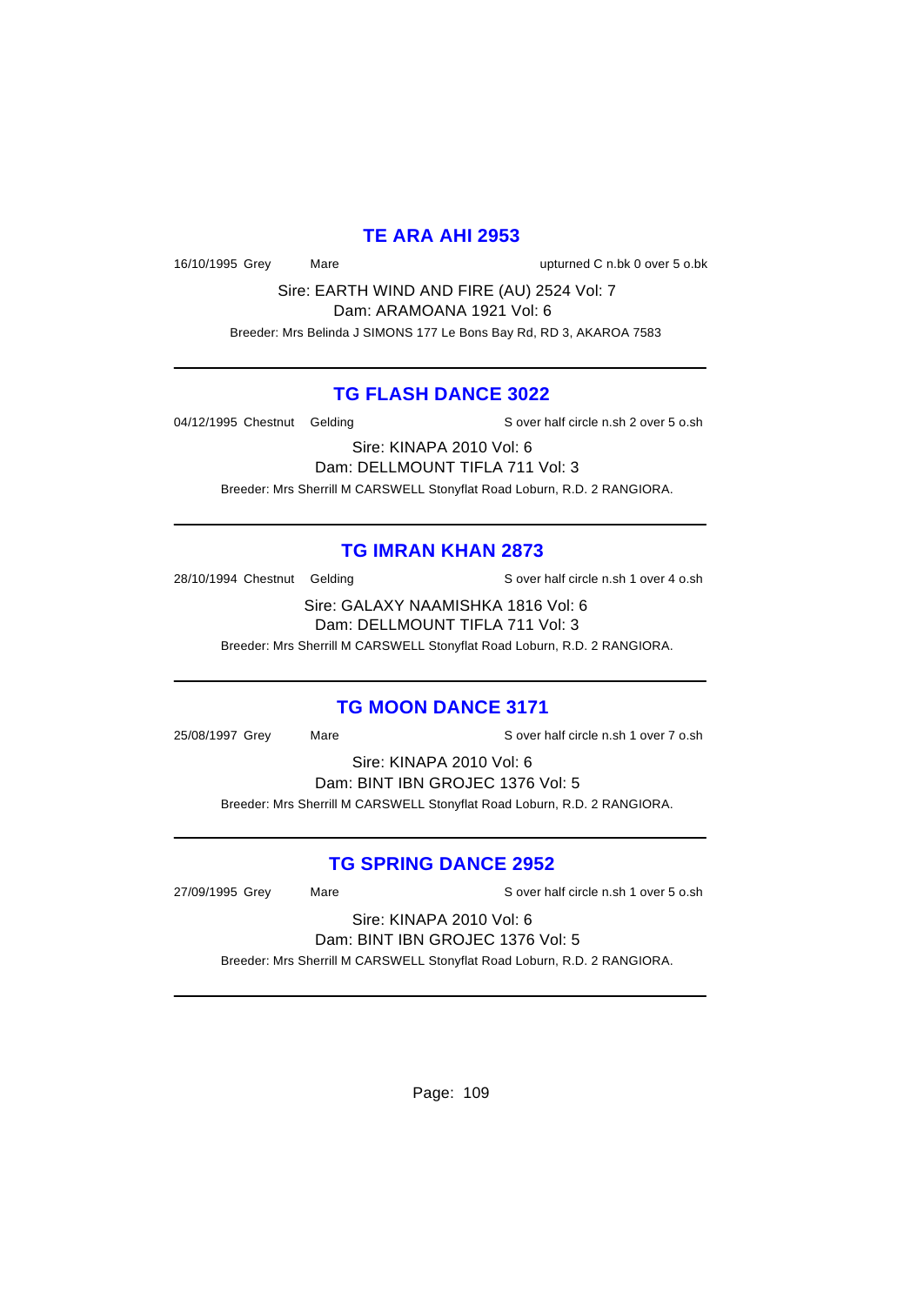### **TE ARA AHI 2953**

16/10/1995 Grey Mare upturned C n.bk 0 over 5 o.bk

Sire: EARTH WIND AND FIRE (AU) 2524 Vol: 7 Dam: ARAMOANA 1921 Vol: 6

Breeder: Mrs Belinda J SIMONS 177 Le Bons Bay Rd, RD 3, AKAROA 7583

### **TG FLASH DANCE 3022**

04/12/1995 Chestnut Gelding Sover half circle n.sh 2 over 5 o.sh

Sire: KINAPA 2010 Vol: 6

Dam: DELLMOUNT TIFLA 711 Vol: 3 Breeder: Mrs Sherrill M CARSWELL Stonyflat Road Loburn, R.D. 2 RANGIORA.

## **TG IMRAN KHAN 2873**

28/10/1994 Chestnut Gelding Sover half circle n.sh 1 over 4 o.sh

Sire: GALAXY NAAMISHKA 1816 Vol: 6 Dam: DELLMOUNT TIFLA 711 Vol: 3

Breeder: Mrs Sherrill M CARSWELL Stonyflat Road Loburn, R.D. 2 RANGIORA.

# **TG MOON DANCE 3171**

25/08/1997 Grey Mare Sover half circle n.sh 1 over 7 o.sh

Sire: KINAPA 2010 Vol: 6

Dam: BINT IBN GROJEC 1376 Vol: 5

Breeder: Mrs Sherrill M CARSWELL Stonyflat Road Loburn, R.D. 2 RANGIORA.

## **TG SPRING DANCE 2952**

27/09/1995 Grey Mare Sover half circle n.sh 1 over 5 o.sh

Sire: KINAPA 2010 Vol: 6 Dam: BINT IBN GROJEC 1376 Vol: 5

Breeder: Mrs Sherrill M CARSWELL Stonyflat Road Loburn, R.D. 2 RANGIORA.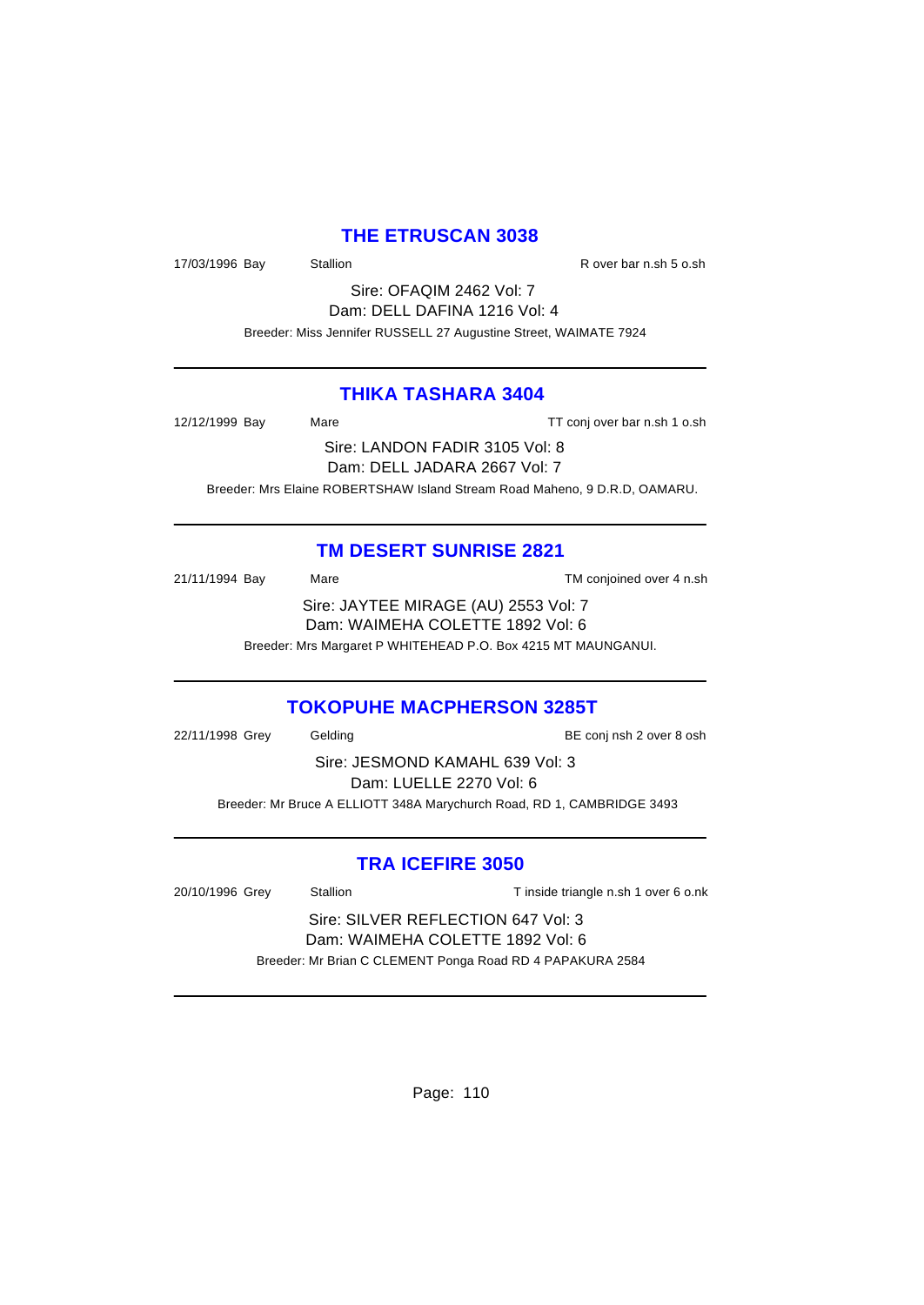### **THE ETRUSCAN 3038**

17/03/1996 Bay Stallion Stallion State R over bar n.sh 5 o.sh

Sire: OFAQIM 2462 Vol: 7 Dam: DELL DAFINA 1216 Vol: 4 Breeder: Miss Jennifer RUSSELL 27 Augustine Street, WAIMATE 7924

### **THIKA TASHARA 3404**

12/12/1999 Bay Mare Mare TT conj over bar n.sh 1 o.sh

Sire: LANDON FADIR 3105 Vol: 8 Dam: DELL JADARA 2667 Vol: 7 Breeder: Mrs Elaine ROBERTSHAW Island Stream Road Maheno, 9 D.R.D, OAMARU.

### **TM DESERT SUNRISE 2821**

21/11/1994 Bay Mare TM conjoined over 4 n.sh Sire: JAYTEE MIRAGE (AU) 2553 Vol: 7 Dam: WAIMEHA COLETTE 1892 Vol: 6 Breeder: Mrs Margaret P WHITEHEAD P.O. Box 4215 MT MAUNGANUI.

### **TOKOPUHE MACPHERSON 3285T**

22/11/1998 Grey Gelding Gelding BE conj nsh 2 over 8 osh Sire: JESMOND KAMAHL 639 Vol: 3 Dam: LUELLE 2270 Vol: 6 Breeder: Mr Bruce A ELLIOTT 348A Marychurch Road, RD 1, CAMBRIDGE 3493

## **TRA ICEFIRE 3050**

| 20/10/1996 Grey                                           | Stallion                           | T inside triangle n.sh 1 over 6 o.nk |
|-----------------------------------------------------------|------------------------------------|--------------------------------------|
|                                                           | Sire: SILVER REFLECTION 647 Vol: 3 |                                      |
| Dam: WAIMEHA COLETTE 1892 Vol: 6                          |                                    |                                      |
| Breeder: Mr Brian C CLEMENT Ponga Road RD 4 PAPAKURA 2584 |                                    |                                      |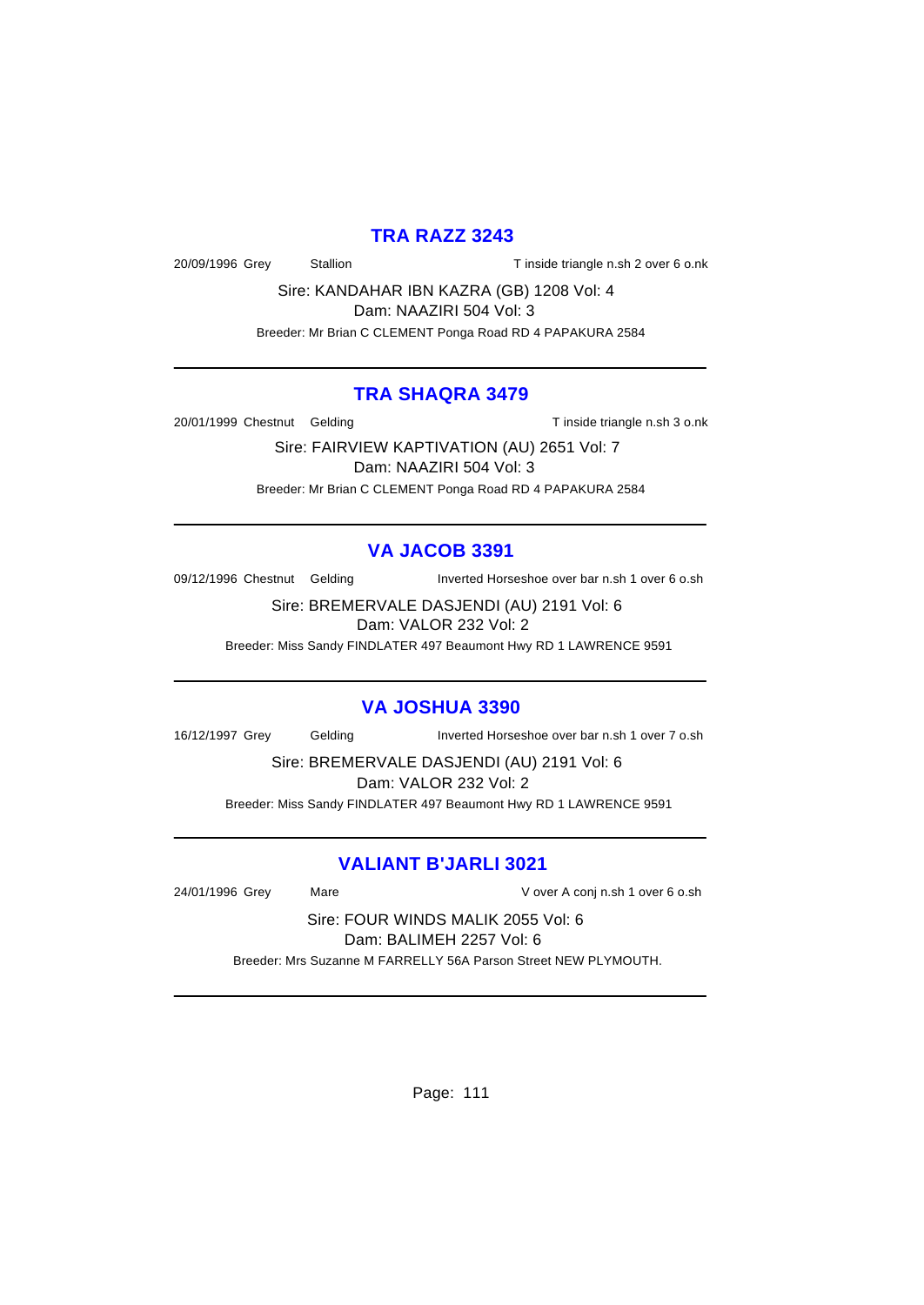### **TRA RAZZ 3243**

20/09/1996 Grey Stallion Stallion Tinside triangle n.sh 2 over 6 o.nk

Sire: KANDAHAR IBN KAZRA (GB) 1208 Vol: 4

Dam: NAAZIRI 504 Vol: 3

Breeder: Mr Brian C CLEMENT Ponga Road RD 4 PAPAKURA 2584

### **TRA SHAQRA 3479**

20/01/1999 Chestnut Gelding Tinside triangle n.sh 3 o.nk

Sire: FAIRVIEW KAPTIVATION (AU) 2651 Vol: 7 Dam: NAAZIRI 504 Vol: 3 Breeder: Mr Brian C CLEMENT Ponga Road RD 4 PAPAKURA 2584

## **VA JACOB 3391**

09/12/1996 Chestnut Gelding Inverted Horseshoe over bar n.sh 1 over 6 o.sh

Sire: BREMERVALE DASJENDI (AU) 2191 Vol: 6 Dam: VALOR 232 Vol: 2

Breeder: Miss Sandy FINDLATER 497 Beaumont Hwy RD 1 LAWRENCE 9591

## **VA JOSHUA 3390**

16/12/1997 Grey Gelding Inverted Horseshoe over bar n.sh 1 over 7 o.sh

Sire: BREMERVALE DASJENDI (AU) 2191 Vol: 6 Dam: VALOR 232 Vol: 2

Breeder: Miss Sandy FINDLATER 497 Beaumont Hwy RD 1 LAWRENCE 9591

## **VALIANT B'JARLI 3021**

24/01/1996 Grey Mare V over A conj n.sh 1 over 6 o.sh

Sire: FOUR WINDS MALIK 2055 Vol: 6 Dam: BALIMEH 2257 Vol: 6

Breeder: Mrs Suzanne M FARRELLY 56A Parson Street NEW PLYMOUTH.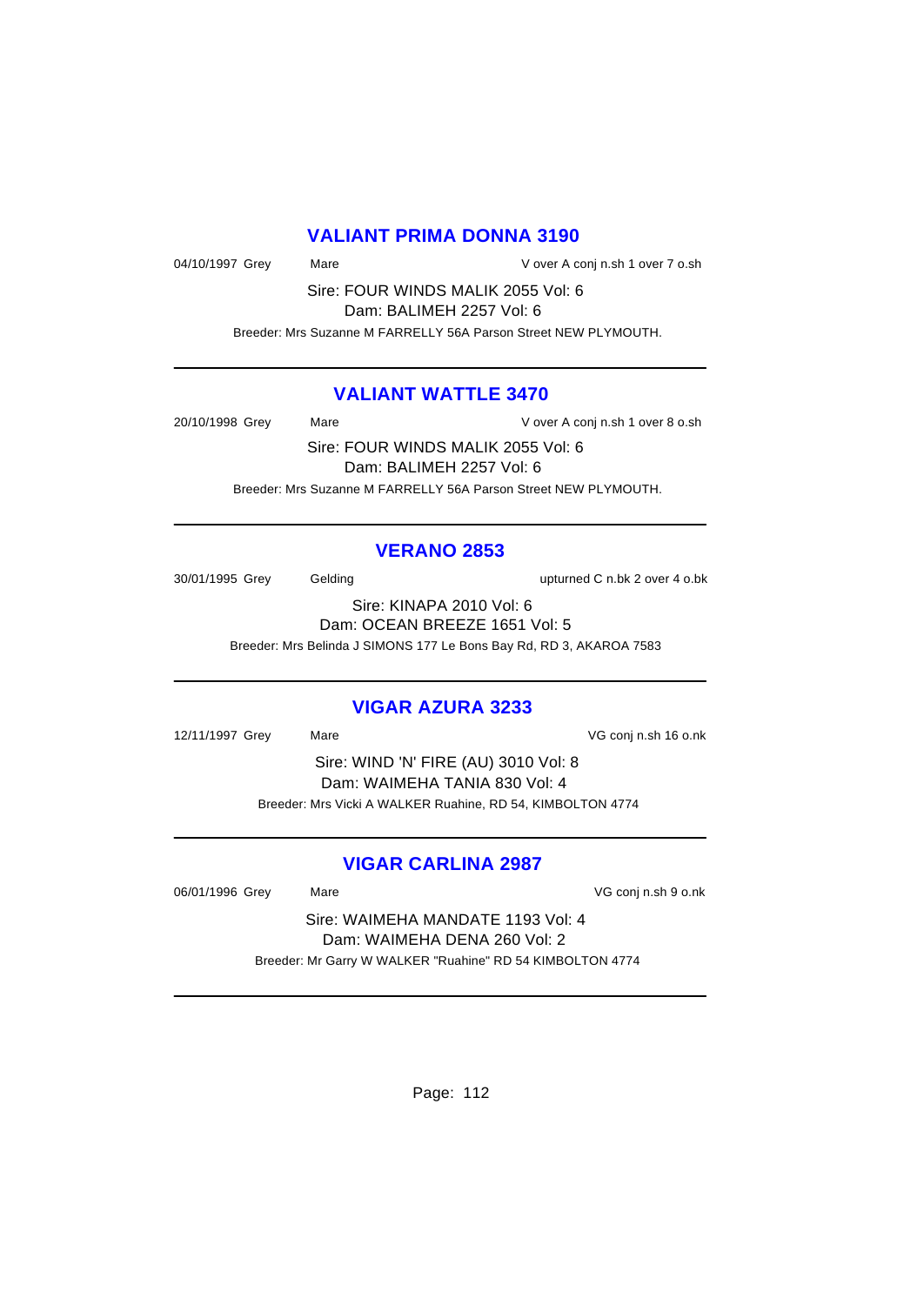## **VALIANT PRIMA DONNA 3190**

04/10/1997 Grey Mare Mare V over A conj n.sh 1 over 7 o.sh

Sire: FOUR WINDS MALIK 2055 Vol: 6 Dam: BALIMEH 2257 Vol: 6

Breeder: Mrs Suzanne M FARRELLY 56A Parson Street NEW PLYMOUTH.

### **VALIANT WATTLE 3470**

20/10/1998 Grey Mare Mare V over A conj n.sh 1 over 8 o.sh

Sire: FOUR WINDS MALIK 2055 Vol: 6 Dam: BALIMEH 2257 Vol: 6 Breeder: Mrs Suzanne M FARRELLY 56A Parson Street NEW PLYMOUTH.

### **VERANO 2853**

30/01/1995 Grey Gelding upturned C n.bk 2 over 4 o.bk

Sire: KINAPA 2010 Vol: 6 Dam: OCEAN BREEZE 1651 Vol: 5 Breeder: Mrs Belinda J SIMONS 177 Le Bons Bay Rd, RD 3, AKAROA 7583

### **VIGAR AZURA 3233**

12/11/1997 Grey Mare VG conj n.sh 16 o.nk Sire: WIND 'N' FIRE (AU) 3010 Vol: 8 Dam: WAIMEHA TANIA 830 Vol: 4 Breeder: Mrs Vicki A WALKER Ruahine, RD 54, KIMBOLTON 4774

## **VIGAR CARLINA 2987**

06/01/1996 Grey Mare Mare VG conj n.sh 9 o.nk

Sire: WAIMEHA MANDATE 1193 Vol: 4 Dam: WAIMEHA DENA 260 Vol: 2 Breeder: Mr Garry W WALKER "Ruahine" RD 54 KIMBOLTON 4774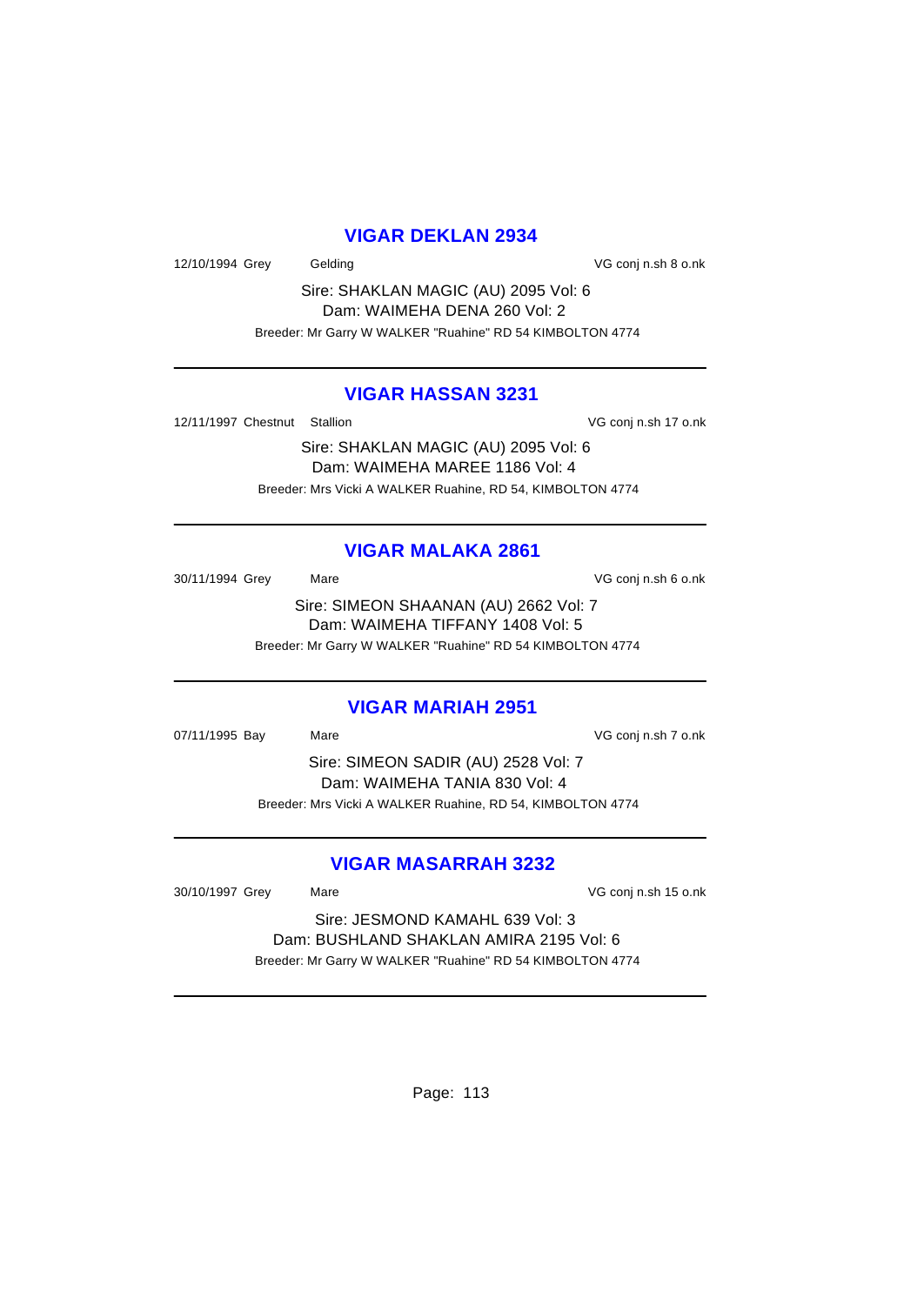### **VIGAR DEKLAN 2934**

12/10/1994 Grey Gelding Gelding Contact Conj n.sh 8 o.nk

Sire: SHAKLAN MAGIC (AU) 2095 Vol: 6 Dam: WAIMEHA DENA 260 Vol: 2 Breeder: Mr Garry W WALKER "Ruahine" RD 54 KIMBOLTON 4774

### **VIGAR HASSAN 3231**

12/11/1997 Chestnut Stallion **VG conj n.sh 17 o.nk** 

Sire: SHAKLAN MAGIC (AU) 2095 Vol: 6 Dam: WAIMEHA MAREE 1186 Vol: 4 Breeder: Mrs Vicki A WALKER Ruahine, RD 54, KIMBOLTON 4774

### **VIGAR MALAKA 2861**

30/11/1994 Grey Mare VG conj n.sh 6 o.nk Sire: SIMEON SHAANAN (AU) 2662 Vol: 7 Dam: WAIMEHA TIFFANY 1408 Vol: 5 Breeder: Mr Garry W WALKER "Ruahine" RD 54 KIMBOLTON 4774

### **VIGAR MARIAH 2951**

07/11/1995 Bay Mare VG conj n.sh 7 o.nk Sire: SIMEON SADIR (AU) 2528 Vol: 7 Dam: WAIMEHA TANIA 830 Vol: 4 Breeder: Mrs Vicki A WALKER Ruahine, RD 54, KIMBOLTON 4774

## **VIGAR MASARRAH 3232**

30/10/1997 Grey Mare Mare VG conj n.sh 15 o.nk

Sire: JESMOND KAMAHL 639 Vol: 3 Dam: BUSHLAND SHAKLAN AMIRA 2195 Vol: 6 Breeder: Mr Garry W WALKER "Ruahine" RD 54 KIMBOLTON 4774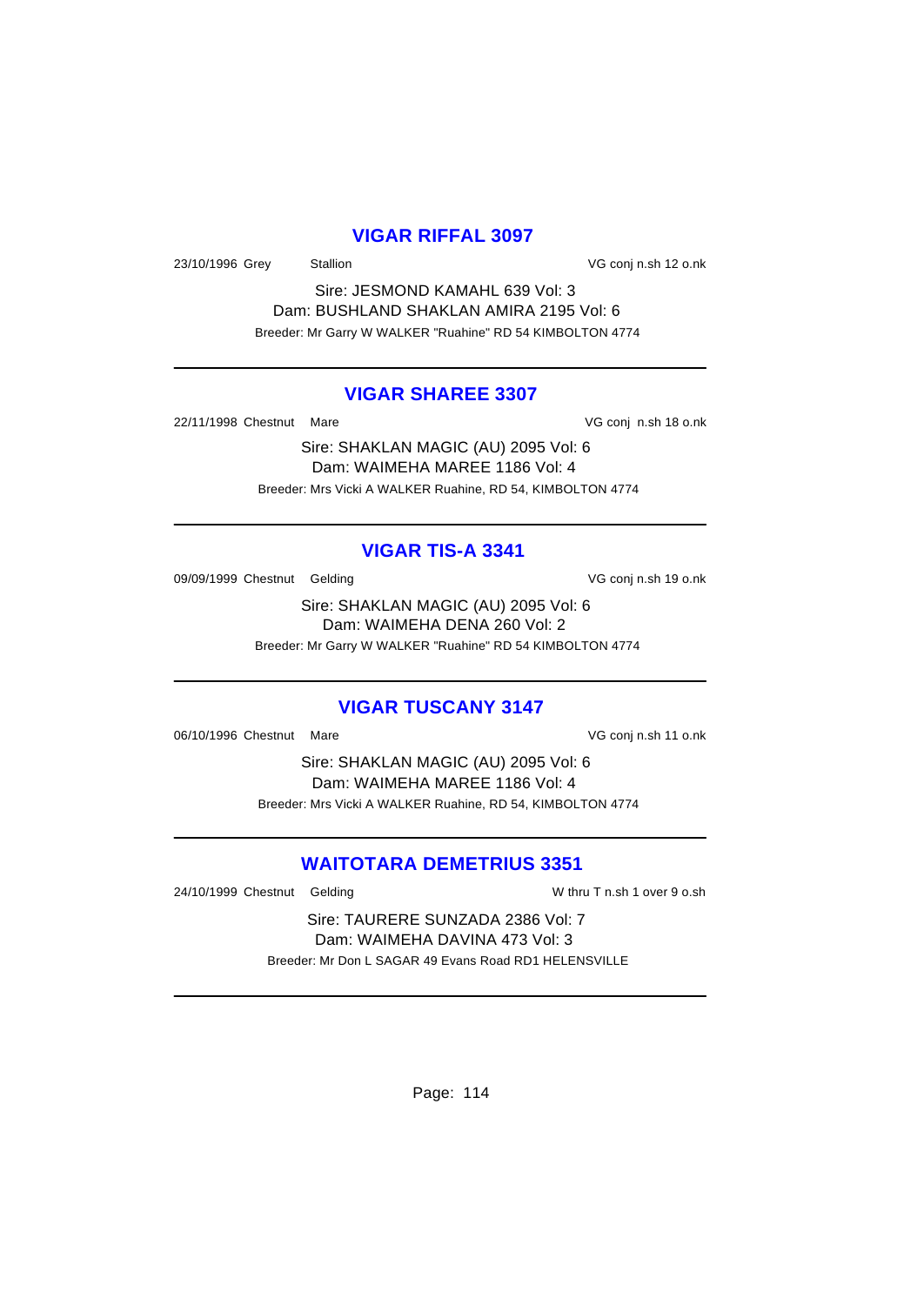### **VIGAR RIFFAL 3097**

23/10/1996 Grey Stallion VG conj n.sh 12 o.nk

Sire: JESMOND KAMAHL 639 Vol: 3 Dam: BUSHLAND SHAKLAN AMIRA 2195 Vol: 6 Breeder: Mr Garry W WALKER "Ruahine" RD 54 KIMBOLTON 4774

### **VIGAR SHAREE 3307**

22/11/1998 Chestnut Mare **VG conj n.sh 18 o.nk** 

Sire: SHAKLAN MAGIC (AU) 2095 Vol: 6 Dam: WAIMEHA MAREE 1186 Vol: 4 Breeder: Mrs Vicki A WALKER Ruahine, RD 54, KIMBOLTON 4774

### **VIGAR TIS-A 3341**

09/09/1999 Chestnut Gelding variable von VG conj n.sh 19 o.nk

Sire: SHAKLAN MAGIC (AU) 2095 Vol: 6 Dam: WAIMEHA DENA 260 Vol: 2 Breeder: Mr Garry W WALKER "Ruahine" RD 54 KIMBOLTON 4774

## **VIGAR TUSCANY 3147**

06/10/1996 Chestnut Mare VG conj n.sh 11 o.nk

Sire: SHAKLAN MAGIC (AU) 2095 Vol: 6 Dam: WAIMEHA MAREE 1186 Vol: 4 Breeder: Mrs Vicki A WALKER Ruahine, RD 54, KIMBOLTON 4774

## **WAITOTARA DEMETRIUS 3351**

24/10/1999 Chestnut Gelding W thru T n.sh 1 over 9 o.sh

Sire: TAURERE SUNZADA 2386 Vol: 7 Dam: WAIMEHA DAVINA 473 Vol: 3 Breeder: Mr Don L SAGAR 49 Evans Road RD1 HELENSVILLE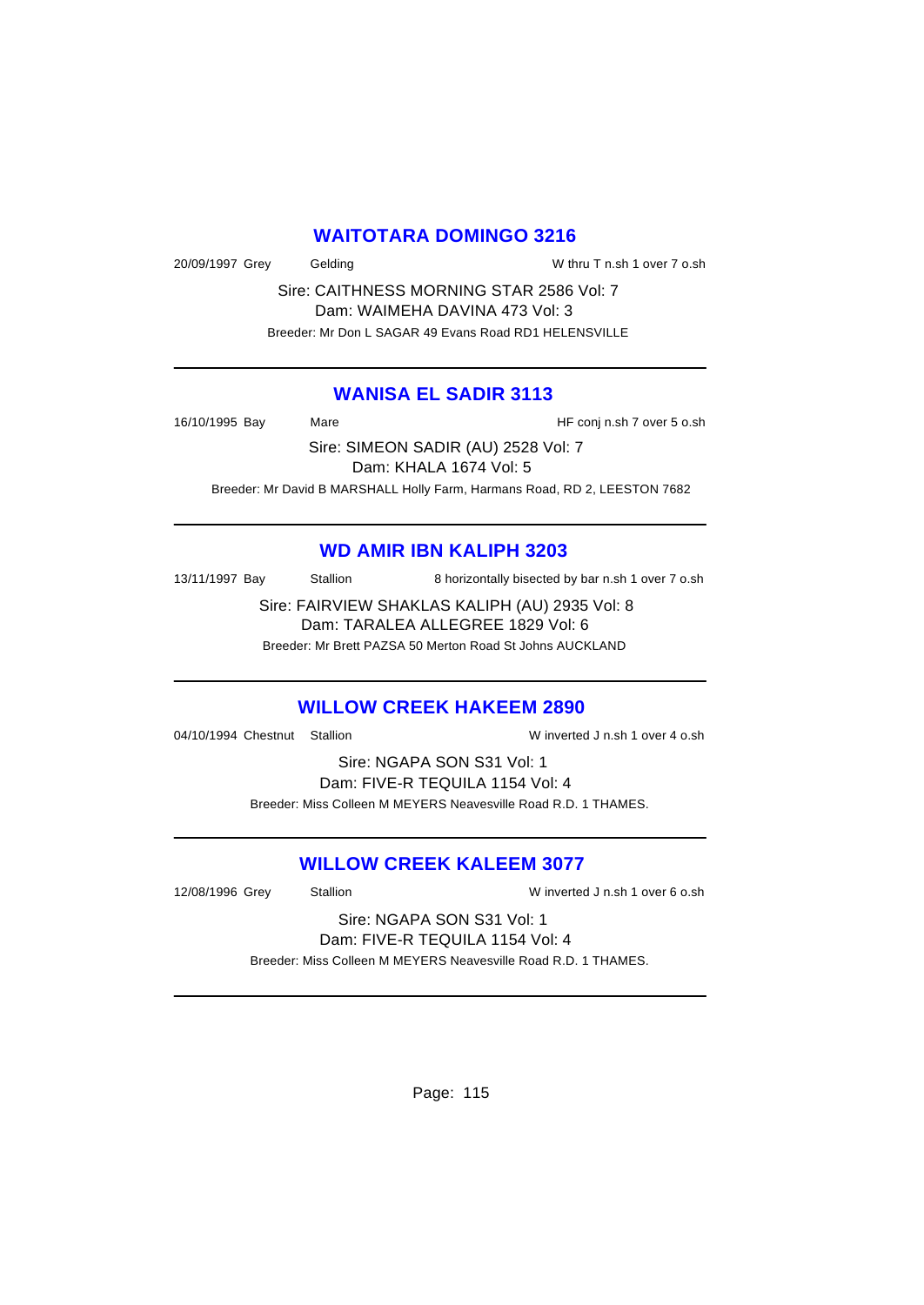### **WAITOTARA DOMINGO 3216**

20/09/1997 Grey Gelding W thru T n.sh 1 over 7 o.sh

Sire: CAITHNESS MORNING STAR 2586 Vol: 7 Dam: WAIMEHA DAVINA 473 Vol: 3 Breeder: Mr Don L SAGAR 49 Evans Road RD1 HELENSVILLE

### **WANISA EL SADIR 3113**

16/10/1995 Bay Mare HF conj n.sh 7 over 5 o.sh Sire: SIMEON SADIR (AU) 2528 Vol: 7

Dam: KHALA 1674 Vol: 5

Breeder: Mr David B MARSHALL Holly Farm, Harmans Road, RD 2, LEESTON 7682

## **WD AMIR IBN KALIPH 3203**

13/11/1997 Bay Stallion 8 horizontally bisected by bar n.sh 1 over 7 o.sh

Sire: FAIRVIEW SHAKLAS KALIPH (AU) 2935 Vol: 8 Dam: TARALEA ALLEGREE 1829 Vol: 6

Breeder: Mr Brett PAZSA 50 Merton Road St Johns AUCKLAND

## **WILLOW CREEK HAKEEM 2890**

04/10/1994 Chestnut Stallion W inverted J n.sh 1 over 4 o.sh

Sire: NGAPA SON S31 Vol: 1 Dam: FIVE-R TEQUILA 1154 Vol: 4 Breeder: Miss Colleen M MEYERS Neavesville Road R.D. 1 THAMES.

## **WILLOW CREEK KALEEM 3077**

12/08/1996 Grey Stallion W inverted J n.sh 1 over 6 o.sh

### Sire: NGAPA SON S31 Vol: 1 Dam: FIVE-R TEQUILA 1154 Vol: 4

Breeder: Miss Colleen M MEYERS Neavesville Road R.D. 1 THAMES.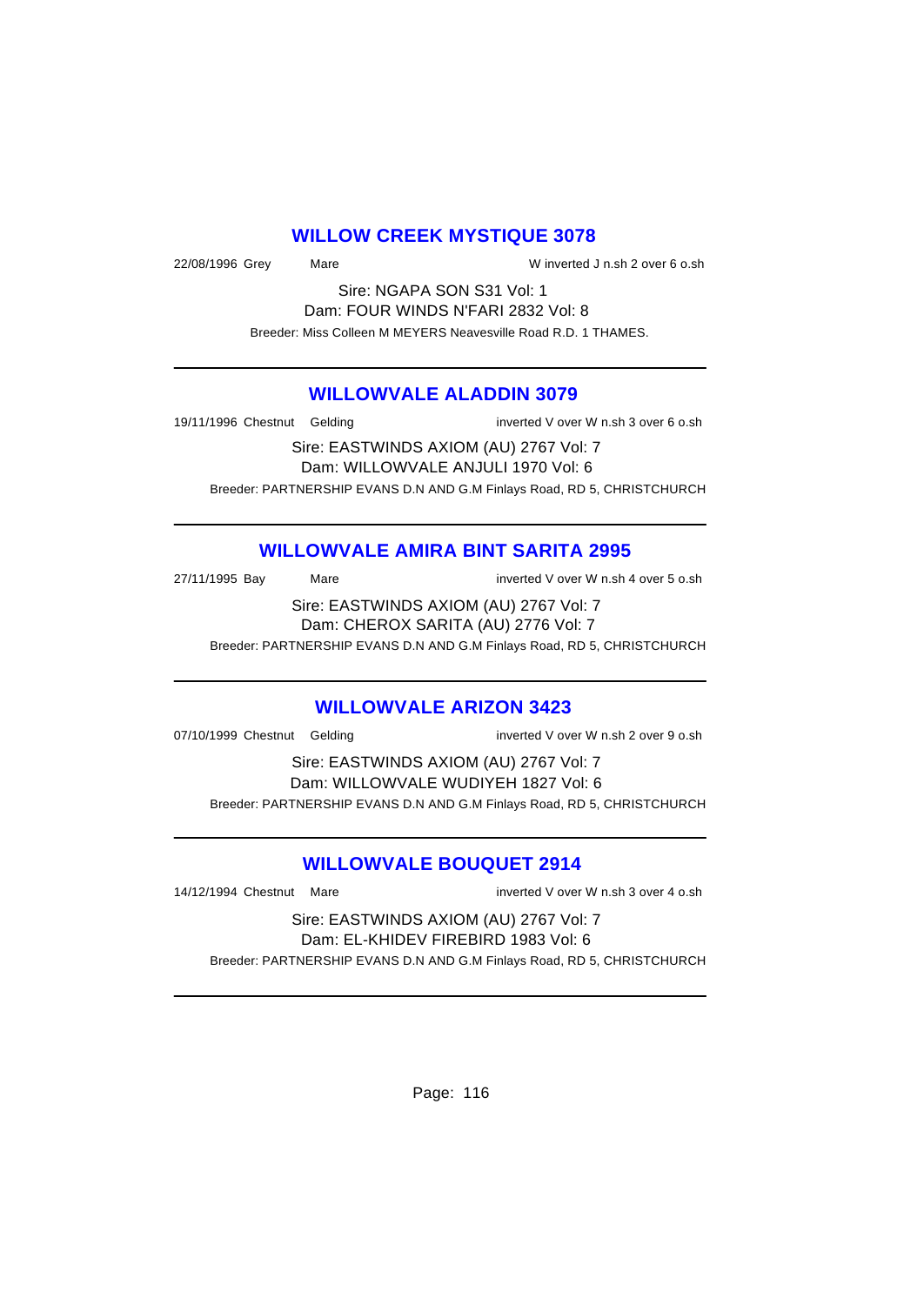### **WILLOW CREEK MYSTIQUE 3078**

22/08/1996 Grey Mare W inverted J n.sh 2 over 6 o.sh

Sire: NGAPA SON S31 Vol: 1 Dam: FOUR WINDS N'FARI 2832 Vol: 8 Breeder: Miss Colleen M MEYERS Neavesville Road R.D. 1 THAMES.

### **WILLOWVALE ALADDIN 3079**

19/11/1996 Chestnut Gelding inverted V over W n.sh 3 over 6 o.sh

Sire: EASTWINDS AXIOM (AU) 2767 Vol: 7 Dam: WILLOWVALE ANJULI 1970 Vol: 6 Breeder: PARTNERSHIP EVANS D.N AND G.M Finlays Road, RD 5, CHRISTCHURCH

## **WILLOWVALE AMIRA BINT SARITA 2995**

27/11/1995 Bay Mare Mare inverted V over W n.sh 4 over 5 o.sh

Sire: EASTWINDS AXIOM (AU) 2767 Vol: 7 Dam: CHEROX SARITA (AU) 2776 Vol: 7

Breeder: PARTNERSHIP EVANS D.N AND G.M Finlays Road, RD 5, CHRISTCHURCH

## **WILLOWVALE ARIZON 3423**

07/10/1999 Chestnut Gelding inverted V over W n.sh 2 over 9 o.sh

Sire: EASTWINDS AXIOM (AU) 2767 Vol: 7 Dam: WILLOWVALE WUDIYEH 1827 Vol: 6 Breeder: PARTNERSHIP EVANS D.N AND G.M Finlays Road, RD 5, CHRISTCHURCH

## **WILLOWVALE BOUQUET 2914**

14/12/1994 Chestnut Mare inverted V over W n.sh 3 over 4 o.sh

Sire: EASTWINDS AXIOM (AU) 2767 Vol: 7 Dam: EL-KHIDEV FIREBIRD 1983 Vol: 6 Breeder: PARTNERSHIP EVANS D.N AND G.M Finlays Road, RD 5, CHRISTCHURCH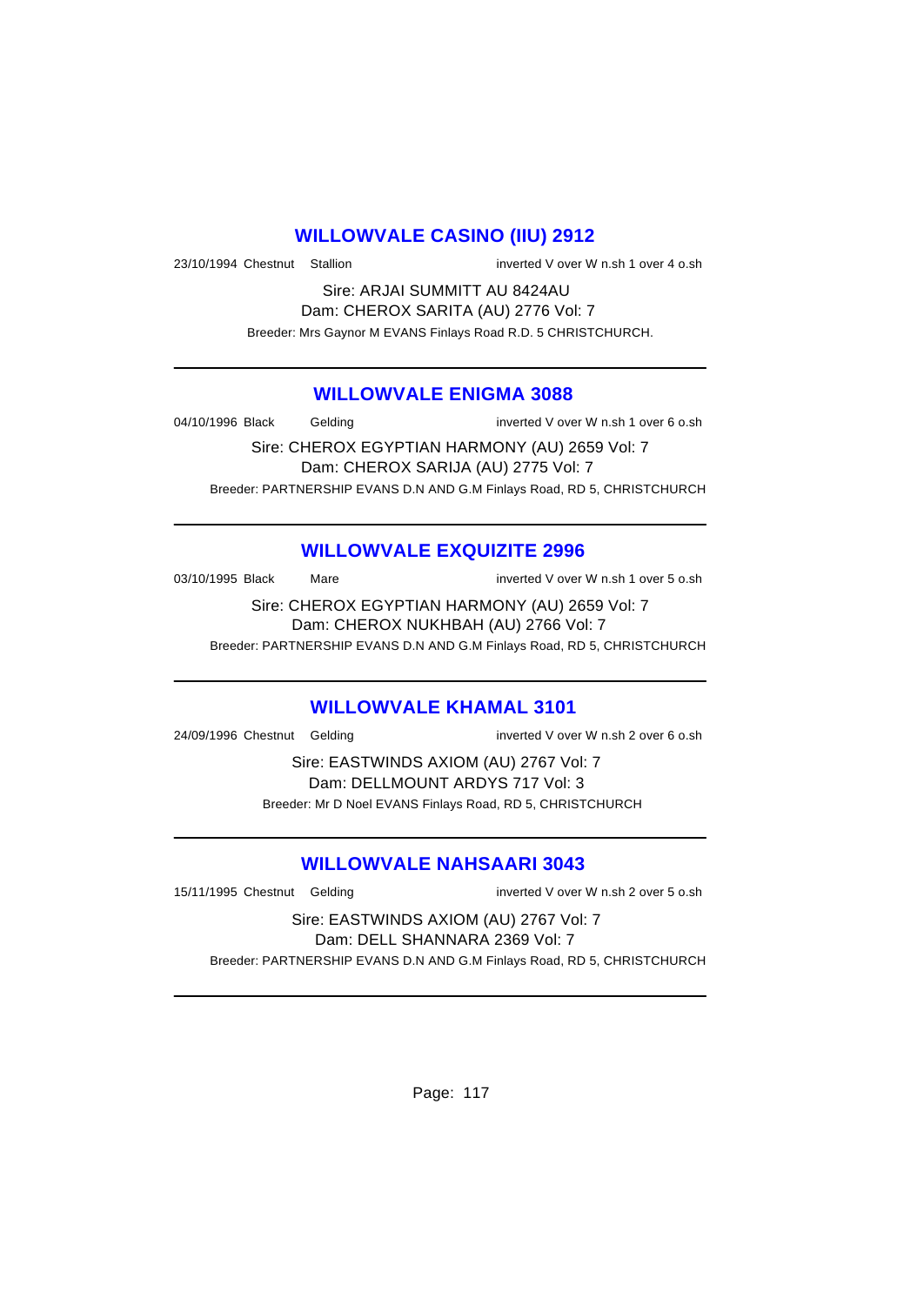### **WILLOWVALE CASINO (IIU) 2912**

23/10/1994 Chestnut Stallion inverted V over W n.sh 1 over 4 o.sh

Sire: ARJAI SUMMITT AU 8424AU Dam: CHEROX SARITA (AU) 2776 Vol: 7 Breeder: Mrs Gaynor M EVANS Finlays Road R.D. 5 CHRISTCHURCH.

#### **WILLOWVALE ENIGMA 3088**

04/10/1996 Black Gelding inverted V over W n.sh 1 over 6 o.sh

Sire: CHEROX EGYPTIAN HARMONY (AU) 2659 Vol: 7 Dam: CHEROX SARIJA (AU) 2775 Vol: 7 Breeder: PARTNERSHIP EVANS D.N AND G.M Finlays Road, RD 5, CHRISTCHURCH

### **WILLOWVALE EXQUIZITE 2996**

03/10/1995 Black Mare inverted V over W n.sh 1 over 5 o.sh

Sire: CHEROX EGYPTIAN HARMONY (AU) 2659 Vol: 7 Dam: CHEROX NUKHBAH (AU) 2766 Vol: 7

Breeder: PARTNERSHIP EVANS D.N AND G.M Finlays Road, RD 5, CHRISTCHURCH

### **WILLOWVALE KHAMAL 3101**

24/09/1996 Chestnut Gelding inverted V over W n.sh 2 over 6 o.sh

Sire: EASTWINDS AXIOM (AU) 2767 Vol: 7 Dam: DELLMOUNT ARDYS 717 Vol: 3 Breeder: Mr D Noel EVANS Finlays Road, RD 5, CHRISTCHURCH

## **WILLOWVALE NAHSAARI 3043**

15/11/1995 Chestnut Gelding inverted V over W n.sh 2 over 5 o.sh

Sire: EASTWINDS AXIOM (AU) 2767 Vol: 7 Dam: DELL SHANNARA 2369 Vol: 7 Breeder: PARTNERSHIP EVANS D.N AND G.M Finlays Road, RD 5, CHRISTCHURCH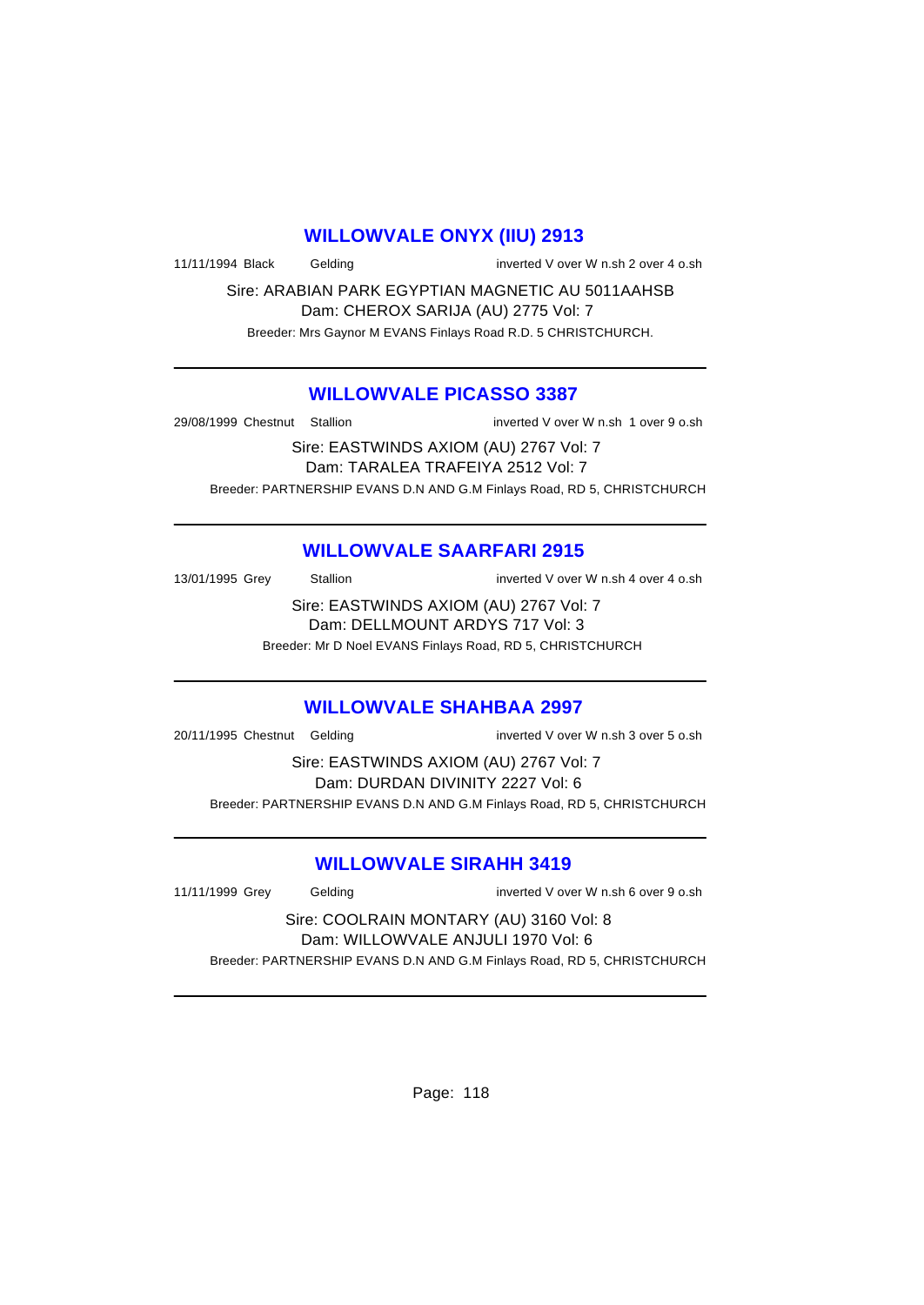### **WILLOWVALE ONYX (IIU) 2913**

11/11/1994 Black Gelding inverted V over W n.sh 2 over 4 o.sh

Sire: ARABIAN PARK EGYPTIAN MAGNETIC AU 5011AAHSB Dam: CHEROX SARIJA (AU) 2775 Vol: 7 Breeder: Mrs Gaynor M EVANS Finlays Road R.D. 5 CHRISTCHURCH.

### **WILLOWVALE PICASSO 3387**

29/08/1999 Chestnut Stallion inverted V over W n.sh 1 over 9 o.sh

Sire: EASTWINDS AXIOM (AU) 2767 Vol: 7 Dam: TARALEA TRAFEIYA 2512 Vol: 7 Breeder: PARTNERSHIP EVANS D.N AND G.M Finlays Road, RD 5, CHRISTCHURCH

## **WILLOWVALE SAARFARI 2915**

13/01/1995 Grey Stallion Stallion State State State State State State State State State State State State State State State State State State State State State State State State State State State State State State State St

Sire: EASTWINDS AXIOM (AU) 2767 Vol: 7 Dam: DELLMOUNT ARDYS 717 Vol: 3

Breeder: Mr D Noel EVANS Finlays Road, RD 5, CHRISTCHURCH

## **WILLOWVALE SHAHBAA 2997**

20/11/1995 Chestnut Gelding inverted V over W n.sh 3 over 5 o.sh

Sire: EASTWINDS AXIOM (AU) 2767 Vol: 7 Dam: DURDAN DIVINITY 2227 Vol: 6 Breeder: PARTNERSHIP EVANS D.N AND G.M Finlays Road, RD 5, CHRISTCHURCH

## **WILLOWVALE SIRAHH 3419**

11/11/1999 Grey Gelding inverted V over W n.sh 6 over 9 o.sh

Sire: COOLRAIN MONTARY (AU) 3160 Vol: 8 Dam: WILLOWVALE ANJULI 1970 Vol: 6 Breeder: PARTNERSHIP EVANS D.N AND G.M Finlays Road, RD 5, CHRISTCHURCH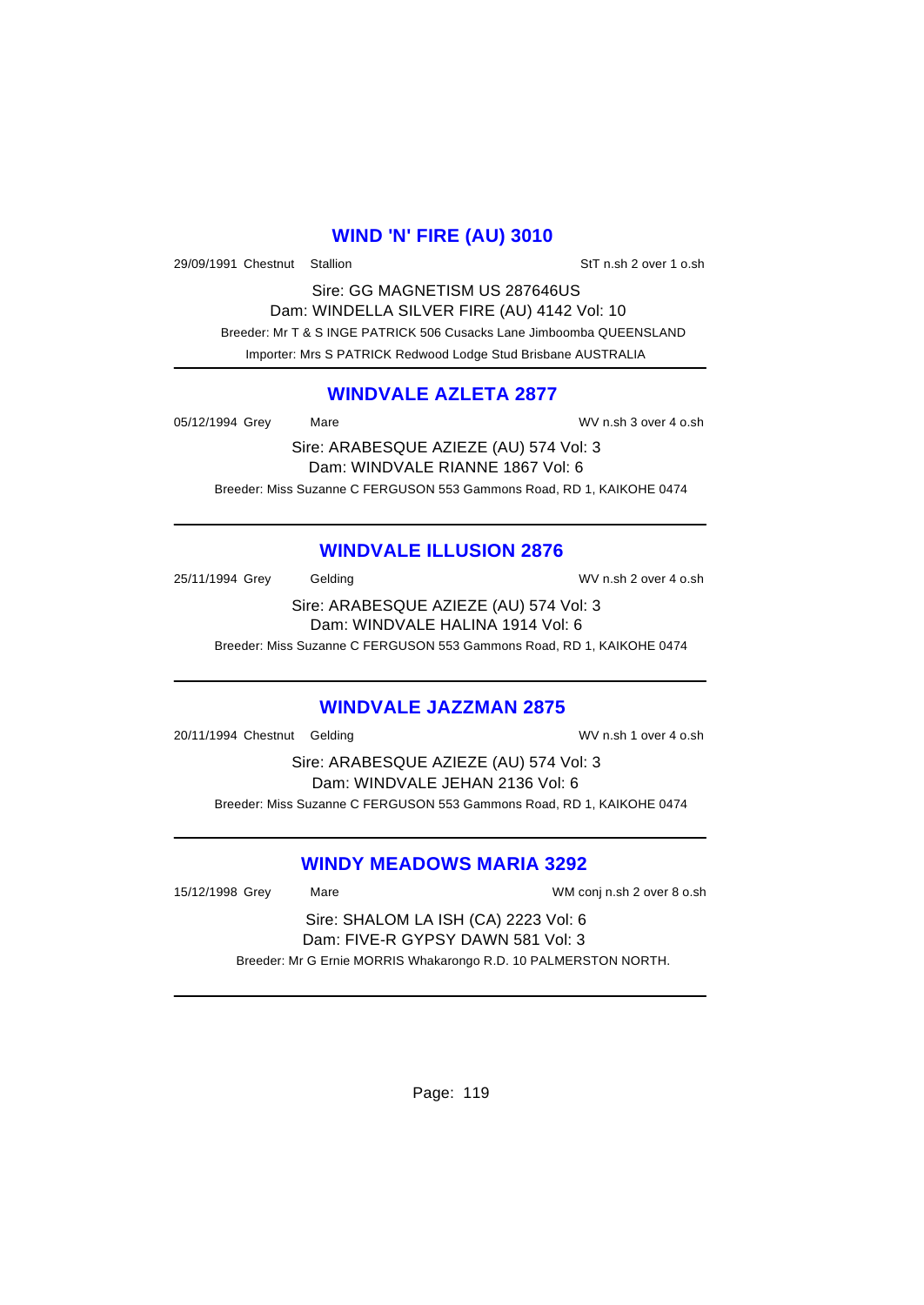### **WIND 'N' FIRE (AU) 3010**

29/09/1991 Chestnut Stallion State of StT n.sh 2 over 1 o.sh

Sire: GG MAGNETISM US 287646US Dam: WINDELLA SILVER FIRE (AU) 4142 Vol: 10 Breeder: Mr T & S INGE PATRICK 506 Cusacks Lane Jimboomba QUEENSLAND Importer: Mrs S PATRICK Redwood Lodge Stud Brisbane AUSTRALIA

#### **WINDVALE AZLETA 2877**

05/12/1994 Grey Mare Mare WV n.sh 3 over 4 o.sh

Sire: ARABESQUE AZIEZE (AU) 574 Vol: 3 Dam: WINDVALE RIANNE 1867 Vol: 6 Breeder: Miss Suzanne C FERGUSON 553 Gammons Road, RD 1, KAIKOHE 0474

## **WINDVALE ILLUSION 2876**

25/11/1994 Grey Gelding Gelding WV n.sh 2 over 4 o.sh

Sire: ARABESQUE AZIEZE (AU) 574 Vol: 3 Dam: WINDVALE HALINA 1914 Vol: 6

Breeder: Miss Suzanne C FERGUSON 553 Gammons Road, RD 1, KAIKOHE 0474

### **WINDVALE JAZZMAN 2875**

20/11/1994 Chestnut Gelding WV n.sh 1 over 4 o.sh

Sire: ARABESQUE AZIEZE (AU) 574 Vol: 3 Dam: WINDVALE JEHAN 2136 Vol: 6 Breeder: Miss Suzanne C FERGUSON 553 Gammons Road, RD 1, KAIKOHE 0474

### **WINDY MEADOWS MARIA 3292**

15/12/1998 Grey Mare WM conj n.sh 2 over 8 o.sh

Sire: SHALOM LA ISH (CA) 2223 Vol: 6 Dam: FIVE-R GYPSY DAWN 581 Vol: 3 Breeder: Mr G Ernie MORRIS Whakarongo R.D. 10 PALMERSTON NORTH.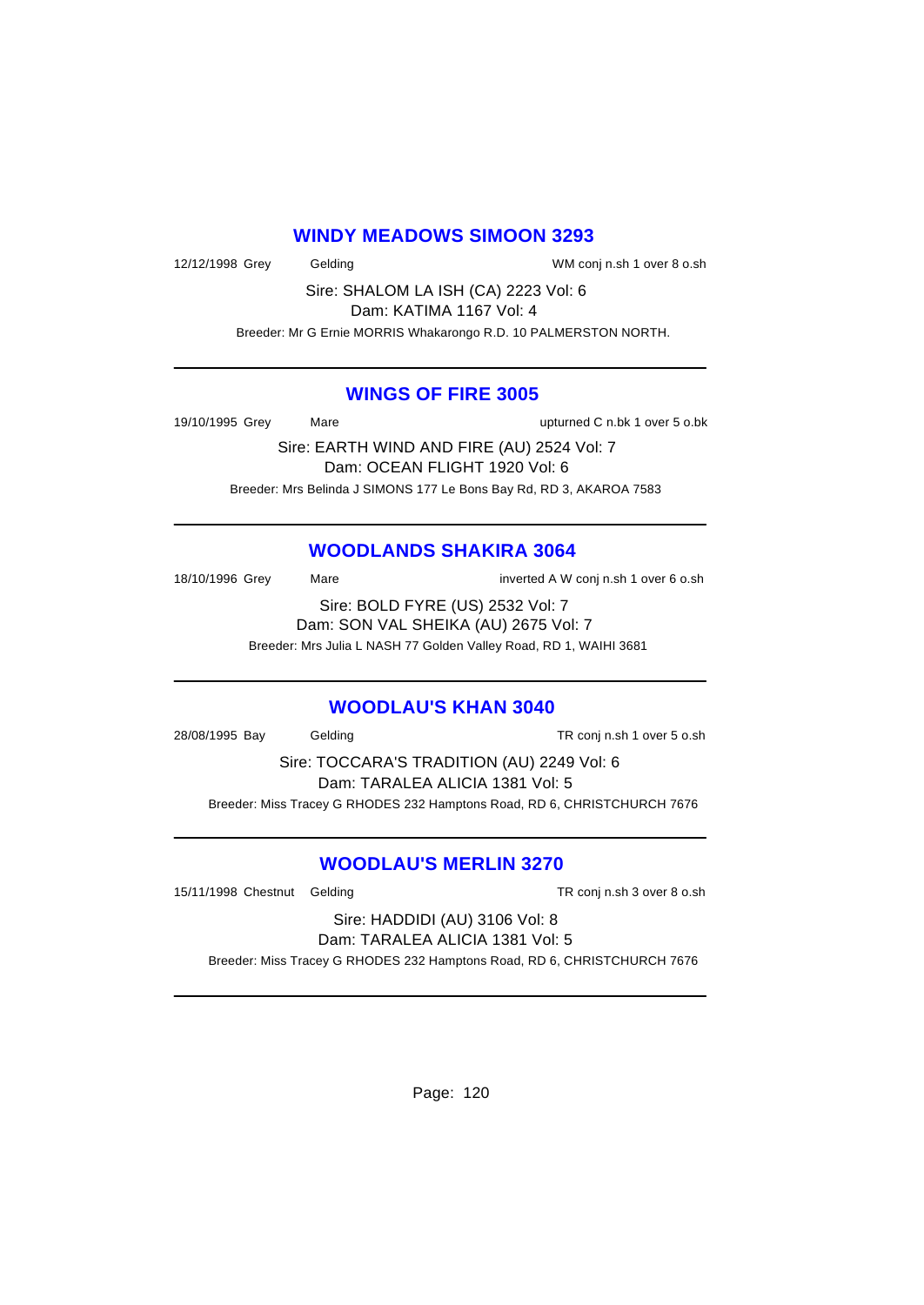### **WINDY MEADOWS SIMOON 3293**

12/12/1998 Grey Gelding WM conj n.sh 1 over 8 o.sh

Sire: SHALOM LA ISH (CA) 2223 Vol: 6 Dam: KATIMA 1167 Vol: 4

Breeder: Mr G Ernie MORRIS Whakarongo R.D. 10 PALMERSTON NORTH.

### **WINGS OF FIRE 3005**

19/10/1995 Grey Mare upturned C n.bk 1 over 5 o.bk

Sire: EARTH WIND AND FIRE (AU) 2524 Vol: 7 Dam: OCEAN FLIGHT 1920 Vol: 6 Breeder: Mrs Belinda J SIMONS 177 Le Bons Bay Rd, RD 3, AKAROA 7583

## **WOODLANDS SHAKIRA 3064**

18/10/1996 Grey Mare Mare inverted A W conj n.sh 1 over 6 o.sh Sire: BOLD FYRE (US) 2532 Vol: 7 Dam: SON VAL SHEIKA (AU) 2675 Vol: 7

Breeder: Mrs Julia L NASH 77 Golden Valley Road, RD 1, WAIHI 3681

### **WOODLAU'S KHAN 3040**

28/08/1995 Bay Gelding TR conj n.sh 1 over 5 o.sh

Sire: TOCCARA'S TRADITION (AU) 2249 Vol: 6 Dam: TARALEA ALICIA 1381 Vol: 5 Breeder: Miss Tracey G RHODES 232 Hamptons Road, RD 6, CHRISTCHURCH 7676

## **WOODLAU'S MERLIN 3270**

15/11/1998 Chestnut Gelding TR conj n.sh 3 over 8 o.sh

Sire: HADDIDI (AU) 3106 Vol: 8 Dam: TARALEA ALICIA 1381 Vol: 5

Breeder: Miss Tracey G RHODES 232 Hamptons Road, RD 6, CHRISTCHURCH 7676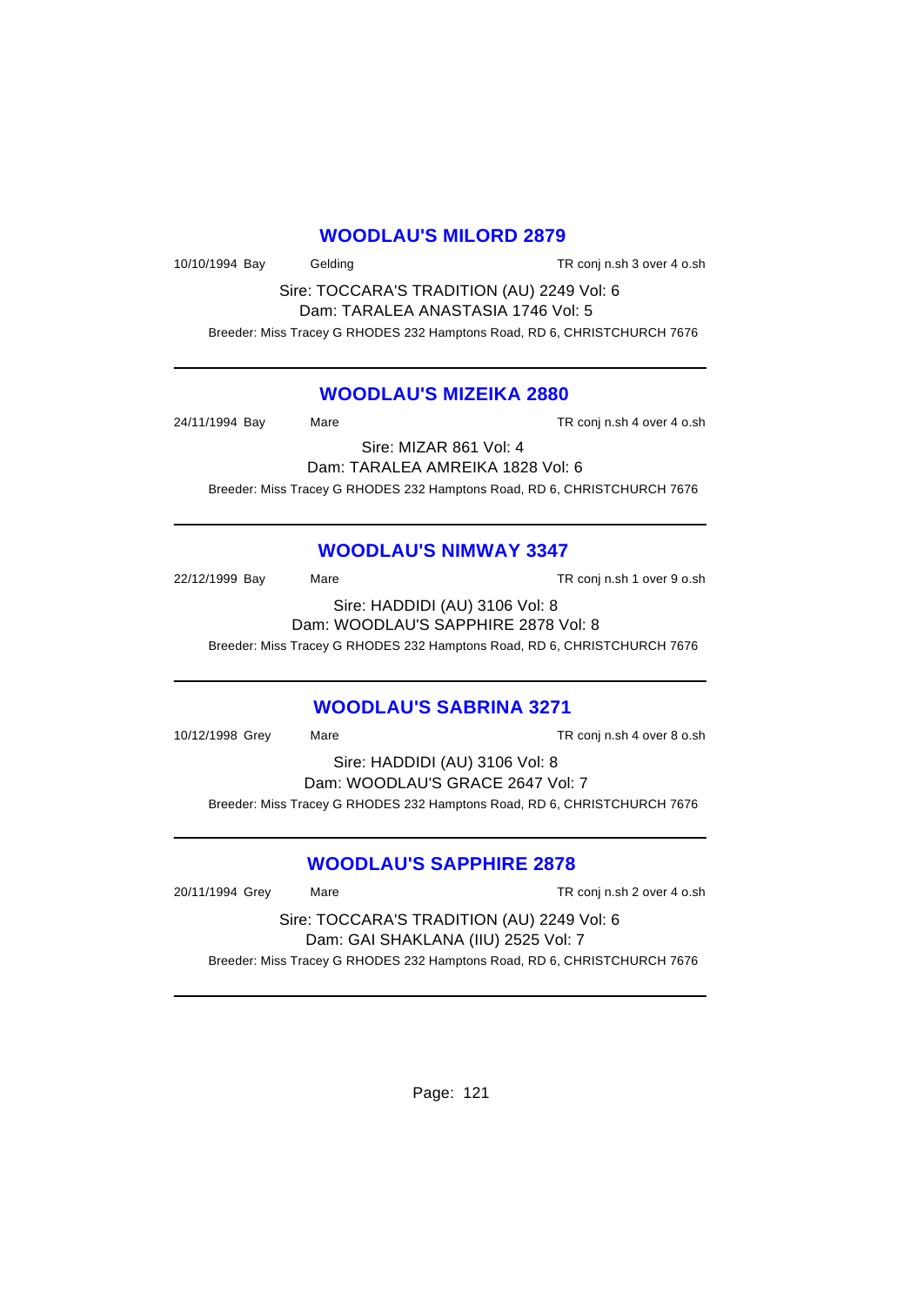#### **WOODLAU'S MILORD 2879**

10/10/1994 Bay Gelding TR conj n.sh 3 over 4 o.sh

Sire: TOCCARA'S TRADITION (AU) 2249 Vol: 6 Dam: TARALEA ANASTASIA 1746 Vol: 5

Breeder: Miss Tracey G RHODES 232 Hamptons Road, RD 6, CHRISTCHURCH 7676

### **WOODLAU'S MIZEIKA 2880**

24/11/1994 Bay Mare Mare TR conj n.sh 4 over 4 o.sh

Sire: MIZAR 861 Vol: 4 Dam: TARALEA AMREIKA 1828 Vol: 6

Breeder: Miss Tracey G RHODES 232 Hamptons Road, RD 6, CHRISTCHURCH 7676

## **WOODLAU'S NIMWAY 3347**

22/12/1999 Bay Mare TR conj n.sh 1 over 9 o.sh Sire: HADDIDI (AU) 3106 Vol: 8 Dam: WOODLAU'S SAPPHIRE 2878 Vol: 8

Breeder: Miss Tracey G RHODES 232 Hamptons Road, RD 6, CHRISTCHURCH 7676

### **WOODLAU'S SABRINA 3271**

10/12/1998 Grey Mare TR conj n.sh 4 over 8 o.sh Sire: HADDIDI (AU) 3106 Vol: 8 Dam: WOODLAU'S GRACE 2647 Vol: 7

Breeder: Miss Tracey G RHODES 232 Hamptons Road, RD 6, CHRISTCHURCH 7676

## **WOODLAU'S SAPPHIRE 2878**

20/11/1994 Grey Mare TR conj n.sh 2 over 4 o.sh Sire: TOCCARA'S TRADITION (AU) 2249 Vol: 6 Dam: GAI SHAKLANA (IIU) 2525 Vol: 7 Breeder: Miss Tracey G RHODES 232 Hamptons Road, RD 6, CHRISTCHURCH 7676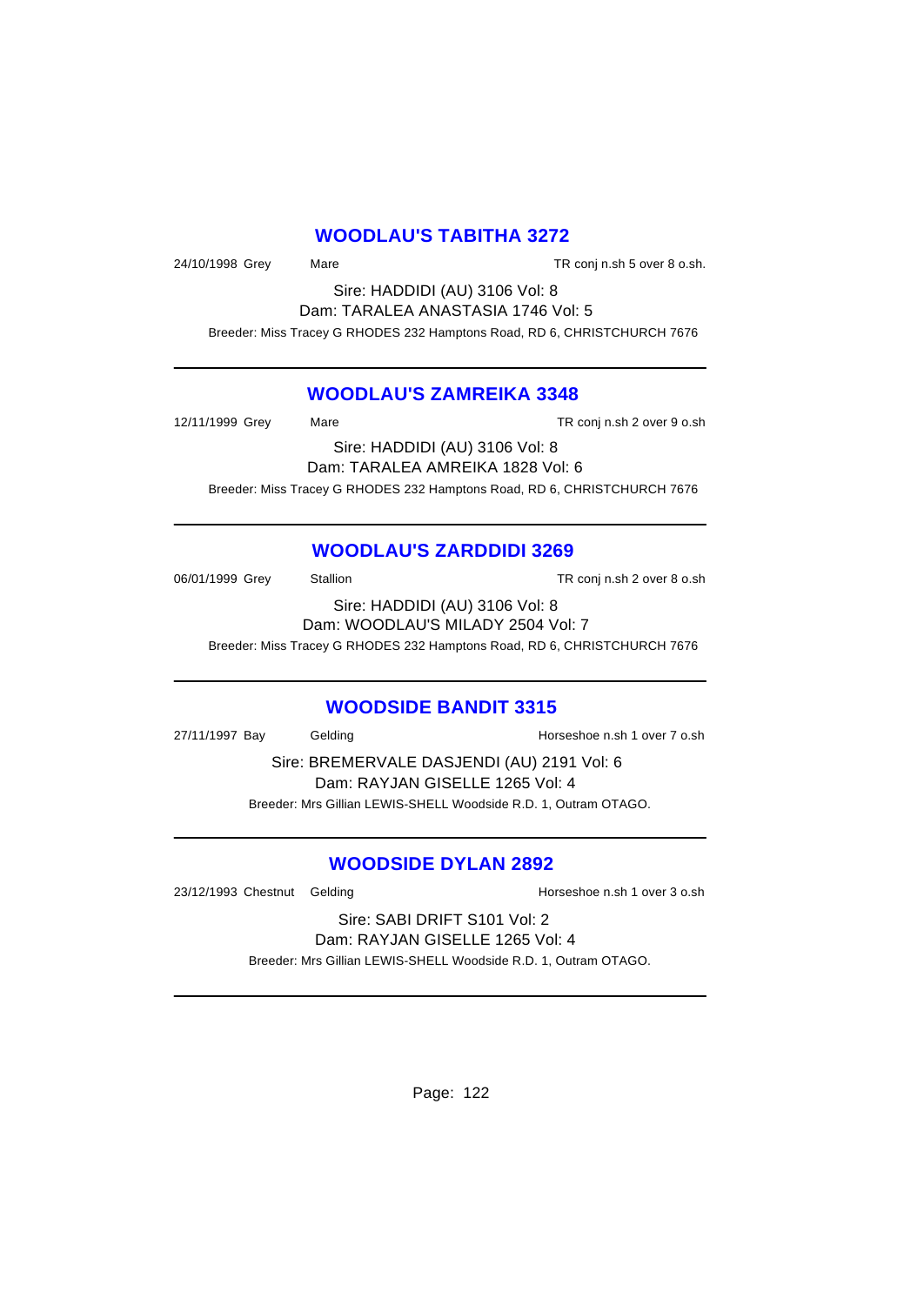### **WOODLAU'S TABITHA 3272**

24/10/1998 Grey Mare TR conj n.sh 5 over 8 o.sh.

Sire: HADDIDI (AU) 3106 Vol: 8 Dam: TARALEA ANASTASIA 1746 Vol: 5

Breeder: Miss Tracey G RHODES 232 Hamptons Road, RD 6, CHRISTCHURCH 7676

## **WOODLAU'S ZAMREIKA 3348**

12/11/1999 Grey Mare TR conj n.sh 2 over 9 o.sh Sire: HADDIDI (AU) 3106 Vol: 8 Dam: TARALEA AMREIKA 1828 Vol: 6

Breeder: Miss Tracey G RHODES 232 Hamptons Road, RD 6, CHRISTCHURCH 7676

## **WOODLAU'S ZARDDIDI 3269**

06/01/1999 Grey Stallion TR conj n.sh 2 over 8 o.sh Sire: HADDIDI (AU) 3106 Vol: 8 Dam: WOODLAU'S MILADY 2504 Vol: 7

Breeder: Miss Tracey G RHODES 232 Hamptons Road, RD 6, CHRISTCHURCH 7676

## **WOODSIDE BANDIT 3315**

27/11/1997 Bay Gelding Gelding Bay Bay Bay Horseshoe n.sh 1 over 7 o.sh

Sire: BREMERVALE DASJENDI (AU) 2191 Vol: 6 Dam: RAYJAN GISELLE 1265 Vol: 4 Breeder: Mrs Gillian LEWIS-SHELL Woodside R.D. 1, Outram OTAGO.

## **WOODSIDE DYLAN 2892**

23/12/1993 Chestnut Gelding and Horseshoe n.sh 1 over 3 o.sh

Sire: SABI DRIFT S101 Vol: 2 Dam: RAYJAN GISELLE 1265 Vol: 4

Breeder: Mrs Gillian LEWIS-SHELL Woodside R.D. 1, Outram OTAGO.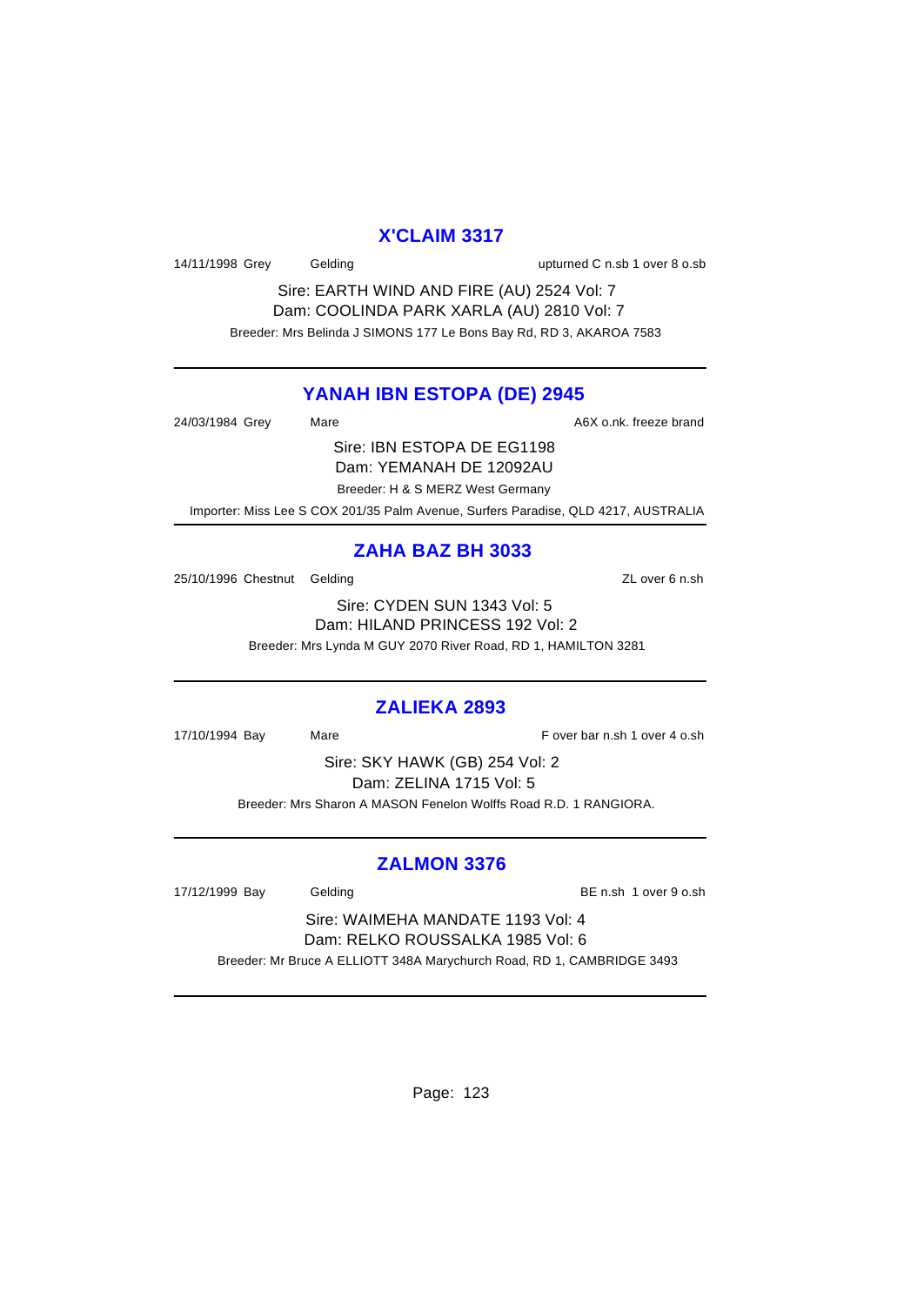#### **X'CLAIM 3317**

14/11/1998 Grey Gelding upturned C n.sb 1 over 8 o.sb

Sire: EARTH WIND AND FIRE (AU) 2524 Vol: 7 Dam: COOLINDA PARK XARLA (AU) 2810 Vol: 7 Breeder: Mrs Belinda J SIMONS 177 Le Bons Bay Rd, RD 3, AKAROA 7583

### **YANAH IBN ESTOPA (DE) 2945**

24/03/1984 Grey Mare Mare A6X o.nk. freeze brand

Sire: IBN ESTOPA DE EG1198 Dam: YEMANAH DE 12092AU

Breeder: H & S MERZ West Germany

Importer: Miss Lee S COX 201/35 Palm Avenue, Surfers Paradise, QLD 4217, AUSTRALIA

## **ZAHA BAZ BH 3033**

25/10/1996 Chestnut Gelding 25/10/1996 Chestnut Celding

Sire: CYDEN SUN 1343 Vol: 5 Dam: HILAND PRINCESS 192 Vol: 2 Breeder: Mrs Lynda M GUY 2070 River Road, RD 1, HAMILTON 3281

## **ZALIEKA 2893**

17/10/1994 Bay Mare F over bar n.sh 1 over 4 o.sh

Sire: SKY HAWK (GB) 254 Vol: 2 Dam: ZELINA 1715 Vol: 5 Breeder: Mrs Sharon A MASON Fenelon Wolffs Road R.D. 1 RANGIORA.

## **ZALMON 3376**

17/12/1999 Bay Gelding BE n.sh 1 over 9 o.sh

Sire: WAIMEHA MANDATE 1193 Vol: 4 Dam: RELKO ROUSSALKA 1985 Vol: 6 Breeder: Mr Bruce A ELLIOTT 348A Marychurch Road, RD 1, CAMBRIDGE 3493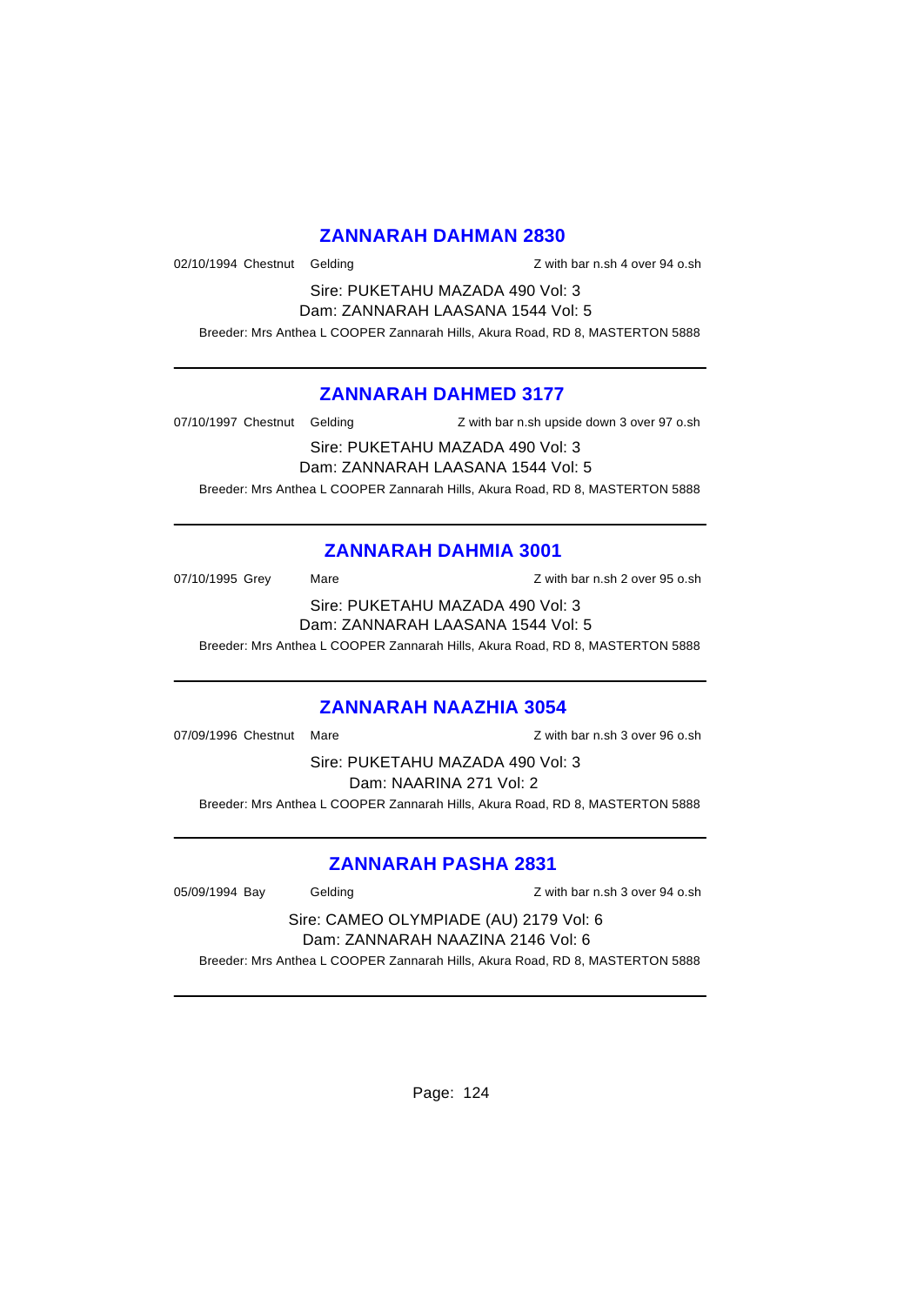### **ZANNARAH DAHMAN 2830**

02/10/1994 Chestnut Gelding and a state of the Z with bar n.sh 4 over 94 o.sh

Sire: PUKETAHU MAZADA 490 Vol: 3 Dam: ZANNARAH LAASANA 1544 Vol: 5

Breeder: Mrs Anthea L COOPER Zannarah Hills, Akura Road, RD 8, MASTERTON 5888

### **ZANNARAH DAHMED 3177**

07/10/1997 Chestnut Gelding Z with bar n.sh upside down 3 over 97 o.sh

Sire: PUKETAHU MAZADA 490 Vol: 3

Dam: ZANNARAH LAASANA 1544 Vol: 5

Breeder: Mrs Anthea L COOPER Zannarah Hills, Akura Road, RD 8, MASTERTON 5888

## **ZANNARAH DAHMIA 3001**

07/10/1995 Grey Mare Mare 2 with bar n.sh 2 over 95 o.sh Sire: PUKETAHU MAZADA 490 Vol: 3

Dam: ZANNARAH LAASANA 1544 Vol: 5

Breeder: Mrs Anthea L COOPER Zannarah Hills, Akura Road, RD 8, MASTERTON 5888

## **ZANNARAH NAAZHIA 3054**

07/09/1996 Chestnut Mare **Mark 1998** Chestnut Mare **Z** with bar n.sh 3 over 96 o.sh

Sire: PUKETAHU MAZADA 490 Vol: 3 Dam: NAARINA 271 Vol: 2 Breeder: Mrs Anthea L COOPER Zannarah Hills, Akura Road, RD 8, MASTERTON 5888

## **ZANNARAH PASHA 2831**

05/09/1994 Bay Gelding Constanting Terms of Text of District Constanting District Constanting District Operations Constanting District Operations of Text Operations Constanting District Operations of Text Operations Operat

#### Sire: CAMEO OLYMPIADE (AU) 2179 Vol: 6 Dam: ZANNARAH NAAZINA 2146 Vol: 6

Breeder: Mrs Anthea L COOPER Zannarah Hills, Akura Road, RD 8, MASTERTON 5888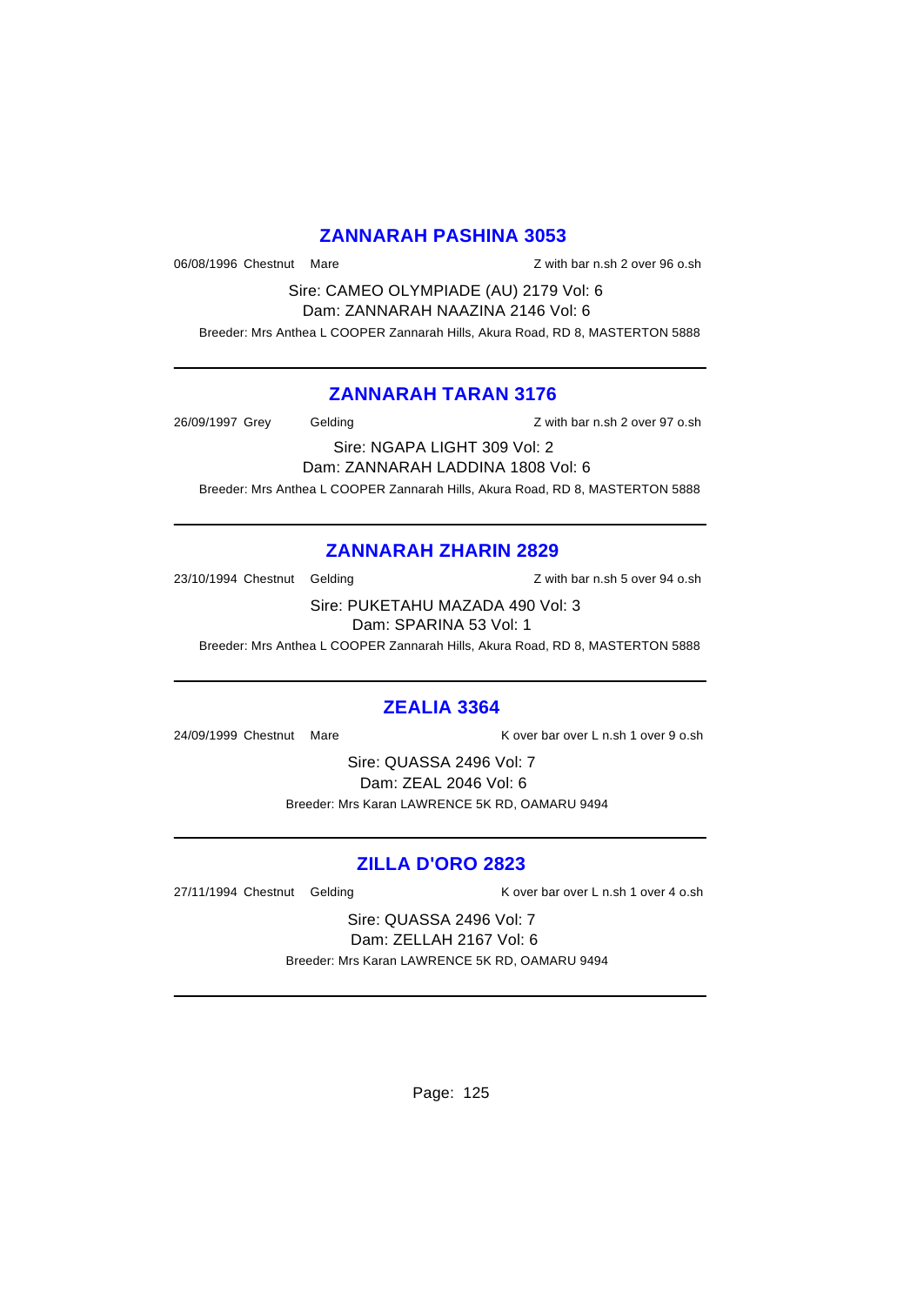### **ZANNARAH PASHINA 3053**

06/08/1996 Chestnut Mare 2008/1996 Chestnut Mare  $Z$  with bar n.sh 2 over 96 o.sh

Sire: CAMEO OLYMPIADE (AU) 2179 Vol: 6 Dam: ZANNARAH NAAZINA 2146 Vol: 6

Breeder: Mrs Anthea L COOPER Zannarah Hills, Akura Road, RD 8, MASTERTON 5888

### **ZANNARAH TARAN 3176**

26/09/1997 Grey Gelding Z with bar n.sh 2 over 97 o.sh

Sire: NGAPA LIGHT 309 Vol: 2

Dam: ZANNARAH LADDINA 1808 Vol: 6

Breeder: Mrs Anthea L COOPER Zannarah Hills, Akura Road, RD 8, MASTERTON 5888

## **ZANNARAH ZHARIN 2829**

23/10/1994 Chestnut Gelding 23/10/1994 Chestnut Gelding

Sire: PUKETAHU MAZADA 490 Vol: 3 Dam: SPARINA 53 Vol: 1

Breeder: Mrs Anthea L COOPER Zannarah Hills, Akura Road, RD 8, MASTERTON 5888

## **ZEALIA 3364**

24/09/1999 Chestnut Mare K over bar over L n.sh 1 over 9 o.sh

Sire: QUASSA 2496 Vol: 7 Dam: ZEAL 2046 Vol: 6 Breeder: Mrs Karan LAWRENCE 5K RD, OAMARU 9494

## **ZILLA D'ORO 2823**

27/11/1994 Chestnut Gelding The R over bar over L n.sh 1 over 4 o.sh

Sire: QUASSA 2496 Vol: 7 Dam: ZELLAH 2167 Vol: 6 Breeder: Mrs Karan LAWRENCE 5K RD, OAMARU 9494